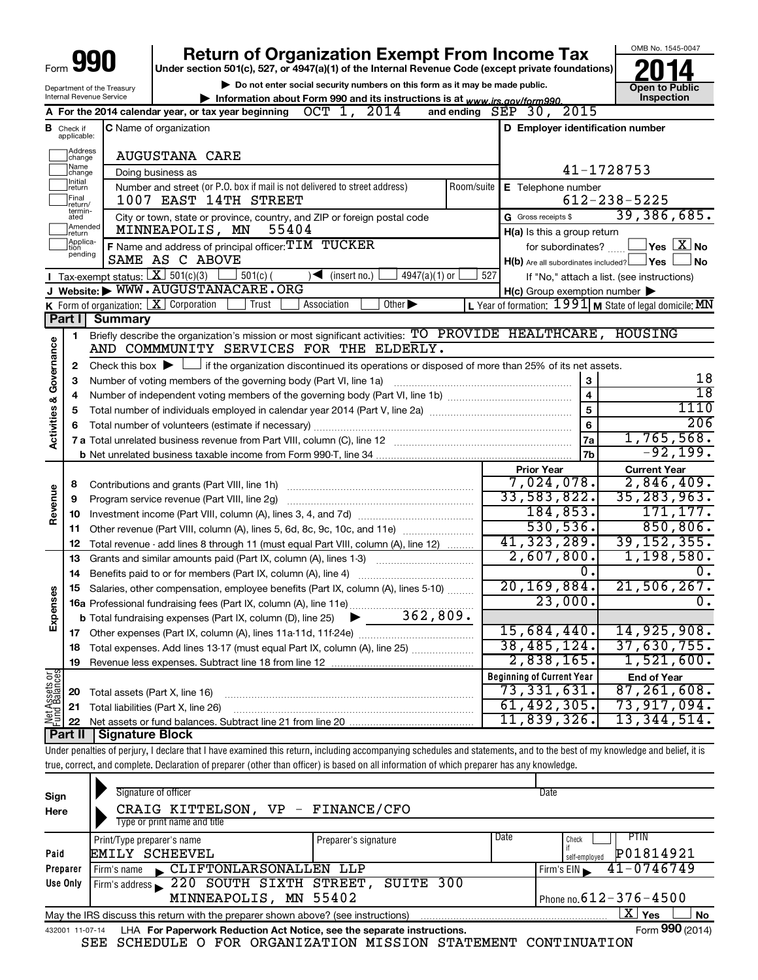|                                | Form <b>Y9</b>                          |                                                        | <b>Return of Organization Exempt From Income Tax</b><br>Under section 501(c), 527, or 4947(a)(1) of the Internal Revenue Code (except private foundations)                 |                                                                       |                | OMB No. 1545-0047                                       |  |  |
|--------------------------------|-----------------------------------------|--------------------------------------------------------|----------------------------------------------------------------------------------------------------------------------------------------------------------------------------|-----------------------------------------------------------------------|----------------|---------------------------------------------------------|--|--|
|                                |                                         |                                                        | Do not enter social security numbers on this form as it may be made public.                                                                                                |                                                                       |                |                                                         |  |  |
|                                |                                         | Department of the Treasury<br>Internal Revenue Service | Information about Form 990 and its instructions is at www.irs.gov/form990.                                                                                                 |                                                                       |                | <b>Open to Public</b><br>Inspection                     |  |  |
|                                |                                         |                                                        | OCT 1, 2014<br>A For the 2014 calendar year, or tax year beginning                                                                                                         | and ending $SEP$ 30, 2015                                             |                |                                                         |  |  |
|                                | <b>B</b> Check if applicable:           |                                                        | <b>C</b> Name of organization                                                                                                                                              | D Employer identification number                                      |                |                                                         |  |  |
|                                | Address<br> change                      |                                                        | <b>AUGUSTANA CARE</b>                                                                                                                                                      |                                                                       |                |                                                         |  |  |
|                                | Name<br>change                          |                                                        | Doing business as                                                                                                                                                          |                                                                       | 41-1728753     |                                                         |  |  |
|                                | Initial<br>∣return<br> Final<br>return/ |                                                        | Number and street (or P.O. box if mail is not delivered to street address)<br>Room/suite<br>1007 EAST 14TH STREET                                                          | E Telephone number                                                    |                | $612 - 238 - 5225$                                      |  |  |
|                                | termin-<br>ated<br>Amended<br>Ireturn   |                                                        | City or town, state or province, country, and ZIP or foreign postal code<br>55404<br>MINNEAPOLIS, MN                                                                       | G Gross receipts \$<br>$H(a)$ is this a group return                  |                | 39,386,685.                                             |  |  |
|                                | Applica-<br> tion<br>pending            |                                                        | F Name and address of principal officer: TIM TUCKER<br>SAME AS C ABOVE                                                                                                     | for subordinates?<br>$H(b)$ Are all subordinates included? $\Box$ Yes |                | $\sqrt{\mathsf{Yes}\ \mathsf{X}}$ No<br>No              |  |  |
|                                |                                         | <b>I</b> Tax-exempt status: $X \over 301(c)(3)$        | $501(c)$ (<br>$\blacktriangleleft$ (insert no.)<br>$4947(a)(1)$ or                                                                                                         | 527                                                                   |                | If "No," attach a list. (see instructions)              |  |  |
|                                |                                         |                                                        | J Website: WWW.AUGUSTANACARE.ORG                                                                                                                                           | $H(c)$ Group exemption number $\blacktriangleright$                   |                |                                                         |  |  |
|                                |                                         | K Form of organization: $X$ Corporation                | Association<br>Other $\blacktriangleright$<br>Trust                                                                                                                        |                                                                       |                | L Year of formation: 1991 M State of legal domicile: MN |  |  |
|                                | Part I                                  | <b>Summary</b>                                         |                                                                                                                                                                            |                                                                       |                |                                                         |  |  |
| Activities & Governance        | 1                                       |                                                        | Briefly describe the organization's mission or most significant activities: TO PROVIDE HEALTHCARE, HOUSING<br>AND COMMMUNITY SERVICES FOR THE ELDERLY.                     |                                                                       |                |                                                         |  |  |
|                                | 2                                       |                                                        | Check this box $\blacktriangleright$ $\Box$ if the organization discontinued its operations or disposed of more than 25% of its net assets.                                |                                                                       |                |                                                         |  |  |
|                                | 3                                       |                                                        | Number of voting members of the governing body (Part VI, line 1a)                                                                                                          |                                                                       | 3              | 18                                                      |  |  |
|                                | 4                                       |                                                        |                                                                                                                                                                            |                                                                       | $\overline{4}$ | $\overline{18}$                                         |  |  |
|                                | 5                                       |                                                        | Total number of individuals employed in calendar year 2014 (Part V, line 2a) manufacture controller to intervent                                                           |                                                                       | 5              | 1110                                                    |  |  |
|                                | 6                                       |                                                        | Total number of volunteers (estimate if necessary)                                                                                                                         |                                                                       | 6              | 206                                                     |  |  |
|                                |                                         |                                                        |                                                                                                                                                                            |                                                                       | 7a             | 1,765,568.                                              |  |  |
|                                |                                         |                                                        |                                                                                                                                                                            |                                                                       | 7b             | $-92,199.$                                              |  |  |
|                                |                                         |                                                        |                                                                                                                                                                            | <b>Prior Year</b>                                                     |                | <b>Current Year</b>                                     |  |  |
|                                | 8                                       |                                                        | Contributions and grants (Part VIII, line 1h)                                                                                                                              | 7,024,078.                                                            |                | 2,846,409.                                              |  |  |
| Revenue                        | 9                                       |                                                        | Program service revenue (Part VIII, line 2g)                                                                                                                               | 33,583,822.                                                           |                | 35, 283, 963.                                           |  |  |
|                                | 10                                      |                                                        |                                                                                                                                                                            | 184,853.                                                              |                | 171, 177.                                               |  |  |
|                                | 11                                      |                                                        | Other revenue (Part VIII, column (A), lines 5, 6d, 8c, 9c, 10c, and 11e)                                                                                                   | 530, 536.                                                             |                | 850, 806.                                               |  |  |
|                                | 12                                      |                                                        | Total revenue - add lines 8 through 11 (must equal Part VIII, column (A), line 12)                                                                                         | 41, 323, 289.                                                         |                | 39, 152, 355.                                           |  |  |
|                                | 13                                      |                                                        | Grants and similar amounts paid (Part IX, column (A), lines 1-3)                                                                                                           | 2,607,800.                                                            |                | 1,198,580.                                              |  |  |
|                                | 14                                      |                                                        | Benefits paid to or for members (Part IX, column (A), line 4)                                                                                                              |                                                                       | 0.             |                                                         |  |  |
| ŵ                              | 15                                      |                                                        | Salaries, other compensation, employee benefits (Part IX, column (A), lines 5-10).                                                                                         | 20, 169, 884.                                                         |                | 21,506,267.                                             |  |  |
| Expense                        |                                         |                                                        |                                                                                                                                                                            | 23,000.                                                               |                | 0.                                                      |  |  |
|                                |                                         |                                                        | 362,809.<br><b>b</b> Total fundraising expenses (Part IX, column (D), line 25)                                                                                             |                                                                       |                |                                                         |  |  |
|                                | 17                                      |                                                        |                                                                                                                                                                            | 15,684,440.                                                           |                | 14,925,908.                                             |  |  |
|                                | 18                                      |                                                        | Total expenses. Add lines 13-17 (must equal Part IX, column (A), line 25) [                                                                                                | 38,485,124.                                                           |                | 37,630,755.                                             |  |  |
|                                | 19                                      |                                                        |                                                                                                                                                                            | 2,838,165.                                                            |                | 1,521,600.                                              |  |  |
| Net Assets or<br>Fund Balances |                                         |                                                        |                                                                                                                                                                            | <b>Beginning of Current Year</b>                                      |                | <b>End of Year</b>                                      |  |  |
|                                | 20                                      | Total assets (Part X, line 16)                         |                                                                                                                                                                            | 73, 331, 631.                                                         |                | 87, 261, 608.                                           |  |  |
|                                | 21                                      |                                                        | Total liabilities (Part X, line 26)                                                                                                                                        | 61, 492, 305.                                                         |                | 73,917,094.                                             |  |  |
|                                | 22                                      |                                                        |                                                                                                                                                                            | 11,839,326.                                                           |                | 13,344,514.                                             |  |  |
|                                | Part II                                 | Signature Block                                        |                                                                                                                                                                            |                                                                       |                |                                                         |  |  |
|                                |                                         |                                                        | Under penalties of perjury, I declare that I have examined this return, including accompanying schedules and statements, and to the best of my knowledge and belief, it is |                                                                       |                |                                                         |  |  |
|                                |                                         |                                                        | true, correct, and complete. Declaration of preparer (other than officer) is based on all information of which preparer has any knowledge.                                 |                                                                       |                |                                                         |  |  |

| Sign<br>Here    | Signature of officer<br>CRAIG KITTELSON, VP - FINANCE/CFO<br>Type or print name and title |                      |      | Date                                        |
|-----------------|-------------------------------------------------------------------------------------------|----------------------|------|---------------------------------------------|
| Paid            | Print/Type preparer's name<br>SCHEEVEL<br>EMILY                                           | Preparer's signature | Date | PIIN<br>Check<br>P01814921<br>self-emploved |
| Preparer        | CLIFTONLARSONALLEN LLP<br>Firm's name                                                     |                      |      | $41 - 0746749$<br>Firm's EIN                |
| Use Only        | 220 SOUTH SIXTH STREET,<br>Firm's address                                                 | SUITE 300            |      |                                             |
|                 | MINNEAPOLIS, MN 55402                                                                     |                      |      | Phone no. $612 - 376 - 4500$                |
|                 | May the IRS discuss this return with the preparer shown above? (see instructions)         |                      |      | ΧI<br><b>No</b><br>Yes                      |
| 432001 11-07-14 | LHA For Paperwork Reduction Act Notice, see the separate instructions.                    |                      |      | Form 990 (2014)                             |

SEE SCHEDULE O FOR ORGANIZATION MISSION STATEMENT CONTINUATION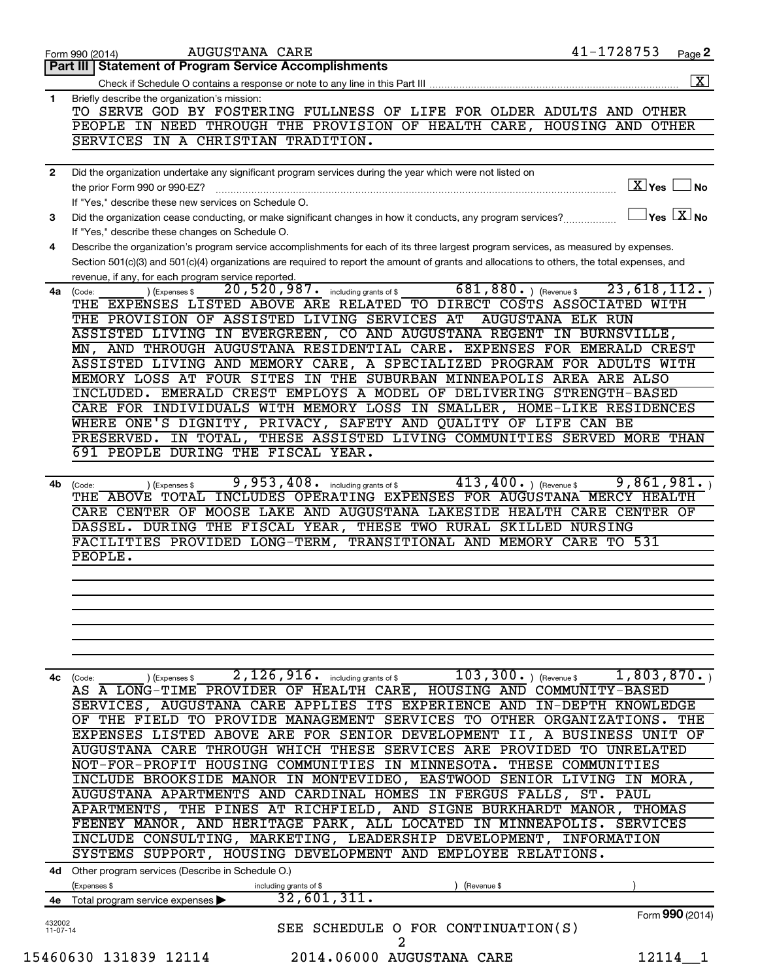|                    | <b>AUGUSTANA CARE</b><br>Form 990 (2014)                                                                                                                                                                                                                                             | 41-1728753                     | Page 2                                  |
|--------------------|--------------------------------------------------------------------------------------------------------------------------------------------------------------------------------------------------------------------------------------------------------------------------------------|--------------------------------|-----------------------------------------|
|                    | <b>Statement of Program Service Accomplishments</b><br>Part III                                                                                                                                                                                                                      |                                |                                         |
|                    |                                                                                                                                                                                                                                                                                      |                                | $\boxed{\textbf{X}}$                    |
| $\mathbf{1}$       | Briefly describe the organization's mission:<br>TO SERVE GOD BY FOSTERING FULLNESS OF LIFE FOR OLDER ADULTS AND OTHER                                                                                                                                                                |                                |                                         |
|                    | PEOPLE IN NEED THROUGH THE PROVISION OF HEALTH CARE, HOUSING AND OTHER                                                                                                                                                                                                               |                                |                                         |
|                    | SERVICES IN A CHRISTIAN TRADITION.                                                                                                                                                                                                                                                   |                                |                                         |
|                    |                                                                                                                                                                                                                                                                                      |                                |                                         |
| 2                  | Did the organization undertake any significant program services during the year which were not listed on                                                                                                                                                                             |                                |                                         |
|                    | the prior Form 990 or 990-EZ?                                                                                                                                                                                                                                                        | $\boxed{\text{X}}$ Yes         | No                                      |
|                    | If "Yes," describe these new services on Schedule O.                                                                                                                                                                                                                                 |                                |                                         |
| 3                  | Did the organization cease conducting, or make significant changes in how it conducts, any program services?                                                                                                                                                                         |                                | $\Box$ Yes $[\overline{\mathrm{X}}]$ No |
|                    | If "Yes," describe these changes on Schedule O.                                                                                                                                                                                                                                      |                                |                                         |
| 4                  | Describe the organization's program service accomplishments for each of its three largest program services, as measured by expenses.<br>Section 501(c)(3) and 501(c)(4) organizations are required to report the amount of grants and allocations to others, the total expenses, and |                                |                                         |
|                    | revenue, if any, for each program service reported.                                                                                                                                                                                                                                  |                                |                                         |
| 4a                 | $681, 880.$ (Revenue \$<br>$20,520,987$ . including grants of \$<br>(Expenses \$<br>(Code:                                                                                                                                                                                           | 23,618,112.                    |                                         |
|                    | THE EXPENSES LISTED ABOVE ARE RELATED TO DIRECT COSTS ASSOCIATED WITH                                                                                                                                                                                                                |                                |                                         |
|                    | THE PROVISION OF ASSISTED LIVING SERVICES AT                                                                                                                                                                                                                                         | <b>AUGUSTANA ELK RUN</b>       |                                         |
|                    | ASSISTED LIVING IN EVERGREEN, CO AND AUGUSTANA REGENT IN BURNSVILLE,                                                                                                                                                                                                                 |                                |                                         |
|                    | MN, AND THROUGH AUGUSTANA RESIDENTIAL CARE. EXPENSES FOR EMERALD CREST                                                                                                                                                                                                               |                                |                                         |
|                    | ASSISTED LIVING AND MEMORY CARE, A SPECIALIZED PROGRAM FOR ADULTS WITH                                                                                                                                                                                                               |                                |                                         |
|                    | MEMORY LOSS AT FOUR SITES IN THE SUBURBAN MINNEAPOLIS AREA ARE ALSO                                                                                                                                                                                                                  |                                |                                         |
|                    | INCLUDED. EMERALD CREST EMPLOYS A MODEL OF DELIVERING STRENGTH-BASED                                                                                                                                                                                                                 |                                |                                         |
|                    | CARE FOR INDIVIDUALS WITH MEMORY LOSS IN SMALLER, HOME-LIKE RESIDENCES                                                                                                                                                                                                               |                                |                                         |
|                    | WHERE ONE'S DIGNITY, PRIVACY, SAFETY AND QUALITY OF LIFE CAN BE<br>IN TOTAL, THESE ASSISTED LIVING COMMUNITIES SERVED MORE THAN<br>PRESERVED.                                                                                                                                        |                                |                                         |
|                    | 691 PEOPLE DURING THE FISCAL YEAR.                                                                                                                                                                                                                                                   |                                |                                         |
|                    |                                                                                                                                                                                                                                                                                      |                                |                                         |
| 4b                 | 9,953,408. including grants of \$<br>$413, 400.$ (Revenue \$<br>(Code:<br>) (Expenses \$                                                                                                                                                                                             | 9,861,981.                     |                                         |
|                    | THE ABOVE TOTAL INCLUDES OPERATING EXPENSES FOR AUGUSTANA MERCY HEALTH                                                                                                                                                                                                               |                                |                                         |
|                    | CARE CENTER OF MOOSE LAKE AND AUGUSTANA LAKESIDE HEALTH CARE CENTER OF                                                                                                                                                                                                               |                                |                                         |
|                    | DASSEL. DURING THE FISCAL YEAR, THESE TWO RURAL SKILLED NURSING                                                                                                                                                                                                                      |                                |                                         |
|                    | FACILITIES PROVIDED LONG-TERM, TRANSITIONAL AND MEMORY CARE TO 531                                                                                                                                                                                                                   |                                |                                         |
|                    | PEOPLE.                                                                                                                                                                                                                                                                              |                                |                                         |
|                    |                                                                                                                                                                                                                                                                                      |                                |                                         |
|                    |                                                                                                                                                                                                                                                                                      |                                |                                         |
|                    |                                                                                                                                                                                                                                                                                      |                                |                                         |
|                    |                                                                                                                                                                                                                                                                                      |                                |                                         |
|                    |                                                                                                                                                                                                                                                                                      |                                |                                         |
|                    |                                                                                                                                                                                                                                                                                      |                                |                                         |
| 4с                 | $\overline{2,126}$ , 916. including grants of \$<br>$\overline{103}$ , 300. ) (Revenue \$<br>(Code:<br>) (Expenses \$                                                                                                                                                                | 1,803,870.                     |                                         |
|                    | AS A LONG-TIME PROVIDER OF HEALTH CARE, HOUSING AND COMMUNITY-BASED                                                                                                                                                                                                                  |                                |                                         |
|                    | SERVICES, AUGUSTANA CARE APPLIES ITS EXPERIENCE AND IN-DEPTH KNOWLEDGE                                                                                                                                                                                                               |                                |                                         |
|                    | THE FIELD TO PROVIDE MANAGEMENT SERVICES TO OTHER ORGANIZATIONS.                                                                                                                                                                                                                     |                                | THE                                     |
|                    | EXPENSES LISTED ABOVE ARE FOR SENIOR DEVELOPMENT II,                                                                                                                                                                                                                                 | A BUSINESS UNIT OF             |                                         |
|                    | AUGUSTANA CARE THROUGH WHICH THESE SERVICES ARE PROVIDED TO UNRELATED                                                                                                                                                                                                                |                                |                                         |
|                    | NOT-FOR-PROFIT HOUSING COMMUNITIES IN MINNESOTA.                                                                                                                                                                                                                                     | THESE COMMUNITIES              |                                         |
|                    | INCLUDE BROOKSIDE MANOR IN MONTEVIDEO, EASTWOOD SENIOR LIVING IN MORA,                                                                                                                                                                                                               |                                |                                         |
|                    | AUGUSTANA APARTMENTS AND CARDINAL HOMES IN FERGUS FALLS, ST. PAUL                                                                                                                                                                                                                    |                                |                                         |
|                    | APARTMENTS, THE PINES AT RICHFIELD, AND SIGNE BURKHARDT MANOR,                                                                                                                                                                                                                       | THOMAS                         |                                         |
|                    | FEENEY MANOR, AND HERITAGE PARK, ALL LOCATED IN MINNEAPOLIS.                                                                                                                                                                                                                         | SERVICES<br><b>INFORMATION</b> |                                         |
|                    | INCLUDE CONSULTING, MARKETING, LEADERSHIP DEVELOPMENT,<br>SYSTEMS SUPPORT, HOUSING DEVELOPMENT AND EMPLOYEE RELATIONS.                                                                                                                                                               |                                |                                         |
|                    | 4d Other program services (Describe in Schedule O.)                                                                                                                                                                                                                                  |                                |                                         |
|                    | (Expenses \$<br>(Revenue \$<br>including grants of \$                                                                                                                                                                                                                                |                                |                                         |
|                    | 32,601,311.<br>4e Total program service expenses >                                                                                                                                                                                                                                   |                                |                                         |
|                    |                                                                                                                                                                                                                                                                                      |                                | Form 990 (2014)                         |
| 432002<br>11-07-14 | SEE SCHEDULE O FOR CONTINUATION(S)                                                                                                                                                                                                                                                   |                                |                                         |
|                    |                                                                                                                                                                                                                                                                                      |                                |                                         |
|                    | 15460630 131839 12114<br>2014.06000 AUGUSTANA CARE                                                                                                                                                                                                                                   |                                | 12114 1                                 |
|                    |                                                                                                                                                                                                                                                                                      |                                |                                         |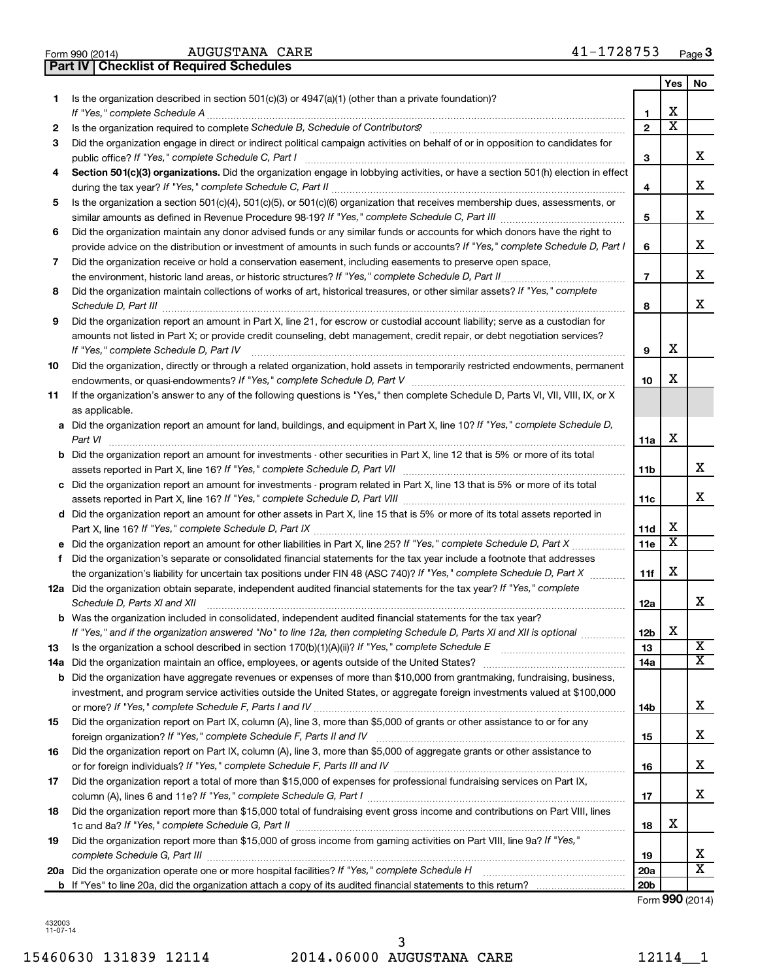| Form 990 (2014) |                                                  | AUGUSTANA CA |  |
|-----------------|--------------------------------------------------|--------------|--|
|                 | <b>Part IV   Checklist of Required Schedules</b> |              |  |

AUGUSTANA CARE

|    |                                                                                                                                      |                 | Yes                     | No                      |
|----|--------------------------------------------------------------------------------------------------------------------------------------|-----------------|-------------------------|-------------------------|
| 1. | Is the organization described in section 501(c)(3) or 4947(a)(1) (other than a private foundation)?                                  |                 |                         |                         |
|    |                                                                                                                                      | 1               | х                       |                         |
| 2  |                                                                                                                                      | $\mathbf{2}$    | $\overline{\mathbf{X}}$ |                         |
| З  | Did the organization engage in direct or indirect political campaign activities on behalf of or in opposition to candidates for      |                 |                         |                         |
|    |                                                                                                                                      | 3               |                         | x                       |
| 4  | Section 501(c)(3) organizations. Did the organization engage in lobbying activities, or have a section 501(h) election in effect     |                 |                         |                         |
|    |                                                                                                                                      | 4               |                         | х                       |
| 5  | Is the organization a section 501(c)(4), 501(c)(5), or 501(c)(6) organization that receives membership dues, assessments, or         |                 |                         |                         |
|    |                                                                                                                                      | 5               |                         | х                       |
| 6  | Did the organization maintain any donor advised funds or any similar funds or accounts for which donors have the right to            |                 |                         |                         |
|    | provide advice on the distribution or investment of amounts in such funds or accounts? If "Yes," complete Schedule D, Part I         | 6               |                         | х                       |
| 7  | Did the organization receive or hold a conservation easement, including easements to preserve open space,                            |                 |                         |                         |
|    |                                                                                                                                      | $\overline{7}$  |                         | х                       |
| 8  | Did the organization maintain collections of works of art, historical treasures, or other similar assets? If "Yes," complete         |                 |                         |                         |
|    |                                                                                                                                      | 8               |                         | х                       |
| 9  | Did the organization report an amount in Part X, line 21, for escrow or custodial account liability; serve as a custodian for        |                 |                         |                         |
|    | amounts not listed in Part X; or provide credit counseling, debt management, credit repair, or debt negotiation services?            |                 |                         |                         |
|    |                                                                                                                                      | 9               | х                       |                         |
| 10 | Did the organization, directly or through a related organization, hold assets in temporarily restricted endowments, permanent        |                 |                         |                         |
|    |                                                                                                                                      | 10              | х                       |                         |
| 11 | If the organization's answer to any of the following questions is "Yes," then complete Schedule D, Parts VI, VII, VIII, IX, or X     |                 |                         |                         |
|    | as applicable.                                                                                                                       |                 |                         |                         |
|    | a Did the organization report an amount for land, buildings, and equipment in Part X, line 10? If "Yes," complete Schedule D,        |                 |                         |                         |
|    |                                                                                                                                      | 11a             | х                       |                         |
|    | <b>b</b> Did the organization report an amount for investments - other securities in Part X, line 12 that is 5% or more of its total |                 |                         |                         |
|    |                                                                                                                                      | 11b             |                         | х                       |
|    | c Did the organization report an amount for investments - program related in Part X, line 13 that is 5% or more of its total         |                 |                         |                         |
|    |                                                                                                                                      | 11c             |                         | х                       |
|    | d Did the organization report an amount for other assets in Part X, line 15 that is 5% or more of its total assets reported in       |                 |                         |                         |
|    |                                                                                                                                      | 11d             | х                       |                         |
|    |                                                                                                                                      | 11e             | X                       |                         |
| f. | Did the organization's separate or consolidated financial statements for the tax year include a footnote that addresses              |                 |                         |                         |
|    | the organization's liability for uncertain tax positions under FIN 48 (ASC 740)? If "Yes," complete Schedule D, Part X               | 11f             | х                       |                         |
|    | 12a Did the organization obtain separate, independent audited financial statements for the tax year? If "Yes," complete              |                 |                         |                         |
|    | Schedule D, Parts XI and XII                                                                                                         | 12a             |                         | х                       |
|    | <b>b</b> Was the organization included in consolidated, independent audited financial statements for the tax year?                   |                 |                         |                         |
|    | If "Yes," and if the organization answered "No" to line 12a, then completing Schedule D, Parts XI and XII is optional                | 12 <sub>b</sub> | X                       |                         |
| 13 |                                                                                                                                      | 13              |                         | $\overline{\textbf{X}}$ |
|    |                                                                                                                                      | 14a             |                         | x                       |
|    | <b>b</b> Did the organization have aggregate revenues or expenses of more than \$10,000 from grantmaking, fundraising, business,     |                 |                         |                         |
|    | investment, and program service activities outside the United States, or aggregate foreign investments valued at \$100,000           |                 |                         |                         |
|    |                                                                                                                                      | 14b             |                         | х                       |
| 15 | Did the organization report on Part IX, column (A), line 3, more than \$5,000 of grants or other assistance to or for any            |                 |                         |                         |
|    |                                                                                                                                      | 15              |                         | X                       |
| 16 | Did the organization report on Part IX, column (A), line 3, more than \$5,000 of aggregate grants or other assistance to             |                 |                         |                         |
|    |                                                                                                                                      | 16              |                         | X                       |
| 17 | Did the organization report a total of more than \$15,000 of expenses for professional fundraising services on Part IX,              |                 |                         |                         |
|    |                                                                                                                                      | 17              |                         | x                       |
| 18 | Did the organization report more than \$15,000 total of fundraising event gross income and contributions on Part VIII, lines         |                 |                         |                         |
|    |                                                                                                                                      | 18              | х                       |                         |
| 19 | Did the organization report more than \$15,000 of gross income from gaming activities on Part VIII, line 9a? If "Yes,"               |                 |                         |                         |
|    |                                                                                                                                      | 19              |                         | х                       |
|    |                                                                                                                                      | 20a             |                         | $\overline{\texttt{X}}$ |
|    |                                                                                                                                      | 20 <sub>b</sub> |                         |                         |

Form (2014) **990**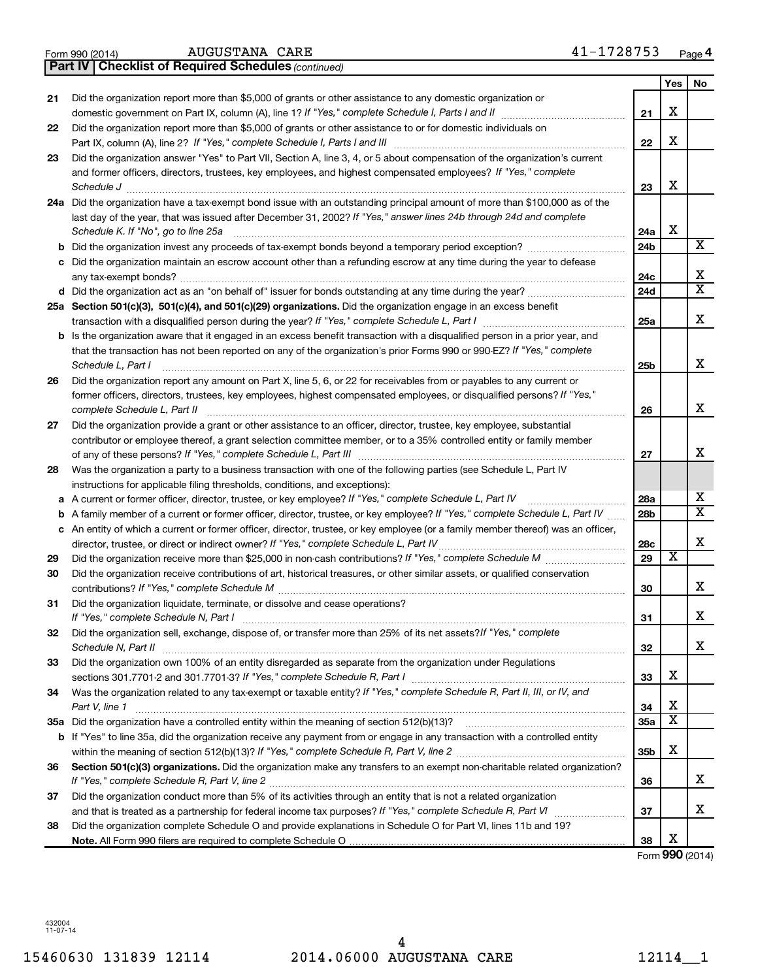| Form 990 (2014) |  |  |
|-----------------|--|--|
|                 |  |  |

AUGUSTANA CARE 41-1728753

|    | <b>Part IV   Checklist of Required Schedules (continued)</b>                                                                      |                 |                         |                       |
|----|-----------------------------------------------------------------------------------------------------------------------------------|-----------------|-------------------------|-----------------------|
|    |                                                                                                                                   |                 | Yes                     | No.                   |
| 21 | Did the organization report more than \$5,000 of grants or other assistance to any domestic organization or                       |                 |                         |                       |
|    |                                                                                                                                   | 21              | х                       |                       |
| 22 | Did the organization report more than \$5,000 of grants or other assistance to or for domestic individuals on                     |                 |                         |                       |
|    |                                                                                                                                   | 22              | X                       |                       |
| 23 | Did the organization answer "Yes" to Part VII, Section A, line 3, 4, or 5 about compensation of the organization's current        |                 |                         |                       |
|    | and former officers, directors, trustees, key employees, and highest compensated employees? If "Yes," complete                    |                 |                         |                       |
|    |                                                                                                                                   | 23              | х                       |                       |
|    | 24a Did the organization have a tax-exempt bond issue with an outstanding principal amount of more than \$100,000 as of the       |                 |                         |                       |
|    | last day of the year, that was issued after December 31, 2002? If "Yes," answer lines 24b through 24d and complete                |                 |                         |                       |
|    | Schedule K. If "No", go to line 25a                                                                                               | 24a             | х                       |                       |
|    |                                                                                                                                   | 24b             |                         | х                     |
|    | Did the organization maintain an escrow account other than a refunding escrow at any time during the year to defease              |                 |                         |                       |
|    |                                                                                                                                   | 24c             |                         | х                     |
|    |                                                                                                                                   | 24d             |                         | $\overline{\text{X}}$ |
|    | 25a Section 501(c)(3), 501(c)(4), and 501(c)(29) organizations. Did the organization engage in an excess benefit                  |                 |                         |                       |
|    |                                                                                                                                   | 25a             |                         | х                     |
|    | Is the organization aware that it engaged in an excess benefit transaction with a disqualified person in a prior year, and        |                 |                         |                       |
|    | that the transaction has not been reported on any of the organization's prior Forms 990 or 990-EZ? If "Yes," complete             |                 |                         |                       |
|    | Schedule L. Part I                                                                                                                | 25b             |                         | х                     |
| 26 | Did the organization report any amount on Part X, line 5, 6, or 22 for receivables from or payables to any current or             |                 |                         |                       |
|    | former officers, directors, trustees, key employees, highest compensated employees, or disqualified persons? If "Yes,"            |                 |                         |                       |
|    | complete Schedule L, Part II                                                                                                      | 26              |                         | х                     |
| 27 | Did the organization provide a grant or other assistance to an officer, director, trustee, key employee, substantial              |                 |                         |                       |
|    | contributor or employee thereof, a grant selection committee member, or to a 35% controlled entity or family member               |                 |                         |                       |
|    |                                                                                                                                   | 27              |                         | x                     |
| 28 | Was the organization a party to a business transaction with one of the following parties (see Schedule L, Part IV                 |                 |                         |                       |
|    | instructions for applicable filing thresholds, conditions, and exceptions):                                                       |                 |                         |                       |
| а  | A current or former officer, director, trustee, or key employee? If "Yes," complete Schedule L, Part IV                           | 28a             |                         | x                     |
| b  | A family member of a current or former officer, director, trustee, or key employee? If "Yes," complete Schedule L, Part IV        | 28 <sub>b</sub> |                         | $\overline{\text{X}}$ |
|    | c An entity of which a current or former officer, director, trustee, or key employee (or a family member thereof) was an officer, |                 |                         |                       |
|    |                                                                                                                                   | 28c             |                         | х                     |
| 29 |                                                                                                                                   | 29              | $\overline{\text{X}}$   |                       |
| 30 | Did the organization receive contributions of art, historical treasures, or other similar assets, or qualified conservation       |                 |                         |                       |
|    |                                                                                                                                   | 30              |                         | х                     |
| 31 | Did the organization liquidate, terminate, or dissolve and cease operations?                                                      |                 |                         |                       |
|    | If "Yes," complete Schedule N, Part I                                                                                             | 31              |                         | Χ                     |
| 32 | Did the organization sell, exchange, dispose of, or transfer more than 25% of its net assets? If "Yes," complete                  |                 |                         |                       |
|    | Schedule N, Part II                                                                                                               | 32              |                         | x.                    |
| 33 | Did the organization own 100% of an entity disregarded as separate from the organization under Regulations                        |                 |                         |                       |
|    |                                                                                                                                   | 33              | х                       |                       |
| 34 | Was the organization related to any tax-exempt or taxable entity? If "Yes," complete Schedule R, Part II, III, or IV, and         |                 |                         |                       |
|    | Part V, line 1                                                                                                                    | 34              | х                       |                       |
|    |                                                                                                                                   | 35a             | $\overline{\textbf{x}}$ |                       |
|    | b If "Yes" to line 35a, did the organization receive any payment from or engage in any transaction with a controlled entity       |                 |                         |                       |
|    |                                                                                                                                   | 35 <sub>b</sub> | х                       |                       |
| 36 | Section 501(c)(3) organizations. Did the organization make any transfers to an exempt non-charitable related organization?        |                 |                         |                       |
|    |                                                                                                                                   | 36              |                         | х                     |
| 37 | Did the organization conduct more than 5% of its activities through an entity that is not a related organization                  |                 |                         |                       |
|    |                                                                                                                                   | 37              |                         | х                     |
| 38 | Did the organization complete Schedule O and provide explanations in Schedule O for Part VI, lines 11b and 19?                    |                 |                         |                       |
|    |                                                                                                                                   | 38              | х                       |                       |

Form (2014) **990**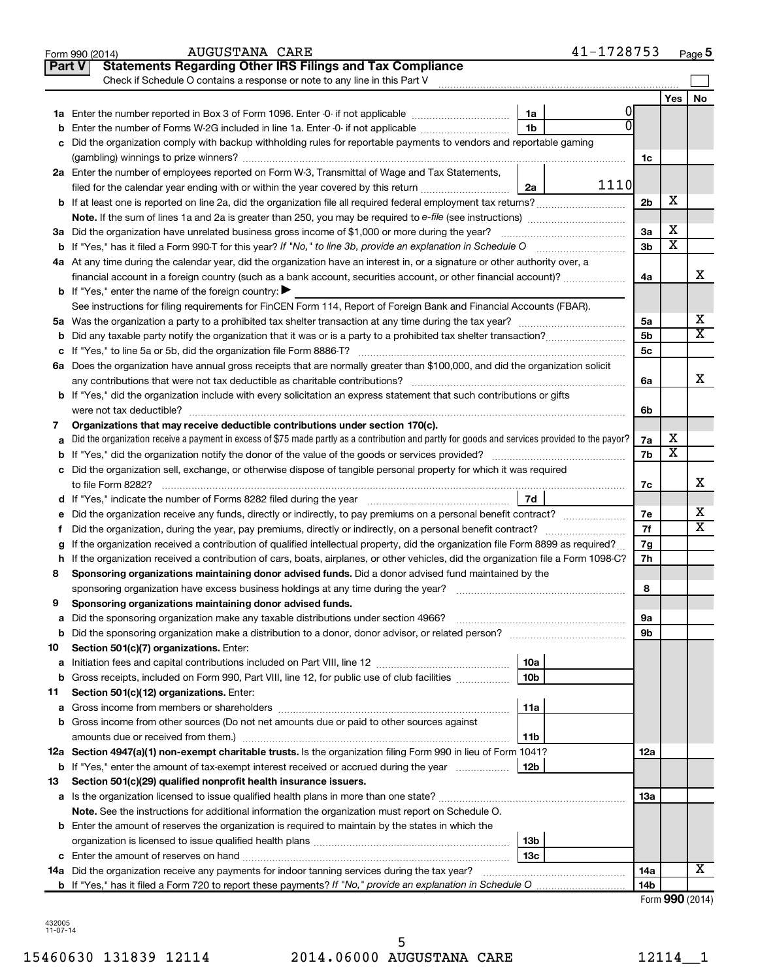|               | 41-1728753<br><b>AUGUSTANA CARE</b><br>Form 990 (2014)                                                                                          |                 |                         | Page 5 |
|---------------|-------------------------------------------------------------------------------------------------------------------------------------------------|-----------------|-------------------------|--------|
| <b>Part V</b> | <b>Statements Regarding Other IRS Filings and Tax Compliance</b>                                                                                |                 |                         |        |
|               | Check if Schedule O contains a response or note to any line in this Part V                                                                      |                 |                         |        |
|               |                                                                                                                                                 |                 | Yes                     | No     |
|               | 0<br>1a                                                                                                                                         |                 |                         |        |
| b             | 1 <sub>b</sub><br>Enter the number of Forms W-2G included in line 1a. Enter -0- if not applicable                                               |                 |                         |        |
| с             | Did the organization comply with backup withholding rules for reportable payments to vendors and reportable gaming                              |                 |                         |        |
|               |                                                                                                                                                 | 1c              |                         |        |
|               | 2a Enter the number of employees reported on Form W-3, Transmittal of Wage and Tax Statements,                                                  |                 |                         |        |
|               | 1110<br>filed for the calendar year ending with or within the year covered by this return<br>2a                                                 |                 |                         |        |
|               |                                                                                                                                                 | 2 <sub>b</sub>  | X                       |        |
|               | Note. If the sum of lines 1a and 2a is greater than 250, you may be required to e-file (see instructions) <i></i>                               |                 |                         |        |
|               | 3a Did the organization have unrelated business gross income of \$1,000 or more during the year?                                                | 3a              | X                       |        |
|               |                                                                                                                                                 | 3 <sub>b</sub>  | $\overline{\textbf{x}}$ |        |
|               | <b>b</b> If "Yes," has it filed a Form 990-T for this year? If "No," to line 3b, provide an explanation in Schedule O manumum                   |                 |                         |        |
|               | 4a At any time during the calendar year, did the organization have an interest in, or a signature or other authority over, a                    |                 |                         | х      |
|               | financial account in a foreign country (such as a bank account, securities account, or other financial account)?                                | 4a              |                         |        |
|               | <b>b</b> If "Yes," enter the name of the foreign country: $\blacktriangleright$                                                                 |                 |                         |        |
|               | See instructions for filing requirements for FinCEN Form 114, Report of Foreign Bank and Financial Accounts (FBAR).                             |                 |                         |        |
|               |                                                                                                                                                 | 5a              |                         | х<br>X |
| b             |                                                                                                                                                 | 5 <sub>b</sub>  |                         |        |
| с             |                                                                                                                                                 | 5c              |                         |        |
|               | 6a Does the organization have annual gross receipts that are normally greater than \$100,000, and did the organization solicit                  |                 |                         |        |
|               |                                                                                                                                                 | 6a              |                         | х      |
|               | <b>b</b> If "Yes," did the organization include with every solicitation an express statement that such contributions or gifts                   |                 |                         |        |
|               | were not tax deductible?                                                                                                                        | 6b              |                         |        |
| 7             | Organizations that may receive deductible contributions under section 170(c).                                                                   |                 |                         |        |
| а             | Did the organization receive a payment in excess of \$75 made partly as a contribution and partly for goods and services provided to the payor? | 7a              | х                       |        |
| b             |                                                                                                                                                 | 7b              | х                       |        |
|               | c Did the organization sell, exchange, or otherwise dispose of tangible personal property for which it was required                             |                 |                         |        |
|               |                                                                                                                                                 | 7с              |                         | х      |
|               | 7d                                                                                                                                              |                 |                         |        |
| е             |                                                                                                                                                 | 7e              |                         | х      |
| f.            | Did the organization, during the year, pay premiums, directly or indirectly, on a personal benefit contract?                                    | 7f              |                         | x      |
| g             | If the organization received a contribution of qualified intellectual property, did the organization file Form 8899 as required?                | 7g              |                         |        |
|               | h If the organization received a contribution of cars, boats, airplanes, or other vehicles, did the organization file a Form 1098-C?            | 7h              |                         |        |
| 8             | Sponsoring organizations maintaining donor advised funds. Did a donor advised fund maintained by the                                            |                 |                         |        |
|               |                                                                                                                                                 | 8               |                         |        |
|               | Sponsoring organizations maintaining donor advised funds.                                                                                       |                 |                         |        |
| а             | Did the sponsoring organization make any taxable distributions under section 4966?                                                              | 9а              |                         |        |
| b             |                                                                                                                                                 | 9b              |                         |        |
| 10            | Section 501(c)(7) organizations. Enter:                                                                                                         |                 |                         |        |
|               | 10a                                                                                                                                             |                 |                         |        |
| а             | 10 <sub>b</sub>                                                                                                                                 |                 |                         |        |
| b             | Gross receipts, included on Form 990, Part VIII, line 12, for public use of club facilities<br>Section 501(c)(12) organizations. Enter:         |                 |                         |        |
| 11            |                                                                                                                                                 |                 |                         |        |
| а             | 11a                                                                                                                                             |                 |                         |        |
| b             | Gross income from other sources (Do not net amounts due or paid to other sources against                                                        |                 |                         |        |
|               | 11b                                                                                                                                             |                 |                         |        |
|               | 12a Section 4947(a)(1) non-exempt charitable trusts. Is the organization filing Form 990 in lieu of Form 1041?                                  | 12a             |                         |        |
|               | 12b<br><b>b</b> If "Yes," enter the amount of tax-exempt interest received or accrued during the year                                           |                 |                         |        |
| 13            | Section 501(c)(29) qualified nonprofit health insurance issuers.                                                                                |                 |                         |        |
|               | a Is the organization licensed to issue qualified health plans in more than one state?                                                          | 13a             |                         |        |
|               | Note. See the instructions for additional information the organization must report on Schedule O.                                               |                 |                         |        |
|               | <b>b</b> Enter the amount of reserves the organization is required to maintain by the states in which the                                       |                 |                         |        |
|               | 13b                                                                                                                                             |                 |                         |        |
|               | 13 <sub>c</sub>                                                                                                                                 |                 |                         |        |
|               | 14a Did the organization receive any payments for indoor tanning services during the tax year?                                                  | 14a             |                         | x      |
|               |                                                                                                                                                 | 14 <sub>b</sub> |                         |        |
|               |                                                                                                                                                 |                 | Form 990 (2014)         |        |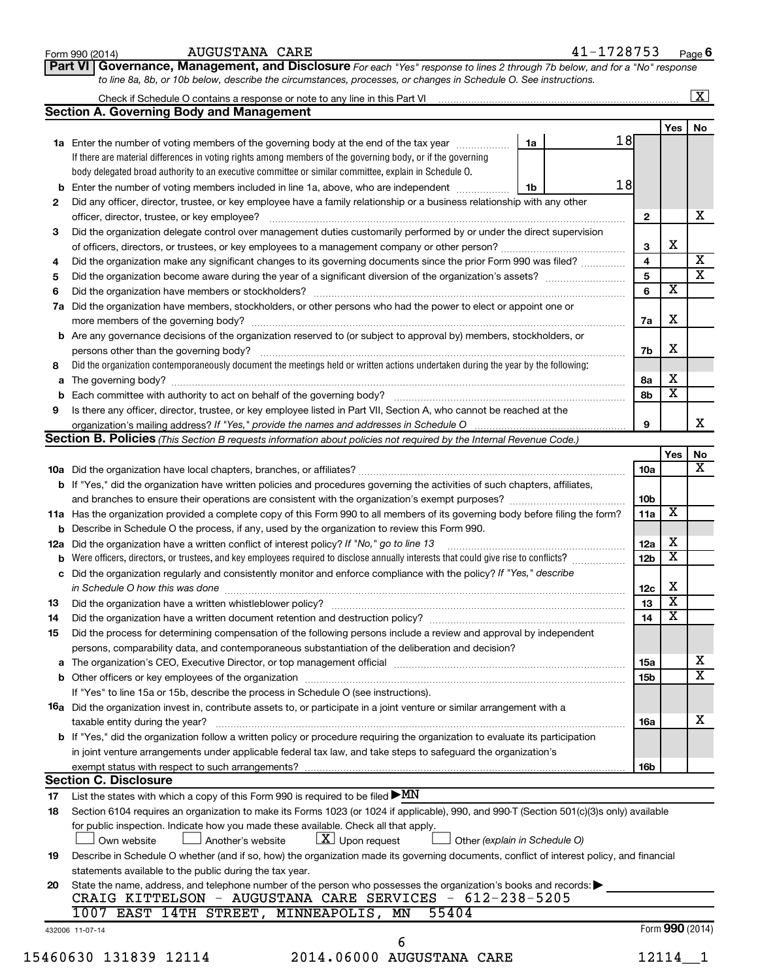| <b>Section A. Governing Body and Management</b><br>1a<br>1a Enter the number of voting members of the governing body at the end of the tax year<br>If there are material differences in voting rights among members of the governing body, or if the governing<br>body delegated broad authority to an executive committee or similar committee, explain in Schedule O.<br>18<br>Enter the number of voting members included in line 1a, above, who are independent<br>1b<br>b<br>Did any officer, director, trustee, or key employee have a family relationship or a business relationship with any other<br>2<br>officer, director, trustee, or key employee?<br>Did the organization delegate control over management duties customarily performed by or under the direct supervision<br>3<br>Did the organization make any significant changes to its governing documents since the prior Form 990 was filed?<br>4<br>5<br>6<br>Did the organization have members, stockholders, or other persons who had the power to elect or appoint one or<br>7a<br><b>b</b> Are any governance decisions of the organization reserved to (or subject to approval by) members, stockholders, or<br>persons other than the governing body?<br>Did the organization contemporaneously document the meetings held or written actions undertaken during the year by the following:<br>8<br>а<br>b<br>Is there any officer, director, trustee, or key employee listed in Part VII, Section A, who cannot be reached at the<br>9<br><b>Section B. Policies</b> (This Section B requests information about policies not required by the Internal Revenue Code.)<br><b>b</b> If "Yes," did the organization have written policies and procedures governing the activities of such chapters, affiliates,<br>11a Has the organization provided a complete copy of this Form 990 to all members of its governing body before filing the form?<br>Describe in Schedule O the process, if any, used by the organization to review this Form 990.<br>b<br>Did the organization have a written conflict of interest policy? If "No," go to line 13<br>12a<br>b<br>Did the organization regularly and consistently monitor and enforce compliance with the policy? If "Yes," describe<br>с<br>in Schedule O how this was done manufactured and continuum and contact the was done manufactured and contact t<br>13<br>Did the organization have a written document retention and destruction policy?<br>14<br>Did the process for determining compensation of the following persons include a review and approval by independent<br>15<br>persons, comparability data, and contemporaneous substantiation of the deliberation and decision?<br>If "Yes" to line 15a or 15b, describe the process in Schedule O (see instructions).<br><b>16a</b> Did the organization invest in, contribute assets to, or participate in a joint venture or similar arrangement with a<br>taxable entity during the year?<br>b If "Yes," did the organization follow a written policy or procedure requiring the organization to evaluate its participation<br>in joint venture arrangements under applicable federal tax law, and take steps to safeguard the organization's<br><b>Section C. Disclosure</b><br>List the states with which a copy of this Form 990 is required to be filed $\blacktriangleright$ MN<br>17<br>Section 6104 requires an organization to make its Forms 1023 (or 1024 if applicable), 990, and 990-T (Section 501(c)(3)s only) available<br>18<br>for public inspection. Indicate how you made these available. Check all that apply.<br>$ \mathbf{X} $ Upon request<br>Another's website<br>Own website<br>Other (explain in Schedule O)<br>Describe in Schedule O whether (and if so, how) the organization made its governing documents, conflict of interest policy, and financial<br>19<br>statements available to the public during the tax year.<br>State the name, address, and telephone number of the person who possesses the organization's books and records:<br>20<br>CRAIG KITTELSON - AUGUSTANA CARE SERVICES - 612-238-5205<br>1007 EAST 14TH STREET, MINNEAPOLIS, MN<br>55404<br>432006 11-07-14 |                 |                         | $\overline{\mathbf{X}}$ |
|----------------------------------------------------------------------------------------------------------------------------------------------------------------------------------------------------------------------------------------------------------------------------------------------------------------------------------------------------------------------------------------------------------------------------------------------------------------------------------------------------------------------------------------------------------------------------------------------------------------------------------------------------------------------------------------------------------------------------------------------------------------------------------------------------------------------------------------------------------------------------------------------------------------------------------------------------------------------------------------------------------------------------------------------------------------------------------------------------------------------------------------------------------------------------------------------------------------------------------------------------------------------------------------------------------------------------------------------------------------------------------------------------------------------------------------------------------------------------------------------------------------------------------------------------------------------------------------------------------------------------------------------------------------------------------------------------------------------------------------------------------------------------------------------------------------------------------------------------------------------------------------------------------------------------------------------------------------------------------------------------------------------------------------------------------------------------------------------------------------------------------------------------------------------------------------------------------------------------------------------------------------------------------------------------------------------------------------------------------------------------------------------------------------------------------------------------------------------------------------------------------------------------------------------------------------------------------------------------------------------------------------------------------------------------------------------------------------------------------------------------------------------------------------------------------------------------------------------------------------------------------------------------------------------------------------------------------------------------------------------------------------------------------------------------------------------------------------------------------------------------------------------------------------------------------------------------------------------------------------------------------------------------------------------------------------------------------------------------------------------------------------------------------------------------------------------------------------------------------------------------------------------------------------------------------------------------------------------------------------------------------------------------------------------------------------------------------------------------------------------------------------------------------------------------------------------------------------------------------------------------------------------------------------------------------------------------------------------------------------------------------------------------------------------------------------------------------------------------------------------------------------------------------------------------------------------------------|-----------------|-------------------------|-------------------------|
|                                                                                                                                                                                                                                                                                                                                                                                                                                                                                                                                                                                                                                                                                                                                                                                                                                                                                                                                                                                                                                                                                                                                                                                                                                                                                                                                                                                                                                                                                                                                                                                                                                                                                                                                                                                                                                                                                                                                                                                                                                                                                                                                                                                                                                                                                                                                                                                                                                                                                                                                                                                                                                                                                                                                                                                                                                                                                                                                                                                                                                                                                                                                                                                                                                                                                                                                                                                                                                                                                                                                                                                                                                                                                                                                                                                                                                                                                                                                                                                                                                                                                                                                                                                                          |                 | Yes                     | No                      |
|                                                                                                                                                                                                                                                                                                                                                                                                                                                                                                                                                                                                                                                                                                                                                                                                                                                                                                                                                                                                                                                                                                                                                                                                                                                                                                                                                                                                                                                                                                                                                                                                                                                                                                                                                                                                                                                                                                                                                                                                                                                                                                                                                                                                                                                                                                                                                                                                                                                                                                                                                                                                                                                                                                                                                                                                                                                                                                                                                                                                                                                                                                                                                                                                                                                                                                                                                                                                                                                                                                                                                                                                                                                                                                                                                                                                                                                                                                                                                                                                                                                                                                                                                                                                          | 18              |                         |                         |
|                                                                                                                                                                                                                                                                                                                                                                                                                                                                                                                                                                                                                                                                                                                                                                                                                                                                                                                                                                                                                                                                                                                                                                                                                                                                                                                                                                                                                                                                                                                                                                                                                                                                                                                                                                                                                                                                                                                                                                                                                                                                                                                                                                                                                                                                                                                                                                                                                                                                                                                                                                                                                                                                                                                                                                                                                                                                                                                                                                                                                                                                                                                                                                                                                                                                                                                                                                                                                                                                                                                                                                                                                                                                                                                                                                                                                                                                                                                                                                                                                                                                                                                                                                                                          |                 |                         |                         |
|                                                                                                                                                                                                                                                                                                                                                                                                                                                                                                                                                                                                                                                                                                                                                                                                                                                                                                                                                                                                                                                                                                                                                                                                                                                                                                                                                                                                                                                                                                                                                                                                                                                                                                                                                                                                                                                                                                                                                                                                                                                                                                                                                                                                                                                                                                                                                                                                                                                                                                                                                                                                                                                                                                                                                                                                                                                                                                                                                                                                                                                                                                                                                                                                                                                                                                                                                                                                                                                                                                                                                                                                                                                                                                                                                                                                                                                                                                                                                                                                                                                                                                                                                                                                          |                 |                         |                         |
|                                                                                                                                                                                                                                                                                                                                                                                                                                                                                                                                                                                                                                                                                                                                                                                                                                                                                                                                                                                                                                                                                                                                                                                                                                                                                                                                                                                                                                                                                                                                                                                                                                                                                                                                                                                                                                                                                                                                                                                                                                                                                                                                                                                                                                                                                                                                                                                                                                                                                                                                                                                                                                                                                                                                                                                                                                                                                                                                                                                                                                                                                                                                                                                                                                                                                                                                                                                                                                                                                                                                                                                                                                                                                                                                                                                                                                                                                                                                                                                                                                                                                                                                                                                                          |                 |                         |                         |
|                                                                                                                                                                                                                                                                                                                                                                                                                                                                                                                                                                                                                                                                                                                                                                                                                                                                                                                                                                                                                                                                                                                                                                                                                                                                                                                                                                                                                                                                                                                                                                                                                                                                                                                                                                                                                                                                                                                                                                                                                                                                                                                                                                                                                                                                                                                                                                                                                                                                                                                                                                                                                                                                                                                                                                                                                                                                                                                                                                                                                                                                                                                                                                                                                                                                                                                                                                                                                                                                                                                                                                                                                                                                                                                                                                                                                                                                                                                                                                                                                                                                                                                                                                                                          |                 |                         |                         |
|                                                                                                                                                                                                                                                                                                                                                                                                                                                                                                                                                                                                                                                                                                                                                                                                                                                                                                                                                                                                                                                                                                                                                                                                                                                                                                                                                                                                                                                                                                                                                                                                                                                                                                                                                                                                                                                                                                                                                                                                                                                                                                                                                                                                                                                                                                                                                                                                                                                                                                                                                                                                                                                                                                                                                                                                                                                                                                                                                                                                                                                                                                                                                                                                                                                                                                                                                                                                                                                                                                                                                                                                                                                                                                                                                                                                                                                                                                                                                                                                                                                                                                                                                                                                          | 2               |                         |                         |
|                                                                                                                                                                                                                                                                                                                                                                                                                                                                                                                                                                                                                                                                                                                                                                                                                                                                                                                                                                                                                                                                                                                                                                                                                                                                                                                                                                                                                                                                                                                                                                                                                                                                                                                                                                                                                                                                                                                                                                                                                                                                                                                                                                                                                                                                                                                                                                                                                                                                                                                                                                                                                                                                                                                                                                                                                                                                                                                                                                                                                                                                                                                                                                                                                                                                                                                                                                                                                                                                                                                                                                                                                                                                                                                                                                                                                                                                                                                                                                                                                                                                                                                                                                                                          |                 |                         |                         |
|                                                                                                                                                                                                                                                                                                                                                                                                                                                                                                                                                                                                                                                                                                                                                                                                                                                                                                                                                                                                                                                                                                                                                                                                                                                                                                                                                                                                                                                                                                                                                                                                                                                                                                                                                                                                                                                                                                                                                                                                                                                                                                                                                                                                                                                                                                                                                                                                                                                                                                                                                                                                                                                                                                                                                                                                                                                                                                                                                                                                                                                                                                                                                                                                                                                                                                                                                                                                                                                                                                                                                                                                                                                                                                                                                                                                                                                                                                                                                                                                                                                                                                                                                                                                          | 3               | X                       |                         |
|                                                                                                                                                                                                                                                                                                                                                                                                                                                                                                                                                                                                                                                                                                                                                                                                                                                                                                                                                                                                                                                                                                                                                                                                                                                                                                                                                                                                                                                                                                                                                                                                                                                                                                                                                                                                                                                                                                                                                                                                                                                                                                                                                                                                                                                                                                                                                                                                                                                                                                                                                                                                                                                                                                                                                                                                                                                                                                                                                                                                                                                                                                                                                                                                                                                                                                                                                                                                                                                                                                                                                                                                                                                                                                                                                                                                                                                                                                                                                                                                                                                                                                                                                                                                          | 4               |                         |                         |
|                                                                                                                                                                                                                                                                                                                                                                                                                                                                                                                                                                                                                                                                                                                                                                                                                                                                                                                                                                                                                                                                                                                                                                                                                                                                                                                                                                                                                                                                                                                                                                                                                                                                                                                                                                                                                                                                                                                                                                                                                                                                                                                                                                                                                                                                                                                                                                                                                                                                                                                                                                                                                                                                                                                                                                                                                                                                                                                                                                                                                                                                                                                                                                                                                                                                                                                                                                                                                                                                                                                                                                                                                                                                                                                                                                                                                                                                                                                                                                                                                                                                                                                                                                                                          | 5               |                         |                         |
|                                                                                                                                                                                                                                                                                                                                                                                                                                                                                                                                                                                                                                                                                                                                                                                                                                                                                                                                                                                                                                                                                                                                                                                                                                                                                                                                                                                                                                                                                                                                                                                                                                                                                                                                                                                                                                                                                                                                                                                                                                                                                                                                                                                                                                                                                                                                                                                                                                                                                                                                                                                                                                                                                                                                                                                                                                                                                                                                                                                                                                                                                                                                                                                                                                                                                                                                                                                                                                                                                                                                                                                                                                                                                                                                                                                                                                                                                                                                                                                                                                                                                                                                                                                                          | 6               | х                       |                         |
|                                                                                                                                                                                                                                                                                                                                                                                                                                                                                                                                                                                                                                                                                                                                                                                                                                                                                                                                                                                                                                                                                                                                                                                                                                                                                                                                                                                                                                                                                                                                                                                                                                                                                                                                                                                                                                                                                                                                                                                                                                                                                                                                                                                                                                                                                                                                                                                                                                                                                                                                                                                                                                                                                                                                                                                                                                                                                                                                                                                                                                                                                                                                                                                                                                                                                                                                                                                                                                                                                                                                                                                                                                                                                                                                                                                                                                                                                                                                                                                                                                                                                                                                                                                                          |                 |                         |                         |
|                                                                                                                                                                                                                                                                                                                                                                                                                                                                                                                                                                                                                                                                                                                                                                                                                                                                                                                                                                                                                                                                                                                                                                                                                                                                                                                                                                                                                                                                                                                                                                                                                                                                                                                                                                                                                                                                                                                                                                                                                                                                                                                                                                                                                                                                                                                                                                                                                                                                                                                                                                                                                                                                                                                                                                                                                                                                                                                                                                                                                                                                                                                                                                                                                                                                                                                                                                                                                                                                                                                                                                                                                                                                                                                                                                                                                                                                                                                                                                                                                                                                                                                                                                                                          |                 | х                       |                         |
|                                                                                                                                                                                                                                                                                                                                                                                                                                                                                                                                                                                                                                                                                                                                                                                                                                                                                                                                                                                                                                                                                                                                                                                                                                                                                                                                                                                                                                                                                                                                                                                                                                                                                                                                                                                                                                                                                                                                                                                                                                                                                                                                                                                                                                                                                                                                                                                                                                                                                                                                                                                                                                                                                                                                                                                                                                                                                                                                                                                                                                                                                                                                                                                                                                                                                                                                                                                                                                                                                                                                                                                                                                                                                                                                                                                                                                                                                                                                                                                                                                                                                                                                                                                                          | 7a              |                         |                         |
|                                                                                                                                                                                                                                                                                                                                                                                                                                                                                                                                                                                                                                                                                                                                                                                                                                                                                                                                                                                                                                                                                                                                                                                                                                                                                                                                                                                                                                                                                                                                                                                                                                                                                                                                                                                                                                                                                                                                                                                                                                                                                                                                                                                                                                                                                                                                                                                                                                                                                                                                                                                                                                                                                                                                                                                                                                                                                                                                                                                                                                                                                                                                                                                                                                                                                                                                                                                                                                                                                                                                                                                                                                                                                                                                                                                                                                                                                                                                                                                                                                                                                                                                                                                                          |                 |                         |                         |
|                                                                                                                                                                                                                                                                                                                                                                                                                                                                                                                                                                                                                                                                                                                                                                                                                                                                                                                                                                                                                                                                                                                                                                                                                                                                                                                                                                                                                                                                                                                                                                                                                                                                                                                                                                                                                                                                                                                                                                                                                                                                                                                                                                                                                                                                                                                                                                                                                                                                                                                                                                                                                                                                                                                                                                                                                                                                                                                                                                                                                                                                                                                                                                                                                                                                                                                                                                                                                                                                                                                                                                                                                                                                                                                                                                                                                                                                                                                                                                                                                                                                                                                                                                                                          | 7b              | X                       |                         |
|                                                                                                                                                                                                                                                                                                                                                                                                                                                                                                                                                                                                                                                                                                                                                                                                                                                                                                                                                                                                                                                                                                                                                                                                                                                                                                                                                                                                                                                                                                                                                                                                                                                                                                                                                                                                                                                                                                                                                                                                                                                                                                                                                                                                                                                                                                                                                                                                                                                                                                                                                                                                                                                                                                                                                                                                                                                                                                                                                                                                                                                                                                                                                                                                                                                                                                                                                                                                                                                                                                                                                                                                                                                                                                                                                                                                                                                                                                                                                                                                                                                                                                                                                                                                          |                 |                         |                         |
|                                                                                                                                                                                                                                                                                                                                                                                                                                                                                                                                                                                                                                                                                                                                                                                                                                                                                                                                                                                                                                                                                                                                                                                                                                                                                                                                                                                                                                                                                                                                                                                                                                                                                                                                                                                                                                                                                                                                                                                                                                                                                                                                                                                                                                                                                                                                                                                                                                                                                                                                                                                                                                                                                                                                                                                                                                                                                                                                                                                                                                                                                                                                                                                                                                                                                                                                                                                                                                                                                                                                                                                                                                                                                                                                                                                                                                                                                                                                                                                                                                                                                                                                                                                                          | 8а              | х                       |                         |
|                                                                                                                                                                                                                                                                                                                                                                                                                                                                                                                                                                                                                                                                                                                                                                                                                                                                                                                                                                                                                                                                                                                                                                                                                                                                                                                                                                                                                                                                                                                                                                                                                                                                                                                                                                                                                                                                                                                                                                                                                                                                                                                                                                                                                                                                                                                                                                                                                                                                                                                                                                                                                                                                                                                                                                                                                                                                                                                                                                                                                                                                                                                                                                                                                                                                                                                                                                                                                                                                                                                                                                                                                                                                                                                                                                                                                                                                                                                                                                                                                                                                                                                                                                                                          | 8b              | $\overline{\textbf{x}}$ |                         |
|                                                                                                                                                                                                                                                                                                                                                                                                                                                                                                                                                                                                                                                                                                                                                                                                                                                                                                                                                                                                                                                                                                                                                                                                                                                                                                                                                                                                                                                                                                                                                                                                                                                                                                                                                                                                                                                                                                                                                                                                                                                                                                                                                                                                                                                                                                                                                                                                                                                                                                                                                                                                                                                                                                                                                                                                                                                                                                                                                                                                                                                                                                                                                                                                                                                                                                                                                                                                                                                                                                                                                                                                                                                                                                                                                                                                                                                                                                                                                                                                                                                                                                                                                                                                          |                 |                         |                         |
|                                                                                                                                                                                                                                                                                                                                                                                                                                                                                                                                                                                                                                                                                                                                                                                                                                                                                                                                                                                                                                                                                                                                                                                                                                                                                                                                                                                                                                                                                                                                                                                                                                                                                                                                                                                                                                                                                                                                                                                                                                                                                                                                                                                                                                                                                                                                                                                                                                                                                                                                                                                                                                                                                                                                                                                                                                                                                                                                                                                                                                                                                                                                                                                                                                                                                                                                                                                                                                                                                                                                                                                                                                                                                                                                                                                                                                                                                                                                                                                                                                                                                                                                                                                                          | 9               |                         |                         |
|                                                                                                                                                                                                                                                                                                                                                                                                                                                                                                                                                                                                                                                                                                                                                                                                                                                                                                                                                                                                                                                                                                                                                                                                                                                                                                                                                                                                                                                                                                                                                                                                                                                                                                                                                                                                                                                                                                                                                                                                                                                                                                                                                                                                                                                                                                                                                                                                                                                                                                                                                                                                                                                                                                                                                                                                                                                                                                                                                                                                                                                                                                                                                                                                                                                                                                                                                                                                                                                                                                                                                                                                                                                                                                                                                                                                                                                                                                                                                                                                                                                                                                                                                                                                          |                 |                         |                         |
|                                                                                                                                                                                                                                                                                                                                                                                                                                                                                                                                                                                                                                                                                                                                                                                                                                                                                                                                                                                                                                                                                                                                                                                                                                                                                                                                                                                                                                                                                                                                                                                                                                                                                                                                                                                                                                                                                                                                                                                                                                                                                                                                                                                                                                                                                                                                                                                                                                                                                                                                                                                                                                                                                                                                                                                                                                                                                                                                                                                                                                                                                                                                                                                                                                                                                                                                                                                                                                                                                                                                                                                                                                                                                                                                                                                                                                                                                                                                                                                                                                                                                                                                                                                                          |                 | Yes                     |                         |
|                                                                                                                                                                                                                                                                                                                                                                                                                                                                                                                                                                                                                                                                                                                                                                                                                                                                                                                                                                                                                                                                                                                                                                                                                                                                                                                                                                                                                                                                                                                                                                                                                                                                                                                                                                                                                                                                                                                                                                                                                                                                                                                                                                                                                                                                                                                                                                                                                                                                                                                                                                                                                                                                                                                                                                                                                                                                                                                                                                                                                                                                                                                                                                                                                                                                                                                                                                                                                                                                                                                                                                                                                                                                                                                                                                                                                                                                                                                                                                                                                                                                                                                                                                                                          | 10a             |                         |                         |
|                                                                                                                                                                                                                                                                                                                                                                                                                                                                                                                                                                                                                                                                                                                                                                                                                                                                                                                                                                                                                                                                                                                                                                                                                                                                                                                                                                                                                                                                                                                                                                                                                                                                                                                                                                                                                                                                                                                                                                                                                                                                                                                                                                                                                                                                                                                                                                                                                                                                                                                                                                                                                                                                                                                                                                                                                                                                                                                                                                                                                                                                                                                                                                                                                                                                                                                                                                                                                                                                                                                                                                                                                                                                                                                                                                                                                                                                                                                                                                                                                                                                                                                                                                                                          |                 |                         |                         |
|                                                                                                                                                                                                                                                                                                                                                                                                                                                                                                                                                                                                                                                                                                                                                                                                                                                                                                                                                                                                                                                                                                                                                                                                                                                                                                                                                                                                                                                                                                                                                                                                                                                                                                                                                                                                                                                                                                                                                                                                                                                                                                                                                                                                                                                                                                                                                                                                                                                                                                                                                                                                                                                                                                                                                                                                                                                                                                                                                                                                                                                                                                                                                                                                                                                                                                                                                                                                                                                                                                                                                                                                                                                                                                                                                                                                                                                                                                                                                                                                                                                                                                                                                                                                          | 10 <sub>b</sub> |                         |                         |
|                                                                                                                                                                                                                                                                                                                                                                                                                                                                                                                                                                                                                                                                                                                                                                                                                                                                                                                                                                                                                                                                                                                                                                                                                                                                                                                                                                                                                                                                                                                                                                                                                                                                                                                                                                                                                                                                                                                                                                                                                                                                                                                                                                                                                                                                                                                                                                                                                                                                                                                                                                                                                                                                                                                                                                                                                                                                                                                                                                                                                                                                                                                                                                                                                                                                                                                                                                                                                                                                                                                                                                                                                                                                                                                                                                                                                                                                                                                                                                                                                                                                                                                                                                                                          | 11a             | X                       |                         |
|                                                                                                                                                                                                                                                                                                                                                                                                                                                                                                                                                                                                                                                                                                                                                                                                                                                                                                                                                                                                                                                                                                                                                                                                                                                                                                                                                                                                                                                                                                                                                                                                                                                                                                                                                                                                                                                                                                                                                                                                                                                                                                                                                                                                                                                                                                                                                                                                                                                                                                                                                                                                                                                                                                                                                                                                                                                                                                                                                                                                                                                                                                                                                                                                                                                                                                                                                                                                                                                                                                                                                                                                                                                                                                                                                                                                                                                                                                                                                                                                                                                                                                                                                                                                          |                 |                         |                         |
|                                                                                                                                                                                                                                                                                                                                                                                                                                                                                                                                                                                                                                                                                                                                                                                                                                                                                                                                                                                                                                                                                                                                                                                                                                                                                                                                                                                                                                                                                                                                                                                                                                                                                                                                                                                                                                                                                                                                                                                                                                                                                                                                                                                                                                                                                                                                                                                                                                                                                                                                                                                                                                                                                                                                                                                                                                                                                                                                                                                                                                                                                                                                                                                                                                                                                                                                                                                                                                                                                                                                                                                                                                                                                                                                                                                                                                                                                                                                                                                                                                                                                                                                                                                                          | 12a             | х                       |                         |
|                                                                                                                                                                                                                                                                                                                                                                                                                                                                                                                                                                                                                                                                                                                                                                                                                                                                                                                                                                                                                                                                                                                                                                                                                                                                                                                                                                                                                                                                                                                                                                                                                                                                                                                                                                                                                                                                                                                                                                                                                                                                                                                                                                                                                                                                                                                                                                                                                                                                                                                                                                                                                                                                                                                                                                                                                                                                                                                                                                                                                                                                                                                                                                                                                                                                                                                                                                                                                                                                                                                                                                                                                                                                                                                                                                                                                                                                                                                                                                                                                                                                                                                                                                                                          | 12 <sub>b</sub> | х                       |                         |
|                                                                                                                                                                                                                                                                                                                                                                                                                                                                                                                                                                                                                                                                                                                                                                                                                                                                                                                                                                                                                                                                                                                                                                                                                                                                                                                                                                                                                                                                                                                                                                                                                                                                                                                                                                                                                                                                                                                                                                                                                                                                                                                                                                                                                                                                                                                                                                                                                                                                                                                                                                                                                                                                                                                                                                                                                                                                                                                                                                                                                                                                                                                                                                                                                                                                                                                                                                                                                                                                                                                                                                                                                                                                                                                                                                                                                                                                                                                                                                                                                                                                                                                                                                                                          |                 |                         |                         |
|                                                                                                                                                                                                                                                                                                                                                                                                                                                                                                                                                                                                                                                                                                                                                                                                                                                                                                                                                                                                                                                                                                                                                                                                                                                                                                                                                                                                                                                                                                                                                                                                                                                                                                                                                                                                                                                                                                                                                                                                                                                                                                                                                                                                                                                                                                                                                                                                                                                                                                                                                                                                                                                                                                                                                                                                                                                                                                                                                                                                                                                                                                                                                                                                                                                                                                                                                                                                                                                                                                                                                                                                                                                                                                                                                                                                                                                                                                                                                                                                                                                                                                                                                                                                          | 12c             | х                       |                         |
|                                                                                                                                                                                                                                                                                                                                                                                                                                                                                                                                                                                                                                                                                                                                                                                                                                                                                                                                                                                                                                                                                                                                                                                                                                                                                                                                                                                                                                                                                                                                                                                                                                                                                                                                                                                                                                                                                                                                                                                                                                                                                                                                                                                                                                                                                                                                                                                                                                                                                                                                                                                                                                                                                                                                                                                                                                                                                                                                                                                                                                                                                                                                                                                                                                                                                                                                                                                                                                                                                                                                                                                                                                                                                                                                                                                                                                                                                                                                                                                                                                                                                                                                                                                                          | 13              | $\overline{\textbf{x}}$ |                         |
|                                                                                                                                                                                                                                                                                                                                                                                                                                                                                                                                                                                                                                                                                                                                                                                                                                                                                                                                                                                                                                                                                                                                                                                                                                                                                                                                                                                                                                                                                                                                                                                                                                                                                                                                                                                                                                                                                                                                                                                                                                                                                                                                                                                                                                                                                                                                                                                                                                                                                                                                                                                                                                                                                                                                                                                                                                                                                                                                                                                                                                                                                                                                                                                                                                                                                                                                                                                                                                                                                                                                                                                                                                                                                                                                                                                                                                                                                                                                                                                                                                                                                                                                                                                                          | 14              | $\overline{\textbf{x}}$ |                         |
|                                                                                                                                                                                                                                                                                                                                                                                                                                                                                                                                                                                                                                                                                                                                                                                                                                                                                                                                                                                                                                                                                                                                                                                                                                                                                                                                                                                                                                                                                                                                                                                                                                                                                                                                                                                                                                                                                                                                                                                                                                                                                                                                                                                                                                                                                                                                                                                                                                                                                                                                                                                                                                                                                                                                                                                                                                                                                                                                                                                                                                                                                                                                                                                                                                                                                                                                                                                                                                                                                                                                                                                                                                                                                                                                                                                                                                                                                                                                                                                                                                                                                                                                                                                                          |                 |                         |                         |
|                                                                                                                                                                                                                                                                                                                                                                                                                                                                                                                                                                                                                                                                                                                                                                                                                                                                                                                                                                                                                                                                                                                                                                                                                                                                                                                                                                                                                                                                                                                                                                                                                                                                                                                                                                                                                                                                                                                                                                                                                                                                                                                                                                                                                                                                                                                                                                                                                                                                                                                                                                                                                                                                                                                                                                                                                                                                                                                                                                                                                                                                                                                                                                                                                                                                                                                                                                                                                                                                                                                                                                                                                                                                                                                                                                                                                                                                                                                                                                                                                                                                                                                                                                                                          |                 |                         |                         |
|                                                                                                                                                                                                                                                                                                                                                                                                                                                                                                                                                                                                                                                                                                                                                                                                                                                                                                                                                                                                                                                                                                                                                                                                                                                                                                                                                                                                                                                                                                                                                                                                                                                                                                                                                                                                                                                                                                                                                                                                                                                                                                                                                                                                                                                                                                                                                                                                                                                                                                                                                                                                                                                                                                                                                                                                                                                                                                                                                                                                                                                                                                                                                                                                                                                                                                                                                                                                                                                                                                                                                                                                                                                                                                                                                                                                                                                                                                                                                                                                                                                                                                                                                                                                          | 15a             |                         |                         |
|                                                                                                                                                                                                                                                                                                                                                                                                                                                                                                                                                                                                                                                                                                                                                                                                                                                                                                                                                                                                                                                                                                                                                                                                                                                                                                                                                                                                                                                                                                                                                                                                                                                                                                                                                                                                                                                                                                                                                                                                                                                                                                                                                                                                                                                                                                                                                                                                                                                                                                                                                                                                                                                                                                                                                                                                                                                                                                                                                                                                                                                                                                                                                                                                                                                                                                                                                                                                                                                                                                                                                                                                                                                                                                                                                                                                                                                                                                                                                                                                                                                                                                                                                                                                          | <b>15b</b>      |                         |                         |
|                                                                                                                                                                                                                                                                                                                                                                                                                                                                                                                                                                                                                                                                                                                                                                                                                                                                                                                                                                                                                                                                                                                                                                                                                                                                                                                                                                                                                                                                                                                                                                                                                                                                                                                                                                                                                                                                                                                                                                                                                                                                                                                                                                                                                                                                                                                                                                                                                                                                                                                                                                                                                                                                                                                                                                                                                                                                                                                                                                                                                                                                                                                                                                                                                                                                                                                                                                                                                                                                                                                                                                                                                                                                                                                                                                                                                                                                                                                                                                                                                                                                                                                                                                                                          |                 |                         |                         |
|                                                                                                                                                                                                                                                                                                                                                                                                                                                                                                                                                                                                                                                                                                                                                                                                                                                                                                                                                                                                                                                                                                                                                                                                                                                                                                                                                                                                                                                                                                                                                                                                                                                                                                                                                                                                                                                                                                                                                                                                                                                                                                                                                                                                                                                                                                                                                                                                                                                                                                                                                                                                                                                                                                                                                                                                                                                                                                                                                                                                                                                                                                                                                                                                                                                                                                                                                                                                                                                                                                                                                                                                                                                                                                                                                                                                                                                                                                                                                                                                                                                                                                                                                                                                          |                 |                         |                         |
|                                                                                                                                                                                                                                                                                                                                                                                                                                                                                                                                                                                                                                                                                                                                                                                                                                                                                                                                                                                                                                                                                                                                                                                                                                                                                                                                                                                                                                                                                                                                                                                                                                                                                                                                                                                                                                                                                                                                                                                                                                                                                                                                                                                                                                                                                                                                                                                                                                                                                                                                                                                                                                                                                                                                                                                                                                                                                                                                                                                                                                                                                                                                                                                                                                                                                                                                                                                                                                                                                                                                                                                                                                                                                                                                                                                                                                                                                                                                                                                                                                                                                                                                                                                                          | 16a             |                         |                         |
|                                                                                                                                                                                                                                                                                                                                                                                                                                                                                                                                                                                                                                                                                                                                                                                                                                                                                                                                                                                                                                                                                                                                                                                                                                                                                                                                                                                                                                                                                                                                                                                                                                                                                                                                                                                                                                                                                                                                                                                                                                                                                                                                                                                                                                                                                                                                                                                                                                                                                                                                                                                                                                                                                                                                                                                                                                                                                                                                                                                                                                                                                                                                                                                                                                                                                                                                                                                                                                                                                                                                                                                                                                                                                                                                                                                                                                                                                                                                                                                                                                                                                                                                                                                                          |                 |                         |                         |
|                                                                                                                                                                                                                                                                                                                                                                                                                                                                                                                                                                                                                                                                                                                                                                                                                                                                                                                                                                                                                                                                                                                                                                                                                                                                                                                                                                                                                                                                                                                                                                                                                                                                                                                                                                                                                                                                                                                                                                                                                                                                                                                                                                                                                                                                                                                                                                                                                                                                                                                                                                                                                                                                                                                                                                                                                                                                                                                                                                                                                                                                                                                                                                                                                                                                                                                                                                                                                                                                                                                                                                                                                                                                                                                                                                                                                                                                                                                                                                                                                                                                                                                                                                                                          |                 |                         |                         |
|                                                                                                                                                                                                                                                                                                                                                                                                                                                                                                                                                                                                                                                                                                                                                                                                                                                                                                                                                                                                                                                                                                                                                                                                                                                                                                                                                                                                                                                                                                                                                                                                                                                                                                                                                                                                                                                                                                                                                                                                                                                                                                                                                                                                                                                                                                                                                                                                                                                                                                                                                                                                                                                                                                                                                                                                                                                                                                                                                                                                                                                                                                                                                                                                                                                                                                                                                                                                                                                                                                                                                                                                                                                                                                                                                                                                                                                                                                                                                                                                                                                                                                                                                                                                          |                 |                         |                         |
|                                                                                                                                                                                                                                                                                                                                                                                                                                                                                                                                                                                                                                                                                                                                                                                                                                                                                                                                                                                                                                                                                                                                                                                                                                                                                                                                                                                                                                                                                                                                                                                                                                                                                                                                                                                                                                                                                                                                                                                                                                                                                                                                                                                                                                                                                                                                                                                                                                                                                                                                                                                                                                                                                                                                                                                                                                                                                                                                                                                                                                                                                                                                                                                                                                                                                                                                                                                                                                                                                                                                                                                                                                                                                                                                                                                                                                                                                                                                                                                                                                                                                                                                                                                                          | 16b             |                         |                         |
|                                                                                                                                                                                                                                                                                                                                                                                                                                                                                                                                                                                                                                                                                                                                                                                                                                                                                                                                                                                                                                                                                                                                                                                                                                                                                                                                                                                                                                                                                                                                                                                                                                                                                                                                                                                                                                                                                                                                                                                                                                                                                                                                                                                                                                                                                                                                                                                                                                                                                                                                                                                                                                                                                                                                                                                                                                                                                                                                                                                                                                                                                                                                                                                                                                                                                                                                                                                                                                                                                                                                                                                                                                                                                                                                                                                                                                                                                                                                                                                                                                                                                                                                                                                                          |                 |                         |                         |
|                                                                                                                                                                                                                                                                                                                                                                                                                                                                                                                                                                                                                                                                                                                                                                                                                                                                                                                                                                                                                                                                                                                                                                                                                                                                                                                                                                                                                                                                                                                                                                                                                                                                                                                                                                                                                                                                                                                                                                                                                                                                                                                                                                                                                                                                                                                                                                                                                                                                                                                                                                                                                                                                                                                                                                                                                                                                                                                                                                                                                                                                                                                                                                                                                                                                                                                                                                                                                                                                                                                                                                                                                                                                                                                                                                                                                                                                                                                                                                                                                                                                                                                                                                                                          |                 |                         |                         |
|                                                                                                                                                                                                                                                                                                                                                                                                                                                                                                                                                                                                                                                                                                                                                                                                                                                                                                                                                                                                                                                                                                                                                                                                                                                                                                                                                                                                                                                                                                                                                                                                                                                                                                                                                                                                                                                                                                                                                                                                                                                                                                                                                                                                                                                                                                                                                                                                                                                                                                                                                                                                                                                                                                                                                                                                                                                                                                                                                                                                                                                                                                                                                                                                                                                                                                                                                                                                                                                                                                                                                                                                                                                                                                                                                                                                                                                                                                                                                                                                                                                                                                                                                                                                          |                 |                         |                         |
|                                                                                                                                                                                                                                                                                                                                                                                                                                                                                                                                                                                                                                                                                                                                                                                                                                                                                                                                                                                                                                                                                                                                                                                                                                                                                                                                                                                                                                                                                                                                                                                                                                                                                                                                                                                                                                                                                                                                                                                                                                                                                                                                                                                                                                                                                                                                                                                                                                                                                                                                                                                                                                                                                                                                                                                                                                                                                                                                                                                                                                                                                                                                                                                                                                                                                                                                                                                                                                                                                                                                                                                                                                                                                                                                                                                                                                                                                                                                                                                                                                                                                                                                                                                                          |                 |                         |                         |
|                                                                                                                                                                                                                                                                                                                                                                                                                                                                                                                                                                                                                                                                                                                                                                                                                                                                                                                                                                                                                                                                                                                                                                                                                                                                                                                                                                                                                                                                                                                                                                                                                                                                                                                                                                                                                                                                                                                                                                                                                                                                                                                                                                                                                                                                                                                                                                                                                                                                                                                                                                                                                                                                                                                                                                                                                                                                                                                                                                                                                                                                                                                                                                                                                                                                                                                                                                                                                                                                                                                                                                                                                                                                                                                                                                                                                                                                                                                                                                                                                                                                                                                                                                                                          |                 |                         |                         |
|                                                                                                                                                                                                                                                                                                                                                                                                                                                                                                                                                                                                                                                                                                                                                                                                                                                                                                                                                                                                                                                                                                                                                                                                                                                                                                                                                                                                                                                                                                                                                                                                                                                                                                                                                                                                                                                                                                                                                                                                                                                                                                                                                                                                                                                                                                                                                                                                                                                                                                                                                                                                                                                                                                                                                                                                                                                                                                                                                                                                                                                                                                                                                                                                                                                                                                                                                                                                                                                                                                                                                                                                                                                                                                                                                                                                                                                                                                                                                                                                                                                                                                                                                                                                          |                 |                         |                         |
|                                                                                                                                                                                                                                                                                                                                                                                                                                                                                                                                                                                                                                                                                                                                                                                                                                                                                                                                                                                                                                                                                                                                                                                                                                                                                                                                                                                                                                                                                                                                                                                                                                                                                                                                                                                                                                                                                                                                                                                                                                                                                                                                                                                                                                                                                                                                                                                                                                                                                                                                                                                                                                                                                                                                                                                                                                                                                                                                                                                                                                                                                                                                                                                                                                                                                                                                                                                                                                                                                                                                                                                                                                                                                                                                                                                                                                                                                                                                                                                                                                                                                                                                                                                                          |                 |                         |                         |
|                                                                                                                                                                                                                                                                                                                                                                                                                                                                                                                                                                                                                                                                                                                                                                                                                                                                                                                                                                                                                                                                                                                                                                                                                                                                                                                                                                                                                                                                                                                                                                                                                                                                                                                                                                                                                                                                                                                                                                                                                                                                                                                                                                                                                                                                                                                                                                                                                                                                                                                                                                                                                                                                                                                                                                                                                                                                                                                                                                                                                                                                                                                                                                                                                                                                                                                                                                                                                                                                                                                                                                                                                                                                                                                                                                                                                                                                                                                                                                                                                                                                                                                                                                                                          |                 |                         |                         |
|                                                                                                                                                                                                                                                                                                                                                                                                                                                                                                                                                                                                                                                                                                                                                                                                                                                                                                                                                                                                                                                                                                                                                                                                                                                                                                                                                                                                                                                                                                                                                                                                                                                                                                                                                                                                                                                                                                                                                                                                                                                                                                                                                                                                                                                                                                                                                                                                                                                                                                                                                                                                                                                                                                                                                                                                                                                                                                                                                                                                                                                                                                                                                                                                                                                                                                                                                                                                                                                                                                                                                                                                                                                                                                                                                                                                                                                                                                                                                                                                                                                                                                                                                                                                          |                 |                         |                         |
|                                                                                                                                                                                                                                                                                                                                                                                                                                                                                                                                                                                                                                                                                                                                                                                                                                                                                                                                                                                                                                                                                                                                                                                                                                                                                                                                                                                                                                                                                                                                                                                                                                                                                                                                                                                                                                                                                                                                                                                                                                                                                                                                                                                                                                                                                                                                                                                                                                                                                                                                                                                                                                                                                                                                                                                                                                                                                                                                                                                                                                                                                                                                                                                                                                                                                                                                                                                                                                                                                                                                                                                                                                                                                                                                                                                                                                                                                                                                                                                                                                                                                                                                                                                                          |                 |                         |                         |
|                                                                                                                                                                                                                                                                                                                                                                                                                                                                                                                                                                                                                                                                                                                                                                                                                                                                                                                                                                                                                                                                                                                                                                                                                                                                                                                                                                                                                                                                                                                                                                                                                                                                                                                                                                                                                                                                                                                                                                                                                                                                                                                                                                                                                                                                                                                                                                                                                                                                                                                                                                                                                                                                                                                                                                                                                                                                                                                                                                                                                                                                                                                                                                                                                                                                                                                                                                                                                                                                                                                                                                                                                                                                                                                                                                                                                                                                                                                                                                                                                                                                                                                                                                                                          |                 | Form 990 (2014)         |                         |
| 6<br>15460630 131839 12114<br>2014.06000 AUGUSTANA CARE                                                                                                                                                                                                                                                                                                                                                                                                                                                                                                                                                                                                                                                                                                                                                                                                                                                                                                                                                                                                                                                                                                                                                                                                                                                                                                                                                                                                                                                                                                                                                                                                                                                                                                                                                                                                                                                                                                                                                                                                                                                                                                                                                                                                                                                                                                                                                                                                                                                                                                                                                                                                                                                                                                                                                                                                                                                                                                                                                                                                                                                                                                                                                                                                                                                                                                                                                                                                                                                                                                                                                                                                                                                                                                                                                                                                                                                                                                                                                                                                                                                                                                                                                  |                 | 12114                   |                         |

Form 990 (2014) Page AUGUSTANA CARE 41-1728753 **6**

*For each "Yes" response to lines 2 through 7b below, and for a "No" response* **Part VI Governance, Management, and Disclosure**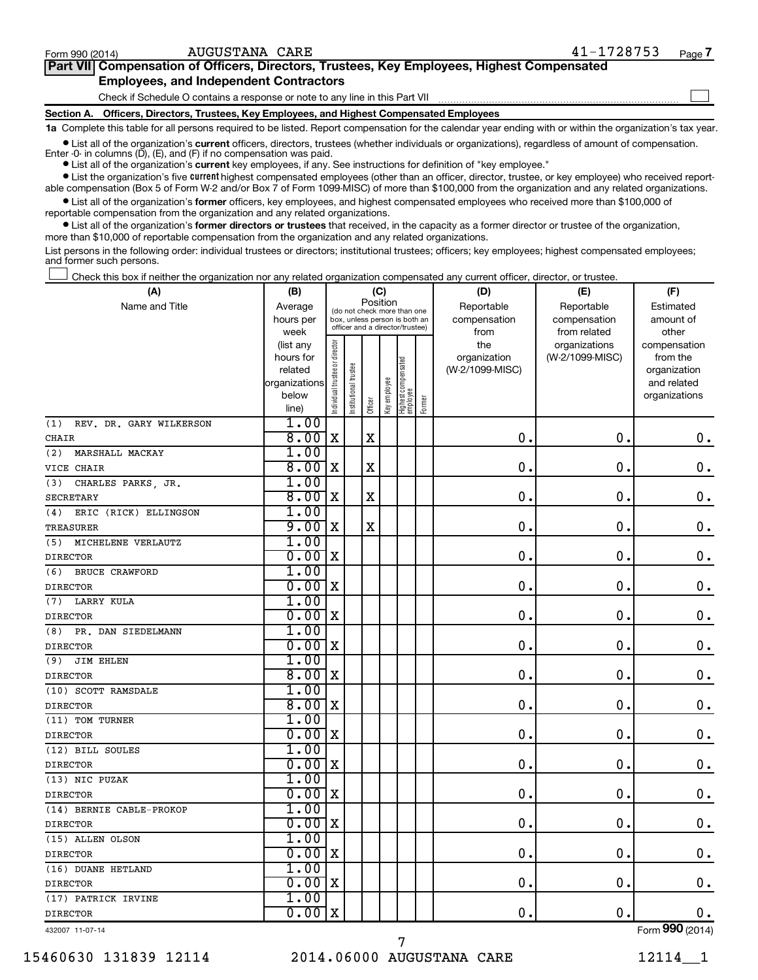$\Box$ 

| Part VII Compensation of Officers, Directors, Trustees, Key Employees, Highest Compensated |  |
|--------------------------------------------------------------------------------------------|--|
| <b>Employees, and Independent Contractors</b>                                              |  |

Check if Schedule O contains a response or note to any line in this Part VII

**Section A. Officers, Directors, Trustees, Key Employees, and Highest Compensated Employees**

**1a**  Complete this table for all persons required to be listed. Report compensation for the calendar year ending with or within the organization's tax year.

**•** List all of the organization's current officers, directors, trustees (whether individuals or organizations), regardless of amount of compensation. Enter -0- in columns  $(D)$ ,  $(E)$ , and  $(F)$  if no compensation was paid.

**•** List all of the organization's **current** key employees, if any. See instructions for definition of "key employee."

**•** List the organization's five current highest compensated employees (other than an officer, director, trustee, or key employee) who received reportable compensation (Box 5 of Form W-2 and/or Box 7 of Form 1099-MISC) of more than \$100,000 from the organization and any related organizations.

**•** List all of the organization's former officers, key employees, and highest compensated employees who received more than \$100,000 of reportable compensation from the organization and any related organizations.

**•** List all of the organization's former directors or trustees that received, in the capacity as a former director or trustee of the organization, more than \$10,000 of reportable compensation from the organization and any related organizations.

List persons in the following order: individual trustees or directors; institutional trustees; officers; key employees; highest compensated employees; and former such persons.

Check this box if neither the organization nor any related organization compensated any current officer, director, or trustee.  $\Box$ 

| (A)                            | (B)                    |                                |                                                                  | (C)         |              |                                   |        | (D)             | (E)                           | (F)                      |
|--------------------------------|------------------------|--------------------------------|------------------------------------------------------------------|-------------|--------------|-----------------------------------|--------|-----------------|-------------------------------|--------------------------|
| Name and Title                 | Average                |                                | (do not check more than one                                      |             | Position     |                                   |        | Reportable      | Reportable                    | Estimated                |
|                                | hours per              |                                | box, unless person is both an<br>officer and a director/trustee) |             |              |                                   |        | compensation    | compensation                  | amount of                |
|                                | week                   |                                |                                                                  |             |              |                                   |        | from<br>the     | from related<br>organizations | other                    |
|                                | (list any<br>hours for |                                |                                                                  |             |              |                                   |        | organization    | (W-2/1099-MISC)               | compensation<br>from the |
|                                | related                |                                | trustee                                                          |             |              |                                   |        | (W-2/1099-MISC) |                               | organization             |
|                                | organizations          |                                |                                                                  |             |              |                                   |        |                 |                               | and related              |
|                                | below                  | Individual trustee or director | Institutional t                                                  |             | Key employee |                                   |        |                 |                               | organizations            |
|                                | line)                  |                                |                                                                  | Officer     |              | Highest compensated<br>  employee | Former |                 |                               |                          |
| (1)<br>REV. DR. GARY WILKERSON | 1.00                   |                                |                                                                  |             |              |                                   |        |                 |                               |                          |
| <b>CHAIR</b>                   | 8.00                   | $\mathbf X$                    |                                                                  | $\mathbf x$ |              |                                   |        | 0.              | $\mathbf 0$ .                 | $0\cdot$                 |
| (2)<br>MARSHALL MACKAY         | 1.00                   |                                |                                                                  |             |              |                                   |        |                 |                               |                          |
| VICE CHAIR                     | 8.00                   | X                              |                                                                  | X           |              |                                   |        | $\mathbf 0$ .   | О.                            | $\boldsymbol{0}$ .       |
| CHARLES PARKS, JR.<br>(3)      | 1.00                   |                                |                                                                  |             |              |                                   |        |                 |                               |                          |
| <b>SECRETARY</b>               | 8.00                   | $\mathbf X$                    |                                                                  | $\mathbf X$ |              |                                   |        | $\mathbf 0$ .   | $\mathbf 0$ .                 | $\boldsymbol{0}$ .       |
| ERIC (RICK) ELLINGSON<br>(4)   | 1.00                   |                                |                                                                  |             |              |                                   |        |                 |                               |                          |
| TREASURER                      | 9.00                   | X                              |                                                                  | $\mathbf X$ |              |                                   |        | $\mathbf 0$ .   | $\mathbf 0$ .                 | $\mathbf 0$ .            |
| (5) MICHELENE VERLAUTZ         | 1.00                   |                                |                                                                  |             |              |                                   |        |                 |                               |                          |
| <b>DIRECTOR</b>                | 0.00x                  |                                |                                                                  |             |              |                                   |        | $\mathbf 0$ .   | $\mathbf 0$ .                 | $\boldsymbol{0}$ .       |
| (6)<br><b>BRUCE CRAWFORD</b>   | 1.00                   |                                |                                                                  |             |              |                                   |        |                 |                               |                          |
| <b>DIRECTOR</b>                | $0.00 \, x$            |                                |                                                                  |             |              |                                   |        | 0.              | $\mathbf 0$ .                 | $0$ .                    |
| <b>LARRY KULA</b><br>(7)       | 1.00                   |                                |                                                                  |             |              |                                   |        |                 |                               |                          |
| <b>DIRECTOR</b>                | 0.00x                  |                                |                                                                  |             |              |                                   |        | $\mathbf 0$ .   | $\mathbf 0$ .                 | $\mathbf 0$ .            |
| (8)<br>PR. DAN SIEDELMANN      | 1.00                   |                                |                                                                  |             |              |                                   |        |                 |                               |                          |
| <b>DIRECTOR</b>                | 0.00x                  |                                |                                                                  |             |              |                                   |        | $\mathbf 0$ .   | $\mathbf 0$ .                 | $\mathbf 0$ .            |
| JIM EHLEN<br>(9)               | 1.00                   |                                |                                                                  |             |              |                                   |        |                 |                               |                          |
| <b>DIRECTOR</b>                | 8.00x                  |                                |                                                                  |             |              |                                   |        | $\mathbf 0$ .   | $\mathbf 0$ .                 | $\mathbf 0$ .            |
| (10) SCOTT RAMSDALE            | 1.00                   |                                |                                                                  |             |              |                                   |        |                 |                               |                          |
| <b>DIRECTOR</b>                | 8.00x                  |                                |                                                                  |             |              |                                   |        | $\mathbf 0$ .   | $\mathbf 0$ .                 | 0.                       |
| (11) TOM TURNER                | 1.00                   |                                |                                                                  |             |              |                                   |        |                 |                               |                          |
| <b>DIRECTOR</b>                | 0.00x                  |                                |                                                                  |             |              |                                   |        | 0.              | $\mathbf 0$ .                 | $\mathbf 0$ .            |
| (12) BILL SOULES               | 1.00                   |                                |                                                                  |             |              |                                   |        |                 |                               |                          |
| <b>DIRECTOR</b>                | 0.00x                  |                                |                                                                  |             |              |                                   |        | 0.              | $\mathbf 0$ .                 | $\mathbf 0$ .            |
| (13) NIC PUZAK                 | 1.00                   |                                |                                                                  |             |              |                                   |        |                 |                               |                          |
| <b>DIRECTOR</b>                | 0.00                   | X                              |                                                                  |             |              |                                   |        | $\mathbf 0$ .   | $\mathbf 0$ .                 | $\mathbf 0$ .            |
| (14) BERNIE CABLE-PROKOP       | 1.00                   |                                |                                                                  |             |              |                                   |        |                 |                               |                          |
| <b>DIRECTOR</b>                | 0.00                   | X                              |                                                                  |             |              |                                   |        | $\mathbf 0$ .   | $\mathbf 0$ .                 | 0.                       |
| (15) ALLEN OLSON               | 1.00                   |                                |                                                                  |             |              |                                   |        |                 |                               |                          |
| <b>DIRECTOR</b>                | 0.00                   | X                              |                                                                  |             |              |                                   |        | $\mathbf 0$ .   | $\mathbf 0$ .                 | 0.                       |
| (16) DUANE HETLAND             | 1.00                   |                                |                                                                  |             |              |                                   |        |                 |                               |                          |
| <b>DIRECTOR</b>                | 0.00                   | X                              |                                                                  |             |              |                                   |        | 0.              | $\mathbf 0$ .                 | $\mathbf 0$ .            |
| (17) PATRICK IRVINE            | 1.00                   |                                |                                                                  |             |              |                                   |        |                 |                               |                          |
| <b>DIRECTOR</b>                | 0.00                   | $\mathbf x$                    |                                                                  |             |              |                                   |        | 0.              | $\mathbf 0$ .                 | 0.                       |
|                                |                        |                                |                                                                  |             |              |                                   |        |                 |                               |                          |

432007 11-07-14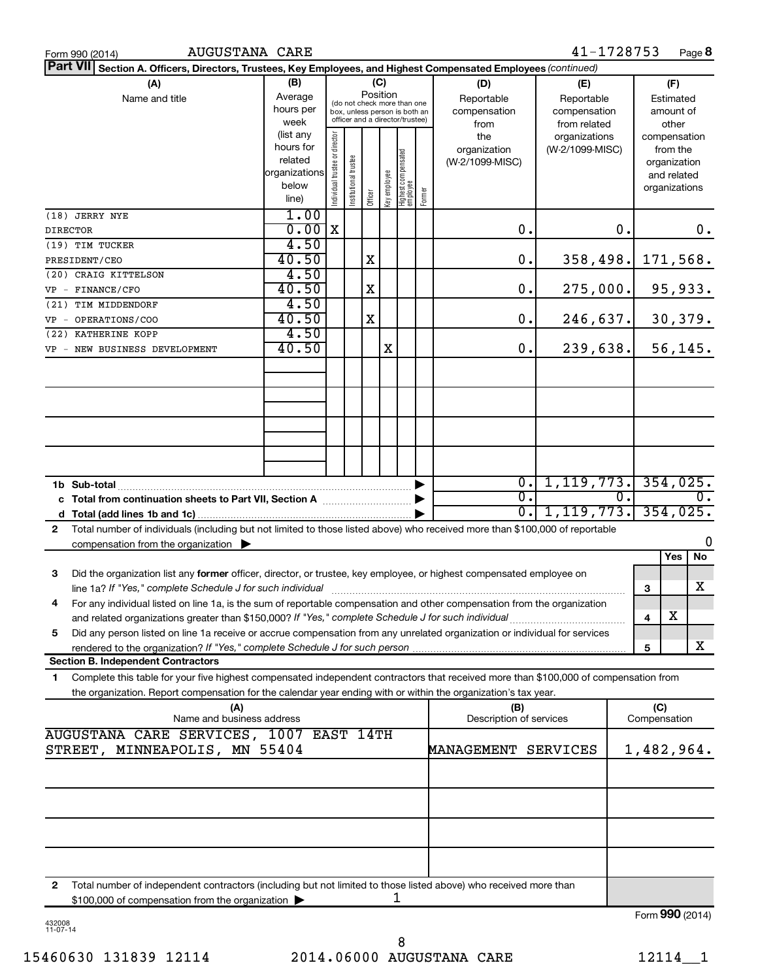| Form 990 (2014) | <b>AUGUSTANA CARE</b>                                                                                                                                                                    |                                                         |                                |                      |         |              |                                                                                                 |        |                                           | 41-1728753                                        |    |                     | Page 8                                                                   |
|-----------------|------------------------------------------------------------------------------------------------------------------------------------------------------------------------------------------|---------------------------------------------------------|--------------------------------|----------------------|---------|--------------|-------------------------------------------------------------------------------------------------|--------|-------------------------------------------|---------------------------------------------------|----|---------------------|--------------------------------------------------------------------------|
| <b>Part VII</b> | Section A. Officers, Directors, Trustees, Key Employees, and Highest Compensated Employees (continued)                                                                                   |                                                         |                                |                      |         |              |                                                                                                 |        |                                           |                                                   |    |                     |                                                                          |
|                 | (A)<br>Name and title                                                                                                                                                                    | (B)<br>Average<br>hours per<br>week<br>(list any        |                                |                      | (C)     | Position     | (do not check more than one<br>box, unless person is both an<br>officer and a director/trustee) |        | (D)<br>Reportable<br>compensation<br>from | (E)<br>Reportable<br>compensation<br>from related |    |                     | (F)<br>Estimated<br>amount of<br>other                                   |
|                 |                                                                                                                                                                                          | hours for<br>related<br>organizations<br>below<br>line) | Individual trustee or director | nstitutional trustee | Officer | key employee | Highest compensated<br> employee                                                                | Former | the<br>organization<br>(W-2/1099-MISC)    | organizations<br>(W-2/1099-MISC)                  |    |                     | compensation<br>from the<br>organization<br>and related<br>organizations |
| <b>DIRECTOR</b> | (18) JERRY NYE                                                                                                                                                                           | 1.00<br>0.00                                            | X                              |                      |         |              |                                                                                                 |        | 0.                                        |                                                   | 0. |                     | $0$ .                                                                    |
|                 | (19) TIM TUCKER                                                                                                                                                                          | 4.50                                                    |                                |                      |         |              |                                                                                                 |        |                                           |                                                   |    |                     |                                                                          |
|                 | PRESIDENT/CEO                                                                                                                                                                            | 40.50                                                   |                                |                      | Χ       |              |                                                                                                 |        | 0.                                        | 358,498.                                          |    |                     | 171,568.                                                                 |
|                 | (20) CRAIG KITTELSON                                                                                                                                                                     | 4.50<br>40.50                                           |                                |                      | Χ       |              |                                                                                                 |        | 0.                                        | 275,000.                                          |    |                     | 95,933.                                                                  |
|                 | VP - FINANCE/CFO<br>(21) TIM MIDDENDORF                                                                                                                                                  | 4.50                                                    |                                |                      |         |              |                                                                                                 |        |                                           |                                                   |    |                     |                                                                          |
|                 | VP - OPERATIONS/COO                                                                                                                                                                      | 40.50                                                   |                                |                      | Χ       |              |                                                                                                 |        | 0.                                        | 246,637.                                          |    |                     | 30,379.                                                                  |
|                 | (22) KATHERINE KOPP<br>VP - NEW BUSINESS DEVELOPMENT                                                                                                                                     | 4.50<br>40.50                                           |                                |                      |         | Χ            |                                                                                                 |        | 0.                                        | 239,638.                                          |    |                     | 56, 145.                                                                 |
|                 |                                                                                                                                                                                          |                                                         |                                |                      |         |              |                                                                                                 |        |                                           |                                                   |    |                     |                                                                          |
|                 |                                                                                                                                                                                          |                                                         |                                |                      |         |              |                                                                                                 |        |                                           |                                                   |    |                     |                                                                          |
|                 |                                                                                                                                                                                          |                                                         |                                |                      |         |              |                                                                                                 |        |                                           |                                                   |    |                     |                                                                          |
|                 |                                                                                                                                                                                          |                                                         |                                |                      |         |              |                                                                                                 |        |                                           |                                                   |    |                     |                                                                          |
|                 | 1b Sub-total                                                                                                                                                                             |                                                         |                                |                      |         |              |                                                                                                 |        | Ο.                                        | 1, 119, 773.                                      |    |                     | 354,025.                                                                 |
|                 |                                                                                                                                                                                          |                                                         |                                |                      |         |              |                                                                                                 |        | σ.<br>σ.                                  | 1, 119, 773.                                      | 0. |                     | 354,025.                                                                 |
| 2               | Total number of individuals (including but not limited to those listed above) who received more than \$100,000 of reportable<br>compensation from the organization $\blacktriangleright$ |                                                         |                                |                      |         |              |                                                                                                 |        |                                           |                                                   |    |                     | O                                                                        |
|                 |                                                                                                                                                                                          |                                                         |                                |                      |         |              |                                                                                                 |        |                                           |                                                   |    |                     | No<br>Yes                                                                |
| з               | Did the organization list any former officer, director, or trustee, key employee, or highest compensated employee on<br>line 1a? If "Yes," complete Schedule J for such individual       |                                                         |                                |                      |         |              |                                                                                                 |        |                                           |                                                   |    | 3                   | X                                                                        |
| 4               | For any individual listed on line 1a, is the sum of reportable compensation and other compensation from the organization                                                                 |                                                         |                                |                      |         |              |                                                                                                 |        |                                           |                                                   |    |                     |                                                                          |
| 5               | Did any person listed on line 1a receive or accrue compensation from any unrelated organization or individual for services                                                               |                                                         |                                |                      |         |              |                                                                                                 |        |                                           |                                                   |    | 4                   | х                                                                        |
|                 | <b>Section B. Independent Contractors</b>                                                                                                                                                |                                                         |                                |                      |         |              |                                                                                                 |        |                                           |                                                   |    | 5                   | x                                                                        |
| 1               | Complete this table for your five highest compensated independent contractors that received more than \$100,000 of compensation from                                                     |                                                         |                                |                      |         |              |                                                                                                 |        |                                           |                                                   |    |                     |                                                                          |
|                 | the organization. Report compensation for the calendar year ending with or within the organization's tax year.                                                                           |                                                         |                                |                      |         |              |                                                                                                 |        |                                           |                                                   |    |                     |                                                                          |
|                 | (A)<br>Name and business address                                                                                                                                                         |                                                         |                                |                      |         |              |                                                                                                 |        | (B)<br>Description of services            |                                                   |    | (C)<br>Compensation |                                                                          |
|                 | AUGUSTANA CARE SERVICES, 1007 EAST 14TH<br>STREET, MINNEAPOLIS, MN 55404                                                                                                                 |                                                         |                                |                      |         |              |                                                                                                 |        | <b>MANAGEMENT SERVICES</b>                |                                                   |    |                     | 1,482,964.                                                               |
|                 |                                                                                                                                                                                          |                                                         |                                |                      |         |              |                                                                                                 |        |                                           |                                                   |    |                     |                                                                          |
|                 |                                                                                                                                                                                          |                                                         |                                |                      |         |              |                                                                                                 |        |                                           |                                                   |    |                     |                                                                          |
|                 |                                                                                                                                                                                          |                                                         |                                |                      |         |              |                                                                                                 |        |                                           |                                                   |    |                     |                                                                          |
|                 |                                                                                                                                                                                          |                                                         |                                |                      |         |              |                                                                                                 |        |                                           |                                                   |    |                     |                                                                          |
| 2               | Total number of independent contractors (including but not limited to those listed above) who received more than<br>\$100,000 of compensation from the organization                      |                                                         |                                |                      |         |              |                                                                                                 |        |                                           |                                                   |    |                     |                                                                          |
|                 |                                                                                                                                                                                          |                                                         |                                |                      |         |              |                                                                                                 |        |                                           |                                                   |    |                     | Form 990 (2014)                                                          |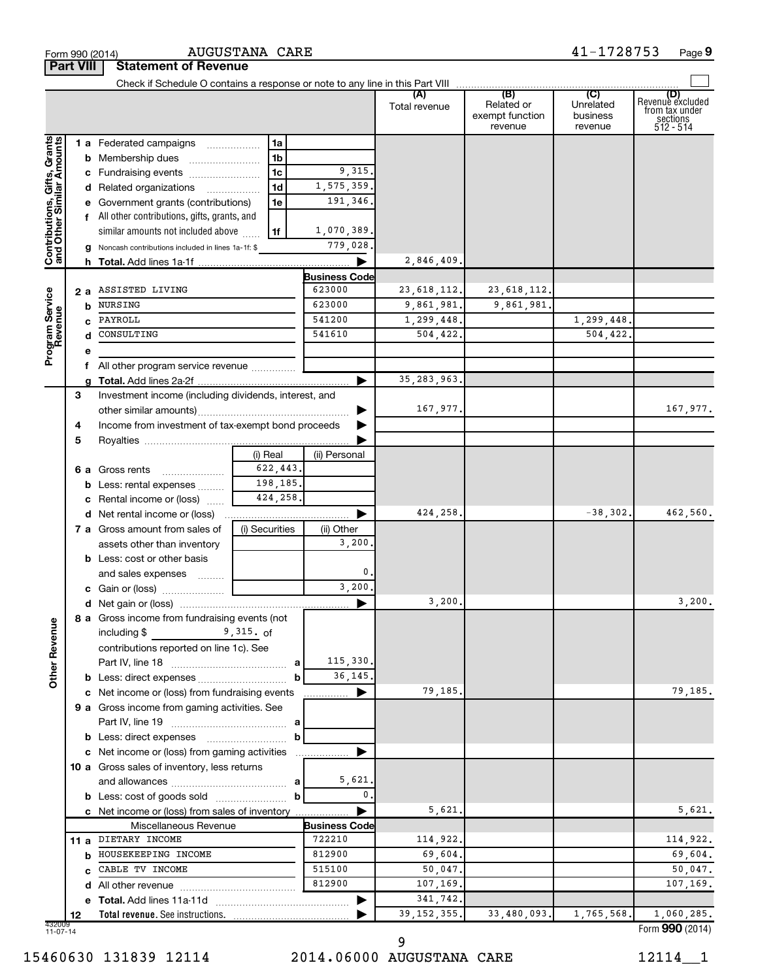|                                                           | <b>Part VIII</b> | <b>Statement of Revenue</b>                                     |                |                       |               |                                                 |                                         |                                                                      |
|-----------------------------------------------------------|------------------|-----------------------------------------------------------------|----------------|-----------------------|---------------|-------------------------------------------------|-----------------------------------------|----------------------------------------------------------------------|
|                                                           |                  |                                                                 |                |                       |               |                                                 |                                         |                                                                      |
|                                                           |                  |                                                                 |                |                       | Total revenue | (B)<br>Related or<br>exempt function<br>revenue | (C)<br>Unrelated<br>business<br>revenue | (D)<br>Revenue excluded<br>from tax under<br>sections<br>$512 - 514$ |
|                                                           |                  | 1 a Federated campaigns                                         | 1a             |                       |               |                                                 |                                         |                                                                      |
| Contributions, Gifts, Grants<br>and Other Similar Amounts | b                | Membership dues                                                 | 1 <sub>b</sub> |                       |               |                                                 |                                         |                                                                      |
|                                                           | с                | Fundraising events                                              | 1 <sub>c</sub> | 9,315.                |               |                                                 |                                         |                                                                      |
|                                                           |                  | Related organizations                                           | 1 <sub>d</sub> | 1,575,359.            |               |                                                 |                                         |                                                                      |
|                                                           |                  | Government grants (contributions)                               | 1e             | 191,346.              |               |                                                 |                                         |                                                                      |
|                                                           |                  | f All other contributions, gifts, grants, and                   |                |                       |               |                                                 |                                         |                                                                      |
|                                                           |                  | similar amounts not included above                              | 1f             | 1,070,389.            |               |                                                 |                                         |                                                                      |
|                                                           |                  | g Noncash contributions included in lines 1a-1f: \$             |                | 779,028.              |               |                                                 |                                         |                                                                      |
|                                                           |                  |                                                                 |                |                       | 2,846,409.    |                                                 |                                         |                                                                      |
|                                                           |                  |                                                                 |                | <b>Business Code</b>  |               |                                                 |                                         |                                                                      |
|                                                           | 2 a              | ASSISTED LIVING                                                 |                | 623000                | 23, 618, 112. | 23, 618, 112.                                   |                                         |                                                                      |
|                                                           | b                | NURSING                                                         |                | 623000                | 9,861,981.    | 9,861,981.                                      |                                         |                                                                      |
|                                                           | C                | PAYROLL                                                         |                | 541200                | 1,299,448.    |                                                 | 1,299,448.                              |                                                                      |
|                                                           | d                | CONSULTING                                                      |                | 541610                | 504,422.      |                                                 | 504,422.                                |                                                                      |
| Program Service<br>Revenue                                | е                |                                                                 |                |                       |               |                                                 |                                         |                                                                      |
|                                                           | f                | All other program service revenue <i>mimiming</i>               |                |                       |               |                                                 |                                         |                                                                      |
|                                                           | a                |                                                                 |                |                       | 35, 283, 963. |                                                 |                                         |                                                                      |
|                                                           | 3                | Investment income (including dividends, interest, and           |                |                       |               |                                                 |                                         |                                                                      |
|                                                           |                  |                                                                 |                |                       | 167,977.      |                                                 |                                         | 167,977.                                                             |
|                                                           | 4                | Income from investment of tax-exempt bond proceeds              |                |                       |               |                                                 |                                         |                                                                      |
|                                                           | 5                |                                                                 |                |                       |               |                                                 |                                         |                                                                      |
|                                                           |                  |                                                                 | (i) Real       | (ii) Personal         |               |                                                 |                                         |                                                                      |
|                                                           | 6а               | Gross rents                                                     | 622,443.       |                       |               |                                                 |                                         |                                                                      |
|                                                           | b                | Less: rental expenses                                           | 198,185.       |                       |               |                                                 |                                         |                                                                      |
|                                                           | с                | Rental income or (loss)                                         | 424,258.       |                       |               |                                                 |                                         |                                                                      |
|                                                           | d                | Net rental income or (loss)                                     |                | ▶                     | 424,258.      |                                                 | $-38,302.$                              | 462,560.                                                             |
|                                                           |                  | 7 a Gross amount from sales of                                  | (i) Securities | (ii) Other            |               |                                                 |                                         |                                                                      |
|                                                           |                  | assets other than inventory                                     |                | 3,200                 |               |                                                 |                                         |                                                                      |
|                                                           |                  | <b>b</b> Less: cost or other basis                              |                |                       |               |                                                 |                                         |                                                                      |
|                                                           |                  | and sales expenses                                              |                | $\mathbf{0}$          |               |                                                 |                                         |                                                                      |
|                                                           |                  |                                                                 |                | 3,200,                |               |                                                 |                                         |                                                                      |
|                                                           |                  |                                                                 |                | $\blacktriangleright$ | 3,200,        |                                                 |                                         | 3,200.                                                               |
| <b>Other Revenue</b>                                      |                  | 8 a Gross income from fundraising events (not  <br>including \$ | $9,315.$ of    |                       |               |                                                 |                                         |                                                                      |
|                                                           |                  | contributions reported on line 1c). See                         |                | 115,330.              |               |                                                 |                                         |                                                                      |
|                                                           |                  | b Less: direct expenses                                         | b              | 36, 145.              |               |                                                 |                                         |                                                                      |
|                                                           |                  | c Net income or (loss) from fundraising events                  |                |                       | 79,185.       |                                                 |                                         | 79,185.                                                              |
|                                                           |                  | 9 a Gross income from gaming activities. See                    |                |                       |               |                                                 |                                         |                                                                      |
|                                                           |                  |                                                                 |                |                       |               |                                                 |                                         |                                                                      |
|                                                           |                  |                                                                 | b              |                       |               |                                                 |                                         |                                                                      |
|                                                           |                  | c Net income or (loss) from gaming activities                   |                |                       |               |                                                 |                                         |                                                                      |
|                                                           |                  | 10 a Gross sales of inventory, less returns                     |                |                       |               |                                                 |                                         |                                                                      |
|                                                           |                  |                                                                 |                | 5,621.                |               |                                                 |                                         |                                                                      |
|                                                           |                  |                                                                 | b              | $\mathbf 0$ .         |               |                                                 |                                         |                                                                      |
|                                                           |                  | c Net income or (loss) from sales of inventory                  |                |                       | 5,621         |                                                 |                                         | 5,621.                                                               |
|                                                           |                  | Miscellaneous Revenue                                           |                | <b>Business Code</b>  |               |                                                 |                                         |                                                                      |
|                                                           |                  | 11 a DIETARY INCOME                                             |                | 722210                | 114,922.      |                                                 |                                         | 114,922.                                                             |
|                                                           | b                | HOUSEKEEPING INCOME                                             |                | 812900                | 69,604.       |                                                 |                                         | 69,604.                                                              |
|                                                           | C.               | CABLE TV INCOME                                                 |                | 515100                | 50,047.       |                                                 |                                         | 50,047.                                                              |
|                                                           | d                |                                                                 |                | 812900                | 107,169.      |                                                 |                                         | 107,169.                                                             |
|                                                           | е                |                                                                 |                |                       | 341,742.      |                                                 |                                         |                                                                      |
|                                                           | 12               |                                                                 |                |                       | 39, 152, 355. | 33,480,093.                                     | 1,765,568.                              | 1,060,285.                                                           |
| 432009<br>11-07-14                                        |                  |                                                                 |                |                       |               |                                                 |                                         | Form 990 (2014)                                                      |

Form 990 (2014) **AUGUSTANA CARE 4**1-1728753 Page **9** 

AUGUSTANA CARE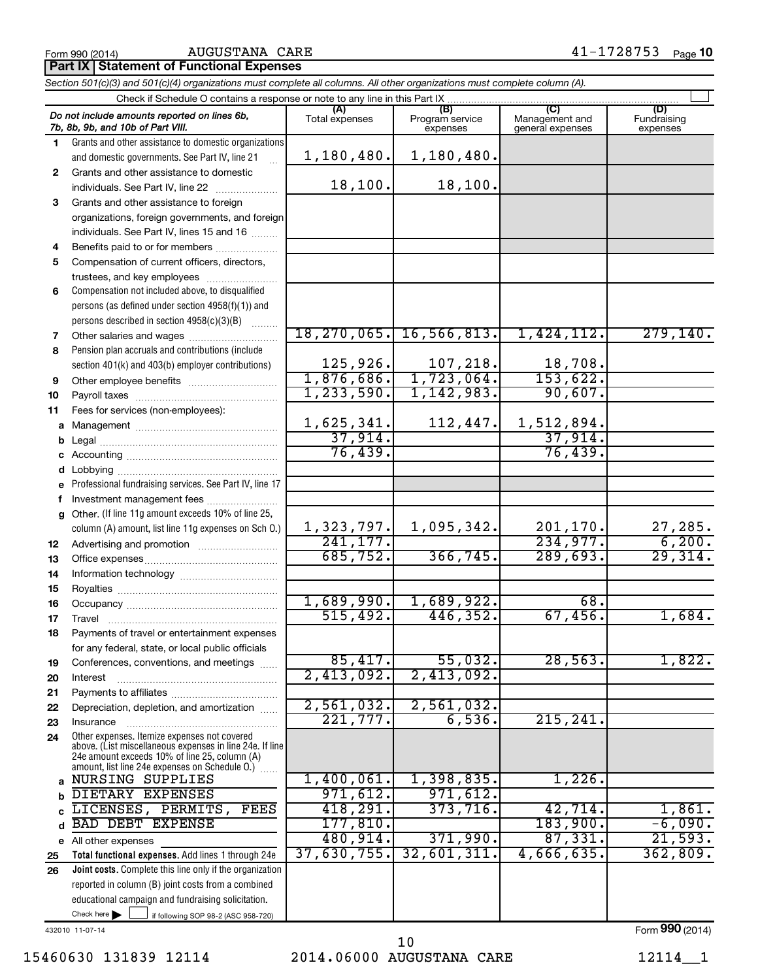AUGUSTANA CARE

| <b>Part IX   Statement of Functional Expenses</b> |                                                                                                                            |                       |                                    |                                           |                                |  |  |  |  |
|---------------------------------------------------|----------------------------------------------------------------------------------------------------------------------------|-----------------------|------------------------------------|-------------------------------------------|--------------------------------|--|--|--|--|
|                                                   | Section 501(c)(3) and 501(c)(4) organizations must complete all columns. All other organizations must complete column (A). |                       |                                    |                                           |                                |  |  |  |  |
|                                                   | Check if Schedule O contains a response or note to any line in this Part IX                                                |                       |                                    |                                           |                                |  |  |  |  |
|                                                   | Do not include amounts reported on lines 6b,<br>7b, 8b, 9b, and 10b of Part VIII.                                          | (A)<br>Total expenses | (B)<br>Program service<br>expenses | (C)<br>Management and<br>general expenses | (D)<br>Fundraising<br>expenses |  |  |  |  |
| 1.                                                | Grants and other assistance to domestic organizations                                                                      |                       |                                    |                                           |                                |  |  |  |  |
|                                                   | and domestic governments. See Part IV, line 21                                                                             | 1,180,480.            | 1,180,480.                         |                                           |                                |  |  |  |  |
| 2                                                 | Grants and other assistance to domestic                                                                                    |                       |                                    |                                           |                                |  |  |  |  |
|                                                   | individuals. See Part IV, line 22                                                                                          | 18, 100.              | 18, 100.                           |                                           |                                |  |  |  |  |
| 3                                                 | Grants and other assistance to foreign                                                                                     |                       |                                    |                                           |                                |  |  |  |  |
|                                                   | organizations, foreign governments, and foreign                                                                            |                       |                                    |                                           |                                |  |  |  |  |
|                                                   | individuals. See Part IV, lines 15 and 16                                                                                  |                       |                                    |                                           |                                |  |  |  |  |
| 4                                                 | Benefits paid to or for members                                                                                            |                       |                                    |                                           |                                |  |  |  |  |
| 5                                                 | Compensation of current officers, directors,                                                                               |                       |                                    |                                           |                                |  |  |  |  |
|                                                   | trustees, and key employees                                                                                                |                       |                                    |                                           |                                |  |  |  |  |
| 6                                                 | Compensation not included above, to disqualified                                                                           |                       |                                    |                                           |                                |  |  |  |  |
|                                                   | persons (as defined under section 4958(f)(1)) and                                                                          |                       |                                    |                                           |                                |  |  |  |  |
|                                                   | persons described in section 4958(c)(3)(B)                                                                                 |                       |                                    |                                           |                                |  |  |  |  |
| 7                                                 | Other salaries and wages                                                                                                   | 18, 270, 065.         | 16, 566, 813.                      | 1,424,112.                                | 279, 140.                      |  |  |  |  |
| 8                                                 | Pension plan accruals and contributions (include                                                                           |                       |                                    |                                           |                                |  |  |  |  |
|                                                   | section 401(k) and 403(b) employer contributions)                                                                          | 125,926.              | 107, 218.                          | 18,708.                                   |                                |  |  |  |  |
| 9                                                 |                                                                                                                            | 1,876,686.            | 1,723,064.                         | 153,622.                                  |                                |  |  |  |  |
| 10                                                |                                                                                                                            | 1, 233, 590.          | 1,142,983.                         | 90,607.                                   |                                |  |  |  |  |
| 11                                                | Fees for services (non-employees):                                                                                         |                       |                                    |                                           |                                |  |  |  |  |
| a                                                 |                                                                                                                            | 1,625,341.            | 112,447.                           | 1,512,894.                                |                                |  |  |  |  |
| b                                                 |                                                                                                                            | 37,914.               |                                    | 37,914.                                   |                                |  |  |  |  |
|                                                   |                                                                                                                            | 76,439.               |                                    | 76,439.                                   |                                |  |  |  |  |
|                                                   |                                                                                                                            |                       |                                    |                                           |                                |  |  |  |  |
|                                                   | e Professional fundraising services. See Part IV, line 17                                                                  |                       |                                    |                                           |                                |  |  |  |  |
|                                                   | f Investment management fees                                                                                               |                       |                                    |                                           |                                |  |  |  |  |
|                                                   | Other. (If line 11g amount exceeds 10% of line 25,                                                                         |                       |                                    |                                           |                                |  |  |  |  |
|                                                   | column (A) amount, list line 11g expenses on Sch 0.)                                                                       | 1,323,797.            | 1,095,342.                         | 201, 170.                                 | 27,285.                        |  |  |  |  |
| 12                                                |                                                                                                                            | 241, 177.             |                                    | 234,977.                                  | 6, 200.                        |  |  |  |  |
| 13                                                |                                                                                                                            | 685,752.              | 366, 745.                          | 289,693.                                  | 29,314.                        |  |  |  |  |
| 14                                                |                                                                                                                            |                       |                                    |                                           |                                |  |  |  |  |
| 15                                                |                                                                                                                            |                       |                                    |                                           |                                |  |  |  |  |
| 16                                                |                                                                                                                            | 1,689,990.            | 1,689,922.                         | 68.                                       |                                |  |  |  |  |
| 17                                                | Travel                                                                                                                     | 515,492.              | 446,352.                           | 67,456.                                   | 1,684.                         |  |  |  |  |
| 18                                                | Payments of travel or entertainment expenses                                                                               |                       |                                    |                                           |                                |  |  |  |  |
|                                                   | for any federal, state, or local public officials                                                                          |                       |                                    |                                           |                                |  |  |  |  |
| 19                                                | Conferences, conventions, and meetings                                                                                     | 85,417.               | 55,032.                            | 28,563.                                   | 1,822.                         |  |  |  |  |
| 20                                                | Interest                                                                                                                   | 2,413,092.            | 2,413,092.                         |                                           |                                |  |  |  |  |
| 21                                                |                                                                                                                            |                       |                                    |                                           |                                |  |  |  |  |
| 22                                                | Depreciation, depletion, and amortization                                                                                  | 2,561,032.            | 2,561,032.                         |                                           |                                |  |  |  |  |
| 23                                                | Insurance                                                                                                                  | 221,777.              | 6,536.                             | 215, 241.                                 |                                |  |  |  |  |
| 24                                                | Other expenses. Itemize expenses not covered<br>above. (List miscellaneous expenses in line 24e. If line                   |                       |                                    |                                           |                                |  |  |  |  |
|                                                   | 24e amount exceeds 10% of line 25, column (A)                                                                              |                       |                                    |                                           |                                |  |  |  |  |
|                                                   | amount, list line 24e expenses on Schedule 0.                                                                              |                       |                                    |                                           |                                |  |  |  |  |
|                                                   | a NURSING SUPPLIES                                                                                                         | 1,400,061.            | 1,398,835.                         | 1,226.                                    |                                |  |  |  |  |
|                                                   | <b>b DIETARY EXPENSES</b>                                                                                                  | 971,612.              | 971,612.                           |                                           |                                |  |  |  |  |

432010 11-07-14

**25 26**

**e** All other expenses

Check here if following SOP 98-2 (ASC 958-720)

reported in column (B) joint costs from a combined educational campaign and fundraising solicitation.

**Total functional expenses.**  Add lines 1 through 24e **Joint costs.** Complete this line only if the organization

**c** LICENSES, PERMITS, FEES | 418,291. 373,716. 42,714. 1,861. **d** BAD DEBT EXPENSE 177,810. 183,900. -6,090.

480,914. 371,990. 87,331. 21,593. 37,630,755. 32,601,311. 4,666,635. 362,809.

Form (2014) **990**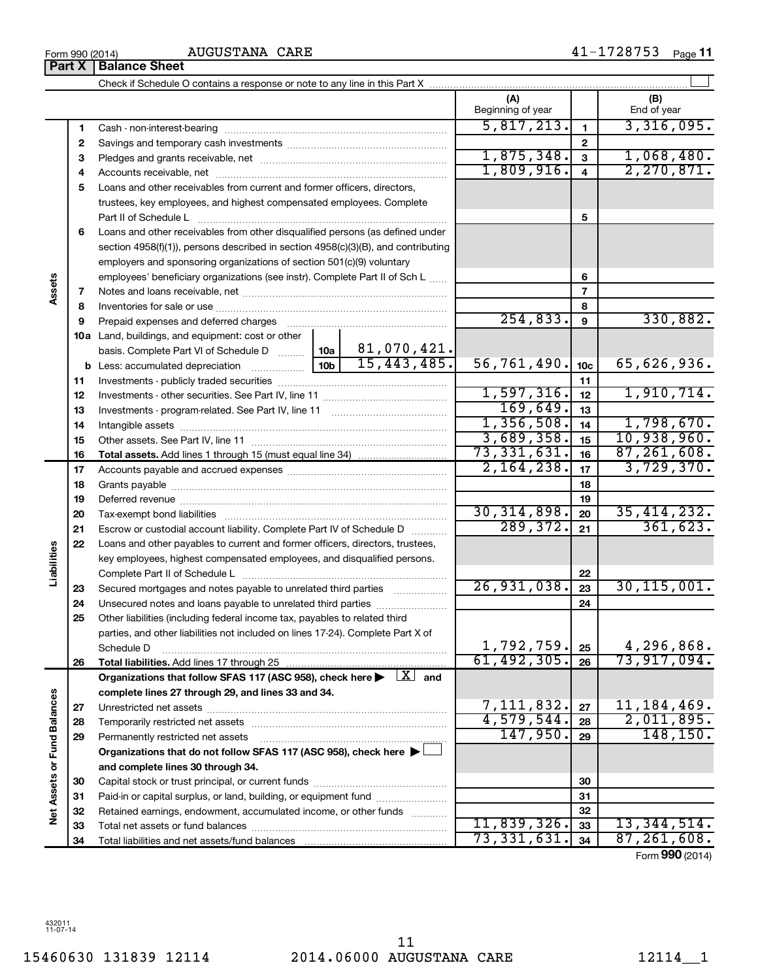AUGUSTANA CARE

Form 990 (2014) Page 41-1728753 Page 11

|                             | Part X   | <b>Balance Sheet</b>                                                                                                         |                          |                 |                    |
|-----------------------------|----------|------------------------------------------------------------------------------------------------------------------------------|--------------------------|-----------------|--------------------|
|                             |          |                                                                                                                              |                          |                 |                    |
|                             |          |                                                                                                                              | (A)<br>Beginning of year |                 | (B)<br>End of year |
|                             | 1        |                                                                                                                              | 5,817,213.               | $\mathbf{1}$    | 3,316,095.         |
|                             | 2        |                                                                                                                              |                          | $\mathbf{2}$    |                    |
|                             | 3        |                                                                                                                              | 1,875,348.               | $\mathbf{3}$    | 1,068,480.         |
|                             | 4        |                                                                                                                              | 1,809,916.               | 4               | 2, 270, 871.       |
|                             | 5        | Loans and other receivables from current and former officers, directors,                                                     |                          |                 |                    |
|                             |          | trustees, key employees, and highest compensated employees. Complete                                                         |                          |                 |                    |
|                             |          |                                                                                                                              |                          | 5               |                    |
|                             | 6        | Loans and other receivables from other disqualified persons (as defined under                                                |                          |                 |                    |
|                             |          | section 4958(f)(1)), persons described in section 4958(c)(3)(B), and contributing                                            |                          |                 |                    |
|                             |          | employers and sponsoring organizations of section 501(c)(9) voluntary                                                        |                          |                 |                    |
|                             |          | employees' beneficiary organizations (see instr). Complete Part II of Sch L                                                  |                          | 6               |                    |
| Assets                      | 7        |                                                                                                                              |                          | $\overline{7}$  |                    |
|                             | 8        |                                                                                                                              |                          | 8               |                    |
|                             | 9        | Prepaid expenses and deferred charges                                                                                        | 254,833.                 | 9               | 330,882.           |
|                             |          | <b>10a</b> Land, buildings, and equipment: cost or other                                                                     |                          |                 |                    |
|                             |          | 81,070,421.<br>basis. Complete Part VI of Schedule D  10a<br>15,443,485.                                                     | 56,761,490.              |                 |                    |
|                             |          | 10 <sub>b</sub><br><b>b</b> Less: accumulated depreciation                                                                   |                          | 10 <sub>c</sub> | 65,626,936.        |
|                             | 11       |                                                                                                                              | 1,597,316.               | 11              | 1,910,714.         |
|                             | 12       |                                                                                                                              | 169,649.                 | 12              |                    |
|                             | 13       |                                                                                                                              | 1,356,508.               | 13<br>14        | 1,798,670.         |
|                             | 14       |                                                                                                                              | 3,689,358.               | 15              | 10,938,960.        |
|                             | 15       |                                                                                                                              | 73,331,631.              | 16              | 87, 261, 608.      |
|                             | 16<br>17 |                                                                                                                              | 2,164,238.               | 17              | 3,729,370.         |
|                             | 18       |                                                                                                                              |                          | 18              |                    |
|                             | 19       |                                                                                                                              |                          | 19              |                    |
|                             | 20       |                                                                                                                              | 30, 314, 898.            | 20              | 35,414,232.        |
|                             | 21       | Escrow or custodial account liability. Complete Part IV of Schedule D                                                        | 289,372.                 | 21              | 361,623.           |
|                             | 22       | Loans and other payables to current and former officers, directors, trustees,                                                |                          |                 |                    |
| Liabilities                 |          | key employees, highest compensated employees, and disqualified persons.                                                      |                          |                 |                    |
|                             |          |                                                                                                                              |                          | 22              |                    |
|                             | 23       | Secured mortgages and notes payable to unrelated third parties                                                               | 26,931,038.              | 23              | 30, 115, 001.      |
|                             | 24       | Unsecured notes and loans payable to unrelated third parties                                                                 |                          | 24              |                    |
|                             | 25       | Other liabilities (including federal income tax, payables to related third                                                   |                          |                 |                    |
|                             |          | parties, and other liabilities not included on lines 17-24). Complete Part X of                                              |                          |                 |                    |
|                             |          | Schedule D                                                                                                                   | 1,792,759.               | 25              | 4,296,868.         |
|                             | 26       | Total liabilities. Add lines 17 through 25                                                                                   | 61, 492, 305.            | 26              | 73,917,094.        |
|                             |          | Organizations that follow SFAS 117 (ASC 958), check here $\blacktriangleright \begin{array}{c} \boxed{X} \\ \end{array}$ and |                          |                 |                    |
|                             |          | complete lines 27 through 29, and lines 33 and 34.                                                                           |                          |                 |                    |
|                             | 27       |                                                                                                                              | 7,111,832.               | 27              | 11, 184, 469.      |
|                             | 28       |                                                                                                                              | 4,579,544.               | 28              | 2,011,895.         |
|                             | 29       | Permanently restricted net assets                                                                                            | 147,950.                 | 29              | 148, 150.          |
|                             |          | Organizations that do not follow SFAS 117 (ASC 958), check here ▶                                                            |                          |                 |                    |
|                             |          | and complete lines 30 through 34.                                                                                            |                          |                 |                    |
|                             | 30       |                                                                                                                              |                          | 30              |                    |
|                             | 31       | Paid-in or capital surplus, or land, building, or equipment fund                                                             |                          | 31              |                    |
| Net Assets or Fund Balances | 32       | Retained earnings, endowment, accumulated income, or other funds                                                             |                          | 32              |                    |
|                             | 33       |                                                                                                                              | 11,839,326.              | 33              | 13,344,514.        |
|                             | 34       |                                                                                                                              | 73,331,631.              | 34              | 87, 261, 608.      |
|                             |          |                                                                                                                              |                          |                 | Form 990 (2014)    |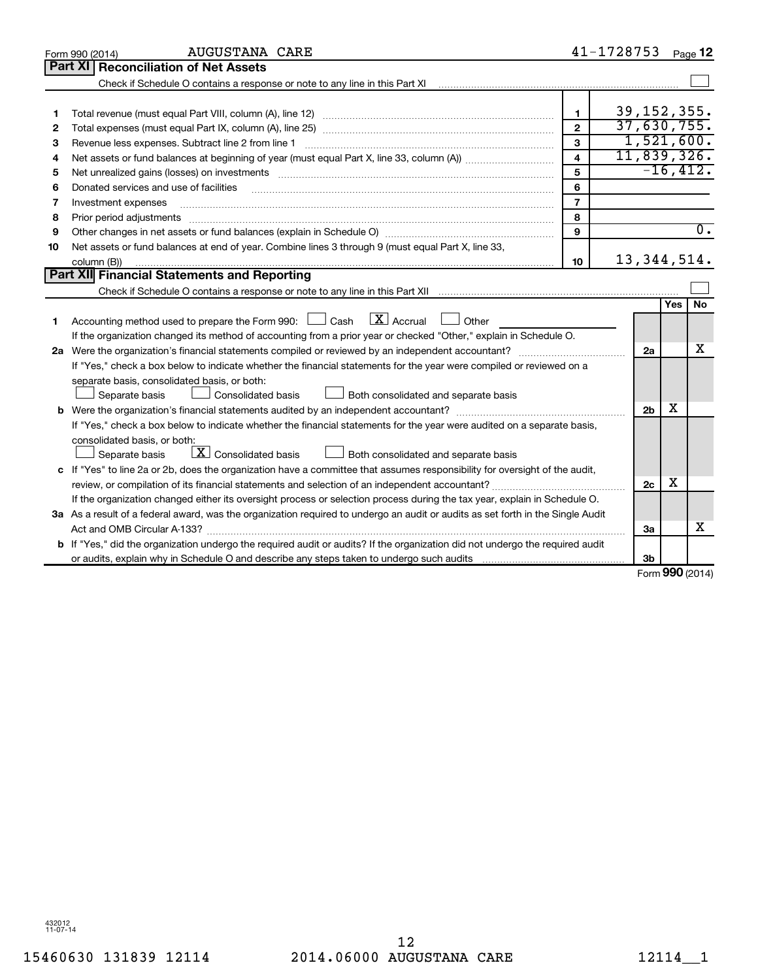|    | <b>AUGUSTANA CARE</b><br>Form 990 (2014)                                                                                                                                                                                                                                                                                                                                                                                                                                                            |                | 41-1728753 |                |               | Page 12          |
|----|-----------------------------------------------------------------------------------------------------------------------------------------------------------------------------------------------------------------------------------------------------------------------------------------------------------------------------------------------------------------------------------------------------------------------------------------------------------------------------------------------------|----------------|------------|----------------|---------------|------------------|
|    | <b>Part XI</b><br><b>Reconciliation of Net Assets</b>                                                                                                                                                                                                                                                                                                                                                                                                                                               |                |            |                |               |                  |
|    | Check if Schedule O contains a response or note to any line in this Part XI [11] [12] Check if Schedule O contains a response or note to any line in this Part XI                                                                                                                                                                                                                                                                                                                                   |                |            |                |               |                  |
|    |                                                                                                                                                                                                                                                                                                                                                                                                                                                                                                     |                |            |                |               |                  |
| 1  |                                                                                                                                                                                                                                                                                                                                                                                                                                                                                                     | 1              |            |                |               | 39, 152, 355.    |
| 2  |                                                                                                                                                                                                                                                                                                                                                                                                                                                                                                     | $\mathbf{2}$   |            |                |               | 37,630,755.      |
| 3  | Revenue less expenses. Subtract line 2 from line 1                                                                                                                                                                                                                                                                                                                                                                                                                                                  | 3              |            |                |               | 1,521,600.       |
| 4  |                                                                                                                                                                                                                                                                                                                                                                                                                                                                                                     | 4              |            |                |               | 11,839,326.      |
| 5  |                                                                                                                                                                                                                                                                                                                                                                                                                                                                                                     | 5              |            |                |               | $-16,412.$       |
| 6  | Donated services and use of facilities                                                                                                                                                                                                                                                                                                                                                                                                                                                              | 6              |            |                |               |                  |
| 7  | Investment expenses                                                                                                                                                                                                                                                                                                                                                                                                                                                                                 | $\overline{7}$ |            |                |               |                  |
| 8  |                                                                                                                                                                                                                                                                                                                                                                                                                                                                                                     | 8              |            |                |               |                  |
| 9  |                                                                                                                                                                                                                                                                                                                                                                                                                                                                                                     | 9              |            |                |               | $\overline{0}$ . |
| 10 | Net assets or fund balances at end of year. Combine lines 3 through 9 (must equal Part X, line 33,                                                                                                                                                                                                                                                                                                                                                                                                  |                |            |                |               |                  |
|    | column (B))<br>$\begin{minipage}{0.9\linewidth} \begin{tabular}{l} \hline \textbf{0.01} \end{tabular} \end{minipage} \begin{tabular}{l} \hline \textbf{1.01} \end{tabular} \end{minipage} \begin{tabular}{l} \hline \textbf{1.01} \end{tabular} \end{minipage} \begin{minipage}{0.9\linewidth} \textbf{1.01} \end{minipage} \begin{tabular}{l} \hline \textbf{1.01} \end{tabular} \end{minipage} \begin{minipage}{0.9\linewidth} \textbf{1.01} \end{minipage} \begin{tabular}{l} \hline \textbf{1.$ | 10             |            |                |               | 13, 344, 514.    |
|    | Part XII Financial Statements and Reporting                                                                                                                                                                                                                                                                                                                                                                                                                                                         |                |            |                |               |                  |
|    |                                                                                                                                                                                                                                                                                                                                                                                                                                                                                                     |                |            |                |               |                  |
|    |                                                                                                                                                                                                                                                                                                                                                                                                                                                                                                     |                |            |                | Yes           | <b>No</b>        |
| 1. | Accounting method used to prepare the Form 990: $\Box$ Cash $\Box X$ Accrual<br><b>Durier</b> Other                                                                                                                                                                                                                                                                                                                                                                                                 |                |            |                |               |                  |
|    | If the organization changed its method of accounting from a prior year or checked "Other," explain in Schedule O.                                                                                                                                                                                                                                                                                                                                                                                   |                |            |                |               |                  |
|    |                                                                                                                                                                                                                                                                                                                                                                                                                                                                                                     |                |            | 2a             |               | х                |
|    | If "Yes," check a box below to indicate whether the financial statements for the year were compiled or reviewed on a                                                                                                                                                                                                                                                                                                                                                                                |                |            |                |               |                  |
|    | separate basis, consolidated basis, or both:                                                                                                                                                                                                                                                                                                                                                                                                                                                        |                |            |                |               |                  |
|    | Both consolidated and separate basis<br>Separate basis<br>Consolidated basis                                                                                                                                                                                                                                                                                                                                                                                                                        |                |            |                |               |                  |
|    |                                                                                                                                                                                                                                                                                                                                                                                                                                                                                                     |                |            | 2 <sub>b</sub> | х             |                  |
|    | If "Yes," check a box below to indicate whether the financial statements for the year were audited on a separate basis,                                                                                                                                                                                                                                                                                                                                                                             |                |            |                |               |                  |
|    | consolidated basis, or both:                                                                                                                                                                                                                                                                                                                                                                                                                                                                        |                |            |                |               |                  |
|    | $\boxed{\mathbf{X}}$ Consolidated basis<br>Both consolidated and separate basis<br>Separate basis                                                                                                                                                                                                                                                                                                                                                                                                   |                |            |                |               |                  |
|    | c If "Yes" to line 2a or 2b, does the organization have a committee that assumes responsibility for oversight of the audit,                                                                                                                                                                                                                                                                                                                                                                         |                |            |                |               |                  |
|    | review, or compilation of its financial statements and selection of an independent accountant?                                                                                                                                                                                                                                                                                                                                                                                                      |                |            | 2c             | х             |                  |
|    | If the organization changed either its oversight process or selection process during the tax year, explain in Schedule O.                                                                                                                                                                                                                                                                                                                                                                           |                |            |                |               |                  |
|    | 3a As a result of a federal award, was the organization required to undergo an audit or audits as set forth in the Single Audit                                                                                                                                                                                                                                                                                                                                                                     |                |            |                |               |                  |
|    | Act and OMB Circular A-133?                                                                                                                                                                                                                                                                                                                                                                                                                                                                         |                |            | За             |               | x                |
|    | <b>b</b> If "Yes," did the organization undergo the required audit or audits? If the organization did not undergo the required audit                                                                                                                                                                                                                                                                                                                                                                |                |            |                |               |                  |
|    |                                                                                                                                                                                                                                                                                                                                                                                                                                                                                                     |                |            | 3b             | $000 \approx$ |                  |
|    |                                                                                                                                                                                                                                                                                                                                                                                                                                                                                                     |                |            |                |               |                  |

Form (2014) **990**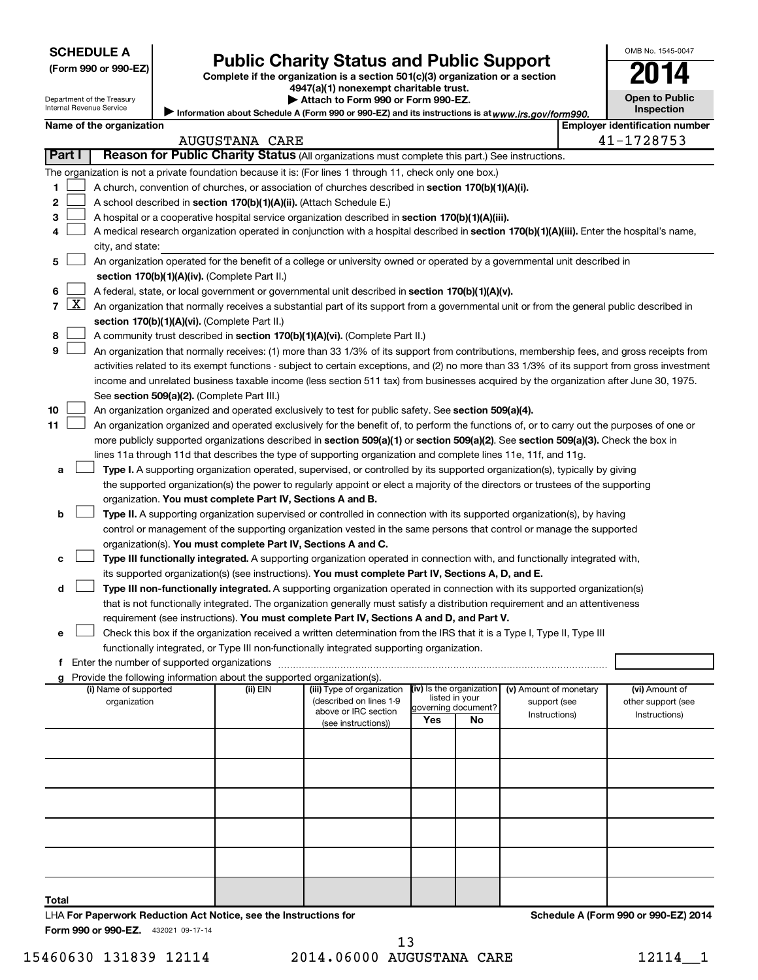| (Form 990 or 990-EZ |  |  |  |  |
|---------------------|--|--|--|--|
|---------------------|--|--|--|--|

# Form 990 or 990-EZ) **Public Charity Status and Public Support**<br>
Complete if the organization is a section 501(c)(3) organization or a section<br> **2014**

**4947(a)(1) nonexempt charitable trust.**  $\blacktriangleright$  Atta

| ▶ Attach to Form 990 or Form 990-EZ.                                                              |
|---------------------------------------------------------------------------------------------------|
| Anformation about Schedule A (Form 990 or 990-EZ) and its instructions is at www.irs.gov/form990. |

| <b>Open to Public</b><br>Inspection |
|-------------------------------------|
|                                     |

OMB No. 1545-0047

Department of the Treasury Internal Revenue Service

|       |        | Name of the organization                                                                                                                                                                                                 |                       |                                             |                          |                     |                        | <b>Employer identification number</b> |
|-------|--------|--------------------------------------------------------------------------------------------------------------------------------------------------------------------------------------------------------------------------|-----------------------|---------------------------------------------|--------------------------|---------------------|------------------------|---------------------------------------|
|       |        |                                                                                                                                                                                                                          | <b>AUGUSTANA CARE</b> |                                             |                          |                     |                        | 41-1728753                            |
|       | Part I | Reason for Public Charity Status (All organizations must complete this part.) See instructions.                                                                                                                          |                       |                                             |                          |                     |                        |                                       |
|       |        | The organization is not a private foundation because it is: (For lines 1 through 11, check only one box.)                                                                                                                |                       |                                             |                          |                     |                        |                                       |
| 1.    |        | A church, convention of churches, or association of churches described in section 170(b)(1)(A)(i).                                                                                                                       |                       |                                             |                          |                     |                        |                                       |
| 2     |        | A school described in section 170(b)(1)(A)(ii). (Attach Schedule E.)                                                                                                                                                     |                       |                                             |                          |                     |                        |                                       |
| з     |        | A hospital or a cooperative hospital service organization described in section 170(b)(1)(A)(iii).                                                                                                                        |                       |                                             |                          |                     |                        |                                       |
| 4     |        | A medical research organization operated in conjunction with a hospital described in section 170(b)(1)(A)(iii). Enter the hospital's name,                                                                               |                       |                                             |                          |                     |                        |                                       |
|       |        | city, and state:                                                                                                                                                                                                         |                       |                                             |                          |                     |                        |                                       |
| 5     |        | An organization operated for the benefit of a college or university owned or operated by a governmental unit described in                                                                                                |                       |                                             |                          |                     |                        |                                       |
|       |        | section 170(b)(1)(A)(iv). (Complete Part II.)                                                                                                                                                                            |                       |                                             |                          |                     |                        |                                       |
| 6.    |        | A federal, state, or local government or governmental unit described in section 170(b)(1)(A)(v).                                                                                                                         |                       |                                             |                          |                     |                        |                                       |
|       |        | 7 $ X $ An organization that normally receives a substantial part of its support from a governmental unit or from the general public described in                                                                        |                       |                                             |                          |                     |                        |                                       |
|       |        | section 170(b)(1)(A)(vi). (Complete Part II.)                                                                                                                                                                            |                       |                                             |                          |                     |                        |                                       |
| 8     |        | A community trust described in section 170(b)(1)(A)(vi). (Complete Part II.)                                                                                                                                             |                       |                                             |                          |                     |                        |                                       |
| 9     |        | An organization that normally receives: (1) more than 33 1/3% of its support from contributions, membership fees, and gross receipts from                                                                                |                       |                                             |                          |                     |                        |                                       |
|       |        | activities related to its exempt functions - subject to certain exceptions, and (2) no more than 33 1/3% of its support from gross investment                                                                            |                       |                                             |                          |                     |                        |                                       |
|       |        | income and unrelated business taxable income (less section 511 tax) from businesses acquired by the organization after June 30, 1975.                                                                                    |                       |                                             |                          |                     |                        |                                       |
|       |        | See section 509(a)(2). (Complete Part III.)                                                                                                                                                                              |                       |                                             |                          |                     |                        |                                       |
| 10    |        | An organization organized and operated exclusively to test for public safety. See section 509(a)(4).                                                                                                                     |                       |                                             |                          |                     |                        |                                       |
| 11    |        | An organization organized and operated exclusively for the benefit of, to perform the functions of, or to carry out the purposes of one or                                                                               |                       |                                             |                          |                     |                        |                                       |
|       |        | more publicly supported organizations described in section 509(a)(1) or section 509(a)(2). See section 509(a)(3). Check the box in                                                                                       |                       |                                             |                          |                     |                        |                                       |
|       |        | lines 11a through 11d that describes the type of supporting organization and complete lines 11e, 11f, and 11g.                                                                                                           |                       |                                             |                          |                     |                        |                                       |
| а     |        | Type I. A supporting organization operated, supervised, or controlled by its supported organization(s), typically by giving                                                                                              |                       |                                             |                          |                     |                        |                                       |
|       |        | the supported organization(s) the power to regularly appoint or elect a majority of the directors or trustees of the supporting                                                                                          |                       |                                             |                          |                     |                        |                                       |
|       |        | organization. You must complete Part IV, Sections A and B.                                                                                                                                                               |                       |                                             |                          |                     |                        |                                       |
| b     |        | Type II. A supporting organization supervised or controlled in connection with its supported organization(s), by having                                                                                                  |                       |                                             |                          |                     |                        |                                       |
|       |        | control or management of the supporting organization vested in the same persons that control or manage the supported                                                                                                     |                       |                                             |                          |                     |                        |                                       |
|       |        | organization(s). You must complete Part IV, Sections A and C.                                                                                                                                                            |                       |                                             |                          |                     |                        |                                       |
| с     |        | Type III functionally integrated. A supporting organization operated in connection with, and functionally integrated with,                                                                                               |                       |                                             |                          |                     |                        |                                       |
|       |        | its supported organization(s) (see instructions). You must complete Part IV, Sections A, D, and E.                                                                                                                       |                       |                                             |                          |                     |                        |                                       |
| d     |        | Type III non-functionally integrated. A supporting organization operated in connection with its supported organization(s)                                                                                                |                       |                                             |                          |                     |                        |                                       |
|       |        | that is not functionally integrated. The organization generally must satisfy a distribution requirement and an attentiveness<br>requirement (see instructions). You must complete Part IV, Sections A and D, and Part V. |                       |                                             |                          |                     |                        |                                       |
| е     |        | Check this box if the organization received a written determination from the IRS that it is a Type I, Type II, Type III                                                                                                  |                       |                                             |                          |                     |                        |                                       |
|       |        | functionally integrated, or Type III non-functionally integrated supporting organization.                                                                                                                                |                       |                                             |                          |                     |                        |                                       |
|       |        |                                                                                                                                                                                                                          |                       |                                             |                          |                     |                        |                                       |
|       |        | g Provide the following information about the supported organization(s).                                                                                                                                                 |                       |                                             |                          |                     |                        |                                       |
|       |        | (i) Name of supported                                                                                                                                                                                                    | (ii) EIN              | (iii) Type of organization                  | (iv) Is the organization |                     | (v) Amount of monetary | (vi) Amount of                        |
|       |        | organization                                                                                                                                                                                                             |                       | (described on lines 1-9                     | listed in your           | governing document? | support (see           | other support (see                    |
|       |        |                                                                                                                                                                                                                          |                       | above or IRC section<br>(see instructions)) | Yes                      | No                  | Instructions)          | Instructions)                         |
|       |        |                                                                                                                                                                                                                          |                       |                                             |                          |                     |                        |                                       |
|       |        |                                                                                                                                                                                                                          |                       |                                             |                          |                     |                        |                                       |
|       |        |                                                                                                                                                                                                                          |                       |                                             |                          |                     |                        |                                       |
|       |        |                                                                                                                                                                                                                          |                       |                                             |                          |                     |                        |                                       |
|       |        |                                                                                                                                                                                                                          |                       |                                             |                          |                     |                        |                                       |
|       |        |                                                                                                                                                                                                                          |                       |                                             |                          |                     |                        |                                       |
|       |        |                                                                                                                                                                                                                          |                       |                                             |                          |                     |                        |                                       |
|       |        |                                                                                                                                                                                                                          |                       |                                             |                          |                     |                        |                                       |
|       |        |                                                                                                                                                                                                                          |                       |                                             |                          |                     |                        |                                       |
|       |        |                                                                                                                                                                                                                          |                       |                                             |                          |                     |                        |                                       |
|       |        |                                                                                                                                                                                                                          |                       |                                             |                          |                     |                        |                                       |
| Total |        |                                                                                                                                                                                                                          |                       |                                             |                          |                     |                        |                                       |
|       |        | LHA For Paperwork Reduction Act Notice, see the Instructions for                                                                                                                                                         |                       |                                             |                          |                     |                        | Schedule A (Form 990 or 990-EZ) 2014  |

Form 990 or 990-EZ. 432021 09-17-14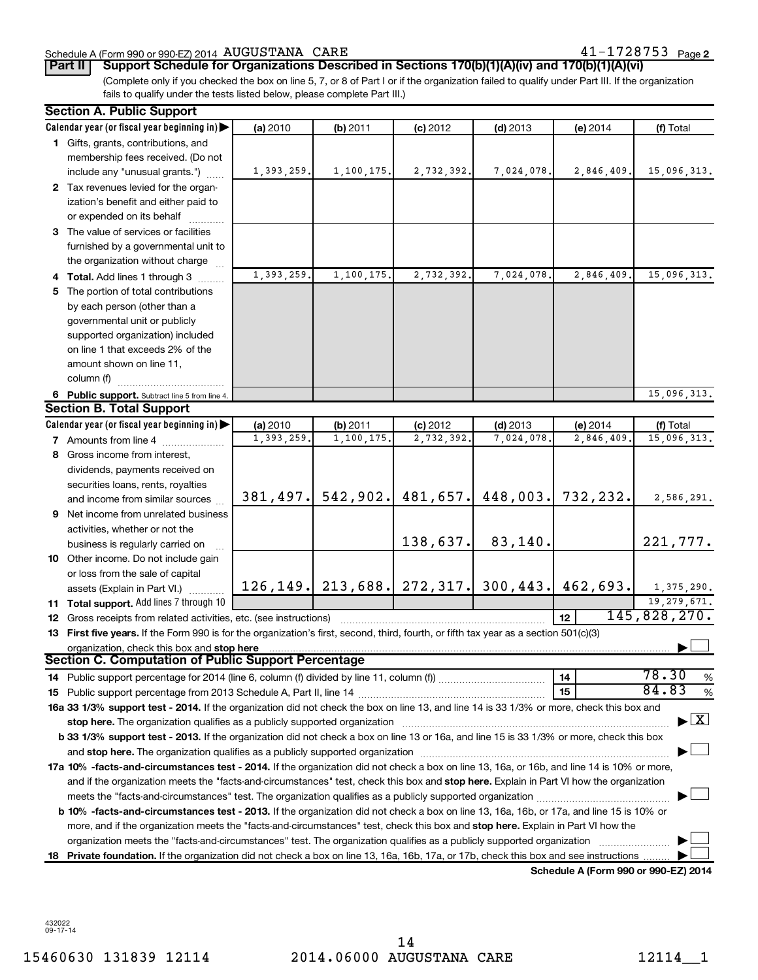#### Schedule A (Form 990 or 990-EZ) 2014 Page AUGUSTANA CARE 41-1728753

41-1728753 Page 2

**Part II Support Schedule for Organizations Described in Sections 170(b)(1)(A)(iv) and 170(b)(1)(A)(vi)**

(Complete only if you checked the box on line 5, 7, or 8 of Part I or if the organization failed to qualify under Part III. If the organization fails to qualify under the tests listed below, please complete Part III.)

|    | <b>Section A. Public Support</b>                                                                                                                                                                             |                        |                        |                          |                          |                                                           |                          |
|----|--------------------------------------------------------------------------------------------------------------------------------------------------------------------------------------------------------------|------------------------|------------------------|--------------------------|--------------------------|-----------------------------------------------------------|--------------------------|
|    | Calendar year (or fiscal year beginning in)                                                                                                                                                                  | (a) 2010               | (b) 2011               | $(c)$ 2012               | $(d)$ 2013               | (e) 2014                                                  | (f) Total                |
|    | 1 Gifts, grants, contributions, and                                                                                                                                                                          |                        |                        |                          |                          |                                                           |                          |
|    | membership fees received. (Do not                                                                                                                                                                            |                        |                        |                          |                          |                                                           |                          |
|    | include any "unusual grants.")                                                                                                                                                                               | 1,393,259.             | 1, 100, 175.           | 2,732,392.               | 7,024,078.               | 2,846,409.                                                | 15,096,313.              |
|    | 2 Tax revenues levied for the organ-                                                                                                                                                                         |                        |                        |                          |                          |                                                           |                          |
|    | ization's benefit and either paid to                                                                                                                                                                         |                        |                        |                          |                          |                                                           |                          |
|    | or expended on its behalf                                                                                                                                                                                    |                        |                        |                          |                          |                                                           |                          |
|    | 3 The value of services or facilities                                                                                                                                                                        |                        |                        |                          |                          |                                                           |                          |
|    | furnished by a governmental unit to                                                                                                                                                                          |                        |                        |                          |                          |                                                           |                          |
|    | the organization without charge                                                                                                                                                                              |                        |                        |                          |                          |                                                           |                          |
|    | 4 Total. Add lines 1 through 3                                                                                                                                                                               | 1,393,259.             | 1,100,175.             | 2,732,392.               | 7,024,078.               | 2,846,409.                                                | 15,096,313.              |
|    | 5 The portion of total contributions                                                                                                                                                                         |                        |                        |                          |                          |                                                           |                          |
|    | by each person (other than a                                                                                                                                                                                 |                        |                        |                          |                          |                                                           |                          |
|    | governmental unit or publicly                                                                                                                                                                                |                        |                        |                          |                          |                                                           |                          |
|    | supported organization) included                                                                                                                                                                             |                        |                        |                          |                          |                                                           |                          |
|    | on line 1 that exceeds 2% of the                                                                                                                                                                             |                        |                        |                          |                          |                                                           |                          |
|    | amount shown on line 11,                                                                                                                                                                                     |                        |                        |                          |                          |                                                           |                          |
|    | column (f)                                                                                                                                                                                                   |                        |                        |                          |                          |                                                           |                          |
|    |                                                                                                                                                                                                              |                        |                        |                          |                          |                                                           | 15,096,313.              |
|    | 6 Public support. Subtract line 5 from line 4.<br><b>Section B. Total Support</b>                                                                                                                            |                        |                        |                          |                          |                                                           |                          |
|    |                                                                                                                                                                                                              |                        |                        |                          |                          |                                                           |                          |
|    | Calendar year (or fiscal year beginning in) $\blacktriangleright$                                                                                                                                            | (a) 2010<br>1,393,259. | (b) 2011<br>1,100,175. | $(c)$ 2012<br>2,732,392. | $(d)$ 2013<br>7,024,078. | (e) 2014<br>2,846,409                                     | (f) Total<br>15,096,313. |
|    | <b>7</b> Amounts from line 4                                                                                                                                                                                 |                        |                        |                          |                          |                                                           |                          |
|    | 8 Gross income from interest,                                                                                                                                                                                |                        |                        |                          |                          |                                                           |                          |
|    | dividends, payments received on                                                                                                                                                                              |                        |                        |                          |                          |                                                           |                          |
|    | securities loans, rents, royalties                                                                                                                                                                           |                        |                        |                          |                          |                                                           |                          |
|    | and income from similar sources                                                                                                                                                                              |                        | $381, 497$ . 542, 902. |                          | $481,657.$ 448,003.      | 732,232.                                                  | 2,586,291.               |
|    | 9 Net income from unrelated business                                                                                                                                                                         |                        |                        |                          |                          |                                                           |                          |
|    | activities, whether or not the                                                                                                                                                                               |                        |                        |                          |                          |                                                           |                          |
|    | business is regularly carried on                                                                                                                                                                             |                        |                        | 138,637.                 | 83,140.                  |                                                           | 221,777.                 |
|    | 10 Other income. Do not include gain                                                                                                                                                                         |                        |                        |                          |                          |                                                           |                          |
|    | or loss from the sale of capital                                                                                                                                                                             |                        |                        |                          |                          |                                                           |                          |
|    | assets (Explain in Part VI.)                                                                                                                                                                                 |                        |                        |                          |                          | 126, 149.   213, 688.   272, 317.   300, 443.   462, 693. | 1,375,290.               |
|    | 11 Total support. Add lines 7 through 10                                                                                                                                                                     |                        |                        |                          |                          |                                                           | 19,279,671.              |
|    | 12 Gross receipts from related activities, etc. (see instructions)                                                                                                                                           |                        |                        |                          |                          | 12 <sup>12</sup>                                          | 145,828,270.             |
|    | 13 First five years. If the Form 990 is for the organization's first, second, third, fourth, or fifth tax year as a section 501(c)(3)                                                                        |                        |                        |                          |                          |                                                           |                          |
|    | organization, check this box and stop here                                                                                                                                                                   |                        |                        |                          |                          |                                                           |                          |
|    | Section C. Computation of Public Support Percentage                                                                                                                                                          |                        |                        |                          |                          |                                                           |                          |
|    |                                                                                                                                                                                                              |                        |                        |                          |                          | 14                                                        | 78.30<br>$\%$            |
|    |                                                                                                                                                                                                              |                        |                        |                          |                          | 15                                                        | 84.83<br>%               |
|    | 16a 33 1/3% support test - 2014. If the organization did not check the box on line 13, and line 14 is 33 1/3% or more, check this box and                                                                    |                        |                        |                          |                          |                                                           |                          |
|    | stop here. The organization qualifies as a publicly supported organization                                                                                                                                   |                        |                        |                          |                          |                                                           | $\mathbf{X}$             |
|    | b 33 1/3% support test - 2013. If the organization did not check a box on line 13 or 16a, and line 15 is 33 1/3% or more, check this box                                                                     |                        |                        |                          |                          |                                                           |                          |
|    | and stop here. The organization qualifies as a publicly supported organization [11] manuscription manuscription manuscription and stop here. The organization qualifies as a publicly supported organization |                        |                        |                          |                          |                                                           |                          |
|    | 17a 10% -facts-and-circumstances test - 2014. If the organization did not check a box on line 13, 16a, or 16b, and line 14 is 10% or more,                                                                   |                        |                        |                          |                          |                                                           |                          |
|    | and if the organization meets the "facts-and-circumstances" test, check this box and stop here. Explain in Part VI how the organization                                                                      |                        |                        |                          |                          |                                                           |                          |
|    |                                                                                                                                                                                                              |                        |                        |                          |                          |                                                           |                          |
|    | b 10% -facts-and-circumstances test - 2013. If the organization did not check a box on line 13, 16a, 16b, or 17a, and line 15 is 10% or                                                                      |                        |                        |                          |                          |                                                           |                          |
|    | more, and if the organization meets the "facts-and-circumstances" test, check this box and stop here. Explain in Part VI how the                                                                             |                        |                        |                          |                          |                                                           |                          |
|    | organization meets the "facts-and-circumstances" test. The organization qualifies as a publicly supported organization                                                                                       |                        |                        |                          |                          |                                                           |                          |
| 18 | Private foundation. If the organization did not check a box on line 13, 16a, 16b, 17a, or 17b, check this box and see instructions                                                                           |                        |                        |                          |                          |                                                           |                          |
|    |                                                                                                                                                                                                              |                        |                        |                          |                          | Schodule A (Form 990 or 990-F7) 2014                      |                          |

**Schedule A (Form 990 or 990-EZ) 2014**

432022 09-17-14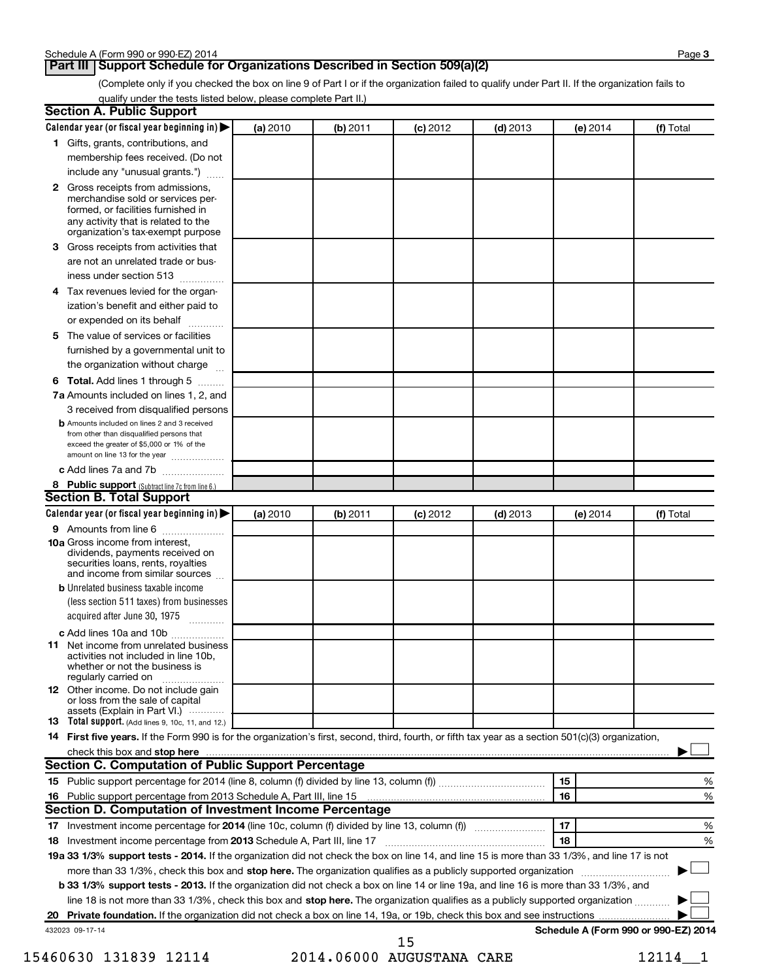#### **Part III Support Schedule for Organizations Described in Section 509(a)(2)**

(Complete only if you checked the box on line 9 of Part I or if the organization failed to qualify under Part II. If the organization fails to qualify under the tests listed below, please complete Part II.)

| <b>Section A. Public Support</b>                                                                                                                                                         |          |          |            |            |          |                                      |
|------------------------------------------------------------------------------------------------------------------------------------------------------------------------------------------|----------|----------|------------|------------|----------|--------------------------------------|
| Calendar year (or fiscal year beginning in)                                                                                                                                              | (a) 2010 | (b) 2011 | $(c)$ 2012 | $(d)$ 2013 | (e) 2014 | (f) Total                            |
| 1 Gifts, grants, contributions, and                                                                                                                                                      |          |          |            |            |          |                                      |
| membership fees received. (Do not                                                                                                                                                        |          |          |            |            |          |                                      |
| include any "unusual grants.")                                                                                                                                                           |          |          |            |            |          |                                      |
| 2 Gross receipts from admissions,<br>merchandise sold or services per-<br>formed, or facilities furnished in<br>any activity that is related to the<br>organization's tax-exempt purpose |          |          |            |            |          |                                      |
| 3 Gross receipts from activities that                                                                                                                                                    |          |          |            |            |          |                                      |
| are not an unrelated trade or bus-                                                                                                                                                       |          |          |            |            |          |                                      |
| iness under section 513                                                                                                                                                                  |          |          |            |            |          |                                      |
| 4 Tax revenues levied for the organ-                                                                                                                                                     |          |          |            |            |          |                                      |
| ization's benefit and either paid to                                                                                                                                                     |          |          |            |            |          |                                      |
| or expended on its behalf                                                                                                                                                                |          |          |            |            |          |                                      |
| 5 The value of services or facilities                                                                                                                                                    |          |          |            |            |          |                                      |
| furnished by a governmental unit to                                                                                                                                                      |          |          |            |            |          |                                      |
| the organization without charge                                                                                                                                                          |          |          |            |            |          |                                      |
| 6 Total. Add lines 1 through 5                                                                                                                                                           |          |          |            |            |          |                                      |
| 7a Amounts included on lines 1, 2, and                                                                                                                                                   |          |          |            |            |          |                                      |
| 3 received from disqualified persons                                                                                                                                                     |          |          |            |            |          |                                      |
| <b>b</b> Amounts included on lines 2 and 3 received<br>from other than disqualified persons that<br>exceed the greater of \$5,000 or 1% of the<br>amount on line 13 for the year         |          |          |            |            |          |                                      |
| c Add lines 7a and 7b                                                                                                                                                                    |          |          |            |            |          |                                      |
| 8 Public support (Subtract line 7c from line 6.)                                                                                                                                         |          |          |            |            |          |                                      |
| <b>Section B. Total Support</b>                                                                                                                                                          |          |          |            |            |          |                                      |
| Calendar year (or fiscal year beginning in)                                                                                                                                              | (a) 2010 | (b) 2011 | $(c)$ 2012 | $(d)$ 2013 | (e) 2014 | (f) Total                            |
| 9 Amounts from line 6                                                                                                                                                                    |          |          |            |            |          |                                      |
| <b>10a</b> Gross income from interest,<br>dividends, payments received on<br>securities loans, rents, royalties<br>and income from similar sources                                       |          |          |            |            |          |                                      |
| <b>b</b> Unrelated business taxable income                                                                                                                                               |          |          |            |            |          |                                      |
| (less section 511 taxes) from businesses                                                                                                                                                 |          |          |            |            |          |                                      |
| acquired after June 30, 1975                                                                                                                                                             |          |          |            |            |          |                                      |
| c Add lines 10a and 10b                                                                                                                                                                  |          |          |            |            |          |                                      |
| <b>11</b> Net income from unrelated business<br>activities not included in line 10b.<br>whether or not the business is<br>regularly carried on                                           |          |          |            |            |          |                                      |
| 12 Other income. Do not include gain<br>or loss from the sale of capital                                                                                                                 |          |          |            |            |          |                                      |
| assets (Explain in Part VI.)<br><b>13</b> Total support. (Add lines 9, 10c, 11, and 12.)                                                                                                 |          |          |            |            |          |                                      |
| 14 First five years. If the Form 990 is for the organization's first, second, third, fourth, or fifth tax year as a section 501(c)(3) organization,                                      |          |          |            |            |          |                                      |
| check this box and stop here                                                                                                                                                             |          |          |            |            |          |                                      |
| Section C. Computation of Public Support Percentage                                                                                                                                      |          |          |            |            |          |                                      |
|                                                                                                                                                                                          |          |          |            |            | 15       | %                                    |
| 16 Public support percentage from 2013 Schedule A, Part III, line 15                                                                                                                     |          |          |            |            | 16       | %                                    |
| Section D. Computation of Investment Income Percentage                                                                                                                                   |          |          |            |            |          |                                      |
|                                                                                                                                                                                          |          |          |            |            | 17       | %                                    |
| 18 Investment income percentage from 2013 Schedule A, Part III, line 17                                                                                                                  |          |          |            |            | 18       | %                                    |
| 19a 33 1/3% support tests - 2014. If the organization did not check the box on line 14, and line 15 is more than 33 1/3%, and line 17 is not                                             |          |          |            |            |          |                                      |
| more than 33 1/3%, check this box and stop here. The organization qualifies as a publicly supported organization                                                                         |          |          |            |            |          |                                      |
| b 33 1/3% support tests - 2013. If the organization did not check a box on line 14 or line 19a, and line 16 is more than 33 1/3%, and                                                    |          |          |            |            |          |                                      |
| line 18 is not more than 33 1/3%, check this box and stop here. The organization qualifies as a publicly supported organization                                                          |          |          |            |            |          |                                      |
|                                                                                                                                                                                          |          |          |            |            |          |                                      |
| 432023 09-17-14                                                                                                                                                                          |          |          |            |            |          | Schedule A (Form 990 or 990-EZ) 2014 |
|                                                                                                                                                                                          |          |          | 15         |            |          |                                      |

15460630 131839 12114 2014.06000 AUGUSTANA CARE 12114\_\_1 1. J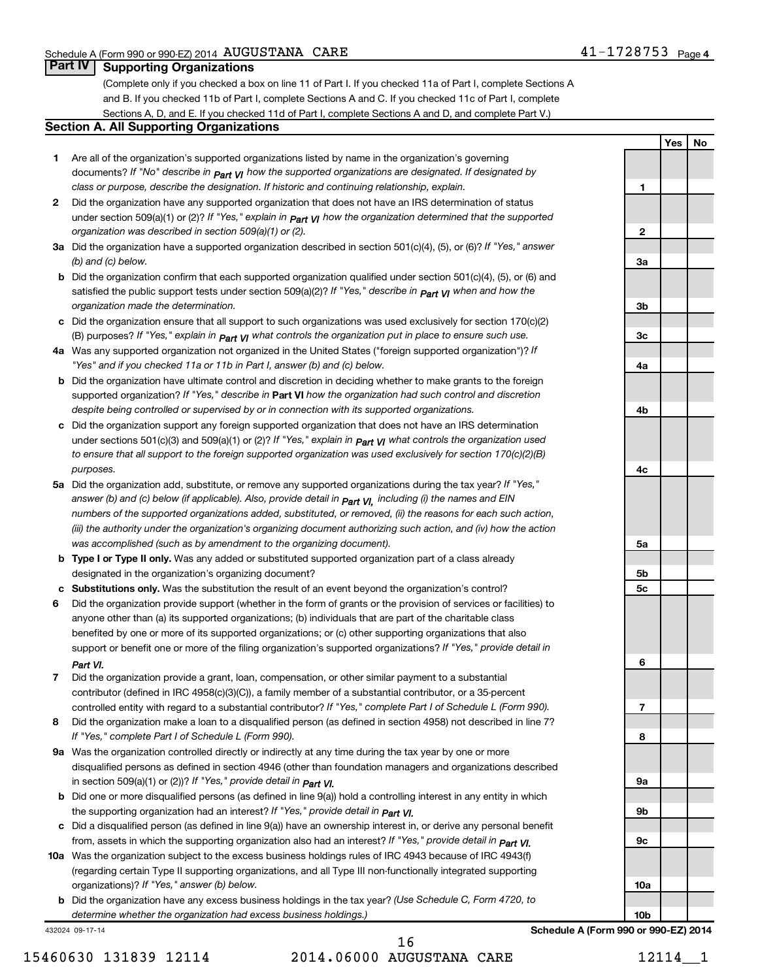**1**

**2**

**Yes No**

### **Part IV Supporting Organizations**

(Complete only if you checked a box on line 11 of Part I. If you checked 11a of Part I, complete Sections A and B. If you checked 11b of Part I, complete Sections A and C. If you checked 11c of Part I, complete Sections A, D, and E. If you checked 11d of Part I, complete Sections A and D, and complete Part V.)

#### **Section A. All Supporting Organizations**

- **1** Are all of the organization's supported organizations listed by name in the organization's governing documents? If "No" describe in  $_{\mathsf{Part}}$   $_{\mathsf{V}}$  how the supported organizations are designated. If designated by *class or purpose, describe the designation. If historic and continuing relationship, explain.*
- **2** Did the organization have any supported organization that does not have an IRS determination of status under section 509(a)(1) or (2)? If "Yes," explain in  $_{\sf Part}$   $_{\sf VI}$  how the organization determined that the supported *organization was described in section 509(a)(1) or (2).*
- **3a** Did the organization have a supported organization described in section 501(c)(4), (5), or (6)? If "Yes," answer *(b) and (c) below.*
- **b** Did the organization confirm that each supported organization qualified under section 501(c)(4), (5), or (6) and satisfied the public support tests under section 509(a)(2)? If "Yes," describe in  $_{\rm Part}$   $_{\rm VI}$  when and how the *organization made the determination.*
- **c** Did the organization ensure that all support to such organizations was used exclusively for section 170(c)(2) (B) purposes? If "Yes," explain in  $_{\mathsf{Part}}$   $_{\mathsf{V}}$  what controls the organization put in place to ensure such use.
- **4 a** *If* Was any supported organization not organized in the United States ("foreign supported organization")? *"Yes" and if you checked 11a or 11b in Part I, answer (b) and (c) below.*
- **b** Did the organization have ultimate control and discretion in deciding whether to make grants to the foreign supported organization? If "Yes," describe in Part VI how the organization had such control and discretion *despite being controlled or supervised by or in connection with its supported organizations.*
- **c** Did the organization support any foreign supported organization that does not have an IRS determination under sections 501(c)(3) and 509(a)(1) or (2)? If "Yes," ex*plain in*  $_{\sf Part}$  *v*J what controls the organization used *to ensure that all support to the foreign supported organization was used exclusively for section 170(c)(2)(B) purposes.*
- **5a** Did the organization add, substitute, or remove any supported organizations during the tax year? If "Yes," answer (b) and (c) below (if applicable). Also, provide detail in  $_{\mathsf{Part}}$   $_{\mathsf{V{\mathsf{I}}}}$ , including (i) the names and EIN *numbers of the supported organizations added, substituted, or removed, (ii) the reasons for each such action, (iii) the authority under the organization's organizing document authorizing such action, and (iv) how the action was accomplished (such as by amendment to the organizing document).*
- **b** Type I or Type II only. Was any added or substituted supported organization part of a class already designated in the organization's organizing document?
- **c Substitutions only.**  Was the substitution the result of an event beyond the organization's control?
- **6** Did the organization provide support (whether in the form of grants or the provision of services or facilities) to support or benefit one or more of the filing organization's supported organizations? If "Yes," provide detail in anyone other than (a) its supported organizations; (b) individuals that are part of the charitable class benefited by one or more of its supported organizations; or (c) other supporting organizations that also *Part VI.*
- **7** Did the organization provide a grant, loan, compensation, or other similar payment to a substantial controlled entity with regard to a substantial contributor? If "Yes," complete Part I of Schedule L (Form 990). contributor (defined in IRC 4958(c)(3)(C)), a family member of a substantial contributor, or a 35-percent
- **8** Did the organization make a loan to a disqualified person (as defined in section 4958) not described in line 7? *If "Yes," complete Part I of Schedule L (Form 990).*
- **9 a** Was the organization controlled directly or indirectly at any time during the tax year by one or more *If "Yes," provide detail in*  in section 509(a)(1) or (2))? *Part VI.* disqualified persons as defined in section 4946 (other than foundation managers and organizations described
- **b** Did one or more disqualified persons (as defined in line 9(a)) hold a controlling interest in any entity in which  *If "Yes," provide detail in*  the supporting organization had an interest? *Part VI.*
- **c** Did a disqualified person (as defined in line 9(a)) have an ownership interest in, or derive any personal benefit from, assets in which the supporting organization also had an interest? If "Yes," *provide detail in Part VI.*
- **10 a** Was the organization subject to the excess business holdings rules of IRC 4943 because of IRC 4943(f)  *If "Yes," answer (b) below.* organizations)? (regarding certain Type II supporting organizations, and all Type III non-functionally integrated supporting
	- **b** Did the organization have any excess business holdings in the tax year? (Use Schedule C, Form 4720, to *determine whether the organization had excess business holdings.)*

432024 09-17-14

**3a 3b 3c 4a 4b 4c 5a 5b 5c 6 7 8 9a 9b 9c 10a 10b**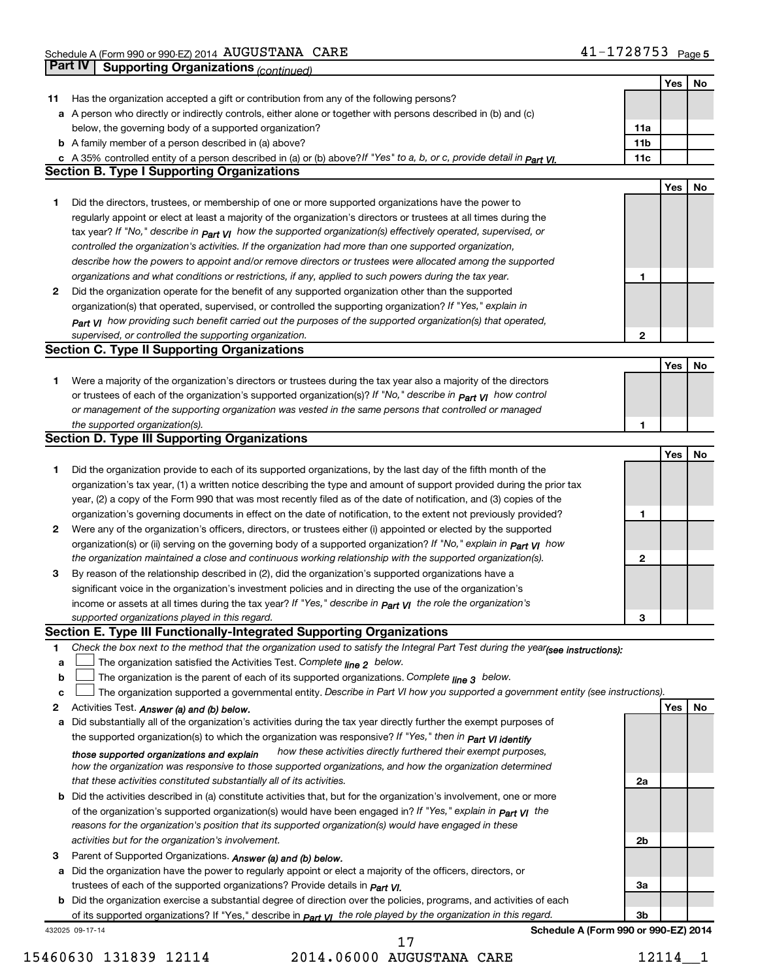|    | Part IV<br><b>Supporting Organizations (continued)</b>                                                                            |                 |     |    |
|----|-----------------------------------------------------------------------------------------------------------------------------------|-----------------|-----|----|
|    |                                                                                                                                   |                 | Yes | No |
| 11 | Has the organization accepted a gift or contribution from any of the following persons?                                           |                 |     |    |
|    | a A person who directly or indirectly controls, either alone or together with persons described in (b) and (c)                    |                 |     |    |
|    | below, the governing body of a supported organization?                                                                            | 11a             |     |    |
|    | <b>b</b> A family member of a person described in (a) above?                                                                      | 11 <sub>b</sub> |     |    |
|    | c A 35% controlled entity of a person described in (a) or (b) above?If "Yes" to a, b, or c, provide detail in Part VI.            | 11c             |     |    |
|    | <b>Section B. Type I Supporting Organizations</b>                                                                                 |                 |     |    |
|    |                                                                                                                                   |                 | Yes | No |
| 1  | Did the directors, trustees, or membership of one or more supported organizations have the power to                               |                 |     |    |
|    | regularly appoint or elect at least a majority of the organization's directors or trustees at all times during the                |                 |     |    |
|    | tax year? If "No," describe in $p_{art}$ VI how the supported organization(s) effectively operated, supervised, or                |                 |     |    |
|    | controlled the organization's activities. If the organization had more than one supported organization,                           |                 |     |    |
|    | describe how the powers to appoint and/or remove directors or trustees were allocated among the supported                         |                 |     |    |
|    | organizations and what conditions or restrictions, if any, applied to such powers during the tax year.                            | 1               |     |    |
| 2  | Did the organization operate for the benefit of any supported organization other than the supported                               |                 |     |    |
|    | organization(s) that operated, supervised, or controlled the supporting organization? If "Yes," explain in                        |                 |     |    |
|    | Part VI how providing such benefit carried out the purposes of the supported organization(s) that operated,                       |                 |     |    |
|    | supervised, or controlled the supporting organization.                                                                            | 2               |     |    |
|    | <b>Section C. Type II Supporting Organizations</b>                                                                                |                 |     |    |
|    |                                                                                                                                   |                 | Yes | No |
| 1. | Were a majority of the organization's directors or trustees during the tax year also a majority of the directors                  |                 |     |    |
|    | or trustees of each of the organization's supported organization(s)? If "No," describe in <b>Part VI</b> how control              |                 |     |    |
|    | or management of the supporting organization was vested in the same persons that controlled or managed                            |                 |     |    |
|    | the supported organization(s).                                                                                                    | 1               |     |    |
|    | <b>Section D. Type III Supporting Organizations</b>                                                                               |                 |     |    |
|    |                                                                                                                                   |                 | Yes | No |
| 1  | Did the organization provide to each of its supported organizations, by the last day of the fifth month of the                    |                 |     |    |
|    | organization's tax year, (1) a written notice describing the type and amount of support provided during the prior tax             |                 |     |    |
|    | year, (2) a copy of the Form 990 that was most recently filed as of the date of notification, and (3) copies of the               |                 |     |    |
|    | organization's governing documents in effect on the date of notification, to the extent not previously provided?                  | 1               |     |    |
| 2  | Were any of the organization's officers, directors, or trustees either (i) appointed or elected by the supported                  |                 |     |    |
|    | organization(s) or (ii) serving on the governing body of a supported organization? If "No," explain in part VI how                |                 |     |    |
|    | the organization maintained a close and continuous working relationship with the supported organization(s).                       | 2               |     |    |
| 3  | By reason of the relationship described in (2), did the organization's supported organizations have a                             |                 |     |    |
|    | significant voice in the organization's investment policies and in directing the use of the organization's                        |                 |     |    |
|    | income or assets at all times during the tax year? If "Yes," describe in $P_{\text{art } VI}$ the role the organization's         |                 |     |    |
|    | supported organizations played in this regard.                                                                                    | з               |     |    |
|    | Section E. Type III Functionally-Integrated Supporting Organizations                                                              |                 |     |    |
| 1  | Check the box next to the method that the organization used to satisfy the Integral Part Test during the year(see instructions):  |                 |     |    |
| а  | The organization satisfied the Activities Test. Complete line 2 below.                                                            |                 |     |    |
| b  | The organization is the parent of each of its supported organizations. Complete $_{\text{line 3}}$ below.                         |                 |     |    |
| c  | The organization supported a governmental entity. Describe in Part VI how you supported a government entity (see instructions).   |                 |     |    |
| 2  | Activities Test. Answer (a) and (b) below.                                                                                        |                 | Yes | No |
| а  | Did substantially all of the organization's activities during the tax year directly further the exempt purposes of                |                 |     |    |
|    | the supported organization(s) to which the organization was responsive? If "Yes," then in Part VI identify                        |                 |     |    |
|    | how these activities directly furthered their exempt purposes,<br>those supported organizations and explain                       |                 |     |    |
|    | how the organization was responsive to those supported organizations, and how the organization determined                         |                 |     |    |
|    | that these activities constituted substantially all of its activities.                                                            | 2a              |     |    |
| b  | Did the activities described in (a) constitute activities that, but for the organization's involvement, one or more               |                 |     |    |
|    | of the organization's supported organization(s) would have been engaged in? If "Yes," explain in <b>Part VI</b> the               |                 |     |    |
|    | reasons for the organization's position that its supported organization(s) would have engaged in these                            |                 |     |    |
|    | activities but for the organization's involvement.                                                                                | 2b              |     |    |
| З  | Parent of Supported Organizations. Answer (a) and (b) below.                                                                      |                 |     |    |
| а  | Did the organization have the power to regularly appoint or elect a majority of the officers, directors, or                       |                 |     |    |
|    | trustees of each of the supported organizations? Provide details in <i>Part VI.</i>                                               | За              |     |    |
|    | <b>b</b> Did the organization exercise a substantial degree of direction over the policies, programs, and activities of each      |                 |     |    |
|    | of its supported organizations? If "Yes," describe in $P_{\text{diff}}$ $y_1$ the role played by the organization in this regard. | 3b              |     |    |
|    | Schedule A (Form 990 or 990-EZ) 2014<br>432025 09-17-14                                                                           |                 |     |    |

<sup>15460630 131839 12114 2014.06000</sup> AUGUSTANA CARE 12114\_1 17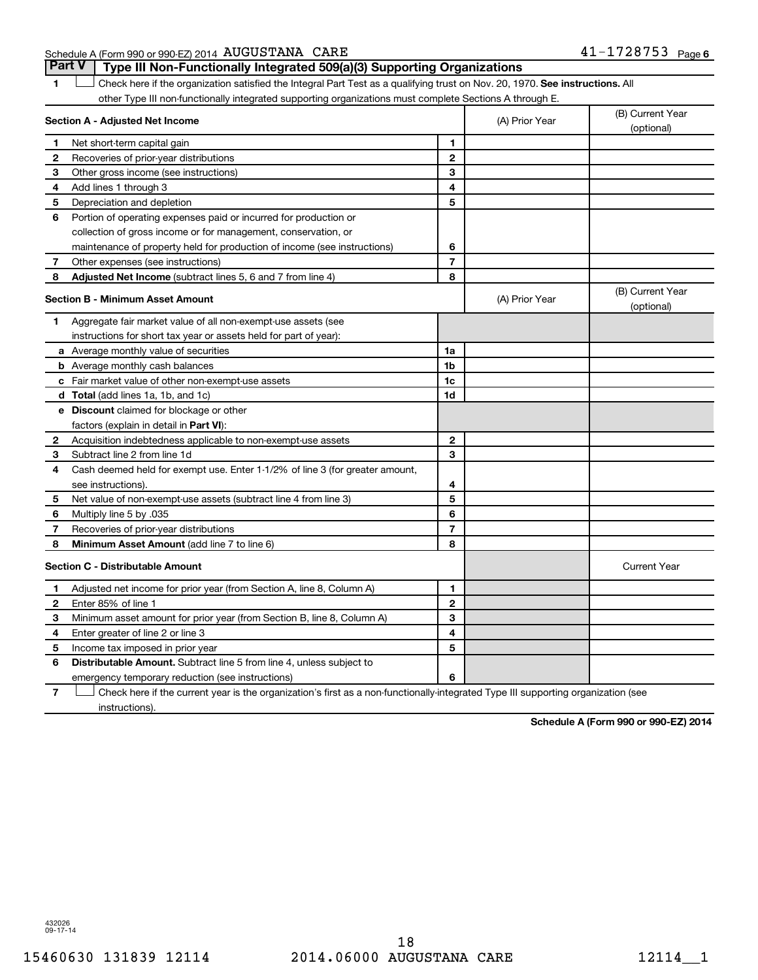#### Schedule A (Form 990 or 990-EZ) 2014 Page AUGUSTANA CARE 41-1728753

1 **Letter on Reck here if the organization satisfied the Integral Part Test as a qualifying trust on Nov. 20, 1970. See instructions. All** other Type III non-functionally integrated supporting organizations must complete Sections A through E. **Part V Type III Non-Functionally Integrated 509(a)(3) Supporting Organizations** 

| Section A - Adjusted Net Income         |                                                                              |                | (A) Prior Year | (B) Current Year<br>(optional) |
|-----------------------------------------|------------------------------------------------------------------------------|----------------|----------------|--------------------------------|
| 1                                       | Net short-term capital gain                                                  | 1              |                |                                |
| 2                                       | Recoveries of prior-year distributions                                       | $\mathbf{2}$   |                |                                |
| З                                       | Other gross income (see instructions)                                        | 3              |                |                                |
| 4                                       | Add lines 1 through 3                                                        | 4              |                |                                |
| 5                                       | Depreciation and depletion                                                   | 5              |                |                                |
| 6                                       | Portion of operating expenses paid or incurred for production or             |                |                |                                |
|                                         | collection of gross income or for management, conservation, or               |                |                |                                |
|                                         | maintenance of property held for production of income (see instructions)     | 6              |                |                                |
| 7                                       | Other expenses (see instructions)                                            | $\overline{7}$ |                |                                |
| 8                                       | Adjusted Net Income (subtract lines 5, 6 and 7 from line 4)                  | 8              |                |                                |
|                                         | <b>Section B - Minimum Asset Amount</b>                                      |                | (A) Prior Year | (B) Current Year<br>(optional) |
| 1                                       | Aggregate fair market value of all non-exempt-use assets (see                |                |                |                                |
|                                         | instructions for short tax year or assets held for part of year):            |                |                |                                |
|                                         | <b>a</b> Average monthly value of securities                                 | 1a             |                |                                |
|                                         | <b>b</b> Average monthly cash balances                                       | 1 <sub>b</sub> |                |                                |
|                                         | <b>c</b> Fair market value of other non-exempt-use assets                    | 1c             |                |                                |
|                                         | d Total (add lines 1a, 1b, and 1c)                                           | 1d             |                |                                |
|                                         | e Discount claimed for blockage or other                                     |                |                |                                |
|                                         | factors (explain in detail in Part VI):                                      |                |                |                                |
| 2                                       | Acquisition indebtedness applicable to non-exempt-use assets                 | $\mathbf{2}$   |                |                                |
| 3                                       | Subtract line 2 from line 1d                                                 | 3              |                |                                |
| 4                                       | Cash deemed held for exempt use. Enter 1-1/2% of line 3 (for greater amount, |                |                |                                |
|                                         | see instructions).                                                           | 4              |                |                                |
| 5                                       | Net value of non-exempt-use assets (subtract line 4 from line 3)             | 5              |                |                                |
| 6                                       | Multiply line 5 by .035                                                      | 6              |                |                                |
| 7                                       | Recoveries of prior-year distributions                                       | $\overline{7}$ |                |                                |
| 8                                       | <b>Minimum Asset Amount (add line 7 to line 6)</b>                           | 8              |                |                                |
| <b>Section C - Distributable Amount</b> |                                                                              |                |                | <b>Current Year</b>            |
| 1                                       | Adjusted net income for prior year (from Section A, line 8, Column A)        | 1              |                |                                |
| $\mathbf{2}$                            | Enter 85% of line 1                                                          | $\mathbf{2}$   |                |                                |
| 3                                       | Minimum asset amount for prior year (from Section B, line 8, Column A)       | 3              |                |                                |
| 4                                       | Enter greater of line 2 or line 3                                            | 4              |                |                                |
| 5                                       | Income tax imposed in prior year                                             | 5              |                |                                |
| 6                                       | <b>Distributable Amount.</b> Subtract line 5 from line 4, unless subject to  |                |                |                                |
|                                         | emergency temporary reduction (see instructions)                             | 6              |                |                                |
|                                         |                                                                              |                |                |                                |

**7** Check here if the current year is the organization's first as a non-functionally-integrated Type III supporting organization (see † instructions).

**Schedule A (Form 990 or 990-EZ) 2014**

432026 09-17-14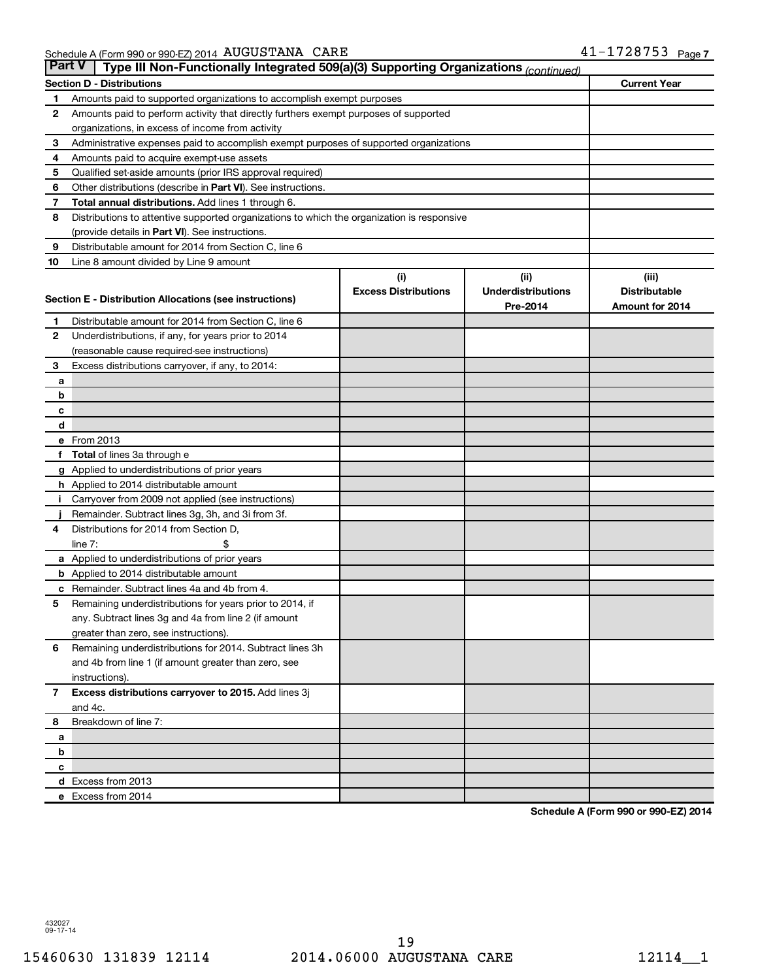| Part V         | Type III Non-Functionally Integrated 509(a)(3) Supporting Organizations (continued)        |                             |                           |                        |  |  |  |  |
|----------------|--------------------------------------------------------------------------------------------|-----------------------------|---------------------------|------------------------|--|--|--|--|
|                | <b>Current Year</b><br><b>Section D - Distributions</b>                                    |                             |                           |                        |  |  |  |  |
| 1              | Amounts paid to supported organizations to accomplish exempt purposes                      |                             |                           |                        |  |  |  |  |
| 2              | Amounts paid to perform activity that directly furthers exempt purposes of supported       |                             |                           |                        |  |  |  |  |
|                | organizations, in excess of income from activity                                           |                             |                           |                        |  |  |  |  |
| 3              | Administrative expenses paid to accomplish exempt purposes of supported organizations      |                             |                           |                        |  |  |  |  |
| 4              | Amounts paid to acquire exempt-use assets                                                  |                             |                           |                        |  |  |  |  |
| 5              | Qualified set-aside amounts (prior IRS approval required)                                  |                             |                           |                        |  |  |  |  |
| 6              | Other distributions (describe in Part VI). See instructions.                               |                             |                           |                        |  |  |  |  |
| 7              | <b>Total annual distributions.</b> Add lines 1 through 6.                                  |                             |                           |                        |  |  |  |  |
| 8              | Distributions to attentive supported organizations to which the organization is responsive |                             |                           |                        |  |  |  |  |
|                | (provide details in Part VI). See instructions.                                            |                             |                           |                        |  |  |  |  |
| 9              | Distributable amount for 2014 from Section C, line 6                                       |                             |                           |                        |  |  |  |  |
| 10             | Line 8 amount divided by Line 9 amount                                                     |                             |                           |                        |  |  |  |  |
|                |                                                                                            | (i)                         | (ii)                      | (iii)                  |  |  |  |  |
|                |                                                                                            | <b>Excess Distributions</b> | <b>Underdistributions</b> | <b>Distributable</b>   |  |  |  |  |
|                | Section E - Distribution Allocations (see instructions)                                    |                             | Pre-2014                  | <b>Amount for 2014</b> |  |  |  |  |
| 1              | Distributable amount for 2014 from Section C, line 6                                       |                             |                           |                        |  |  |  |  |
| 2              | Underdistributions, if any, for years prior to 2014                                        |                             |                           |                        |  |  |  |  |
|                | (reasonable cause required-see instructions)                                               |                             |                           |                        |  |  |  |  |
| 3              | Excess distributions carryover, if any, to 2014:                                           |                             |                           |                        |  |  |  |  |
| a              |                                                                                            |                             |                           |                        |  |  |  |  |
| b              |                                                                                            |                             |                           |                        |  |  |  |  |
| с              |                                                                                            |                             |                           |                        |  |  |  |  |
| d              |                                                                                            |                             |                           |                        |  |  |  |  |
|                | e From 2013                                                                                |                             |                           |                        |  |  |  |  |
| f              | <b>Total</b> of lines 3a through e                                                         |                             |                           |                        |  |  |  |  |
|                | <b>g</b> Applied to underdistributions of prior years                                      |                             |                           |                        |  |  |  |  |
|                | <b>h</b> Applied to 2014 distributable amount                                              |                             |                           |                        |  |  |  |  |
|                | Carryover from 2009 not applied (see instructions)                                         |                             |                           |                        |  |  |  |  |
|                | Remainder. Subtract lines 3g, 3h, and 3i from 3f.                                          |                             |                           |                        |  |  |  |  |
| 4              | Distributions for 2014 from Section D,                                                     |                             |                           |                        |  |  |  |  |
|                | line $7:$                                                                                  |                             |                           |                        |  |  |  |  |
|                | a Applied to underdistributions of prior years                                             |                             |                           |                        |  |  |  |  |
|                | <b>b</b> Applied to 2014 distributable amount                                              |                             |                           |                        |  |  |  |  |
| с              | Remainder. Subtract lines 4a and 4b from 4.                                                |                             |                           |                        |  |  |  |  |
| 5              | Remaining underdistributions for years prior to 2014, if                                   |                             |                           |                        |  |  |  |  |
|                | any. Subtract lines 3g and 4a from line 2 (if amount                                       |                             |                           |                        |  |  |  |  |
|                | greater than zero, see instructions).                                                      |                             |                           |                        |  |  |  |  |
| 6              | Remaining underdistributions for 2014. Subtract lines 3h                                   |                             |                           |                        |  |  |  |  |
|                | and 4b from line 1 (if amount greater than zero, see                                       |                             |                           |                        |  |  |  |  |
|                | instructions).                                                                             |                             |                           |                        |  |  |  |  |
| $\overline{7}$ | Excess distributions carryover to 2015. Add lines 3j                                       |                             |                           |                        |  |  |  |  |
|                | and 4c.                                                                                    |                             |                           |                        |  |  |  |  |
| 8              | Breakdown of line 7:                                                                       |                             |                           |                        |  |  |  |  |
| а              |                                                                                            |                             |                           |                        |  |  |  |  |
| b              |                                                                                            |                             |                           |                        |  |  |  |  |
| c              |                                                                                            |                             |                           |                        |  |  |  |  |
|                | d Excess from 2013                                                                         |                             |                           |                        |  |  |  |  |
|                | e Excess from 2014                                                                         |                             |                           |                        |  |  |  |  |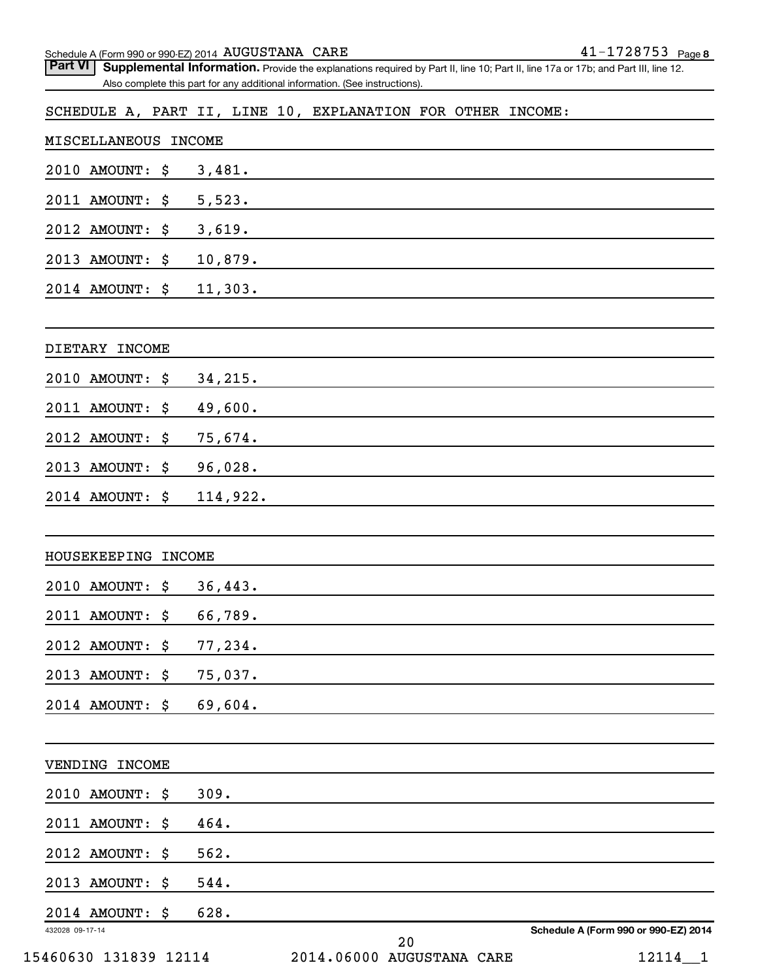|                              | Schedule A (Form 990 or 990-EZ) 2014 AUGUSTANA CARE                                                                               | $41 - 1728753$ Page 8                |
|------------------------------|-----------------------------------------------------------------------------------------------------------------------------------|--------------------------------------|
| <b>Part VI</b>               | Supplemental Information. Provide the explanations required by Part II, line 10; Part II, line 17a or 17b; and Part III, line 12. |                                      |
|                              | Also complete this part for any additional information. (See instructions).                                                       |                                      |
|                              | SCHEDULE A, PART II, LINE 10, EXPLANATION FOR OTHER INCOME:                                                                       |                                      |
| MISCELLANEOUS                | <b>INCOME</b>                                                                                                                     |                                      |
| 2010<br><b>AMOUNT:</b><br>\$ | 3,481.                                                                                                                            |                                      |
| 2011<br><b>AMOUNT:</b><br>\$ | 5,523.                                                                                                                            |                                      |
| 2012<br><b>AMOUNT:</b><br>\$ | 3,619.                                                                                                                            |                                      |
| 2013<br><b>AMOUNT:</b><br>\$ | 10,879.                                                                                                                           |                                      |
| 2014 AMOUNT:<br>\$           | 11,303.                                                                                                                           |                                      |
|                              |                                                                                                                                   |                                      |
| DIETARY INCOME               |                                                                                                                                   |                                      |
| 2010<br><b>AMOUNT:</b><br>\$ | 34,215.                                                                                                                           |                                      |
| 2011<br><b>AMOUNT:</b><br>\$ | 49,600.                                                                                                                           |                                      |
| 2012<br><b>AMOUNT:</b><br>\$ | 75,674.                                                                                                                           |                                      |
| 2013<br><b>AMOUNT:</b><br>\$ | 96,028.                                                                                                                           |                                      |
| 2014 AMOUNT:<br>\$           | 114,922.                                                                                                                          |                                      |
|                              |                                                                                                                                   |                                      |
| HOUSEKEEPING INCOME          |                                                                                                                                   |                                      |
| 2010<br><b>AMOUNT:</b><br>\$ | 36,443.                                                                                                                           |                                      |
| 2011 AMOUNT:<br>\$           | 66,789.                                                                                                                           |                                      |
| 2012 AMOUNT:<br>\$           | 77,234.                                                                                                                           |                                      |
| <b>AMOUNT:</b><br>2013<br>\$ | 75,037.                                                                                                                           |                                      |
| 2014 AMOUNT:<br>\$           | 69,604.                                                                                                                           |                                      |
|                              |                                                                                                                                   |                                      |
| VENDING INCOME               |                                                                                                                                   |                                      |
| 2010 AMOUNT:<br>\$           | 309.                                                                                                                              |                                      |
| 2011<br><b>AMOUNT:</b><br>\$ | 464.                                                                                                                              |                                      |
| 2012 AMOUNT:<br>\$           | 562.                                                                                                                              |                                      |
| 2013<br><b>AMOUNT:</b><br>\$ | 544.                                                                                                                              |                                      |
| 2014 AMOUNT:<br>\$           | 628.                                                                                                                              |                                      |
| 432028 09-17-14              | 2.0                                                                                                                               | Schedule A (Form 990 or 990-EZ) 2014 |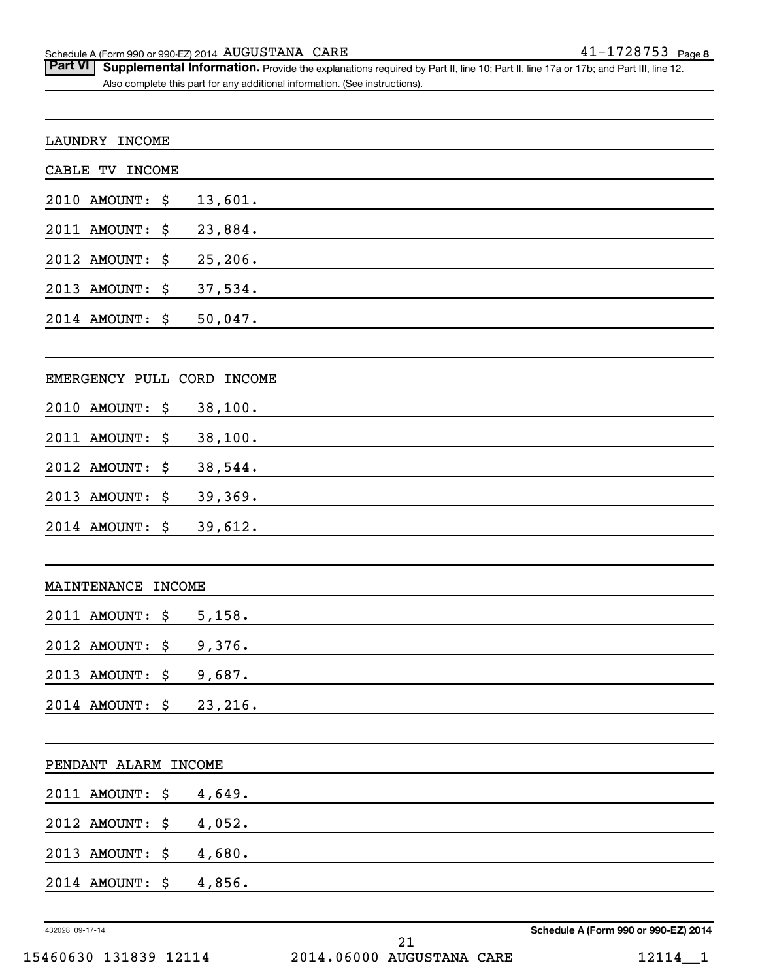Schedule A (Form 990 or 990-EZ) 2014 Page AUGUSTANA CARE 41-1728753

Part VI | Supplemental Information. Provide the explanations required by Part II, line 10; Part II, line 17a or 17b; and Part III, line 12. Also complete this part for any additional information. (See instructions).

| LAUNDRY INCOME             |                                      |
|----------------------------|--------------------------------------|
| CABLE TV INCOME            |                                      |
| 2010 AMOUNT:<br>\$         | 13,601.                              |
| 2011 AMOUNT:<br>\$         | 23,884.                              |
| 2012 AMOUNT:<br>\$         | 25,206.                              |
| 2013 AMOUNT:<br>\$         | 37,534.                              |
| 2014 AMOUNT:<br>\$         | 50,047.                              |
| EMERGENCY PULL CORD INCOME |                                      |
| 2010 AMOUNT:<br>\$         | 38,100.                              |
| 2011 AMOUNT:<br>\$         | 38,100.                              |
| 2012 AMOUNT:<br>\$         | 38,544.                              |
| 2013 AMOUNT:<br>\$         | 39,369.                              |
| 2014 AMOUNT:<br>\$         | 39,612.                              |
| MAINTENANCE INCOME         |                                      |
| 2011 AMOUNT:<br>\$         | 5,158.                               |
| 2012 AMOUNT:<br>\$         | 9,376.                               |
| \$<br>2013 AMOUNT:         | 9,687.                               |
| 2014 AMOUNT: \$            | 23, 216.                             |
| PENDANT ALARM INCOME       |                                      |
| 2011 AMOUNT:<br>\$         | 4,649.                               |
| 2012 AMOUNT:<br>\$         | 4,052.                               |
| 2013 AMOUNT:<br>\$         | 4,680.                               |
| 2014 AMOUNT:<br>\$         | 4,856.                               |
| 432028 09-17-14            | Schedule A (Form 990 or 990-EZ) 2014 |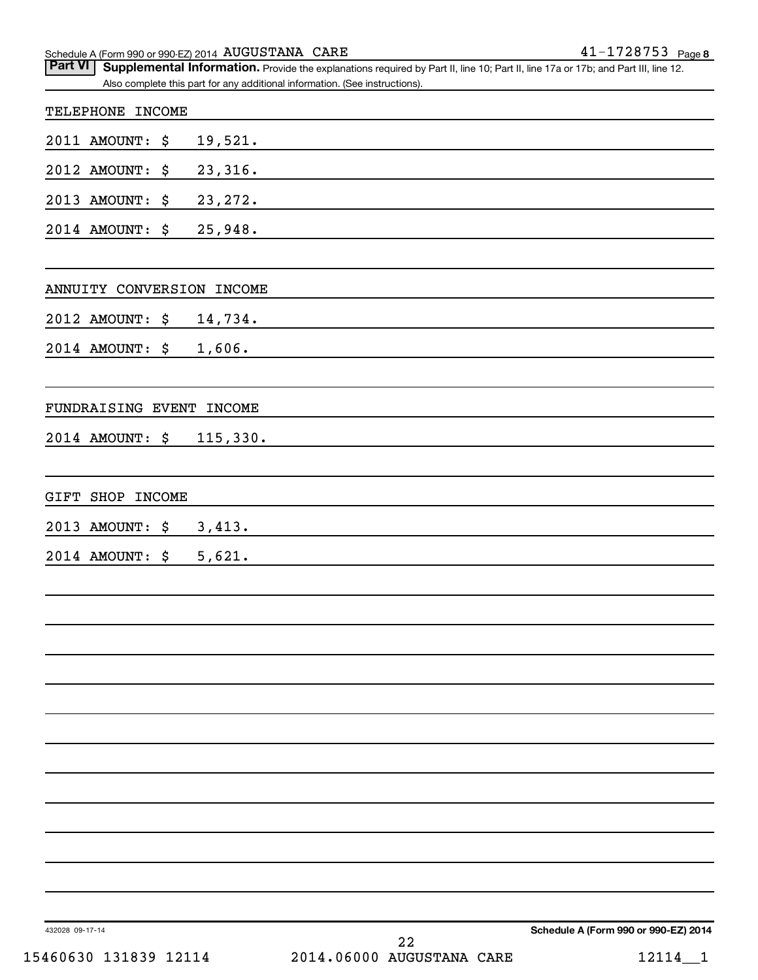| $41 - 1728753$ Page 8<br>Schedule A (Form 990 or 990-EZ) 2014 $\,$ AUGUSTANA $\,$ CARE |
|----------------------------------------------------------------------------------------|
|----------------------------------------------------------------------------------------|

| Part VI Supplemental Information. Provide the explanations required by Part II, line 10; Part II, line 17a or 17b; and Part III, line 12. |  |
|-------------------------------------------------------------------------------------------------------------------------------------------|--|
| Also complete this part for any additional information. (See instructions).                                                               |  |
|                                                                                                                                           |  |

| TELEPHONE INCOME          |          |  |  |  |  |  |
|---------------------------|----------|--|--|--|--|--|
| 2011 AMOUNT: \$           | 19,521.  |  |  |  |  |  |
| 2012 AMOUNT: \$           | 23,316.  |  |  |  |  |  |
| 2013 AMOUNT: \$           | 23, 272. |  |  |  |  |  |
| 2014 AMOUNT: \$           | 25,948.  |  |  |  |  |  |
|                           |          |  |  |  |  |  |
| ANNUITY CONVERSION INCOME |          |  |  |  |  |  |
| 2012 AMOUNT: \$           | 14,734.  |  |  |  |  |  |
| 2014 AMOUNT: \$           | 1,606.   |  |  |  |  |  |
|                           |          |  |  |  |  |  |
| FUNDRAISING EVENT INCOME  |          |  |  |  |  |  |
| 2014 AMOUNT: \$           | 115,330. |  |  |  |  |  |
|                           |          |  |  |  |  |  |
| GIFT SHOP INCOME          |          |  |  |  |  |  |
| 2013 AMOUNT: \$           | 3,413.   |  |  |  |  |  |
| 2014 AMOUNT: \$           | 5,621.   |  |  |  |  |  |
|                           |          |  |  |  |  |  |
|                           |          |  |  |  |  |  |
|                           |          |  |  |  |  |  |
|                           |          |  |  |  |  |  |
|                           |          |  |  |  |  |  |
|                           |          |  |  |  |  |  |
|                           |          |  |  |  |  |  |
|                           |          |  |  |  |  |  |
|                           |          |  |  |  |  |  |
|                           |          |  |  |  |  |  |
|                           |          |  |  |  |  |  |
|                           |          |  |  |  |  |  |

432028 09-17-14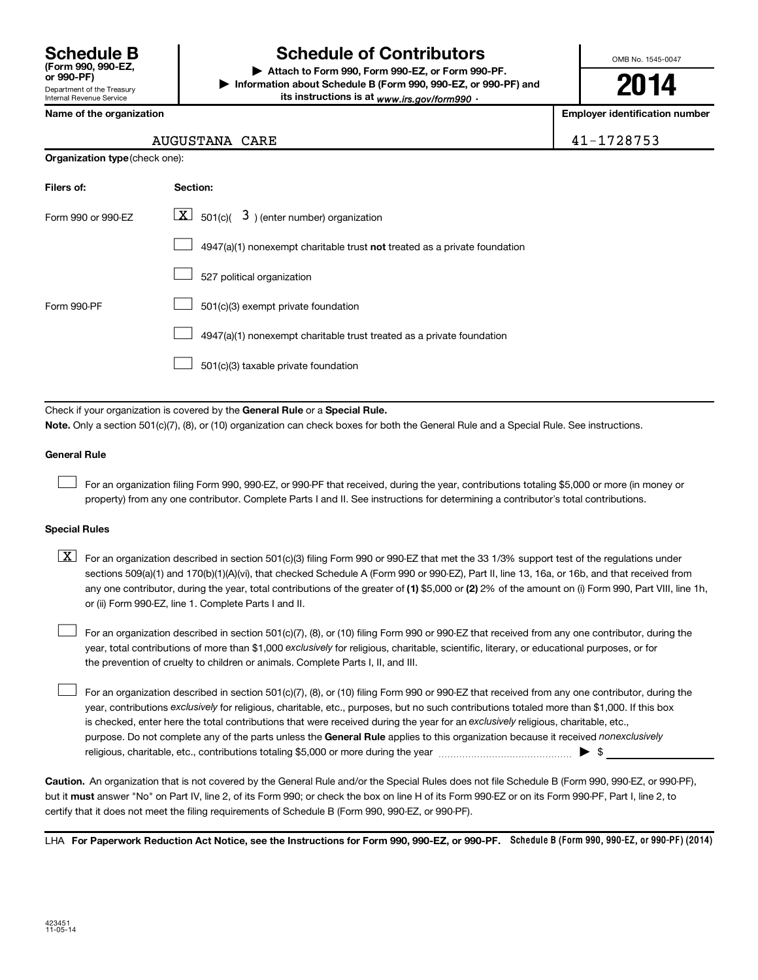Department of the Treasury Internal Revenue Service **(Form 990, 990-EZ,**

# **Schedule B Schedule of Contributors**

**or 990-PF) | Attach to Form 990, Form 990-EZ, or Form 990-PF. | Information about Schedule B (Form 990, 990-EZ, or 990-PF) and** its instructions is at <sub>www.irs.gov/form990  $\cdot$ </sub>

OMB No. 1545-0047

**2014**

**Name of the organization Employer identification number**

#### AUGUSTANA CARE 41-1728753

| <b>Organization type (check one):</b> |                                                                           |  |  |  |
|---------------------------------------|---------------------------------------------------------------------------|--|--|--|
| Filers of:                            | Section:                                                                  |  |  |  |
| Form 990 or 990-EZ                    | $\lfloor \underline{X} \rfloor$ 501(c)( 3) (enter number) organization    |  |  |  |
|                                       | 4947(a)(1) nonexempt charitable trust not treated as a private foundation |  |  |  |
|                                       | 527 political organization                                                |  |  |  |
| Form 990-PF                           | 501(c)(3) exempt private foundation                                       |  |  |  |
|                                       | 4947(a)(1) nonexempt charitable trust treated as a private foundation     |  |  |  |
|                                       | 501(c)(3) taxable private foundation                                      |  |  |  |
|                                       |                                                                           |  |  |  |

Check if your organization is covered by the General Rule or a Special Rule.

**Note.**  Only a section 501(c)(7), (8), or (10) organization can check boxes for both the General Rule and a Special Rule. See instructions.

#### **General Rule**

 $\Box$ 

For an organization filing Form 990, 990-EZ, or 990-PF that received, during the year, contributions totaling \$5,000 or more (in money or property) from any one contributor. Complete Parts I and II. See instructions for determining a contributor's total contributions.

#### **Special Rules**

any one contributor, during the year, total contributions of the greater of **(1)** \$5,000 or **(2)** 2% of the amount on (i) Form 990, Part VIII, line 1h,  $\boxed{\text{X}}$  For an organization described in section 501(c)(3) filing Form 990 or 990-EZ that met the 33 1/3% support test of the regulations under sections 509(a)(1) and 170(b)(1)(A)(vi), that checked Schedule A (Form 990 or 990-EZ), Part II, line 13, 16a, or 16b, and that received from or (ii) Form 990-EZ, line 1. Complete Parts I and II.

year, total contributions of more than \$1,000 *exclusively* for religious, charitable, scientific, literary, or educational purposes, or for For an organization described in section 501(c)(7), (8), or (10) filing Form 990 or 990-EZ that received from any one contributor, during the the prevention of cruelty to children or animals. Complete Parts I, II, and III.  $\Box$ 

purpose. Do not complete any of the parts unless the General Rule applies to this organization because it received nonexclusively year, contributions exclusively for religious, charitable, etc., purposes, but no such contributions totaled more than \$1,000. If this box is checked, enter here the total contributions that were received during the year for an exclusively religious, charitable, etc., For an organization described in section 501(c)(7), (8), or (10) filing Form 990 or 990-EZ that received from any one contributor, during the religious, charitable, etc., contributions totaling \$5,000 or more during the year  $\ldots$  $\ldots$  $\ldots$  $\ldots$  $\ldots$  $\ldots$  $\Box$ 

**Caution.** An organization that is not covered by the General Rule and/or the Special Rules does not file Schedule B (Form 990, 990-EZ, or 990-PF),  **must** but it answer "No" on Part IV, line 2, of its Form 990; or check the box on line H of its Form 990-EZ or on its Form 990-PF, Part I, line 2, to certify that it does not meet the filing requirements of Schedule B (Form 990, 990-EZ, or 990-PF).

LHA For Paperwork Reduction Act Notice, see the Instructions for Form 990, 990-EZ, or 990-PF. Schedule B (Form 990, 990-EZ, or 990-PF) (2014)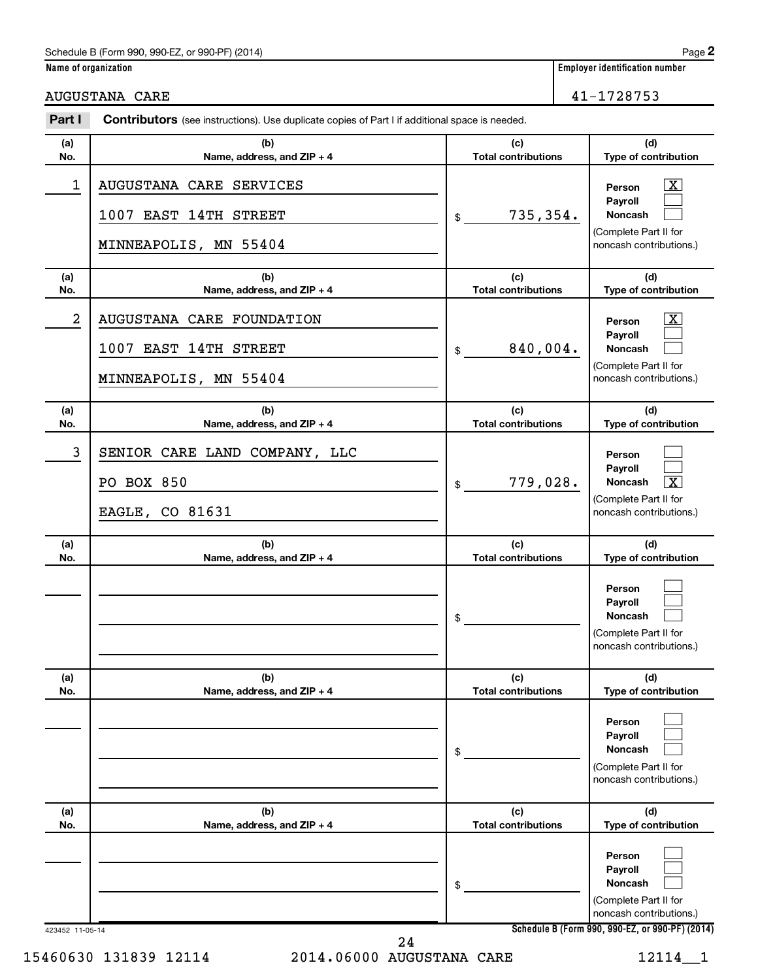#### Schedule B (Form 990, 990-EZ, or 990-PF) (2014)

**Name of organization Employer identification number**

## AUGUSTANA CARE 41-1728753

| Part I           | <b>Contributors</b> (see instructions). Use duplicate copies of Part I if additional space is needed. |                                   |                                                                                                                    |
|------------------|-------------------------------------------------------------------------------------------------------|-----------------------------------|--------------------------------------------------------------------------------------------------------------------|
| (a)<br>No.       | (b)<br>Name, address, and ZIP + 4                                                                     | (c)<br><b>Total contributions</b> | (d)<br>Type of contribution                                                                                        |
| 1                | AUGUSTANA CARE SERVICES<br>1007 EAST 14TH STREET<br>MINNEAPOLIS, MN 55404                             | 735,354.<br>\$                    | $\mathbf{X}$<br>Person<br>Payroll<br><b>Noncash</b><br>(Complete Part II for<br>noncash contributions.)            |
| (a)<br>No.       | (b)<br>Name, address, and ZIP + 4                                                                     | (c)<br><b>Total contributions</b> | (d)<br>Type of contribution                                                                                        |
| $\boldsymbol{2}$ | AUGUSTANA CARE FOUNDATION<br>1007 EAST 14TH STREET<br>MINNEAPOLIS, MN 55404                           | 840,004.<br>\$                    | $\overline{\mathbf{X}}$<br>Person<br>Payroll<br><b>Noncash</b><br>(Complete Part II for<br>noncash contributions.) |
| (a)<br>No.       | (b)<br>Name, address, and ZIP + 4                                                                     | (c)<br><b>Total contributions</b> | (d)<br>Type of contribution                                                                                        |
| 3                | SENIOR CARE LAND COMPANY, LLC<br>PO BOX 850<br>EAGLE, CO 81631                                        | 779,028.<br>\$                    | Person<br>Payroll<br>$\overline{\mathbf{x}}$<br><b>Noncash</b><br>(Complete Part II for<br>noncash contributions.) |
| (a)<br>No.       | (b)<br>Name, address, and ZIP + 4                                                                     | (c)<br><b>Total contributions</b> | (d)<br>Type of contribution                                                                                        |
|                  |                                                                                                       | \$                                | Person<br>Payroll<br><b>Noncash</b><br>(Complete Part II for<br>noncash contributions.)                            |
| (a)<br>No.       | (b)<br>Name, address, and ZIP + 4                                                                     | (c)<br><b>Total contributions</b> | (d)<br>Type of contribution                                                                                        |
|                  |                                                                                                       | \$                                | Person<br>Payroll<br><b>Noncash</b><br>(Complete Part II for<br>noncash contributions.)                            |
| (a)<br>No.       | (b)<br>Name, address, and ZIP + 4                                                                     | (c)<br><b>Total contributions</b> | (d)<br>Type of contribution                                                                                        |
|                  |                                                                                                       | \$                                | Person<br>Payroll<br><b>Noncash</b><br>(Complete Part II for<br>noncash contributions.)                            |
| 423452 11-05-14  |                                                                                                       | 24                                | Schedule B (Form 990, 990-EZ, or 990-PF) (2014)                                                                    |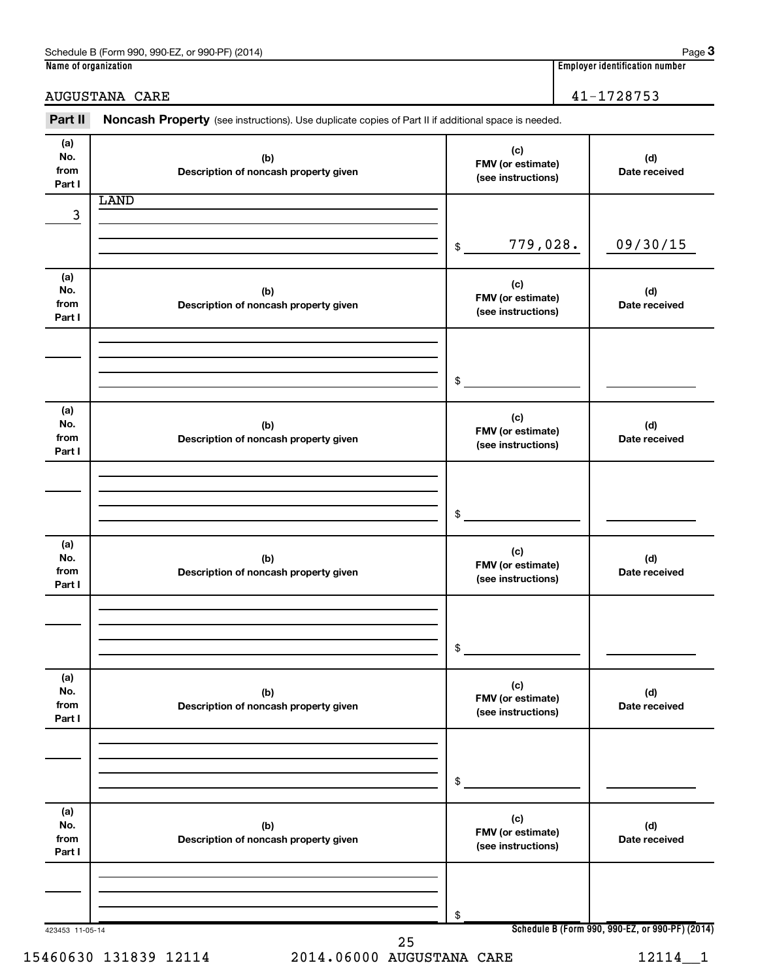| Part II                      | Noncash Property (see instructions). Use duplicate copies of Part II if additional space is needed. |                                                |                      |
|------------------------------|-----------------------------------------------------------------------------------------------------|------------------------------------------------|----------------------|
|                              |                                                                                                     |                                                |                      |
| (a)<br>No.<br>from<br>Part I | (b)<br>Description of noncash property given                                                        | (c)<br>FMV (or estimate)<br>(see instructions) | (d)<br>Date received |
|                              | <b>LAND</b>                                                                                         |                                                |                      |
| 3                            |                                                                                                     |                                                |                      |
|                              |                                                                                                     | 779,028.<br>\$                                 | 09/30/15             |
| (a)<br>No.<br>from<br>Part I | (b)<br>Description of noncash property given                                                        | (c)<br>FMV (or estimate)<br>(see instructions) | (d)<br>Date received |
|                              |                                                                                                     |                                                |                      |
|                              |                                                                                                     | \$                                             |                      |
| (a)<br>No.<br>from<br>Part I | (b)<br>Description of noncash property given                                                        | (c)<br>FMV (or estimate)<br>(see instructions) | (d)<br>Date received |
|                              |                                                                                                     |                                                |                      |
|                              |                                                                                                     | \$                                             |                      |
| (a)<br>No.<br>from<br>Part I | (b)<br>Description of noncash property given                                                        | (c)<br>FMV (or estimate)<br>(see instructions) | (d)<br>Date received |
|                              |                                                                                                     |                                                |                      |
|                              |                                                                                                     | \$                                             |                      |
| (a)<br>No.<br>from<br>Part I | (b)<br>Description of noncash property given                                                        | (c)<br>FMV (or estimate)<br>(see instructions) | (d)<br>Date received |
|                              |                                                                                                     |                                                |                      |
|                              |                                                                                                     | \$                                             |                      |
| (a)<br>No.<br>from<br>Part I | (b)<br>Description of noncash property given                                                        | (c)<br>FMV (or estimate)<br>(see instructions) | (d)<br>Date received |
|                              |                                                                                                     |                                                |                      |
|                              |                                                                                                     | \$                                             |                      |

**Name of organization Employer identification number** Schedule B (Form 990, 990-EZ, or 990-PF) (2014)

**3**

15460630 131839 12114 2014.06000 AUGUSTANA CARE 12114\_\_1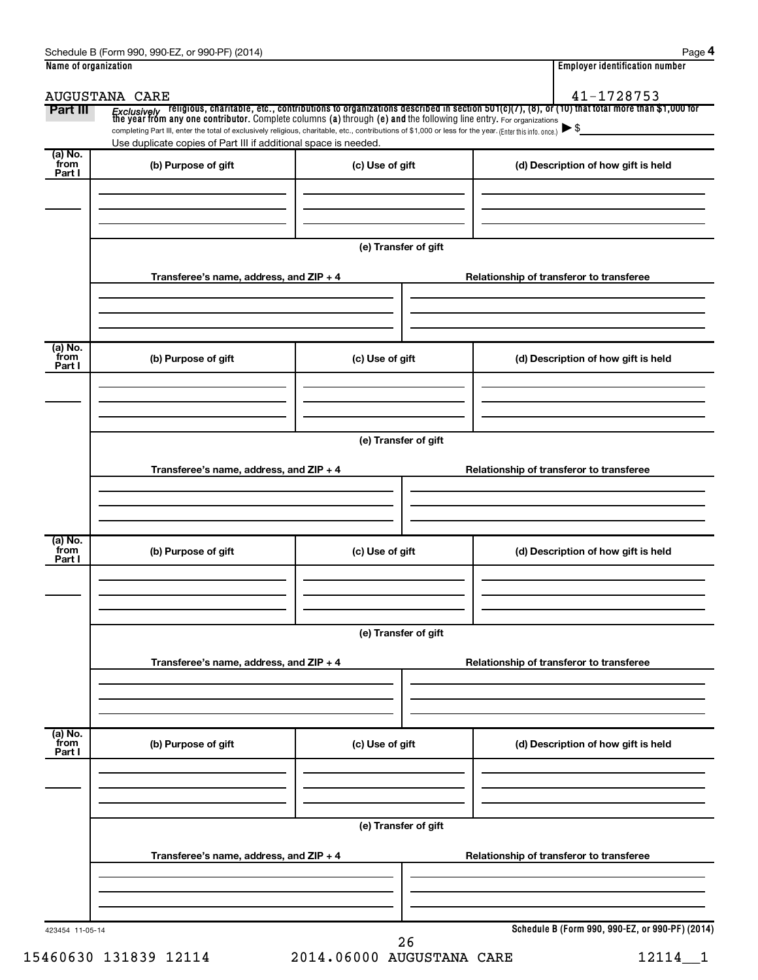| Part III                  |                                                                                                                                                          |                      | <i>Exclusively</i> religious, charitable, etc., contributions to organizations described in section 501(c)(7), (8), or (10) that total more than \$1,000 for<br>the year from any one contributor. Complete columns (a) through (e) and |
|---------------------------|----------------------------------------------------------------------------------------------------------------------------------------------------------|----------------------|-----------------------------------------------------------------------------------------------------------------------------------------------------------------------------------------------------------------------------------------|
|                           | completing Part III, enter the total of exclusively religious, charitable, etc., contributions of \$1,000 or less for the year. (Enter this info. once.) |                      |                                                                                                                                                                                                                                         |
| (a) No.                   | Use duplicate copies of Part III if additional space is needed.                                                                                          |                      |                                                                                                                                                                                                                                         |
| from<br>Part I            | (b) Purpose of gift                                                                                                                                      | (c) Use of gift      | (d) Description of how gift is held                                                                                                                                                                                                     |
|                           |                                                                                                                                                          |                      |                                                                                                                                                                                                                                         |
|                           |                                                                                                                                                          | (e) Transfer of gift |                                                                                                                                                                                                                                         |
|                           | Transferee's name, address, and ZIP + 4                                                                                                                  |                      | Relationship of transferor to transferee                                                                                                                                                                                                |
| (a) No.                   |                                                                                                                                                          |                      |                                                                                                                                                                                                                                         |
| from<br>Part I            | (b) Purpose of gift                                                                                                                                      | (c) Use of gift      | (d) Description of how gift is held                                                                                                                                                                                                     |
|                           |                                                                                                                                                          |                      |                                                                                                                                                                                                                                         |
|                           |                                                                                                                                                          | (e) Transfer of gift |                                                                                                                                                                                                                                         |
|                           | Transferee's name, address, and ZIP + 4                                                                                                                  |                      | Relationship of transferor to transferee                                                                                                                                                                                                |
|                           |                                                                                                                                                          |                      |                                                                                                                                                                                                                                         |
| (a) No.                   | (b) Purpose of gift                                                                                                                                      |                      | (d) Description of how gift is held                                                                                                                                                                                                     |
| from<br>Part I            |                                                                                                                                                          | (c) Use of gift      |                                                                                                                                                                                                                                         |
|                           |                                                                                                                                                          | (e) Transfer of gift |                                                                                                                                                                                                                                         |
|                           | Transferee's name, address, and ZIP + 4                                                                                                                  |                      | Relationship of transferor to transferee                                                                                                                                                                                                |
|                           |                                                                                                                                                          |                      |                                                                                                                                                                                                                                         |
| (a) No.<br>from<br>Part I | (b) Purpose of gift                                                                                                                                      | (c) Use of gift      | (d) Description of how gift is held                                                                                                                                                                                                     |
|                           |                                                                                                                                                          |                      |                                                                                                                                                                                                                                         |
|                           | Transferee's name, address, and ZIP + 4                                                                                                                  | (e) Transfer of gift | Relationship of transferor to transferee                                                                                                                                                                                                |
|                           |                                                                                                                                                          |                      |                                                                                                                                                                                                                                         |

15460630 131839 12114 2014.06000 AUGUSTANA CARE 12114\_\_1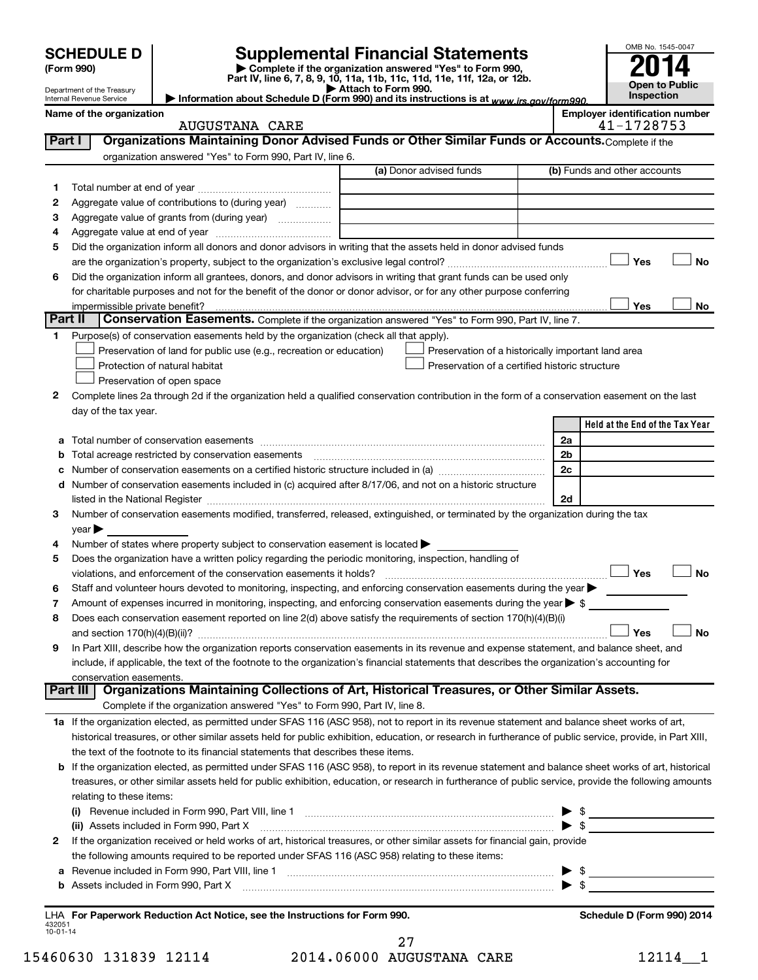| <b>Supplemental Financial Statements</b><br><b>SCHEDULE D</b><br>Complete if the organization answered "Yes" to Form 990,<br>(Form 990)<br>Part IV, line 6, 7, 8, 9, 10, 11a, 11b, 11c, 11d, 11e, 11f, 12a, or 12b.<br>Attach to Form 990.<br>Department of the Treasury<br>Information about Schedule D (Form 990) and its instructions is at www.irs.gov/form990. |                                         |                                                                                                        |                                                                                                                                                                                                                                |                                                     |                          | OMB No. 1545-0047<br><b>Open to Public</b> |
|---------------------------------------------------------------------------------------------------------------------------------------------------------------------------------------------------------------------------------------------------------------------------------------------------------------------------------------------------------------------|-----------------------------------------|--------------------------------------------------------------------------------------------------------|--------------------------------------------------------------------------------------------------------------------------------------------------------------------------------------------------------------------------------|-----------------------------------------------------|--------------------------|--------------------------------------------|
|                                                                                                                                                                                                                                                                                                                                                                     | Internal Revenue Service                |                                                                                                        |                                                                                                                                                                                                                                | Inspection                                          |                          |                                            |
|                                                                                                                                                                                                                                                                                                                                                                     | Name of the organization                |                                                                                                        |                                                                                                                                                                                                                                | <b>Employer identification number</b><br>41-1728753 |                          |                                            |
| Part I                                                                                                                                                                                                                                                                                                                                                              |                                         | <b>AUGUSTANA CARE</b>                                                                                  | Organizations Maintaining Donor Advised Funds or Other Similar Funds or Accounts. Complete if the                                                                                                                              |                                                     |                          |                                            |
|                                                                                                                                                                                                                                                                                                                                                                     |                                         | organization answered "Yes" to Form 990, Part IV, line 6.                                              |                                                                                                                                                                                                                                |                                                     |                          |                                            |
|                                                                                                                                                                                                                                                                                                                                                                     |                                         |                                                                                                        | (a) Donor advised funds                                                                                                                                                                                                        |                                                     |                          | (b) Funds and other accounts               |
| 1.                                                                                                                                                                                                                                                                                                                                                                  |                                         |                                                                                                        |                                                                                                                                                                                                                                |                                                     |                          |                                            |
| 2                                                                                                                                                                                                                                                                                                                                                                   |                                         | Aggregate value of contributions to (during year)                                                      |                                                                                                                                                                                                                                |                                                     |                          |                                            |
| з                                                                                                                                                                                                                                                                                                                                                                   |                                         | Aggregate value of grants from (during year)                                                           |                                                                                                                                                                                                                                |                                                     |                          |                                            |
| 4                                                                                                                                                                                                                                                                                                                                                                   |                                         |                                                                                                        |                                                                                                                                                                                                                                |                                                     |                          |                                            |
| 5                                                                                                                                                                                                                                                                                                                                                                   |                                         |                                                                                                        | Did the organization inform all donors and donor advisors in writing that the assets held in donor advised funds                                                                                                               |                                                     |                          |                                            |
|                                                                                                                                                                                                                                                                                                                                                                     |                                         |                                                                                                        |                                                                                                                                                                                                                                |                                                     |                          | Yes<br><b>No</b>                           |
| 6                                                                                                                                                                                                                                                                                                                                                                   |                                         |                                                                                                        | Did the organization inform all grantees, donors, and donor advisors in writing that grant funds can be used only                                                                                                              |                                                     |                          |                                            |
|                                                                                                                                                                                                                                                                                                                                                                     |                                         |                                                                                                        | for charitable purposes and not for the benefit of the donor or donor advisor, or for any other purpose conferring                                                                                                             |                                                     |                          |                                            |
|                                                                                                                                                                                                                                                                                                                                                                     |                                         |                                                                                                        |                                                                                                                                                                                                                                |                                                     |                          | Yes<br>No                                  |
| <b>Part II</b>                                                                                                                                                                                                                                                                                                                                                      |                                         |                                                                                                        | Conservation Easements. Complete if the organization answered "Yes" to Form 990, Part IV, line 7.                                                                                                                              |                                                     |                          |                                            |
| 1.                                                                                                                                                                                                                                                                                                                                                                  |                                         | Purpose(s) of conservation easements held by the organization (check all that apply).                  |                                                                                                                                                                                                                                |                                                     |                          |                                            |
|                                                                                                                                                                                                                                                                                                                                                                     |                                         | Preservation of land for public use (e.g., recreation or education)                                    | Preservation of a historically important land area                                                                                                                                                                             |                                                     |                          |                                            |
|                                                                                                                                                                                                                                                                                                                                                                     |                                         | Protection of natural habitat                                                                          | Preservation of a certified historic structure                                                                                                                                                                                 |                                                     |                          |                                            |
|                                                                                                                                                                                                                                                                                                                                                                     |                                         | Preservation of open space                                                                             |                                                                                                                                                                                                                                |                                                     |                          |                                            |
| 2                                                                                                                                                                                                                                                                                                                                                                   |                                         |                                                                                                        | Complete lines 2a through 2d if the organization held a qualified conservation contribution in the form of a conservation easement on the last                                                                                 |                                                     |                          |                                            |
|                                                                                                                                                                                                                                                                                                                                                                     | day of the tax year.                    |                                                                                                        |                                                                                                                                                                                                                                |                                                     |                          |                                            |
|                                                                                                                                                                                                                                                                                                                                                                     |                                         |                                                                                                        |                                                                                                                                                                                                                                |                                                     |                          | Held at the End of the Tax Year            |
| а                                                                                                                                                                                                                                                                                                                                                                   |                                         |                                                                                                        |                                                                                                                                                                                                                                |                                                     | 2a                       |                                            |
| b                                                                                                                                                                                                                                                                                                                                                                   |                                         |                                                                                                        |                                                                                                                                                                                                                                |                                                     | 2b                       |                                            |
| с                                                                                                                                                                                                                                                                                                                                                                   |                                         |                                                                                                        |                                                                                                                                                                                                                                |                                                     | 2c                       |                                            |
| d                                                                                                                                                                                                                                                                                                                                                                   |                                         |                                                                                                        | Number of conservation easements included in (c) acquired after 8/17/06, and not on a historic structure                                                                                                                       |                                                     |                          |                                            |
|                                                                                                                                                                                                                                                                                                                                                                     |                                         |                                                                                                        | listed in the National Register [11] matter and the National Register [11] matter is not all the National Register [11] matter is not all the National Register [11] matter is not all the National Register [11] matter is no |                                                     | 2d                       |                                            |
| 3                                                                                                                                                                                                                                                                                                                                                                   |                                         |                                                                                                        | Number of conservation easements modified, transferred, released, extinguished, or terminated by the organization during the tax                                                                                               |                                                     |                          |                                            |
|                                                                                                                                                                                                                                                                                                                                                                     | year                                    |                                                                                                        |                                                                                                                                                                                                                                |                                                     |                          |                                            |
| 4                                                                                                                                                                                                                                                                                                                                                                   |                                         | Number of states where property subject to conservation easement is located $\blacktriangleright$      |                                                                                                                                                                                                                                |                                                     |                          |                                            |
| 5                                                                                                                                                                                                                                                                                                                                                                   |                                         | Does the organization have a written policy regarding the periodic monitoring, inspection, handling of |                                                                                                                                                                                                                                |                                                     |                          |                                            |
|                                                                                                                                                                                                                                                                                                                                                                     |                                         | violations, and enforcement of the conservation easements it holds?                                    |                                                                                                                                                                                                                                |                                                     |                          | Yes<br><b>No</b>                           |
| 6                                                                                                                                                                                                                                                                                                                                                                   |                                         |                                                                                                        | Staff and volunteer hours devoted to monitoring, inspecting, and enforcing conservation easements during the year                                                                                                              |                                                     |                          |                                            |
| 7                                                                                                                                                                                                                                                                                                                                                                   |                                         |                                                                                                        | Amount of expenses incurred in monitoring, inspecting, and enforcing conservation easements during the year $\triangleright$ \$                                                                                                |                                                     |                          |                                            |
| 8                                                                                                                                                                                                                                                                                                                                                                   |                                         |                                                                                                        | Does each conservation easement reported on line 2(d) above satisfy the requirements of section 170(h)(4)(B)(i)                                                                                                                |                                                     |                          |                                            |
|                                                                                                                                                                                                                                                                                                                                                                     |                                         |                                                                                                        |                                                                                                                                                                                                                                |                                                     |                          | Yes<br>No                                  |
| 9                                                                                                                                                                                                                                                                                                                                                                   |                                         |                                                                                                        | In Part XIII, describe how the organization reports conservation easements in its revenue and expense statement, and balance sheet, and                                                                                        |                                                     |                          |                                            |
|                                                                                                                                                                                                                                                                                                                                                                     |                                         |                                                                                                        | include, if applicable, the text of the footnote to the organization's financial statements that describes the organization's accounting for                                                                                   |                                                     |                          |                                            |
|                                                                                                                                                                                                                                                                                                                                                                     | conservation easements.<br>∣ Part III ∣ |                                                                                                        | Organizations Maintaining Collections of Art, Historical Treasures, or Other Similar Assets.                                                                                                                                   |                                                     |                          |                                            |
|                                                                                                                                                                                                                                                                                                                                                                     |                                         | Complete if the organization answered "Yes" to Form 990, Part IV, line 8.                              |                                                                                                                                                                                                                                |                                                     |                          |                                            |
|                                                                                                                                                                                                                                                                                                                                                                     |                                         |                                                                                                        | 1a If the organization elected, as permitted under SFAS 116 (ASC 958), not to report in its revenue statement and balance sheet works of art,                                                                                  |                                                     |                          |                                            |
|                                                                                                                                                                                                                                                                                                                                                                     |                                         |                                                                                                        | historical treasures, or other similar assets held for public exhibition, education, or research in furtherance of public service, provide, in Part XIII,                                                                      |                                                     |                          |                                            |
|                                                                                                                                                                                                                                                                                                                                                                     |                                         |                                                                                                        |                                                                                                                                                                                                                                |                                                     |                          |                                            |
|                                                                                                                                                                                                                                                                                                                                                                     |                                         | the text of the footnote to its financial statements that describes these items.                       | <b>b</b> If the organization elected, as permitted under SFAS 116 (ASC 958), to report in its revenue statement and balance sheet works of art, historical                                                                     |                                                     |                          |                                            |
|                                                                                                                                                                                                                                                                                                                                                                     |                                         |                                                                                                        | treasures, or other similar assets held for public exhibition, education, or research in furtherance of public service, provide the following amounts                                                                          |                                                     |                          |                                            |
|                                                                                                                                                                                                                                                                                                                                                                     | relating to these items:                |                                                                                                        |                                                                                                                                                                                                                                |                                                     |                          |                                            |
|                                                                                                                                                                                                                                                                                                                                                                     |                                         |                                                                                                        |                                                                                                                                                                                                                                |                                                     |                          |                                            |
|                                                                                                                                                                                                                                                                                                                                                                     |                                         | (ii) Assets included in Form 990, Part X                                                               |                                                                                                                                                                                                                                |                                                     | $\blacktriangleright$ \$ |                                            |
|                                                                                                                                                                                                                                                                                                                                                                     |                                         |                                                                                                        | If the organization received or held works of art, historical treasures, or other similar assets for financial gain, provide                                                                                                   |                                                     |                          |                                            |
| 2                                                                                                                                                                                                                                                                                                                                                                   |                                         |                                                                                                        |                                                                                                                                                                                                                                |                                                     |                          |                                            |
|                                                                                                                                                                                                                                                                                                                                                                     |                                         | the following amounts required to be reported under SFAS 116 (ASC 958) relating to these items:        |                                                                                                                                                                                                                                |                                                     |                          |                                            |
| а                                                                                                                                                                                                                                                                                                                                                                   |                                         |                                                                                                        | Revenue included in Form 990, Part VIII, line 1 [1] [2000] [2000] [2000] [2000] [2000] [2000] [2000] [2000] [                                                                                                                  |                                                     | $\blacktriangleright$ \$ |                                            |
|                                                                                                                                                                                                                                                                                                                                                                     |                                         |                                                                                                        |                                                                                                                                                                                                                                |                                                     |                          |                                            |

|                          | LHA For Paperwork Reduction Act Notice, see the Instructions for Form 990 |  |  |
|--------------------------|---------------------------------------------------------------------------|--|--|
| 432051<br>$10 - 01 - 14$ |                                                                           |  |  |

**For Paperwork Reduction Act Notice, Schedule D (Form 990) 2014** 

15460630 131839 12114 2014.06000 AUGUSTANA CARE 12114\_\_1 27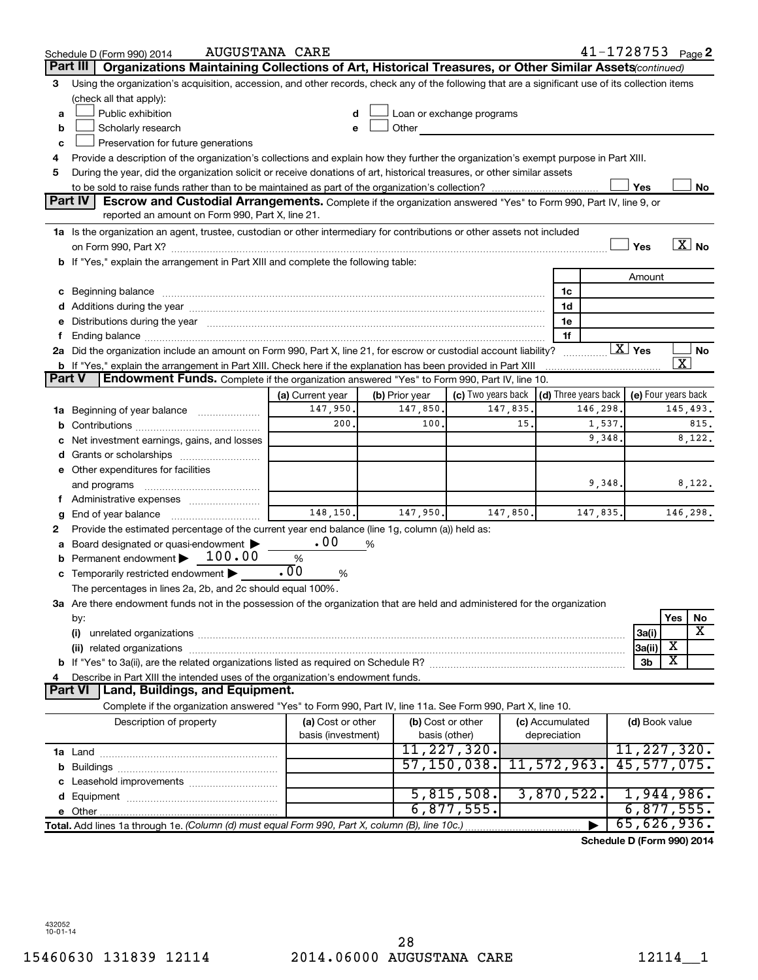|        | <b>AUGUSTANA CARE</b><br>Schedule D (Form 990) 2014                                                                                                                                                                                       |                                         |                |                                    |    |                                      | $41 - 1728753$ Page 2      |                |                               |
|--------|-------------------------------------------------------------------------------------------------------------------------------------------------------------------------------------------------------------------------------------------|-----------------------------------------|----------------|------------------------------------|----|--------------------------------------|----------------------------|----------------|-------------------------------|
|        | Part III<br>Organizations Maintaining Collections of Art, Historical Treasures, or Other Similar Assets(continued)                                                                                                                        |                                         |                |                                    |    |                                      |                            |                |                               |
| 3      | Using the organization's acquisition, accession, and other records, check any of the following that are a significant use of its collection items                                                                                         |                                         |                |                                    |    |                                      |                            |                |                               |
|        | (check all that apply):                                                                                                                                                                                                                   |                                         |                |                                    |    |                                      |                            |                |                               |
| a      | Public exhibition                                                                                                                                                                                                                         | d                                       |                | Loan or exchange programs          |    |                                      |                            |                |                               |
| b      | Scholarly research                                                                                                                                                                                                                        | e                                       | Other          |                                    |    |                                      |                            |                |                               |
| c      | Preservation for future generations                                                                                                                                                                                                       |                                         |                |                                    |    |                                      |                            |                |                               |
| 4      | Provide a description of the organization's collections and explain how they further the organization's exempt purpose in Part XIII.                                                                                                      |                                         |                |                                    |    |                                      |                            |                |                               |
| 5      | During the year, did the organization solicit or receive donations of art, historical treasures, or other similar assets                                                                                                                  |                                         |                |                                    |    |                                      |                            |                |                               |
|        |                                                                                                                                                                                                                                           |                                         |                |                                    |    |                                      | Yes                        |                | No                            |
|        | Part IV<br><b>Escrow and Custodial Arrangements.</b> Complete if the organization answered "Yes" to Form 990, Part IV, line 9, or<br>reported an amount on Form 990, Part X, line 21.                                                     |                                         |                |                                    |    |                                      |                            |                |                               |
|        | 1a Is the organization an agent, trustee, custodian or other intermediary for contributions or other assets not included                                                                                                                  |                                         |                |                                    |    |                                      |                            |                |                               |
|        | on Form 990, Part X? [11] matter contracts and contracts and contracts are contracted as a function of the set of the set of the set of the set of the set of the set of the set of the set of the set of the set of the set o            |                                         |                |                                    |    |                                      | Yes                        |                | $\overline{\text{X}}$ No      |
|        | b If "Yes," explain the arrangement in Part XIII and complete the following table:                                                                                                                                                        |                                         |                |                                    |    |                                      |                            |                |                               |
|        |                                                                                                                                                                                                                                           |                                         |                |                                    |    |                                      | Amount                     |                |                               |
| c      | Beginning balance measurements and contain a series of the series of the series of the series of the series of                                                                                                                            |                                         |                |                                    |    | 1c                                   |                            |                |                               |
|        |                                                                                                                                                                                                                                           |                                         |                |                                    |    | 1d                                   |                            |                |                               |
| е      | Distributions during the year manufactured and an account of the year manufactured and the year manufactured and the year manufactured and the year manufactured and the year manufactured and the year manufactured and the y            |                                         |                |                                    |    | 1e                                   |                            |                |                               |
| f.     |                                                                                                                                                                                                                                           |                                         |                |                                    |    | 1f                                   | $\boxed{\text{X}}$ Yes     |                |                               |
|        | 2a Did the organization include an amount on Form 990, Part X, line 21, for escrow or custodial account liability?                                                                                                                        |                                         |                |                                    |    |                                      |                            |                | No<br>$\overline{\texttt{x}}$ |
| Part V | <b>b</b> If "Yes," explain the arrangement in Part XIII. Check here if the explanation has been provided in Part XIII<br><b>Endowment Funds.</b> Complete if the organization answered "Yes" to Form 990, Part IV, line 10.               |                                         |                |                                    |    |                                      |                            |                |                               |
|        |                                                                                                                                                                                                                                           | (a) Current year                        | (b) Prior year | (c) Two years back                 |    | $\vert$ (d) Three years back $\vert$ |                            |                | (e) Four years back           |
| 1a     | Beginning of year balance <i>manumman</i>                                                                                                                                                                                                 | 147,950.                                | 147,850.       | 147,835                            |    | 146,298.                             |                            |                | 145,493.                      |
| b      |                                                                                                                                                                                                                                           | 200.                                    | 100.           |                                    | 15 |                                      | 1,537.                     |                | 815.                          |
|        | 9,348.<br>Net investment earnings, gains, and losses                                                                                                                                                                                      |                                         |                |                                    |    |                                      |                            | 8,122.         |                               |
| d      |                                                                                                                                                                                                                                           |                                         |                |                                    |    |                                      |                            |                |                               |
|        | e Other expenditures for facilities                                                                                                                                                                                                       |                                         |                |                                    |    |                                      |                            |                |                               |
|        | and programs                                                                                                                                                                                                                              |                                         |                |                                    |    |                                      | 9,348.                     |                | 8,122.                        |
|        |                                                                                                                                                                                                                                           |                                         |                |                                    |    |                                      |                            |                |                               |
| g      | End of year balance                                                                                                                                                                                                                       | 148,150.                                | 147,950.       | 147,850.                           |    | 147,835.                             |                            |                | 146,298.                      |
| 2      | Provide the estimated percentage of the current year end balance (line 1g, column (a)) held as:                                                                                                                                           |                                         |                |                                    |    |                                      |                            |                |                               |
| а      | Board designated or quasi-endowment >                                                                                                                                                                                                     | .00                                     | %              |                                    |    |                                      |                            |                |                               |
|        | Permanent endowment > 100.00                                                                                                                                                                                                              | %                                       |                |                                    |    |                                      |                            |                |                               |
|        | c Temporarily restricted endowment $\blacktriangleright$                                                                                                                                                                                  | .00<br>%                                |                |                                    |    |                                      |                            |                |                               |
|        | The percentages in lines 2a, 2b, and 2c should equal 100%.                                                                                                                                                                                |                                         |                |                                    |    |                                      |                            |                |                               |
|        | 3a Are there endowment funds not in the possession of the organization that are held and administered for the organization                                                                                                                |                                         |                |                                    |    |                                      |                            |                |                               |
|        | by:                                                                                                                                                                                                                                       |                                         |                |                                    |    |                                      |                            | Yes            | No                            |
|        | (i)                                                                                                                                                                                                                                       |                                         |                |                                    |    |                                      | 3a(i)                      |                | x                             |
|        |                                                                                                                                                                                                                                           |                                         |                |                                    |    |                                      | 3a(ii)                     | X              |                               |
|        |                                                                                                                                                                                                                                           |                                         |                |                                    |    |                                      | 3b                         | x              |                               |
| 4      | Describe in Part XIII the intended uses of the organization's endowment funds.                                                                                                                                                            |                                         |                |                                    |    |                                      |                            |                |                               |
|        | <b>Part VI</b><br>Land, Buildings, and Equipment.                                                                                                                                                                                         |                                         |                |                                    |    |                                      |                            |                |                               |
|        | Complete if the organization answered "Yes" to Form 990, Part IV, line 11a. See Form 990, Part X, line 10.                                                                                                                                |                                         |                |                                    |    |                                      |                            |                |                               |
|        | Description of property                                                                                                                                                                                                                   | (a) Cost or other<br>basis (investment) |                | (b) Cost or other<br>basis (other) |    | (c) Accumulated<br>depreciation      |                            | (d) Book value |                               |
|        |                                                                                                                                                                                                                                           |                                         |                | 11, 227, 320.                      |    |                                      |                            |                | 11, 227, 320.                 |
|        | <b>1a</b> Land <b>Executive Contract and Service Contract and Service Contract and Service Contract and Service Contract and Service Contract and Service Contract and Service Contract and Service Contract and Service Contract and</b> |                                         |                | 57, 150, 038.                      |    | 11,572,963.                          |                            |                | 45,577,075.                   |
|        |                                                                                                                                                                                                                                           |                                         |                |                                    |    |                                      |                            |                |                               |
|        |                                                                                                                                                                                                                                           |                                         |                | 5,815,508.                         |    | 3,870,522.                           |                            |                | 1,944,986.                    |
|        |                                                                                                                                                                                                                                           |                                         |                | 6,877,555.                         |    |                                      |                            |                | 6,877,555.                    |
|        | Total. Add lines 1a through 1e. (Column (d) must equal Form 990, Part X, column (B), line 10c.)                                                                                                                                           |                                         |                |                                    |    |                                      |                            |                | 65,626,936.                   |
|        |                                                                                                                                                                                                                                           |                                         |                |                                    |    |                                      | Schedule D (Form 990) 2014 |                |                               |
|        |                                                                                                                                                                                                                                           |                                         |                |                                    |    |                                      |                            |                |                               |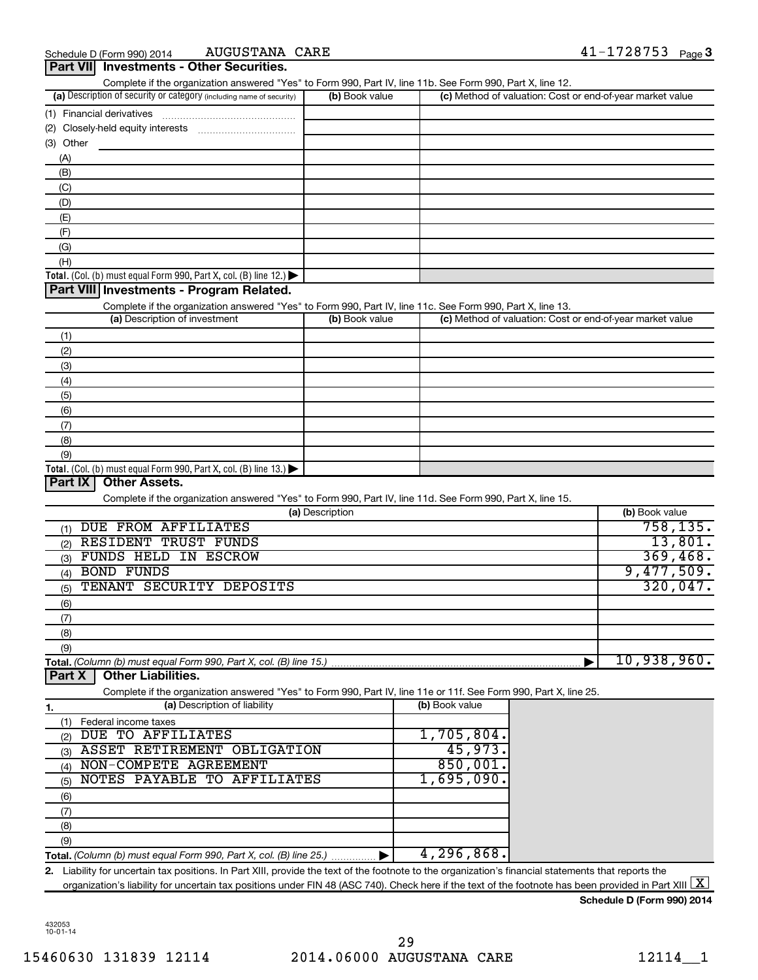|                                                                                                                   |                 | Complete if the organization answered "Yes" to Form 990, Part IV, line 11b. See Form 990, Part X, line 12. |                                                                           |
|-------------------------------------------------------------------------------------------------------------------|-----------------|------------------------------------------------------------------------------------------------------------|---------------------------------------------------------------------------|
| (a) Description of security or category (including name of security)                                              | (b) Book value  |                                                                                                            | (c) Method of valuation: Cost or end-of-year market value                 |
| (1) Financial derivatives                                                                                         |                 |                                                                                                            |                                                                           |
| (2)                                                                                                               |                 |                                                                                                            |                                                                           |
| (3) Other                                                                                                         |                 |                                                                                                            |                                                                           |
| (A)                                                                                                               |                 |                                                                                                            |                                                                           |
| (B)                                                                                                               |                 |                                                                                                            |                                                                           |
| (C)                                                                                                               |                 |                                                                                                            |                                                                           |
| (D)                                                                                                               |                 |                                                                                                            |                                                                           |
| (E)                                                                                                               |                 |                                                                                                            |                                                                           |
| (F)                                                                                                               |                 |                                                                                                            |                                                                           |
| (G)                                                                                                               |                 |                                                                                                            |                                                                           |
| (H)                                                                                                               |                 |                                                                                                            |                                                                           |
| Total. (Col. (b) must equal Form 990, Part X, col. (B) line 12.) $\blacktriangleright$                            |                 |                                                                                                            |                                                                           |
| Part VIII Investments - Program Related.                                                                          |                 |                                                                                                            |                                                                           |
| Complete if the organization answered "Yes" to Form 990, Part IV, line 11c. See Form 990, Part X, line 13.        |                 |                                                                                                            |                                                                           |
| (a) Description of investment                                                                                     | (b) Book value  |                                                                                                            | (c) Method of valuation: Cost or end-of-year market value                 |
| (1)                                                                                                               |                 |                                                                                                            |                                                                           |
| (2)                                                                                                               |                 |                                                                                                            |                                                                           |
| (3)                                                                                                               |                 |                                                                                                            |                                                                           |
|                                                                                                                   |                 |                                                                                                            |                                                                           |
| (4)                                                                                                               |                 |                                                                                                            |                                                                           |
| (5)                                                                                                               |                 |                                                                                                            |                                                                           |
| (6)                                                                                                               |                 |                                                                                                            |                                                                           |
| (7)                                                                                                               |                 |                                                                                                            |                                                                           |
| (8)                                                                                                               |                 |                                                                                                            |                                                                           |
| (9)                                                                                                               |                 |                                                                                                            |                                                                           |
| Total. (Col. (b) must equal Form 990, Part X, col. (B) line $13.$ )                                               |                 |                                                                                                            |                                                                           |
| Part IX<br><b>Other Assets.</b>                                                                                   |                 |                                                                                                            |                                                                           |
| Complete if the organization answered "Yes" to Form 990, Part IV, line 11d. See Form 990, Part X, line 15.        |                 |                                                                                                            |                                                                           |
|                                                                                                                   |                 |                                                                                                            |                                                                           |
|                                                                                                                   | (a) Description |                                                                                                            | (b) Book value                                                            |
| DUE FROM AFFILIATES<br>(1)                                                                                        |                 |                                                                                                            |                                                                           |
| <b>RESIDENT TRUST FUNDS</b><br>(2)                                                                                |                 |                                                                                                            |                                                                           |
| <b>FUNDS HELD IN ESCROW</b><br>(3)                                                                                |                 |                                                                                                            |                                                                           |
| <b>BOND FUNDS</b><br>(4)                                                                                          |                 |                                                                                                            |                                                                           |
| TENANT SECURITY DEPOSITS<br>(5)                                                                                   |                 |                                                                                                            |                                                                           |
| (6)                                                                                                               |                 |                                                                                                            |                                                                           |
|                                                                                                                   |                 |                                                                                                            |                                                                           |
| (7)<br>(8)                                                                                                        |                 |                                                                                                            |                                                                           |
|                                                                                                                   |                 |                                                                                                            |                                                                           |
| (9)                                                                                                               |                 |                                                                                                            |                                                                           |
| Total. (Column (b) must equal Form 990, Part X, col. (B) line 15.).                                               |                 |                                                                                                            |                                                                           |
| <b>Other Liabilities.</b><br>Part X                                                                               |                 |                                                                                                            |                                                                           |
| Complete if the organization answered "Yes" to Form 990, Part IV, line 11e or 11f. See Form 990, Part X, line 25. |                 |                                                                                                            |                                                                           |
| (a) Description of liability                                                                                      |                 | (b) Book value                                                                                             |                                                                           |
| 1.<br>(1) Federal income taxes                                                                                    |                 |                                                                                                            |                                                                           |
| DUE TO AFFILIATES<br>(2)                                                                                          |                 | 1,705,804.                                                                                                 |                                                                           |
| ASSET RETIREMENT OBLIGATION<br>(3)                                                                                |                 | 45,973.                                                                                                    |                                                                           |
| (4) NON-COMPETE AGREEMENT                                                                                         |                 | 850,001.                                                                                                   |                                                                           |
| NOTES PAYABLE TO AFFILIATES<br>(5)                                                                                |                 | 1,695,090.                                                                                                 |                                                                           |
| (6)                                                                                                               |                 |                                                                                                            |                                                                           |
| (7)                                                                                                               |                 |                                                                                                            |                                                                           |
| (8)                                                                                                               |                 |                                                                                                            | 758, 135.<br>13,801.<br>369,468.<br>9,477,509.<br>320,047.<br>10,938,960. |
| (9)<br>Total. (Column (b) must equal Form 990, Part X, col. (B) line 25.)                                         |                 | 4,296,868.                                                                                                 |                                                                           |

organization's liability for uncertain tax positions under FIN 48 (ASC 740). Check here if the text of the footnote has been provided in Part XIII  $\boxed{\text{X}}$ 

**Schedule D (Form 990) 2014**

432053 10-01-14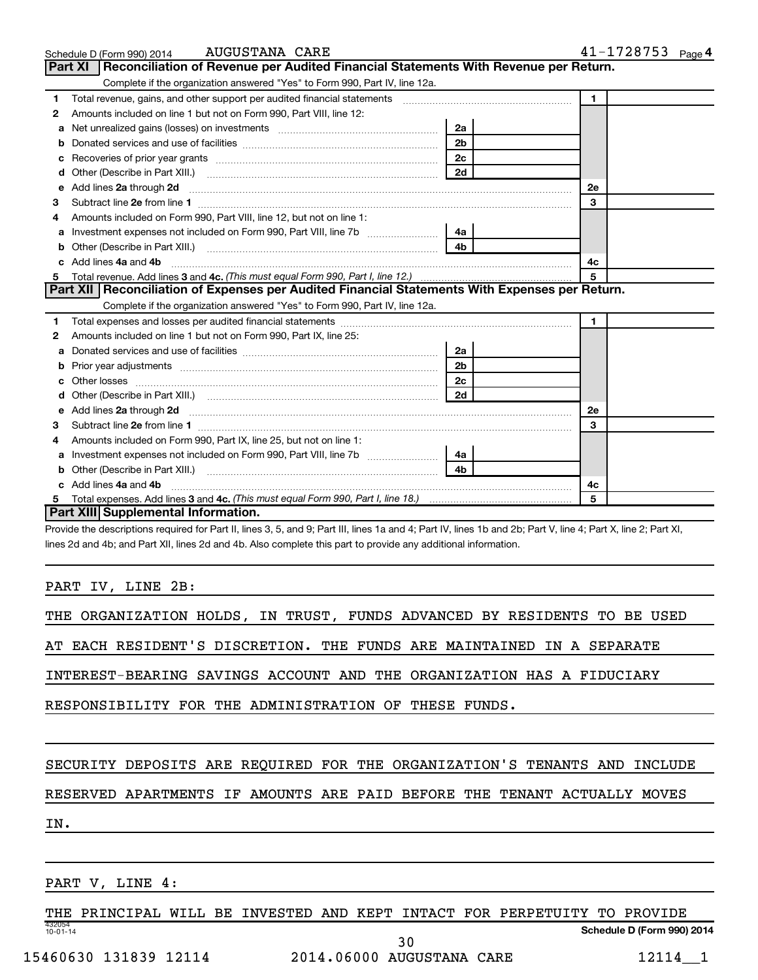|    | <b>AUGUSTANA CARE</b><br>Schedule D (Form 990) 2014                                                                                                                                                                                 |                | $41 - 1728753$ Page 4 |
|----|-------------------------------------------------------------------------------------------------------------------------------------------------------------------------------------------------------------------------------------|----------------|-----------------------|
|    | <b>Part XI</b><br>Reconciliation of Revenue per Audited Financial Statements With Revenue per Return.                                                                                                                               |                |                       |
|    | Complete if the organization answered "Yes" to Form 990, Part IV, line 12a.                                                                                                                                                         |                |                       |
| 1  | Total revenue, gains, and other support per audited financial statements [[[[[[[[[[[[[[[[[[[[[[[[[]]]]]]]]]]]                                                                                                                       |                | $\mathbf{1}$          |
| 2  | Amounts included on line 1 but not on Form 990, Part VIII, line 12:                                                                                                                                                                 |                |                       |
| а  |                                                                                                                                                                                                                                     | 2a             |                       |
| b  |                                                                                                                                                                                                                                     | 2 <sub>b</sub> |                       |
| с  |                                                                                                                                                                                                                                     | 2c             |                       |
| d  |                                                                                                                                                                                                                                     | 2d             |                       |
| е  | Add lines 2a through 2d <b>[10]</b> University contracts and the set of the set of the set of the set of the set of the set of the set of the set of the set of the set of the set of the set of the set of the set of the set of t |                | <b>2e</b>             |
| з  |                                                                                                                                                                                                                                     |                | 3                     |
|    | Amounts included on Form 990, Part VIII, line 12, but not on line 1:                                                                                                                                                                |                |                       |
| a  |                                                                                                                                                                                                                                     | 4a             |                       |
| b  |                                                                                                                                                                                                                                     | 4b             |                       |
| C. | Add lines 4a and 4b                                                                                                                                                                                                                 |                | 4с                    |
| 5  |                                                                                                                                                                                                                                     |                | 5                     |
|    | Part XII   Reconciliation of Expenses per Audited Financial Statements With Expenses per Return.                                                                                                                                    |                |                       |
|    | Complete if the organization answered "Yes" to Form 990, Part IV, line 12a.                                                                                                                                                         |                |                       |
| 1  |                                                                                                                                                                                                                                     |                | $\blacksquare$        |
| 2  | Amounts included on line 1 but not on Form 990, Part IX, line 25:                                                                                                                                                                   |                |                       |
| a  |                                                                                                                                                                                                                                     | 2a             |                       |
| b  |                                                                                                                                                                                                                                     | 2 <sub>b</sub> |                       |
|    |                                                                                                                                                                                                                                     | 2c             |                       |
|    |                                                                                                                                                                                                                                     | 2d             |                       |
| е  | Add lines 2a through 2d <b>[10]</b> University of the state of the state of the state of the state of the state of the state of the state of the state of the state of the state of the state of the state of the state of the stat |                | <b>2e</b>             |
| 3  |                                                                                                                                                                                                                                     |                | 3                     |
| 4  | Amounts included on Form 990, Part IX, line 25, but not on line 1:                                                                                                                                                                  |                |                       |
| а  |                                                                                                                                                                                                                                     | 4a             |                       |
| b  | Other (Describe in Part XIII.) <b>Construction Contract Construction</b> [100]                                                                                                                                                      | 4b             |                       |
|    | Add lines 4a and 4b                                                                                                                                                                                                                 |                | 4c                    |
| 5  |                                                                                                                                                                                                                                     |                | 5                     |
|    | Part XIII Supplemental Information.                                                                                                                                                                                                 |                |                       |

Provide the descriptions required for Part II, lines 3, 5, and 9; Part III, lines 1a and 4; Part IV, lines 1b and 2b; Part V, line 4; Part X, line 2; Part XI, lines 2d and 4b; and Part XII, lines 2d and 4b. Also complete this part to provide any additional information.

#### PART IV, LINE 2B:

|  | THE ORGANIZATION HOLDS, IN TRUST, FUNDS ADVANCED BY RESIDENTS TO BE USED |  |  |  |  |  |  |  |  |  |  |
|--|--------------------------------------------------------------------------|--|--|--|--|--|--|--|--|--|--|
|--|--------------------------------------------------------------------------|--|--|--|--|--|--|--|--|--|--|

AT EACH RESIDENT'S DISCRETION. THE FUNDS ARE MAINTAINED IN A SEPARATE

INTEREST-BEARING SAVINGS ACCOUNT AND THE ORGANIZATION HAS A FIDUCIARY

RESPONSIBILITY FOR THE ADMINISTRATION OF THESE FUNDS.

#### SECURITY DEPOSITS ARE REQUIRED FOR THE ORGANIZATION'S TENANTS AND INCLUDE

RESERVED APARTMENTS IF AMOUNTS ARE PAID BEFORE THE TENANT ACTUALLY MOVES

IN.

#### PART V, LINE 4:

432054 10-01-14 **Schedule D (Form 990) 2014** THE PRINCIPAL WILL BE INVESTED AND KEPT INTACT FOR PERPETUITY TO PROVIDE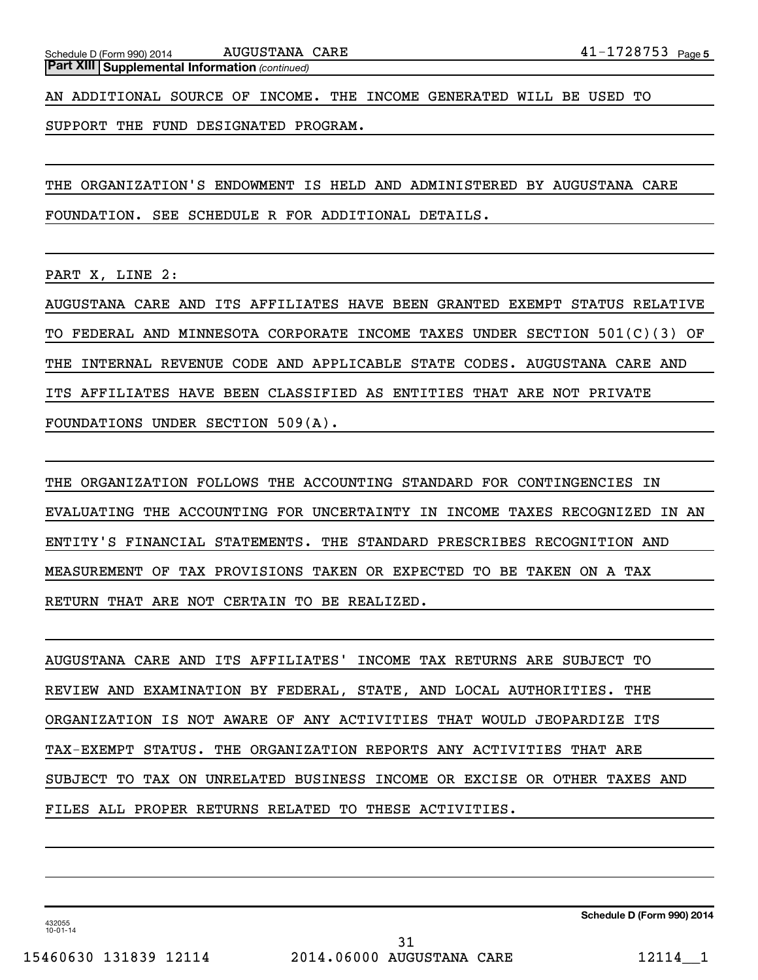*(continued)* **Part XIII Supplemental Information** 

AN ADDITIONAL SOURCE OF INCOME. THE INCOME GENERATED WILL BE USED TO

SUPPORT THE FUND DESIGNATED PROGRAM.

THE ORGANIZATION'S ENDOWMENT IS HELD AND ADMINISTERED BY AUGUSTANA CARE FOUNDATION. SEE SCHEDULE R FOR ADDITIONAL DETAILS.

PART X, LINE 2:

AUGUSTANA CARE AND ITS AFFILIATES HAVE BEEN GRANTED EXEMPT STATUS RELATIVE TO FEDERAL AND MINNESOTA CORPORATE INCOME TAXES UNDER SECTION 501(C)(3) OF THE INTERNAL REVENUE CODE AND APPLICABLE STATE CODES. AUGUSTANA CARE AND ITS AFFILIATES HAVE BEEN CLASSIFIED AS ENTITIES THAT ARE NOT PRIVATE FOUNDATIONS UNDER SECTION 509(A).

THE ORGANIZATION FOLLOWS THE ACCOUNTING STANDARD FOR CONTINGENCIES IN EVALUATING THE ACCOUNTING FOR UNCERTAINTY IN INCOME TAXES RECOGNIZED IN AN ENTITY'S FINANCIAL STATEMENTS. THE STANDARD PRESCRIBES RECOGNITION AND MEASUREMENT OF TAX PROVISIONS TAKEN OR EXPECTED TO BE TAKEN ON A TAX RETURN THAT ARE NOT CERTAIN TO BE REALIZED.

```
AUGUSTANA CARE AND ITS AFFILIATES' INCOME TAX RETURNS ARE SUBJECT TO
REVIEW AND EXAMINATION BY FEDERAL, STATE, AND LOCAL AUTHORITIES. THE
ORGANIZATION IS NOT AWARE OF ANY ACTIVITIES THAT WOULD JEOPARDIZE ITS
TAX-EXEMPT STATUS. THE ORGANIZATION REPORTS ANY ACTIVITIES THAT ARE
SUBJECT TO TAX ON UNRELATED BUSINESS INCOME OR EXCISE OR OTHER TAXES AND
FILES ALL PROPER RETURNS RELATED TO THESE ACTIVITIES.
```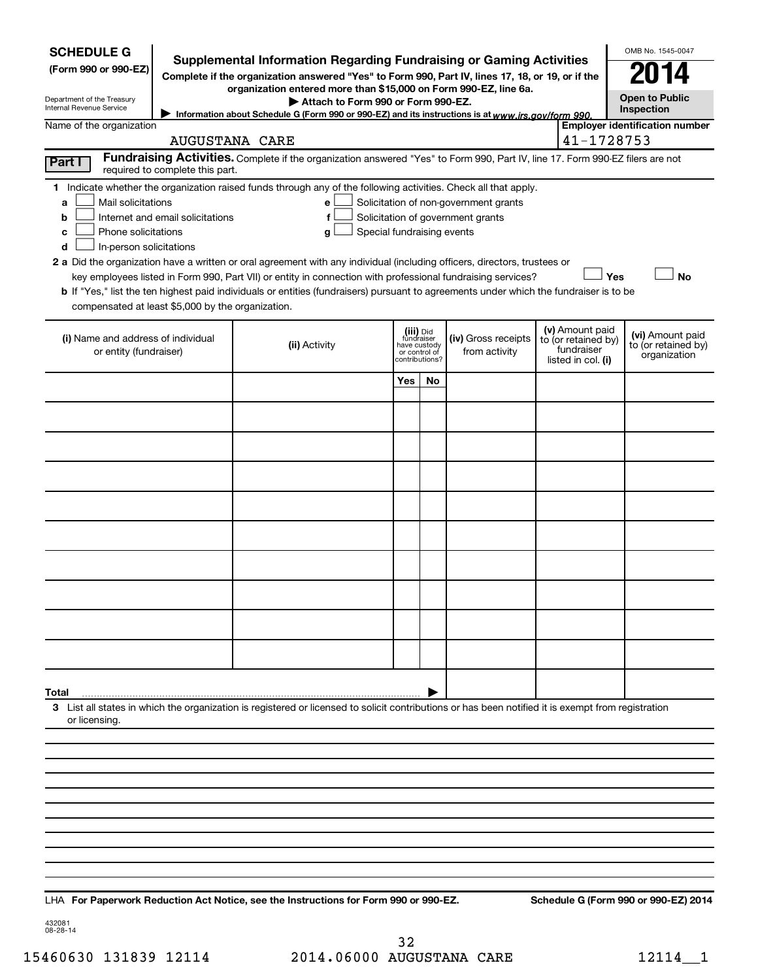| <b>SCHEDULE G</b><br>(Form 990 or 990-EZ)<br>Department of the Treasury<br>Internal Revenue Service                          | <b>Supplemental Information Regarding Fundraising or Gaming Activities</b><br>Complete if the organization answered "Yes" to Form 990, Part IV, lines 17, 18, or 19, or if the<br>organization entered more than \$15,000 on Form 990-EZ, line 6a.<br>Attach to Form 990 or Form 990-EZ.<br>Information about Schedule G (Form 990 or 990-EZ) and its instructions is at www.irs.gov/form 990.           |              |                                                            |                                                                            |                                                                            | OMB No. 1545-0047<br><b>Open to Public</b><br>Inspection |
|------------------------------------------------------------------------------------------------------------------------------|----------------------------------------------------------------------------------------------------------------------------------------------------------------------------------------------------------------------------------------------------------------------------------------------------------------------------------------------------------------------------------------------------------|--------------|------------------------------------------------------------|----------------------------------------------------------------------------|----------------------------------------------------------------------------|----------------------------------------------------------|
| Name of the organization                                                                                                     |                                                                                                                                                                                                                                                                                                                                                                                                          |              |                                                            |                                                                            |                                                                            | <b>Employer identification number</b>                    |
|                                                                                                                              | <b>AUGUSTANA CARE</b>                                                                                                                                                                                                                                                                                                                                                                                    |              |                                                            |                                                                            | 41-1728753                                                                 |                                                          |
| Part I<br>required to complete this part.                                                                                    | Fundraising Activities. Complete if the organization answered "Yes" to Form 990, Part IV, line 17. Form 990-EZ filers are not                                                                                                                                                                                                                                                                            |              |                                                            |                                                                            |                                                                            |                                                          |
| Mail solicitations<br>a<br>Internet and email solicitations<br>b<br>Phone solicitations<br>c<br>In-person solicitations<br>d | 1 Indicate whether the organization raised funds through any of the following activities. Check all that apply.<br>e<br>f<br>Special fundraising events<br>g<br>2 a Did the organization have a written or oral agreement with any individual (including officers, directors, trustees or<br>key employees listed in Form 990, Part VII) or entity in connection with professional fundraising services? |              |                                                            | Solicitation of non-government grants<br>Solicitation of government grants | Yes                                                                        | <b>No</b>                                                |
| compensated at least \$5,000 by the organization.                                                                            | b If "Yes," list the ten highest paid individuals or entities (fundraisers) pursuant to agreements under which the fundraiser is to be                                                                                                                                                                                                                                                                   |              |                                                            |                                                                            |                                                                            |                                                          |
| (i) Name and address of individual<br>or entity (fundraiser)                                                                 | (ii) Activity                                                                                                                                                                                                                                                                                                                                                                                            | have custody | (iii) Did<br>fundraiser<br>or control of<br>contributions? | (iv) Gross receipts<br>from activity                                       | (v) Amount paid<br>to (or retained by)<br>fundraiser<br>listed in col. (i) | (vi) Amount paid<br>to (or retained by)<br>organization  |
|                                                                                                                              |                                                                                                                                                                                                                                                                                                                                                                                                          | Yes          | No.                                                        |                                                                            |                                                                            |                                                          |
|                                                                                                                              |                                                                                                                                                                                                                                                                                                                                                                                                          |              |                                                            |                                                                            |                                                                            |                                                          |
|                                                                                                                              |                                                                                                                                                                                                                                                                                                                                                                                                          |              |                                                            |                                                                            |                                                                            |                                                          |
|                                                                                                                              |                                                                                                                                                                                                                                                                                                                                                                                                          |              |                                                            |                                                                            |                                                                            |                                                          |
|                                                                                                                              |                                                                                                                                                                                                                                                                                                                                                                                                          |              |                                                            |                                                                            |                                                                            |                                                          |
|                                                                                                                              |                                                                                                                                                                                                                                                                                                                                                                                                          |              |                                                            |                                                                            |                                                                            |                                                          |
|                                                                                                                              |                                                                                                                                                                                                                                                                                                                                                                                                          |              |                                                            |                                                                            |                                                                            |                                                          |
|                                                                                                                              |                                                                                                                                                                                                                                                                                                                                                                                                          |              |                                                            |                                                                            |                                                                            |                                                          |
|                                                                                                                              |                                                                                                                                                                                                                                                                                                                                                                                                          |              |                                                            |                                                                            |                                                                            |                                                          |
|                                                                                                                              |                                                                                                                                                                                                                                                                                                                                                                                                          |              |                                                            |                                                                            |                                                                            |                                                          |
| Total                                                                                                                        |                                                                                                                                                                                                                                                                                                                                                                                                          |              |                                                            |                                                                            |                                                                            |                                                          |
| or licensing.                                                                                                                | 3 List all states in which the organization is registered or licensed to solicit contributions or has been notified it is exempt from registration                                                                                                                                                                                                                                                       |              |                                                            |                                                                            |                                                                            |                                                          |
|                                                                                                                              |                                                                                                                                                                                                                                                                                                                                                                                                          |              |                                                            |                                                                            |                                                                            |                                                          |
|                                                                                                                              |                                                                                                                                                                                                                                                                                                                                                                                                          |              |                                                            |                                                                            |                                                                            |                                                          |
|                                                                                                                              |                                                                                                                                                                                                                                                                                                                                                                                                          |              |                                                            |                                                                            |                                                                            |                                                          |
|                                                                                                                              |                                                                                                                                                                                                                                                                                                                                                                                                          |              |                                                            |                                                                            |                                                                            |                                                          |
|                                                                                                                              |                                                                                                                                                                                                                                                                                                                                                                                                          |              |                                                            |                                                                            |                                                                            |                                                          |
|                                                                                                                              |                                                                                                                                                                                                                                                                                                                                                                                                          |              |                                                            |                                                                            |                                                                            |                                                          |
|                                                                                                                              |                                                                                                                                                                                                                                                                                                                                                                                                          |              |                                                            |                                                                            |                                                                            |                                                          |
|                                                                                                                              |                                                                                                                                                                                                                                                                                                                                                                                                          |              |                                                            |                                                                            |                                                                            |                                                          |
|                                                                                                                              |                                                                                                                                                                                                                                                                                                                                                                                                          |              |                                                            |                                                                            |                                                                            |                                                          |

**For Paperwork Reduction Act Notice, see the Instructions for Form 990 or 990-EZ. Schedule G (Form 990 or 990-EZ) 2014** LHA

432081 08-28-14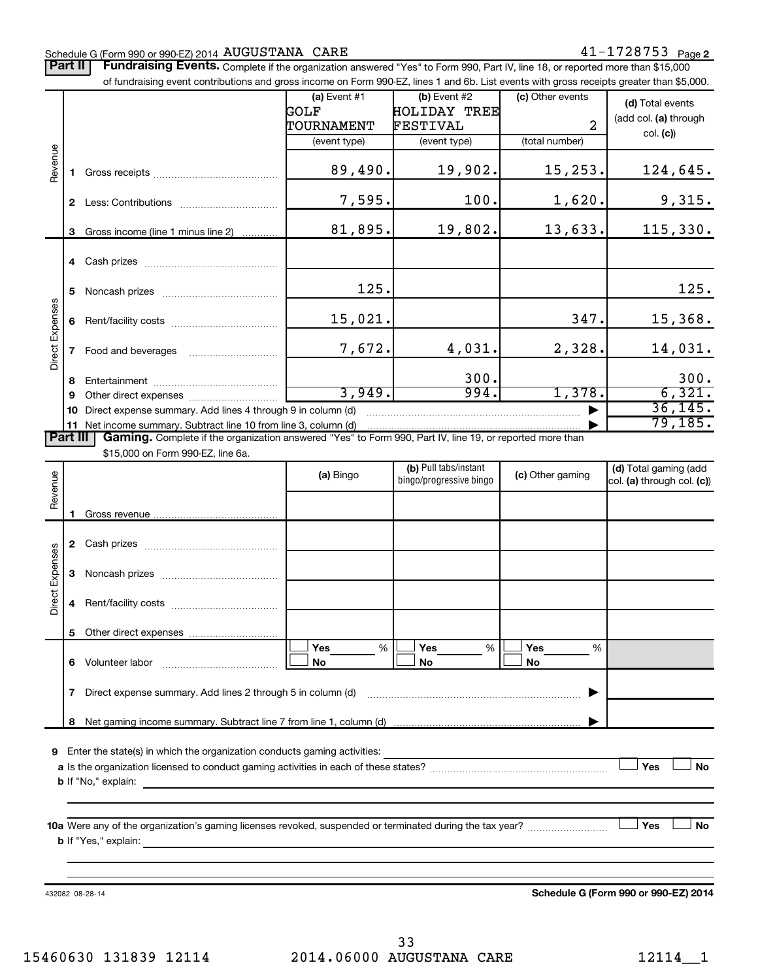#### Schedule G (Form 990 or 990-EZ) 2014 Page AUGUSTANA CARE 41-1728753

Part II | Fundraising Events. Complete if the organization answered "Yes" to Form 990, Part IV, line 18, or reported more than \$15,000

|                 |                | of fundraising event contributions and gross income on Form 990-EZ, lines 1 and 6b. List events with gross receipts greater than \$5,000.                                                                                                                    |                        |                                                  |                  |                                                     |
|-----------------|----------------|--------------------------------------------------------------------------------------------------------------------------------------------------------------------------------------------------------------------------------------------------------------|------------------------|--------------------------------------------------|------------------|-----------------------------------------------------|
|                 |                |                                                                                                                                                                                                                                                              | $(a)$ Event #1<br>GOLF | (b) Event #2<br><b>HOLIDAY TREE</b>              | (c) Other events | (d) Total events                                    |
|                 |                |                                                                                                                                                                                                                                                              | TOURNAMENT             | FESTIVAL                                         | $\overline{2}$   | (add col. (a) through                               |
|                 |                |                                                                                                                                                                                                                                                              | (event type)           | (event type)                                     | (total number)   | col. (c)                                            |
| Revenue         | 1.             |                                                                                                                                                                                                                                                              | 89,490.                | 19,902.                                          | 15, 253.         | 124,645.                                            |
|                 |                | 2 Less: Contributions                                                                                                                                                                                                                                        | 7,595.                 | 100.                                             | 1,620.           | 9,315.                                              |
|                 | 3              | Gross income (line 1 minus line 2)                                                                                                                                                                                                                           | 81,895.                | 19,802.                                          | 13,633.          | 115,330.                                            |
|                 |                |                                                                                                                                                                                                                                                              |                        |                                                  |                  |                                                     |
|                 | 5              |                                                                                                                                                                                                                                                              | 125.                   |                                                  |                  | 125.                                                |
|                 | 6              |                                                                                                                                                                                                                                                              | 15,021.                |                                                  | 347.             | 15,368.                                             |
| Direct Expenses | $\mathbf{7}$   |                                                                                                                                                                                                                                                              | 7,672.                 | 4,031.                                           | 2,328.           | 14,031.                                             |
|                 | 8              |                                                                                                                                                                                                                                                              |                        | 300.                                             |                  | 300.                                                |
|                 | 9              |                                                                                                                                                                                                                                                              | 3,949.                 | 994.                                             | 1,378.           | 6,321.                                              |
|                 | 10             | Direct expense summary. Add lines 4 through 9 in column (d)                                                                                                                                                                                                  |                        |                                                  |                  | 36, 145.                                            |
|                 |                | 11 Net income summary. Subtract line 10 from line 3, column (d)                                                                                                                                                                                              |                        |                                                  |                  | 79, 185.                                            |
| <b>Part III</b> |                | Gaming. Complete if the organization answered "Yes" to Form 990, Part IV, line 19, or reported more than                                                                                                                                                     |                        |                                                  |                  |                                                     |
|                 |                | \$15,000 on Form 990-EZ, line 6a.                                                                                                                                                                                                                            |                        |                                                  |                  |                                                     |
| Revenue         |                |                                                                                                                                                                                                                                                              | (a) Bingo              | (b) Pull tabs/instant<br>bingo/progressive bingo | (c) Other gaming | (d) Total gaming (add<br>col. (a) through col. (c)) |
|                 |                |                                                                                                                                                                                                                                                              |                        |                                                  |                  |                                                     |
|                 | 1              |                                                                                                                                                                                                                                                              |                        |                                                  |                  |                                                     |
|                 |                |                                                                                                                                                                                                                                                              |                        |                                                  |                  |                                                     |
| Direct Expenses | 3 <sup>1</sup> |                                                                                                                                                                                                                                                              |                        |                                                  |                  |                                                     |
|                 | 4              |                                                                                                                                                                                                                                                              |                        |                                                  |                  |                                                     |
|                 |                |                                                                                                                                                                                                                                                              |                        |                                                  |                  |                                                     |
|                 |                | 6 Volunteer labor                                                                                                                                                                                                                                            | Yes<br>$\%$<br>No      | Yes<br>$\%$<br>No                                | Yes<br>%<br>No   |                                                     |
|                 | 7              | Direct expense summary. Add lines 2 through 5 in column (d)                                                                                                                                                                                                  |                        |                                                  |                  |                                                     |
|                 | 8              |                                                                                                                                                                                                                                                              |                        |                                                  |                  |                                                     |
|                 |                | 9 Enter the state(s) in which the organization conducts gaming activities:                                                                                                                                                                                   |                        |                                                  |                  |                                                     |
|                 |                | <b>b</b> If "No," explain:<br>the control of the control of the control of the control of the control of                                                                                                                                                     |                        |                                                  |                  | Yes<br><b>No</b>                                    |
|                 |                |                                                                                                                                                                                                                                                              |                        |                                                  |                  | <b>No</b>                                           |
|                 |                | <b>b</b> If "Yes," explain:<br>the control of the control of the control of the control of the control of the control of the control of the control of the control of the control of the control of the control of the control of the control of the control |                        |                                                  |                  | Yes                                                 |
|                 |                |                                                                                                                                                                                                                                                              |                        |                                                  |                  |                                                     |

432082 08-28-14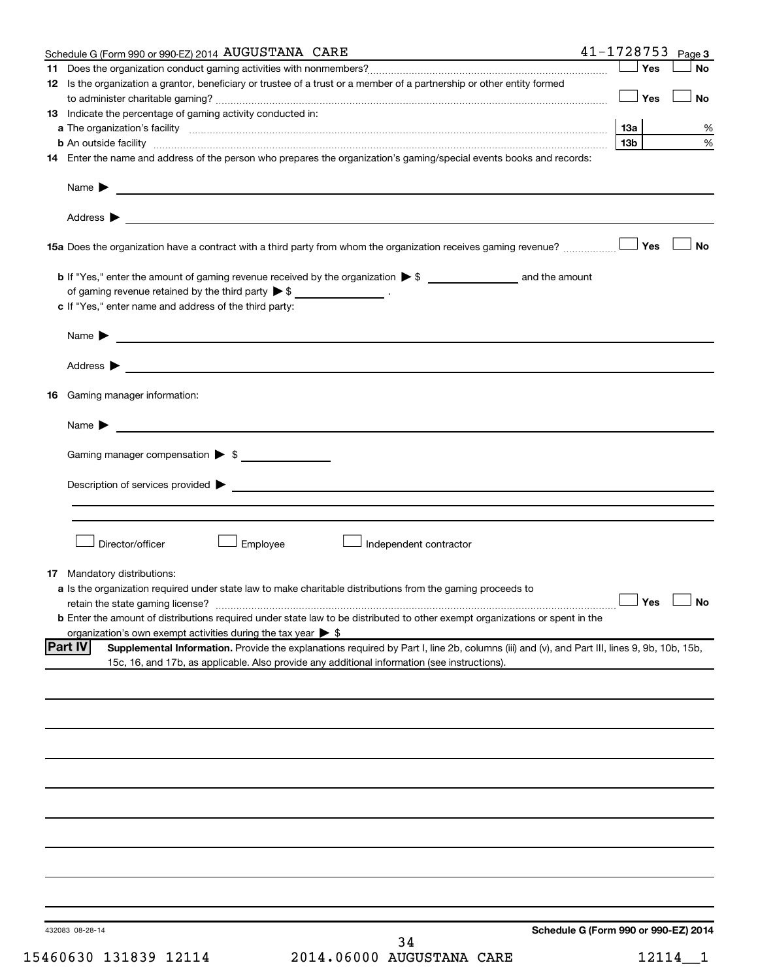|     | Schedule G (Form 990 or 990-EZ) 2014 AUGUSTANA CARE                                                                                                                                                                                                           | 41-1728753                           | Page 3    |
|-----|---------------------------------------------------------------------------------------------------------------------------------------------------------------------------------------------------------------------------------------------------------------|--------------------------------------|-----------|
| 11. |                                                                                                                                                                                                                                                               | Yes                                  | <b>No</b> |
|     | 12 Is the organization a grantor, beneficiary or trustee of a trust or a member of a partnership or other entity formed                                                                                                                                       | $\Box$ Yes                           | <b>No</b> |
|     | 13 Indicate the percentage of gaming activity conducted in:                                                                                                                                                                                                   |                                      |           |
|     |                                                                                                                                                                                                                                                               | 13a                                  | %         |
|     |                                                                                                                                                                                                                                                               | 13 <sub>b</sub>                      | %         |
|     | 14 Enter the name and address of the person who prepares the organization's gaming/special events books and records:                                                                                                                                          |                                      |           |
|     | Name $\blacktriangleright$<br><u> 1989 - Johann Barbara, martin amerikan basal dan berasal dan berasal dalam basal dan berasal dan berasal dan</u>                                                                                                            |                                      |           |
|     |                                                                                                                                                                                                                                                               |                                      |           |
|     |                                                                                                                                                                                                                                                               |                                      | <b>No</b> |
|     | of gaming revenue retained by the third party $\triangleright$ \$ ___________________.                                                                                                                                                                        |                                      |           |
|     | c If "Yes," enter name and address of the third party:                                                                                                                                                                                                        |                                      |           |
|     | <u> 1980 - Andrea Stadt Britain, amerikansk politiker (</u><br>Name $\blacktriangleright$                                                                                                                                                                     |                                      |           |
|     |                                                                                                                                                                                                                                                               |                                      |           |
| 16  | Gaming manager information:                                                                                                                                                                                                                                   |                                      |           |
|     | <u> 1989 - Johann Harry Harry Harry Harry Harry Harry Harry Harry Harry Harry Harry Harry Harry Harry Harry Harry</u><br>Name $\blacktriangleright$                                                                                                           |                                      |           |
|     | Gaming manager compensation > \$                                                                                                                                                                                                                              |                                      |           |
|     | Description of services provided > example and the contract of the contract of the contract of the contract of                                                                                                                                                |                                      |           |
|     |                                                                                                                                                                                                                                                               |                                      |           |
|     | Director/officer<br>Employee<br>Independent contractor                                                                                                                                                                                                        |                                      |           |
|     | <b>17</b> Mandatory distributions:                                                                                                                                                                                                                            |                                      |           |
|     | a Is the organization required under state law to make charitable distributions from the gaming proceeds to<br>retain the state gaming license?                                                                                                               | $\Box$ Yes $\ \bot$                  | $\Box$ No |
|     | <b>b</b> Enter the amount of distributions required under state law to be distributed to other exempt organizations or spent in the<br>organization's own exempt activities during the tax year $\triangleright$ \$                                           |                                      |           |
|     | <b>Part IV</b><br>Supplemental Information. Provide the explanations required by Part I, line 2b, columns (iii) and (v), and Part III, lines 9, 9b, 10b, 15b,<br>15c, 16, and 17b, as applicable. Also provide any additional information (see instructions). |                                      |           |
|     |                                                                                                                                                                                                                                                               |                                      |           |
|     |                                                                                                                                                                                                                                                               |                                      |           |
|     |                                                                                                                                                                                                                                                               |                                      |           |
|     |                                                                                                                                                                                                                                                               |                                      |           |
|     |                                                                                                                                                                                                                                                               |                                      |           |
|     |                                                                                                                                                                                                                                                               |                                      |           |
|     |                                                                                                                                                                                                                                                               |                                      |           |
|     |                                                                                                                                                                                                                                                               |                                      |           |
|     |                                                                                                                                                                                                                                                               |                                      |           |
|     | 432083 08-28-14                                                                                                                                                                                                                                               | Schedule G (Form 990 or 990-EZ) 2014 |           |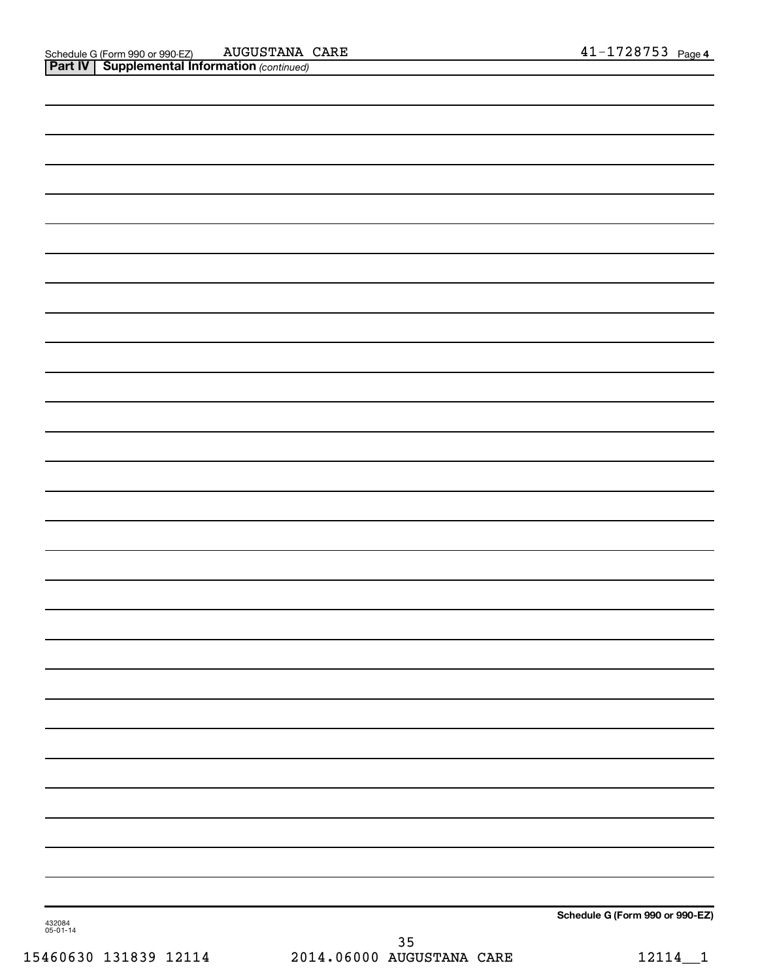| 432084<br>05-01-14 | Schedule G (Form 990 or 990-EZ) |
|--------------------|---------------------------------|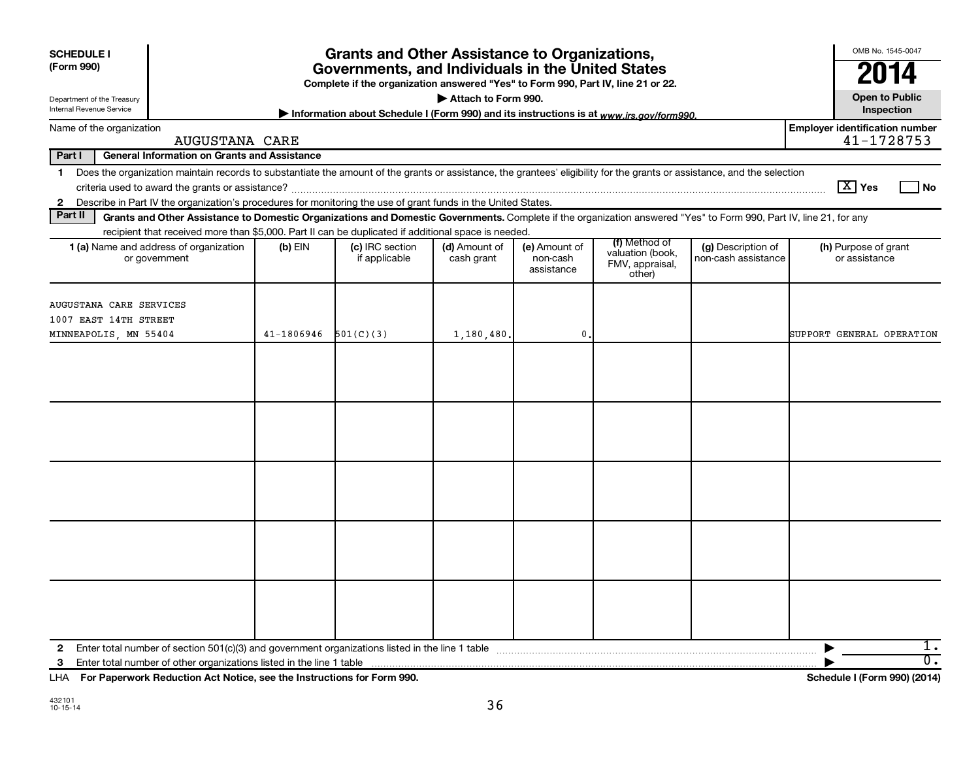| <b>SCHEDULE I</b><br>(Form 990)<br>Department of the Treasury<br>Internal Revenue Service       | <b>Grants and Other Assistance to Organizations,</b><br>Governments, and Individuals in the United States<br>Complete if the organization answered "Yes" to Form 990, Part IV, line 21 or 22.<br>Attach to Form 990.<br>Information about Schedule I (Form 990) and its instructions is at www.irs.gov/form990. |            |                                  |                             |                                         |                                               |                                           |                                             |  |  |
|-------------------------------------------------------------------------------------------------|-----------------------------------------------------------------------------------------------------------------------------------------------------------------------------------------------------------------------------------------------------------------------------------------------------------------|------------|----------------------------------|-----------------------------|-----------------------------------------|-----------------------------------------------|-------------------------------------------|---------------------------------------------|--|--|
| Name of the organization                                                                        |                                                                                                                                                                                                                                                                                                                 |            |                                  |                             |                                         |                                               |                                           | <b>Employer identification number</b>       |  |  |
| Part I                                                                                          | <b>AUGUSTANA CARE</b><br><b>General Information on Grants and Assistance</b>                                                                                                                                                                                                                                    |            |                                  |                             |                                         |                                               |                                           | 41-1728753                                  |  |  |
| $\mathbf 1$                                                                                     | Does the organization maintain records to substantiate the amount of the grants or assistance, the grantees' eligibility for the grants or assistance, and the selection                                                                                                                                        |            |                                  |                             |                                         |                                               |                                           |                                             |  |  |
|                                                                                                 |                                                                                                                                                                                                                                                                                                                 |            |                                  |                             |                                         |                                               |                                           | $\boxed{\text{X}}$ Yes<br>l No              |  |  |
| $\mathbf{2}$                                                                                    | Describe in Part IV the organization's procedures for monitoring the use of grant funds in the United States.                                                                                                                                                                                                   |            |                                  |                             |                                         |                                               |                                           |                                             |  |  |
| Part II                                                                                         | Grants and Other Assistance to Domestic Organizations and Domestic Governments. Complete if the organization answered "Yes" to Form 990, Part IV, line 21, for any                                                                                                                                              |            |                                  |                             |                                         |                                               |                                           |                                             |  |  |
|                                                                                                 | recipient that received more than \$5,000. Part II can be duplicated if additional space is needed.                                                                                                                                                                                                             |            |                                  |                             |                                         | (f) Method of                                 |                                           |                                             |  |  |
|                                                                                                 | 1 (a) Name and address of organization<br>or government                                                                                                                                                                                                                                                         | (b) EIN    | (c) IRC section<br>if applicable | (d) Amount of<br>cash grant | (e) Amount of<br>non-cash<br>assistance | valuation (book,<br>FMV, appraisal,<br>other) | (g) Description of<br>non-cash assistance | (h) Purpose of grant<br>or assistance       |  |  |
| AUGUSTANA CARE SERVICES<br>1007 EAST 14TH STREET<br>MINNEAPOLIS, MN 55404                       |                                                                                                                                                                                                                                                                                                                 | 41-1806946 | 501(C)(3)                        | 1,180,480.                  | $\mathbf{0}$                            |                                               |                                           | SUPPORT GENERAL OPERATION                   |  |  |
|                                                                                                 |                                                                                                                                                                                                                                                                                                                 |            |                                  |                             |                                         |                                               |                                           |                                             |  |  |
| $\mathbf{2}$<br>3<br>LHA For Paperwork Reduction Act Notice, see the Instructions for Form 990. | Enter total number of section $501(c)(3)$ and government organizations listed in the line 1 table                                                                                                                                                                                                               |            |                                  |                             |                                         |                                               |                                           | $1$ .<br>0.<br>Schedule I (Form 990) (2014) |  |  |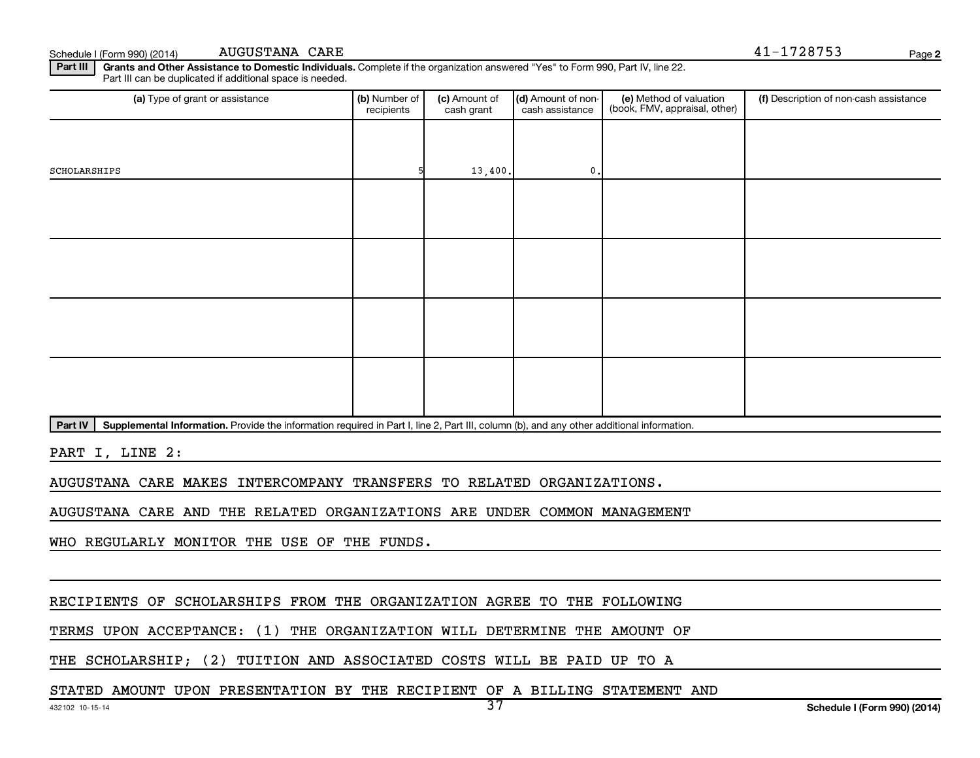Schedule I (Form 990) (2014) AUGUSTANA CARE  $41-1728753$ AUGUSTANA CARE

**2**

Part III | Grants and Other Assistance to Domestic Individuals. Complete if the organization answered "Yes" to Form 990, Part IV, line 22. Part III can be duplicated if additional space is needed.

| (a) Type of grant or assistance | (b) Number of<br>recipients | (c) Amount of<br>cash grant | (d) Amount of non-<br>cash assistance | (e) Method of valuation<br>(book, FMV, appraisal, other) | (f) Description of non-cash assistance |
|---------------------------------|-----------------------------|-----------------------------|---------------------------------------|----------------------------------------------------------|----------------------------------------|
|                                 |                             |                             |                                       |                                                          |                                        |
| SCHOLARSHIPS                    |                             | 13,400.                     | $\mathfrak o$ .                       |                                                          |                                        |
|                                 |                             |                             |                                       |                                                          |                                        |
|                                 |                             |                             |                                       |                                                          |                                        |
|                                 |                             |                             |                                       |                                                          |                                        |
|                                 |                             |                             |                                       |                                                          |                                        |
|                                 |                             |                             |                                       |                                                          |                                        |
|                                 |                             |                             |                                       |                                                          |                                        |
|                                 |                             |                             |                                       |                                                          |                                        |
|                                 |                             |                             |                                       |                                                          |                                        |

Part IV | Supplemental Information. Provide the information required in Part I, line 2, Part III, column (b), and any other additional information.

PART I, LINE 2:

AUGUSTANA CARE MAKES INTERCOMPANY TRANSFERS TO RELATED ORGANIZATIONS.

AUGUSTANA CARE AND THE RELATED ORGANIZATIONS ARE UNDER COMMON MANAGEMENT

WHO REGULARLY MONITOR THE USE OF THE FUNDS.

RECIPIENTS OF SCHOLARSHIPS FROM THE ORGANIZATION AGREE TO THE FOLLOWING

TERMS UPON ACCEPTANCE: (1) THE ORGANIZATION WILL DETERMINE THE AMOUNT OF

THE SCHOLARSHIP; (2) TUITION AND ASSOCIATED COSTS WILL BE PAID UP TO A

STATED AMOUNT UPON PRESENTATION BY THE RECIPIENT OF A BILLING STATEMENT AND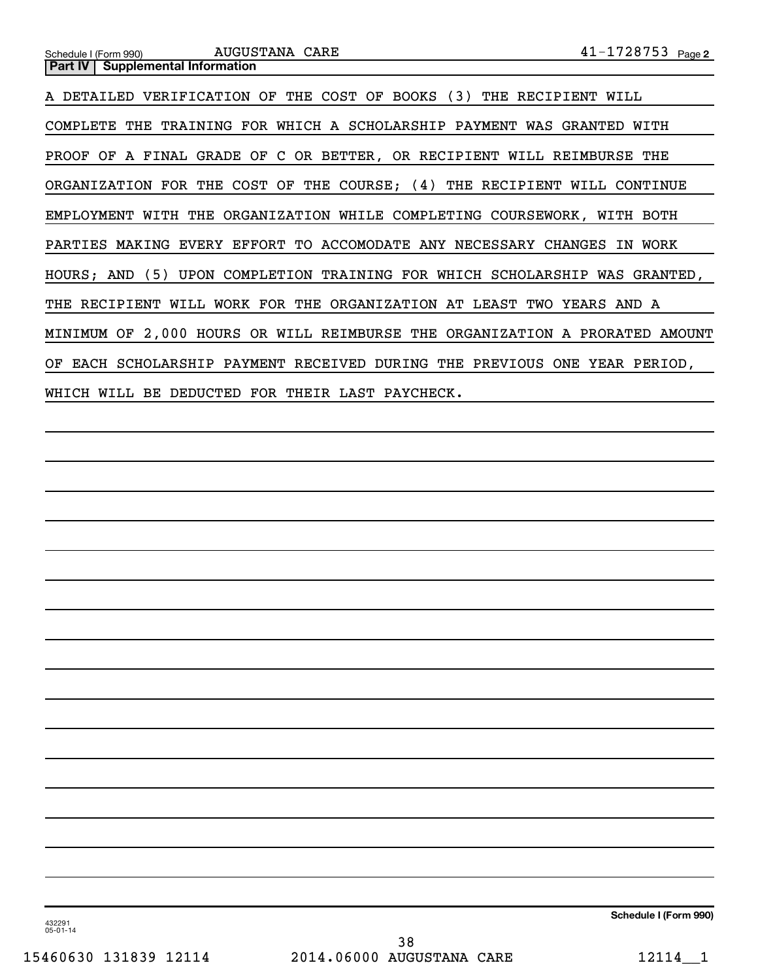| Schedule I (Form 990) <b>AUGUSTANA CARE</b>                                 | 41-1728753 Page 2 |
|-----------------------------------------------------------------------------|-------------------|
| <b>Part IV   Supplemental Information</b>                                   |                   |
| A DETAILED VERIFICATION OF THE COST OF BOOKS (3) THE RECIPIENT WILL         |                   |
| COMPLETE THE TRAINING FOR WHICH A SCHOLARSHIP PAYMENT WAS GRANTED WITH      |                   |
| PROOF OF A FINAL GRADE OF C OR BETTER, OR RECIPIENT WILL REIMBURSE THE      |                   |
| ORGANIZATION FOR THE COST OF THE COURSE; (4) THE RECIPIENT WILL CONTINUE    |                   |
| EMPLOYMENT WITH THE ORGANIZATION WHILE COMPLETING COURSEWORK, WITH BOTH     |                   |
| PARTIES MAKING EVERY EFFORT TO ACCOMODATE ANY NECESSARY CHANGES IN WORK     |                   |
| HOURS; AND (5) UPON COMPLETION TRAINING FOR WHICH SCHOLARSHIP WAS GRANTED,  |                   |
| THE RECIPIENT WILL WORK FOR THE ORGANIZATION AT LEAST TWO YEARS AND A       |                   |
| MINIMUM OF 2,000 HOURS OR WILL REIMBURSE THE ORGANIZATION A PRORATED AMOUNT |                   |
| OF EACH SCHOLARSHIP PAYMENT RECEIVED DURING THE PREVIOUS ONE YEAR PERIOD,   |                   |
| WHICH WILL BE DEDUCTED FOR THEIR LAST PAYCHECK.                             |                   |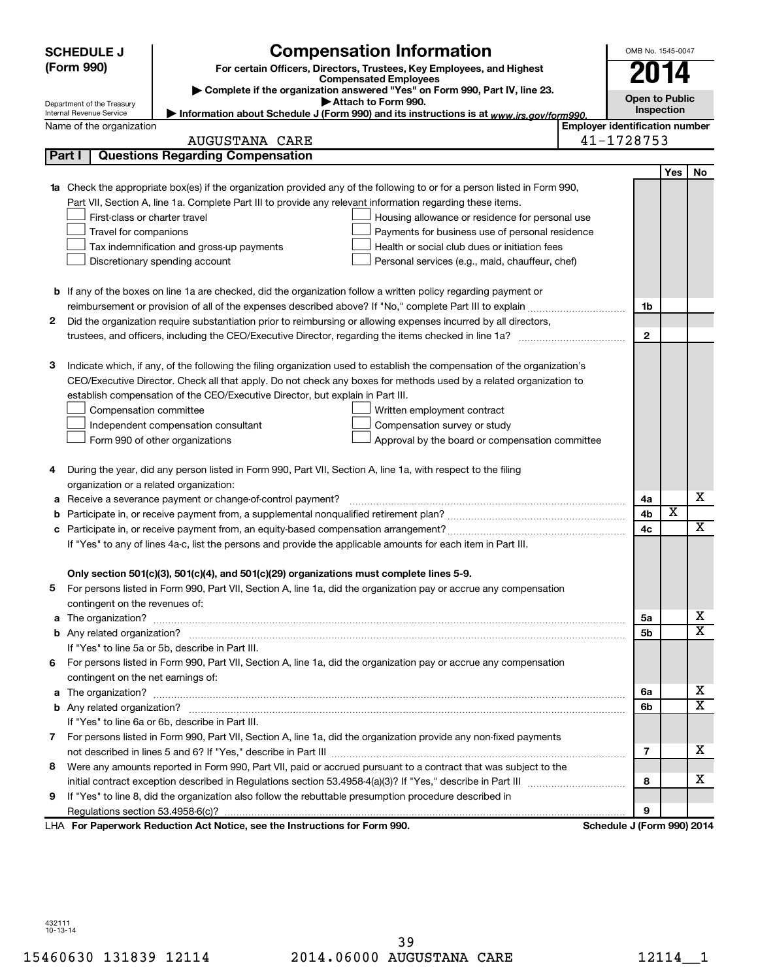|              | <b>SCHEDULE J</b>                       | <b>Compensation Information</b>                                                                                           |                                       | OMB No. 1545-0047     |     |                         |
|--------------|-----------------------------------------|---------------------------------------------------------------------------------------------------------------------------|---------------------------------------|-----------------------|-----|-------------------------|
|              | (Form 990)                              | For certain Officers, Directors, Trustees, Key Employees, and Highest                                                     |                                       | 2014                  |     |                         |
|              |                                         | <b>Compensated Employees</b><br>Complete if the organization answered "Yes" on Form 990, Part IV, line 23.                |                                       |                       |     |                         |
|              | Department of the Treasury              | Attach to Form 990.                                                                                                       |                                       | <b>Open to Public</b> |     |                         |
|              | Internal Revenue Service                | Information about Schedule J (Form 990) and its instructions is at www.irs.gov/form990.                                   |                                       | Inspection            |     |                         |
|              | Name of the organization                |                                                                                                                           | <b>Employer identification number</b> |                       |     |                         |
|              |                                         | <b>AUGUSTANA CARE</b>                                                                                                     | 41-1728753                            |                       |     |                         |
|              | Part I                                  | <b>Questions Regarding Compensation</b>                                                                                   |                                       |                       |     |                         |
|              |                                         |                                                                                                                           |                                       |                       | Yes | No                      |
|              |                                         | 1a Check the appropriate box(es) if the organization provided any of the following to or for a person listed in Form 990, |                                       |                       |     |                         |
|              |                                         | Part VII, Section A, line 1a. Complete Part III to provide any relevant information regarding these items.                |                                       |                       |     |                         |
|              | First-class or charter travel           | Housing allowance or residence for personal use                                                                           |                                       |                       |     |                         |
|              | Travel for companions                   | Payments for business use of personal residence                                                                           |                                       |                       |     |                         |
|              |                                         | Tax indemnification and gross-up payments<br>Health or social club dues or initiation fees                                |                                       |                       |     |                         |
|              |                                         | Discretionary spending account<br>Personal services (e.g., maid, chauffeur, chef)                                         |                                       |                       |     |                         |
|              |                                         |                                                                                                                           |                                       |                       |     |                         |
|              |                                         | <b>b</b> If any of the boxes on line 1a are checked, did the organization follow a written policy regarding payment or    |                                       |                       |     |                         |
|              |                                         |                                                                                                                           |                                       | 1b                    |     |                         |
| $\mathbf{2}$ |                                         | Did the organization require substantiation prior to reimbursing or allowing expenses incurred by all directors,          |                                       |                       |     |                         |
|              |                                         |                                                                                                                           |                                       | $\mathbf{2}$          |     |                         |
|              |                                         |                                                                                                                           |                                       |                       |     |                         |
| 3            |                                         | Indicate which, if any, of the following the filing organization used to establish the compensation of the organization's |                                       |                       |     |                         |
|              |                                         | CEO/Executive Director. Check all that apply. Do not check any boxes for methods used by a related organization to        |                                       |                       |     |                         |
|              |                                         | establish compensation of the CEO/Executive Director, but explain in Part III.                                            |                                       |                       |     |                         |
|              | Compensation committee                  | Written employment contract                                                                                               |                                       |                       |     |                         |
|              |                                         | Independent compensation consultant<br>Compensation survey or study                                                       |                                       |                       |     |                         |
|              |                                         | Form 990 of other organizations<br>Approval by the board or compensation committee                                        |                                       |                       |     |                         |
| 4            |                                         | During the year, did any person listed in Form 990, Part VII, Section A, line 1a, with respect to the filing              |                                       |                       |     |                         |
|              | organization or a related organization: |                                                                                                                           |                                       |                       |     |                         |
| а            |                                         | Receive a severance payment or change-of-control payment?                                                                 |                                       | 4a                    |     | х                       |
| b            |                                         |                                                                                                                           |                                       | 4b                    | X   |                         |
| с            |                                         |                                                                                                                           |                                       | 4с                    |     | $\overline{\mathbf{X}}$ |
|              |                                         | If "Yes" to any of lines 4a-c, list the persons and provide the applicable amounts for each item in Part III.             |                                       |                       |     |                         |
|              |                                         |                                                                                                                           |                                       |                       |     |                         |
|              |                                         | Only section 501(c)(3), 501(c)(4), and 501(c)(29) organizations must complete lines 5-9.                                  |                                       |                       |     |                         |
|              |                                         | For persons listed in Form 990, Part VII, Section A, line 1a, did the organization pay or accrue any compensation         |                                       |                       |     |                         |
|              | contingent on the revenues of:          |                                                                                                                           |                                       |                       |     |                         |
|              |                                         |                                                                                                                           |                                       | 5а                    |     | X.                      |
|              |                                         |                                                                                                                           |                                       | 5b                    |     | $\overline{\mathbf{X}}$ |
|              |                                         | If "Yes" to line 5a or 5b, describe in Part III.                                                                          |                                       |                       |     |                         |
| 6            |                                         | For persons listed in Form 990, Part VII, Section A, line 1a, did the organization pay or accrue any compensation         |                                       |                       |     |                         |
|              | contingent on the net earnings of:      |                                                                                                                           |                                       |                       |     |                         |
|              |                                         |                                                                                                                           |                                       | 6a                    |     | X.                      |
|              |                                         |                                                                                                                           |                                       | 6b                    |     | $\overline{\text{X}}$   |
|              |                                         | If "Yes" to line 6a or 6b, describe in Part III.                                                                          |                                       |                       |     |                         |
|              |                                         | 7 For persons listed in Form 990, Part VII, Section A, line 1a, did the organization provide any non-fixed payments       |                                       |                       |     |                         |
|              |                                         |                                                                                                                           |                                       | 7                     |     | х                       |
| 8            |                                         | Were any amounts reported in Form 990, Part VII, paid or accrued pursuant to a contract that was subject to the           |                                       |                       |     |                         |
|              |                                         |                                                                                                                           |                                       | 8                     |     | x                       |
| 9            |                                         | If "Yes" to line 8, did the organization also follow the rebuttable presumption procedure described in                    |                                       |                       |     |                         |
|              |                                         |                                                                                                                           |                                       | 9                     |     |                         |
|              |                                         | LHA For Paperwork Reduction Act Notice, see the Instructions for Form 990.                                                | Schedule J (Form 990) 2014            |                       |     |                         |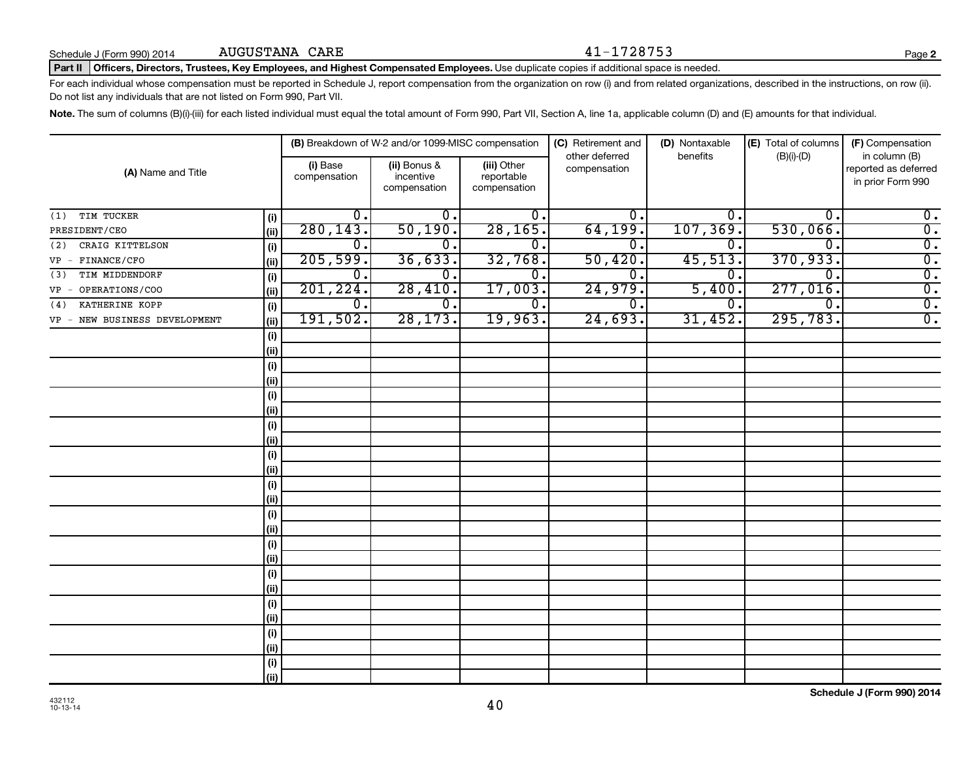#### Part II | Officers, Directors, Trustees, Key Employees, and Highest Compensated Employees. Use duplicate copies if additional space is needed.

For each individual whose compensation must be reported in Schedule J, report compensation from the organization on row (i) and from related organizations, described in the instructions, on row (ii). Do not list any individuals that are not listed on Form 990, Part VII.

Note. The sum of columns (B)(i)-(iii) for each listed individual must equal the total amount of Form 990, Part VII, Section A, line 1a, applicable column (D) and (E) amounts for that individual.

|                               |      |                          | (B) Breakdown of W-2 and/or 1099-MISC compensation |                                           | (C) Retirement and<br>other deferred | (D) Nontaxable<br>benefits | (E) Total of columns | (F) Compensation<br>in column (B)         |
|-------------------------------|------|--------------------------|----------------------------------------------------|-------------------------------------------|--------------------------------------|----------------------------|----------------------|-------------------------------------------|
| (A) Name and Title            |      | (i) Base<br>compensation | (ii) Bonus &<br>incentive<br>compensation          | (iii) Other<br>reportable<br>compensation | compensation                         |                            | $(B)(i)-(D)$         | reported as deferred<br>in prior Form 990 |
| TIM TUCKER<br>(1)             | (i)  | 0.                       | 0.                                                 | 0.                                        | 0.                                   | 0.                         | 0.                   | $\overline{0}$ .                          |
| PRESIDENT/CEO                 | (ii) | 280, 143.                | 50,190.                                            | 28, 165.                                  | 64, 199.                             | 107, 369.                  | 530,066.             | $\overline{0}$ .                          |
| CRAIG KITTELSON<br>(2)        | (i)  | 0.                       | 0.                                                 | 0.                                        | 0.                                   | 0.                         | $\Omega$ .           | $\overline{0}$ .                          |
| VP - FINANCE/CFO              | (ii) | 205,599.                 | 36,633.                                            | 32,768.                                   | 50,420.                              | 45,513.                    | 370, 933.            | $\overline{0}$ .                          |
| TIM MIDDENDORF<br>(3)         | (i)  | 0.                       | 0.                                                 | 0.                                        | 0                                    | 0.                         | $\Omega$             | $\overline{0}$ .                          |
| OPERATIONS/COO<br>$VP -$      | (ii) | 201, 224.                | 28,410.                                            | 17,003.                                   | 24,979.                              | 5,400.                     | 277,016.             | $\overline{0}$ .                          |
| KATHERINE KOPP<br>(4)         | (i)  | 0.                       | $0$ .                                              | $\mathbf{0}$ .                            | $\overline{0}$ .                     | 0.                         | $\mathbf{0}$         | $\overline{0}$ .                          |
| VP - NEW BUSINESS DEVELOPMENT | (ii) | 191,502.                 | 28, 173.                                           | 19,963.                                   | 24,693.                              | 31,452.                    | 295,783.             | $\overline{0}$ .                          |
|                               | (i)  |                          |                                                    |                                           |                                      |                            |                      |                                           |
|                               | (ii) |                          |                                                    |                                           |                                      |                            |                      |                                           |
|                               | (i)  |                          |                                                    |                                           |                                      |                            |                      |                                           |
|                               | (ii) |                          |                                                    |                                           |                                      |                            |                      |                                           |
|                               | (i)  |                          |                                                    |                                           |                                      |                            |                      |                                           |
|                               | (ii) |                          |                                                    |                                           |                                      |                            |                      |                                           |
|                               | (i)  |                          |                                                    |                                           |                                      |                            |                      |                                           |
|                               | (ii) |                          |                                                    |                                           |                                      |                            |                      |                                           |
|                               | (i)  |                          |                                                    |                                           |                                      |                            |                      |                                           |
|                               | (ii) |                          |                                                    |                                           |                                      |                            |                      |                                           |
|                               | (i)  |                          |                                                    |                                           |                                      |                            |                      |                                           |
|                               | (ii) |                          |                                                    |                                           |                                      |                            |                      |                                           |
|                               | (i)  |                          |                                                    |                                           |                                      |                            |                      |                                           |
|                               | (ii) |                          |                                                    |                                           |                                      |                            |                      |                                           |
|                               | (i)  |                          |                                                    |                                           |                                      |                            |                      |                                           |
|                               | (ii) |                          |                                                    |                                           |                                      |                            |                      |                                           |
|                               | (i)  |                          |                                                    |                                           |                                      |                            |                      |                                           |
|                               | (ii) |                          |                                                    |                                           |                                      |                            |                      |                                           |
|                               | (i)  |                          |                                                    |                                           |                                      |                            |                      |                                           |
|                               | (ii) |                          |                                                    |                                           |                                      |                            |                      |                                           |
|                               | (i)  |                          |                                                    |                                           |                                      |                            |                      |                                           |
|                               | (ii) |                          |                                                    |                                           |                                      |                            |                      |                                           |
|                               | (i)  |                          |                                                    |                                           |                                      |                            |                      |                                           |
|                               | (ii) |                          |                                                    |                                           |                                      |                            |                      |                                           |

**Schedule J (Form 990) 2014**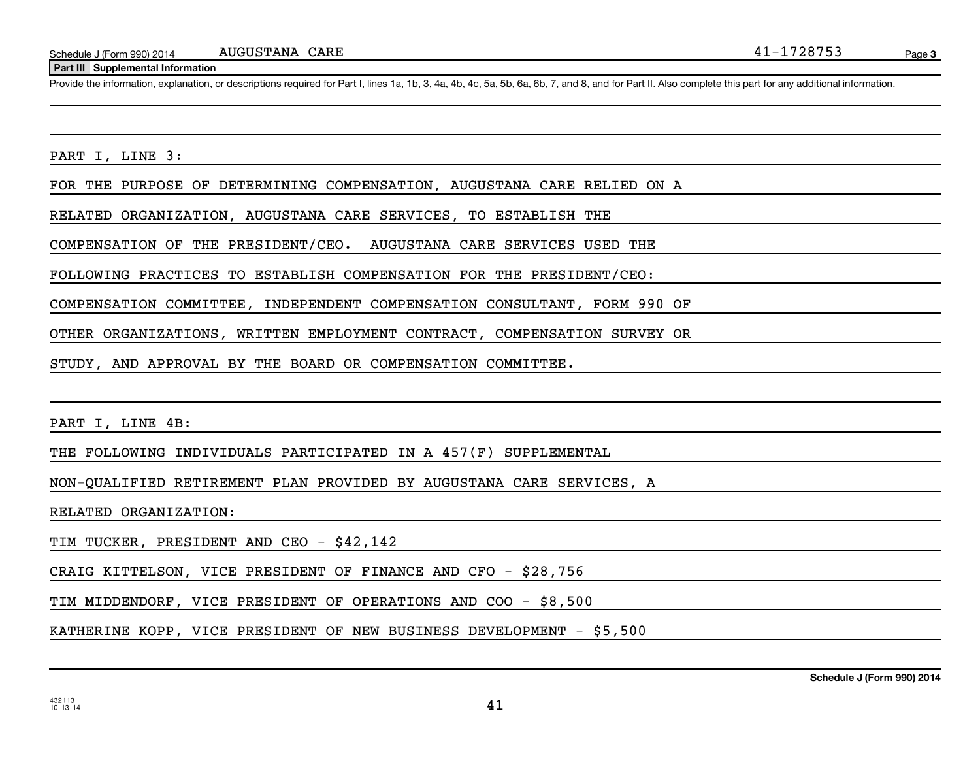#### **Part III Supplemental Information**

Provide the information, explanation, or descriptions required for Part I, lines 1a, 1b, 3, 4a, 4b, 4c, 5a, 5b, 6a, 6b, 7, and 8, and for Part II. Also complete this part for any additional information.

PART I, LINE 3:

FOR THE PURPOSE OF DETERMINING COMPENSATION, AUGUSTANA CARE RELIED ON A

RELATED ORGANIZATION, AUGUSTANA CARE SERVICES, TO ESTABLISH THE

COMPENSATION OF THE PRESIDENT/CEO. AUGUSTANA CARE SERVICES USED THE

FOLLOWING PRACTICES TO ESTABLISH COMPENSATION FOR THE PRESIDENT/CEO:

COMPENSATION COMMITTEE, INDEPENDENT COMPENSATION CONSULTANT, FORM 990 OF

OTHER ORGANIZATIONS, WRITTEN EMPLOYMENT CONTRACT, COMPENSATION SURVEY OR

STUDY, AND APPROVAL BY THE BOARD OR COMPENSATION COMMITTEE.

PART I, LINE 4B:

THE FOLLOWING INDIVIDUALS PARTICIPATED IN A 457(F) SUPPLEMENTAL

NON-QUALIFIED RETIREMENT PLAN PROVIDED BY AUGUSTANA CARE SERVICES, A

RELATED ORGANIZATION:

TIM TUCKER, PRESIDENT AND CEO - \$42,142

CRAIG KITTELSON, VICE PRESIDENT OF FINANCE AND CFO - \$28,756

TIM MIDDENDORF, VICE PRESIDENT OF OPERATIONS AND COO - \$8,500

KATHERINE KOPP, VICE PRESIDENT OF NEW BUSINESS DEVELOPMENT - \$5,500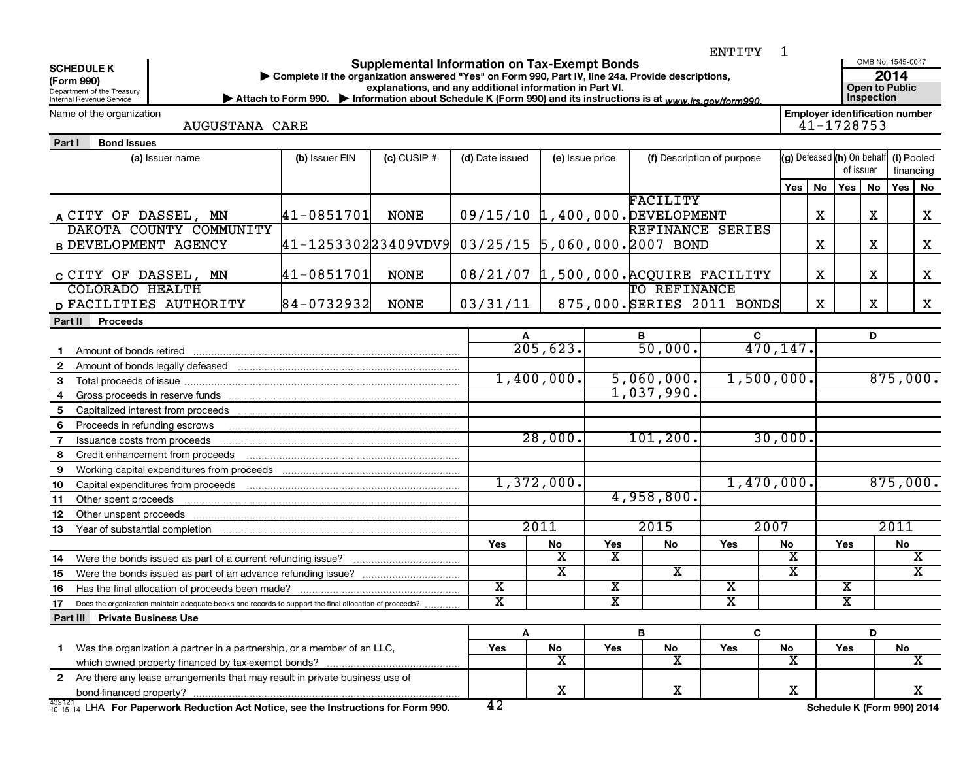| ENTITY<br><b>Supplemental Information on Tax-Exempt Bonds</b><br><b>SCHEDULE K</b><br>Complete if the organization answered "Yes" on Form 990, Part IV, line 24a. Provide descriptions,<br>(Form 990)<br>explanations, and any additional information in Part VI.<br>Department of the Treasury<br>> Attach to Form 990. > Information about Schedule K (Form 990) and its instructions is at www.irs.gov/form990.<br>Internal Revenue Service |                            |               |                                      |                         |                         |                           |                            | 1          |                                                     |                         | OMB No. 1545-0047<br><b>Open to Public</b><br>Inspection | 2014       |                         |
|------------------------------------------------------------------------------------------------------------------------------------------------------------------------------------------------------------------------------------------------------------------------------------------------------------------------------------------------------------------------------------------------------------------------------------------------|----------------------------|---------------|--------------------------------------|-------------------------|-------------------------|---------------------------|----------------------------|------------|-----------------------------------------------------|-------------------------|----------------------------------------------------------|------------|-------------------------|
| Name of the organization<br><b>AUGUSTANA CARE</b>                                                                                                                                                                                                                                                                                                                                                                                              |                            |               |                                      |                         |                         |                           |                            |            | <b>Employer identification number</b><br>41-1728753 |                         |                                                          |            |                         |
| Part I<br><b>Bond Issues</b>                                                                                                                                                                                                                                                                                                                                                                                                                   |                            |               |                                      |                         |                         |                           |                            |            |                                                     |                         |                                                          |            |                         |
| (a) Issuer name                                                                                                                                                                                                                                                                                                                                                                                                                                | (b) Issuer EIN             | $(c)$ CUSIP # | (d) Date issued                      |                         | (e) Issue price         |                           | (f) Description of purpose |            | (g) Defeased (h) On behalf                          |                         |                                                          | (i) Pooled |                         |
|                                                                                                                                                                                                                                                                                                                                                                                                                                                |                            |               |                                      |                         |                         |                           |                            |            |                                                     | of issuer               |                                                          | financing  |                         |
|                                                                                                                                                                                                                                                                                                                                                                                                                                                |                            |               |                                      |                         |                         |                           |                            | Yes        | No                                                  | Yes                     | No                                                       | Yes   No   |                         |
|                                                                                                                                                                                                                                                                                                                                                                                                                                                |                            |               |                                      |                         |                         | FACILITY                  |                            |            |                                                     |                         |                                                          |            |                         |
| A CITY OF DASSEL, MN                                                                                                                                                                                                                                                                                                                                                                                                                           | 41-0851701                 | NONE          | 09/15/10 1,400,000. DEVELOPMENT      |                         |                         |                           |                            |            | х                                                   |                         | X                                                        |            | X                       |
| DAKOTA COUNTY COMMUNITY                                                                                                                                                                                                                                                                                                                                                                                                                        |                            |               |                                      |                         |                         | <b>REFINANCE SERIES</b>   |                            |            |                                                     |                         |                                                          |            |                         |
| <b>B DEVELOPMENT AGENCY</b>                                                                                                                                                                                                                                                                                                                                                                                                                    | $ 41 - 1253302 23409VDV9 $ |               | 03/25/15 5,060,000.2007 BOND         |                         |                         |                           |                            |            | х                                                   |                         | $\mathbf X$                                              |            | X                       |
|                                                                                                                                                                                                                                                                                                                                                                                                                                                |                            |               |                                      |                         |                         |                           |                            |            |                                                     |                         |                                                          |            |                         |
| C CITY OF DASSEL, MN                                                                                                                                                                                                                                                                                                                                                                                                                           | 41-0851701                 | NONE          | 08/21/07 1,500,000. ACQUIRE FACILITY |                         |                         |                           |                            |            | х                                                   |                         | x                                                        |            | X                       |
| <b>COLORADO HEALTH</b>                                                                                                                                                                                                                                                                                                                                                                                                                         |                            |               |                                      |                         |                         | TO REFINANCE              |                            |            |                                                     |                         |                                                          |            |                         |
| D FACILITIES AUTHORITY                                                                                                                                                                                                                                                                                                                                                                                                                         | $ 84 - 0732932 $           | NONE          | 03/31/11                             |                         |                         | 875,000.SERIES 2011 BONDS |                            |            | $\mathbf X$                                         |                         | $\mathbf X$                                              |            | X                       |
|                                                                                                                                                                                                                                                                                                                                                                                                                                                |                            |               |                                      |                         |                         |                           |                            |            |                                                     |                         |                                                          |            |                         |
| Part II Proceeds                                                                                                                                                                                                                                                                                                                                                                                                                               |                            |               |                                      |                         |                         |                           |                            |            |                                                     |                         |                                                          |            |                         |
|                                                                                                                                                                                                                                                                                                                                                                                                                                                |                            |               |                                      | 205, 623.               |                         | В<br>50,000.              | C                          | 470, 147.  |                                                     |                         | D                                                        |            |                         |
| 2                                                                                                                                                                                                                                                                                                                                                                                                                                              |                            |               |                                      |                         |                         |                           |                            |            |                                                     |                         |                                                          |            |                         |
| 3                                                                                                                                                                                                                                                                                                                                                                                                                                              |                            |               |                                      | 1,400,000.              |                         | 5,060,000.                |                            | 1,500,000. |                                                     |                         |                                                          | 875,000.   |                         |
|                                                                                                                                                                                                                                                                                                                                                                                                                                                |                            |               |                                      |                         |                         | 1,037,990.                |                            |            |                                                     |                         |                                                          |            |                         |
| 5                                                                                                                                                                                                                                                                                                                                                                                                                                              |                            |               |                                      |                         |                         |                           |                            |            |                                                     |                         |                                                          |            |                         |
| Proceeds in refunding escrows<br>6                                                                                                                                                                                                                                                                                                                                                                                                             |                            |               |                                      |                         |                         |                           |                            |            |                                                     |                         |                                                          |            |                         |
|                                                                                                                                                                                                                                                                                                                                                                                                                                                |                            |               |                                      | 28,000.                 |                         | 101, 200.                 |                            | 30,000.    |                                                     |                         |                                                          |            |                         |
| Credit enhancement from proceeds<br>8                                                                                                                                                                                                                                                                                                                                                                                                          |                            |               |                                      |                         |                         |                           |                            |            |                                                     |                         |                                                          |            |                         |
| 9                                                                                                                                                                                                                                                                                                                                                                                                                                              |                            |               |                                      |                         |                         |                           |                            |            |                                                     |                         |                                                          |            |                         |
| 10                                                                                                                                                                                                                                                                                                                                                                                                                                             |                            |               |                                      | 1,372,000.              |                         |                           |                            | 1,470,000. |                                                     |                         |                                                          | 875,000.   |                         |
| 11<br>Other spent proceeds                                                                                                                                                                                                                                                                                                                                                                                                                     |                            |               |                                      |                         |                         | 4,958,800.                |                            |            |                                                     |                         |                                                          |            |                         |
| 12                                                                                                                                                                                                                                                                                                                                                                                                                                             |                            |               |                                      |                         |                         |                           |                            |            |                                                     |                         |                                                          |            |                         |
|                                                                                                                                                                                                                                                                                                                                                                                                                                                |                            |               |                                      | 2011                    |                         | 2015                      |                            | 2007       |                                                     |                         |                                                          | 2011       |                         |
| 13                                                                                                                                                                                                                                                                                                                                                                                                                                             |                            |               |                                      |                         | Yes                     |                           |                            |            |                                                     | Yes                     |                                                          |            |                         |
|                                                                                                                                                                                                                                                                                                                                                                                                                                                |                            |               | Yes                                  | No<br>х                 | X                       | No                        | Yes                        | No<br>x    |                                                     |                         |                                                          | No         | X                       |
| Were the bonds issued as part of a current refunding issue?<br>14                                                                                                                                                                                                                                                                                                                                                                              |                            |               |                                      | $\overline{\text{x}}$   |                         | $\overline{\mathbf{X}}$   |                            | X          |                                                     |                         |                                                          |            | $\overline{\texttt{x}}$ |
| 15                                                                                                                                                                                                                                                                                                                                                                                                                                             |                            |               | $\overline{\texttt{x}}$              |                         | $\overline{\textbf{X}}$ |                           | $\overline{\mathbf{X}}$    |            |                                                     | x                       |                                                          |            |                         |
| 16                                                                                                                                                                                                                                                                                                                                                                                                                                             |                            |               | $\overline{\mathtt{x}}$              |                         |                         |                           | $\overline{\text{X}}$      |            |                                                     | $\overline{\texttt{x}}$ |                                                          |            |                         |
| 17<br>Does the organization maintain adequate books and records to support the final allocation of proceeds?                                                                                                                                                                                                                                                                                                                                   |                            |               |                                      |                         | $\overline{\text{X}}$   |                           |                            |            |                                                     |                         |                                                          |            |                         |
| <b>Part III Private Business Use</b>                                                                                                                                                                                                                                                                                                                                                                                                           |                            |               |                                      |                         |                         |                           |                            |            |                                                     |                         |                                                          |            |                         |
|                                                                                                                                                                                                                                                                                                                                                                                                                                                |                            |               | A                                    |                         |                         | в                         | C                          |            |                                                     |                         | D                                                        |            |                         |
| Was the organization a partner in a partnership, or a member of an LLC,<br>1.                                                                                                                                                                                                                                                                                                                                                                  |                            |               | Yes                                  | No                      | Yes                     | No                        | Yes                        | No         |                                                     | Yes                     |                                                          | No         |                         |
|                                                                                                                                                                                                                                                                                                                                                                                                                                                |                            |               |                                      | $\overline{\textbf{x}}$ |                         | х                         |                            | X          |                                                     |                         |                                                          |            | $\overline{\textbf{X}}$ |
| 2 Are there any lease arrangements that may result in private business use of                                                                                                                                                                                                                                                                                                                                                                  |                            |               |                                      |                         |                         |                           |                            |            |                                                     |                         |                                                          |            |                         |
|                                                                                                                                                                                                                                                                                                                                                                                                                                                |                            |               |                                      | х                       |                         | X                         |                            | X          |                                                     |                         |                                                          |            | x                       |
| 432121<br>10-15-14 LHA For Paperwork Reduction Act Notice, see the Instructions for Form 990.                                                                                                                                                                                                                                                                                                                                                  |                            |               | 42                                   |                         |                         |                           |                            |            | Schedule K (Form 990) 2014                          |                         |                                                          |            |                         |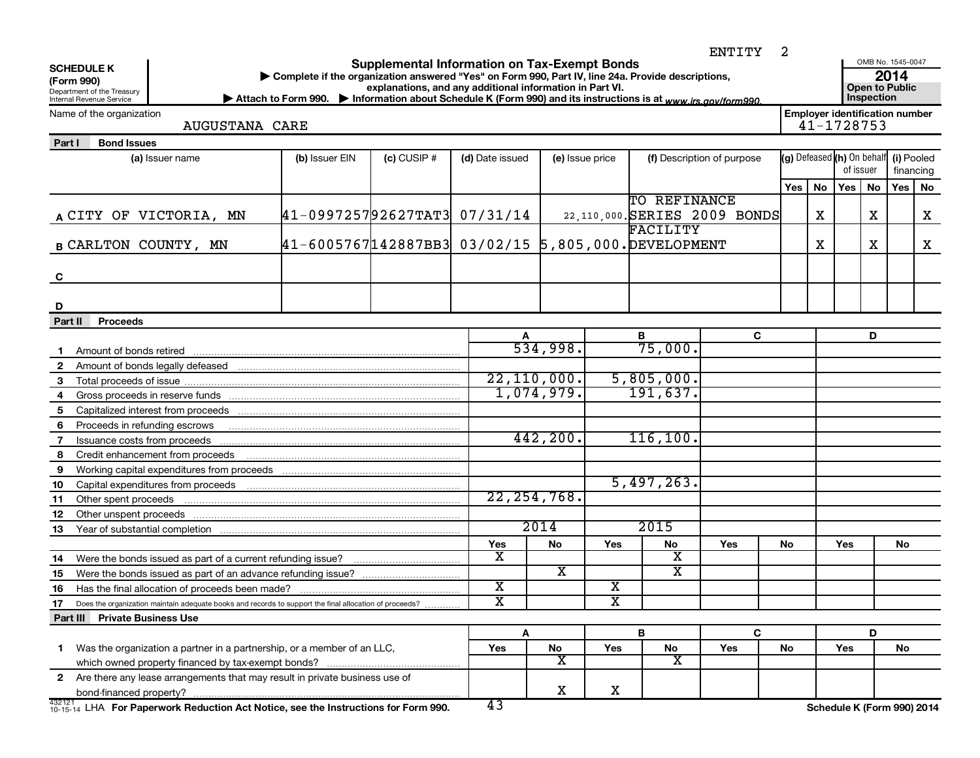|         | ENTITY<br><b>Supplemental Information on Tax-Exempt Bonds</b><br><b>SCHEDULE K</b><br>Complete if the organization answered "Yes" on Form 990, Part IV, line 24a. Provide descriptions,<br>(Form 990)<br>explanations, and any additional information in Part VI.<br>Department of the Treasury<br>Internal Revenue Service<br>Attach to Form 990. Information about Schedule K (Form 990) and its instructions is at www.irs.gov/form990. |                                                       |               |                       |                         |                 |                         |                              |     |                                       | 2<br>OMB No. 1545-0047<br>2014<br>Open to Public<br><b>Inspection</b><br><b>Employer identification number</b> |   |           |                            |
|---------|--------------------------------------------------------------------------------------------------------------------------------------------------------------------------------------------------------------------------------------------------------------------------------------------------------------------------------------------------------------------------------------------------------------------------------------------|-------------------------------------------------------|---------------|-----------------------|-------------------------|-----------------|-------------------------|------------------------------|-----|---------------------------------------|----------------------------------------------------------------------------------------------------------------|---|-----------|----------------------------|
|         | Name of the organization<br><b>AUGUSTANA CARE</b>                                                                                                                                                                                                                                                                                                                                                                                          |                                                       |               |                       |                         |                 |                         |                              |     | 41-1728753                            |                                                                                                                |   |           |                            |
| Part I  | <b>Bond Issues</b>                                                                                                                                                                                                                                                                                                                                                                                                                         |                                                       |               |                       |                         |                 |                         |                              |     |                                       |                                                                                                                |   |           |                            |
|         | (a) Issuer name                                                                                                                                                                                                                                                                                                                                                                                                                            | (b) Issuer EIN                                        | $(c)$ CUSIP # | (d) Date issued       |                         | (e) Issue price |                         | (f) Description of purpose   |     | (g) Defeased (h) On behalf (i) Pooled | of issuer                                                                                                      |   |           | financing                  |
|         |                                                                                                                                                                                                                                                                                                                                                                                                                                            |                                                       |               |                       |                         |                 |                         |                              | Yes | <b>No</b>                             | Yes   No                                                                                                       |   | Yes       | No                         |
|         | A CITY OF VICTORIA, MN                                                                                                                                                                                                                                                                                                                                                                                                                     | $ 41-0997257 92627$ TAT3 07/31/14                     |               |                       |                         |                 | TO REFINANCE            | 22,110,000.SERIES 2009 BONDS |     | х                                     |                                                                                                                | X |           | x                          |
|         |                                                                                                                                                                                                                                                                                                                                                                                                                                            |                                                       |               |                       |                         |                 | FACILITY                |                              |     |                                       |                                                                                                                |   |           |                            |
|         | <b>B CARLTON COUNTY, MN</b>                                                                                                                                                                                                                                                                                                                                                                                                                | $41-6005767142887BB3$ 03/02/15 5,805,000. DEVELOPMENT |               |                       |                         |                 |                         |                              |     | x                                     |                                                                                                                | X |           | x                          |
| C       |                                                                                                                                                                                                                                                                                                                                                                                                                                            |                                                       |               |                       |                         |                 |                         |                              |     |                                       |                                                                                                                |   |           |                            |
| D       |                                                                                                                                                                                                                                                                                                                                                                                                                                            |                                                       |               |                       |                         |                 |                         |                              |     |                                       |                                                                                                                |   |           |                            |
| Part II | <b>Proceeds</b>                                                                                                                                                                                                                                                                                                                                                                                                                            |                                                       |               |                       |                         |                 |                         |                              |     |                                       |                                                                                                                |   |           |                            |
|         |                                                                                                                                                                                                                                                                                                                                                                                                                                            |                                                       |               |                       |                         |                 | В                       | C                            |     |                                       |                                                                                                                | D |           |                            |
|         | Amount of bonds retired                                                                                                                                                                                                                                                                                                                                                                                                                    |                                                       |               |                       | 534,998.                |                 | 75,000.                 |                              |     |                                       |                                                                                                                |   |           |                            |
| 2       | Amount of bonds legally defeased <b>construction</b> contains and a final production of bonds legally defeased                                                                                                                                                                                                                                                                                                                             |                                                       |               |                       |                         |                 |                         |                              |     |                                       |                                                                                                                |   |           |                            |
| 3       |                                                                                                                                                                                                                                                                                                                                                                                                                                            |                                                       |               |                       | 22, 110, 000.           |                 | 5,805,000.              |                              |     |                                       |                                                                                                                |   |           |                            |
| 4       |                                                                                                                                                                                                                                                                                                                                                                                                                                            |                                                       |               |                       | 1,074,979.              |                 | 191,637.                |                              |     |                                       |                                                                                                                |   |           |                            |
| 5       | Capitalized interest from proceeds                                                                                                                                                                                                                                                                                                                                                                                                         |                                                       |               |                       |                         |                 |                         |                              |     |                                       |                                                                                                                |   |           |                            |
| 6       | Proceeds in refunding escrows                                                                                                                                                                                                                                                                                                                                                                                                              |                                                       |               |                       |                         |                 |                         |                              |     |                                       |                                                                                                                |   |           |                            |
| 7       | Issuance costs from proceeds                                                                                                                                                                                                                                                                                                                                                                                                               |                                                       |               |                       | 442, 200.               |                 | 116, 100.               |                              |     |                                       |                                                                                                                |   |           |                            |
| 8       | Credit enhancement from proceeds                                                                                                                                                                                                                                                                                                                                                                                                           |                                                       |               |                       |                         |                 |                         |                              |     |                                       |                                                                                                                |   |           |                            |
| 9       | Working capital expenditures from proceeds                                                                                                                                                                                                                                                                                                                                                                                                 |                                                       |               |                       |                         |                 |                         |                              |     |                                       |                                                                                                                |   |           |                            |
| 10      | Capital expenditures from proceeds                                                                                                                                                                                                                                                                                                                                                                                                         |                                                       |               |                       |                         |                 | 5,497,263.              |                              |     |                                       |                                                                                                                |   |           |                            |
| 11      | Other spent proceeds                                                                                                                                                                                                                                                                                                                                                                                                                       |                                                       |               |                       | 22, 254, 768.           |                 |                         |                              |     |                                       |                                                                                                                |   |           |                            |
| 12      | Other unspent proceeds                                                                                                                                                                                                                                                                                                                                                                                                                     |                                                       |               |                       |                         |                 |                         |                              |     |                                       |                                                                                                                |   |           |                            |
| 13      | Year of substantial completion                                                                                                                                                                                                                                                                                                                                                                                                             |                                                       |               |                       | 2014                    |                 | 2015                    |                              |     |                                       |                                                                                                                |   |           |                            |
|         |                                                                                                                                                                                                                                                                                                                                                                                                                                            |                                                       |               | Yes                   | No                      | Yes             | No                      | Yes                          | No  |                                       | Yes                                                                                                            |   | <b>No</b> |                            |
| 14      | Were the bonds issued as part of a current refunding issue?                                                                                                                                                                                                                                                                                                                                                                                |                                                       |               | x                     |                         |                 | X                       |                              |     |                                       |                                                                                                                |   |           |                            |
| 15      |                                                                                                                                                                                                                                                                                                                                                                                                                                            |                                                       |               |                       | $\overline{\textbf{X}}$ |                 | $\overline{\mathbf{X}}$ |                              |     |                                       |                                                                                                                |   |           |                            |
| 16      |                                                                                                                                                                                                                                                                                                                                                                                                                                            |                                                       |               | $\overline{\text{x}}$ |                         | X.              |                         |                              |     |                                       |                                                                                                                |   |           |                            |
| 17      | Does the organization maintain adequate books and records to support the final allocation of proceeds?                                                                                                                                                                                                                                                                                                                                     |                                                       |               | X                     |                         | X               |                         |                              |     |                                       |                                                                                                                |   |           |                            |
|         | <b>Part III Private Business Use</b>                                                                                                                                                                                                                                                                                                                                                                                                       |                                                       |               |                       |                         |                 |                         |                              |     |                                       |                                                                                                                |   |           |                            |
|         |                                                                                                                                                                                                                                                                                                                                                                                                                                            |                                                       |               | A                     |                         |                 | B                       | C                            |     |                                       |                                                                                                                | D |           |                            |
| 1.      | Was the organization a partner in a partnership, or a member of an LLC,                                                                                                                                                                                                                                                                                                                                                                    |                                                       |               | Yes                   | No                      | Yes             | No                      | Yes                          | No  |                                       | Yes                                                                                                            |   | No        |                            |
|         |                                                                                                                                                                                                                                                                                                                                                                                                                                            |                                                       |               |                       | $\overline{\mathbf{X}}$ |                 | $\overline{\mathbf{X}}$ |                              |     |                                       |                                                                                                                |   |           |                            |
|         | 2 Are there any lease arrangements that may result in private business use of                                                                                                                                                                                                                                                                                                                                                              |                                                       |               |                       |                         |                 |                         |                              |     |                                       |                                                                                                                |   |           |                            |
|         |                                                                                                                                                                                                                                                                                                                                                                                                                                            |                                                       |               |                       | X                       | X               |                         |                              |     |                                       |                                                                                                                |   |           |                            |
| 432121  | $432121$ <sub>10-15-14</sub> LHA For Paperwork Reduction Act Notice, see the Instructions for Form 990.                                                                                                                                                                                                                                                                                                                                    |                                                       |               | 43                    |                         |                 |                         |                              |     |                                       |                                                                                                                |   |           | Schedule K (Form 990) 2014 |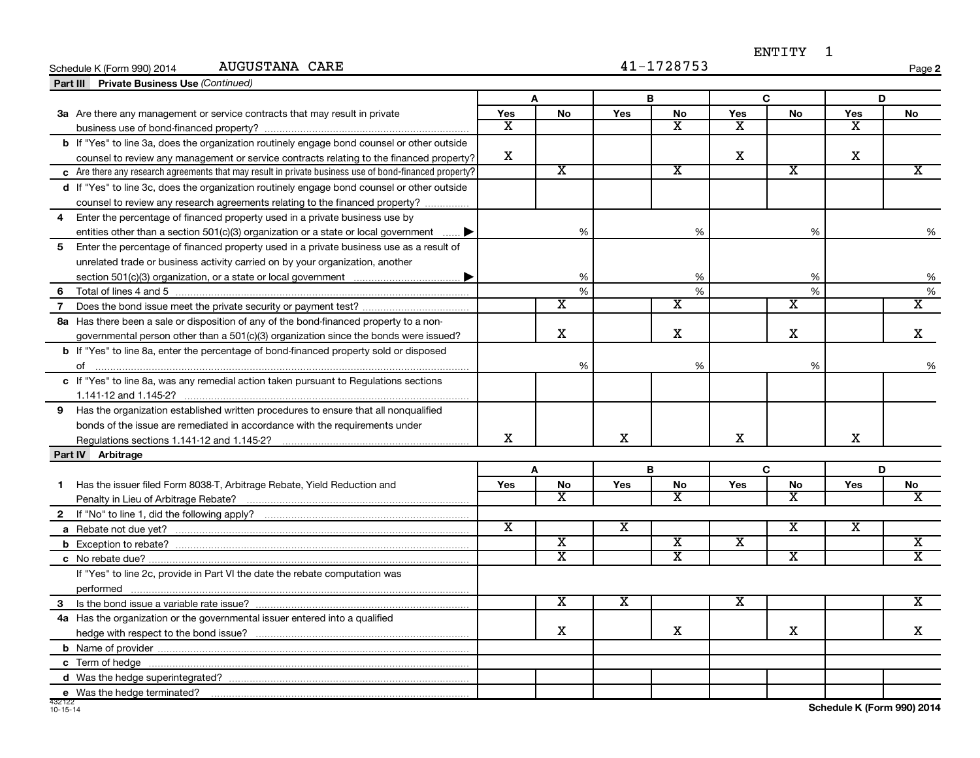#### Schedule K (Form 990) 2014 AUGUSTANA CARE  $41-1728753$ AUGUSTANA CARE

**2**

|                | <b>Part III</b> Private Business Use (Continued)                                                       |                         |                         |                         |                         |                         |                         |                             |                         |
|----------------|--------------------------------------------------------------------------------------------------------|-------------------------|-------------------------|-------------------------|-------------------------|-------------------------|-------------------------|-----------------------------|-------------------------|
|                |                                                                                                        |                         | A                       | B                       |                         |                         | C                       |                             | D                       |
|                | 3a Are there any management or service contracts that may result in private                            | <b>Yes</b>              | <b>No</b>               | Yes                     | No                      | Yes                     | No                      | Yes                         | No                      |
|                |                                                                                                        | X                       |                         |                         | $\overline{\mathbf{X}}$ | X.                      |                         | x                           |                         |
|                | b If "Yes" to line 3a, does the organization routinely engage bond counsel or other outside            |                         |                         |                         |                         |                         |                         |                             |                         |
|                | counsel to review any management or service contracts relating to the financed property?               | X                       |                         |                         |                         | $\mathbf X$             |                         | X                           |                         |
|                | c Are there any research agreements that may result in private business use of bond-financed property? |                         | $\overline{\texttt{x}}$ |                         | $\overline{\texttt{x}}$ |                         | $\overline{\text{x}}$   |                             | х                       |
|                | d If "Yes" to line 3c, does the organization routinely engage bond counsel or other outside            |                         |                         |                         |                         |                         |                         |                             |                         |
|                | counsel to review any research agreements relating to the financed property?                           |                         |                         |                         |                         |                         |                         |                             |                         |
| 4              | Enter the percentage of financed property used in a private business use by                            |                         |                         |                         |                         |                         |                         |                             |                         |
|                | entities other than a section 501(c)(3) organization or a state or local government                    |                         | %                       |                         | %                       |                         | %                       |                             | %                       |
| 5              | Enter the percentage of financed property used in a private business use as a result of                |                         |                         |                         |                         |                         |                         |                             |                         |
|                | unrelated trade or business activity carried on by your organization, another                          |                         |                         |                         |                         |                         |                         |                             |                         |
|                |                                                                                                        |                         | %                       |                         | %                       |                         | %                       |                             | %                       |
| 6              |                                                                                                        |                         | $\%$                    |                         | $\%$                    |                         | $\%$                    |                             | %                       |
| $\overline{7}$ |                                                                                                        |                         | $\overline{\textbf{x}}$ |                         | $\overline{\mathbf{X}}$ |                         | X                       |                             | $\overline{\mathtt{x}}$ |
|                | 8a Has there been a sale or disposition of any of the bond-financed property to a non-                 |                         |                         |                         |                         |                         |                         |                             |                         |
|                | governmental person other than a 501(c)(3) organization since the bonds were issued?                   |                         | $\mathbf X$             |                         | $\mathbf X$             |                         | $\mathbf X$             |                             | $\mathbf{x}$            |
|                | <b>b</b> If "Yes" to line 8a, enter the percentage of bond-financed property sold or disposed          |                         |                         |                         |                         |                         |                         |                             |                         |
|                |                                                                                                        |                         | %                       |                         | %                       |                         | %                       |                             | %                       |
|                | c If "Yes" to line 8a, was any remedial action taken pursuant to Regulations sections                  |                         |                         |                         |                         |                         |                         |                             |                         |
|                |                                                                                                        |                         |                         |                         |                         |                         |                         |                             |                         |
|                | 9 Has the organization established written procedures to ensure that all nonqualified                  |                         |                         |                         |                         |                         |                         |                             |                         |
|                | bonds of the issue are remediated in accordance with the requirements under                            |                         |                         |                         |                         |                         |                         |                             |                         |
|                | Regulations sections 1.141-12 and 1.145-2?                                                             | X                       |                         | X                       |                         | X                       |                         | X                           |                         |
|                | Part IV Arbitrage                                                                                      |                         |                         |                         |                         |                         |                         |                             |                         |
|                |                                                                                                        |                         | A                       |                         | B                       |                         | C                       |                             | D                       |
| 1              | Has the issuer filed Form 8038-T, Arbitrage Rebate, Yield Reduction and                                | <b>Yes</b>              | ${\sf No}$              | Yes                     | No                      | Yes                     | No                      | Yes                         | No                      |
|                |                                                                                                        |                         | X                       |                         | $\overline{\mathbf{X}}$ |                         | $\overline{\text{x}}$   |                             | X                       |
|                |                                                                                                        |                         |                         |                         |                         |                         |                         |                             |                         |
|                |                                                                                                        | $\overline{\texttt{x}}$ |                         | $\overline{\textbf{x}}$ |                         |                         | $\overline{\texttt{x}}$ | $\overline{\textnormal{x}}$ |                         |
|                |                                                                                                        |                         | $\overline{\textbf{x}}$ |                         | $\overline{\textbf{x}}$ | $\overline{\textbf{x}}$ |                         |                             | $\overline{\textbf{x}}$ |
|                |                                                                                                        |                         | $\overline{\mathtt{x}}$ |                         | $\overline{\text{x}}$   |                         | $\overline{\textbf{x}}$ |                             | $\overline{\mathtt{x}}$ |
|                | If "Yes" to line 2c, provide in Part VI the date the rebate computation was                            |                         |                         |                         |                         |                         |                         |                             |                         |
|                |                                                                                                        |                         |                         |                         |                         |                         |                         |                             |                         |
|                |                                                                                                        |                         | $\overline{\mathbf{X}}$ | $\overline{\textbf{x}}$ |                         | $\overline{\texttt{x}}$ |                         |                             | х                       |
|                | 4a Has the organization or the governmental issuer entered into a qualified                            |                         |                         |                         |                         |                         |                         |                             |                         |
|                |                                                                                                        |                         | $\mathbf X$             |                         | $\mathbf X$             |                         | $\mathbf X$             |                             | x                       |
|                |                                                                                                        |                         |                         |                         |                         |                         |                         |                             |                         |
|                |                                                                                                        |                         |                         |                         |                         |                         |                         |                             |                         |
|                |                                                                                                        |                         |                         |                         |                         |                         |                         |                             |                         |
|                | e Was the hedge terminated?                                                                            |                         |                         |                         |                         |                         |                         |                             |                         |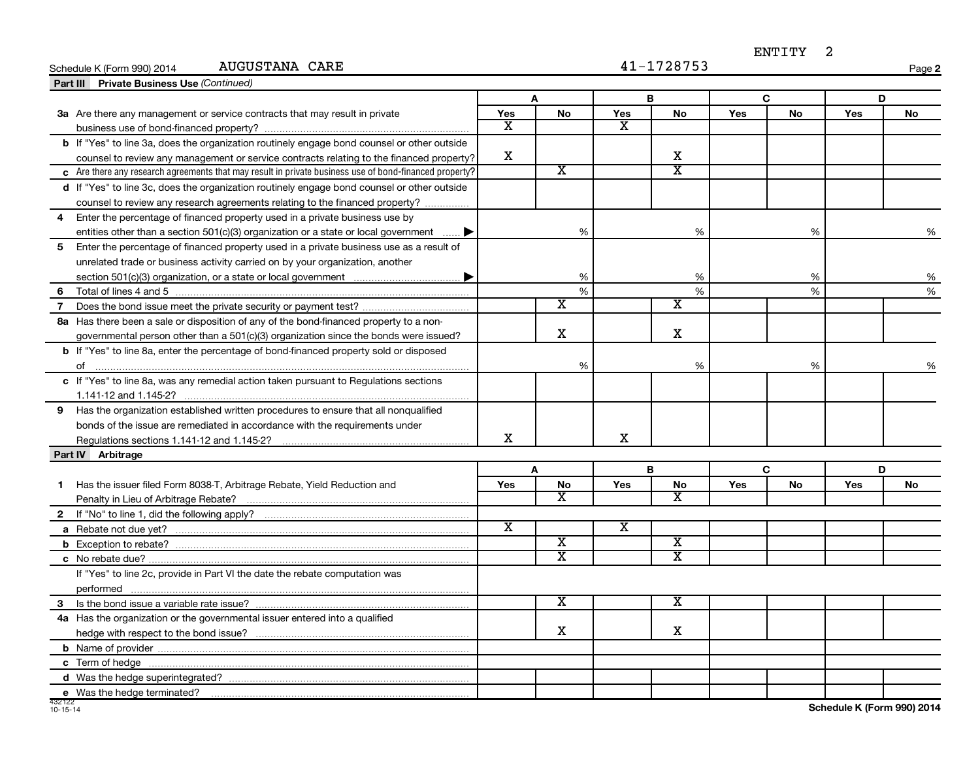#### Schedule K (Form 990) 2014 Page AUGUSTANA CARE 41-1728753

**2**

|                | <b>Part III</b> Private Business Use (Continued)                                                       |                         |                             |                         |                         |     |           |     |    |
|----------------|--------------------------------------------------------------------------------------------------------|-------------------------|-----------------------------|-------------------------|-------------------------|-----|-----------|-----|----|
|                |                                                                                                        |                         | A                           |                         | B                       |     | C         |     | D  |
|                | 3a Are there any management or service contracts that may result in private                            | Yes                     | <b>No</b>                   | Yes                     | No                      | Yes | No        | Yes | No |
|                |                                                                                                        | x                       |                             | x                       |                         |     |           |     |    |
|                | b If "Yes" to line 3a, does the organization routinely engage bond counsel or other outside            |                         |                             |                         |                         |     |           |     |    |
|                | counsel to review any management or service contracts relating to the financed property?               | Χ                       |                             |                         | X                       |     |           |     |    |
|                | c Are there any research agreements that may result in private business use of bond-financed property? |                         | $\overline{\texttt{x}}$     |                         | $\overline{\text{x}}$   |     |           |     |    |
|                | d If "Yes" to line 3c, does the organization routinely engage bond counsel or other outside            |                         |                             |                         |                         |     |           |     |    |
|                | counsel to review any research agreements relating to the financed property?                           |                         |                             |                         |                         |     |           |     |    |
| 4              | Enter the percentage of financed property used in a private business use by                            |                         |                             |                         |                         |     |           |     |    |
|                | entities other than a section 501(c)(3) organization or a state or local government $\ldots$ .         |                         | %                           |                         | $\%$                    |     | %         |     | %  |
| 5              | Enter the percentage of financed property used in a private business use as a result of                |                         |                             |                         |                         |     |           |     |    |
|                | unrelated trade or business activity carried on by your organization, another                          |                         |                             |                         |                         |     |           |     |    |
|                |                                                                                                        |                         | %                           |                         | %                       |     | %         |     | %  |
| 6              |                                                                                                        |                         | $\%$                        |                         | %                       |     | %         |     | %  |
| $\overline{7}$ |                                                                                                        |                         | $\overline{\mathbf{x}}$     |                         | $\overline{\mathbf{X}}$ |     |           |     |    |
|                | 8a Has there been a sale or disposition of any of the bond-financed property to a non-                 |                         |                             |                         |                         |     |           |     |    |
|                | governmental person other than a $501(c)(3)$ organization since the bonds were issued?                 |                         | X                           |                         | x                       |     |           |     |    |
|                | <b>b</b> If "Yes" to line 8a, enter the percentage of bond-financed property sold or disposed          |                         |                             |                         |                         |     |           |     |    |
|                |                                                                                                        |                         | %                           |                         | %                       |     | %         |     | %  |
|                | c If "Yes" to line 8a, was any remedial action taken pursuant to Regulations sections                  |                         |                             |                         |                         |     |           |     |    |
|                |                                                                                                        |                         |                             |                         |                         |     |           |     |    |
|                | 9 Has the organization established written procedures to ensure that all nonqualified                  |                         |                             |                         |                         |     |           |     |    |
|                | bonds of the issue are remediated in accordance with the requirements under                            |                         |                             |                         |                         |     |           |     |    |
|                |                                                                                                        | x                       |                             | х                       |                         |     |           |     |    |
|                | Part IV Arbitrage                                                                                      |                         |                             |                         |                         |     |           |     |    |
|                |                                                                                                        |                         | A                           |                         | в                       |     | C         |     | D  |
| 1              | Has the issuer filed Form 8038-T, Arbitrage Rebate, Yield Reduction and                                | <b>Yes</b>              | No                          | <b>Yes</b>              | ${\sf No}$              | Yes | <b>No</b> | Yes | No |
|                |                                                                                                        |                         | X                           |                         | $\overline{\mathbf{x}}$ |     |           |     |    |
|                |                                                                                                        |                         |                             |                         |                         |     |           |     |    |
|                |                                                                                                        | $\overline{\texttt{x}}$ |                             | $\overline{\mathbf{X}}$ |                         |     |           |     |    |
|                |                                                                                                        |                         | $\overline{\textnormal{x}}$ |                         | $\overline{\textbf{x}}$ |     |           |     |    |
|                |                                                                                                        |                         | $\overline{\text{x}}$       |                         | $\overline{\text{x}}$   |     |           |     |    |
|                | If "Yes" to line 2c, provide in Part VI the date the rebate computation was                            |                         |                             |                         |                         |     |           |     |    |
|                |                                                                                                        |                         |                             |                         |                         |     |           |     |    |
|                |                                                                                                        |                         | $\overline{\mathbf{X}}$     |                         | X                       |     |           |     |    |
|                | 4a Has the organization or the governmental issuer entered into a qualified                            |                         |                             |                         |                         |     |           |     |    |
|                |                                                                                                        |                         | x                           |                         | x                       |     |           |     |    |
|                |                                                                                                        |                         |                             |                         |                         |     |           |     |    |
|                |                                                                                                        |                         |                             |                         |                         |     |           |     |    |
|                |                                                                                                        |                         |                             |                         |                         |     |           |     |    |
|                |                                                                                                        |                         |                             |                         |                         |     |           |     |    |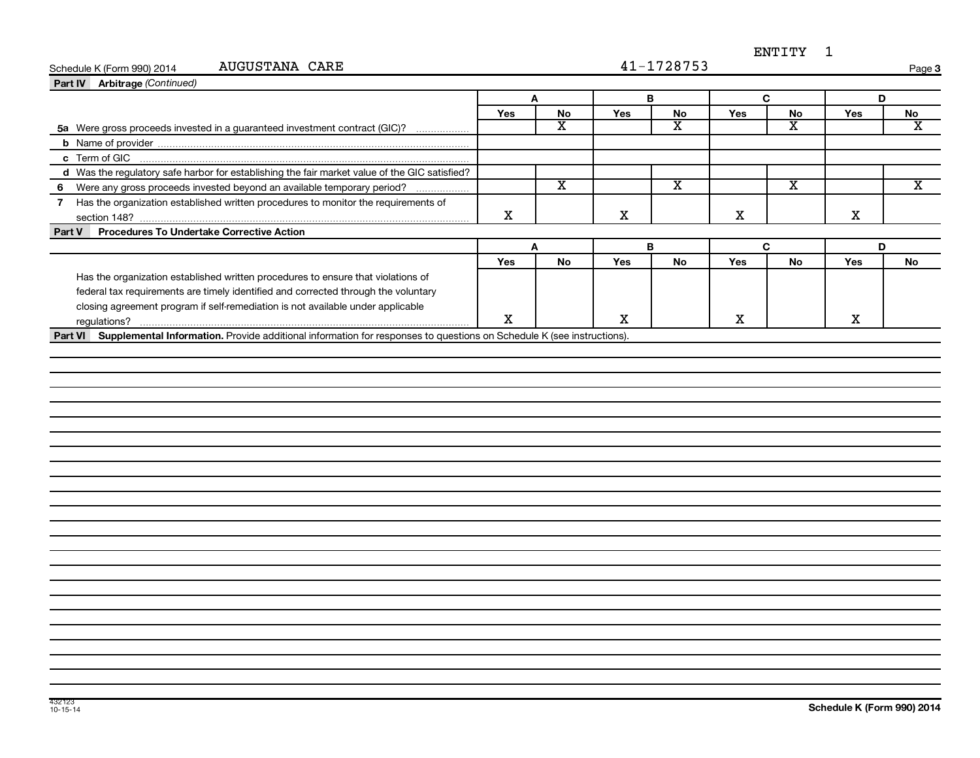**3**

Schedule K (Form 990) 2014 Page AUGUSTANA CARE 41-1728753

| <b>Part IV</b> Arbitrage (Continued)                                                                                          |             |                               |             |                               |             |                               |                            |                               |
|-------------------------------------------------------------------------------------------------------------------------------|-------------|-------------------------------|-------------|-------------------------------|-------------|-------------------------------|----------------------------|-------------------------------|
|                                                                                                                               | Α           |                               |             | B                             | $\mathbf C$ |                               | D                          |                               |
|                                                                                                                               | Yes         | No<br>$\overline{\texttt{x}}$ | Yes         | No<br>$\overline{\texttt{x}}$ | Yes         | No<br>$\overline{\mathtt{x}}$ | Yes                        | No<br>$\overline{\textbf{x}}$ |
| 5a Were gross proceeds invested in a guaranteed investment contract (GIC)?                                                    |             |                               |             |                               |             |                               |                            |                               |
|                                                                                                                               |             |                               |             |                               |             |                               |                            |                               |
|                                                                                                                               |             |                               |             |                               |             |                               |                            |                               |
| d Was the regulatory safe harbor for establishing the fair market value of the GIC satisfied?                                 |             | $\overline{\textbf{x}}$       |             | $\overline{\textbf{x}}$       |             | $\overline{\texttt{x}}$       |                            | X                             |
| 6 Were any gross proceeds invested beyond an available temporary period?                                                      |             |                               |             |                               |             |                               |                            |                               |
| 7 Has the organization established written procedures to monitor the requirements of                                          | $\mathbf X$ |                               | $\mathbf X$ |                               | $\mathbf X$ |                               | $\mathbf X$                |                               |
| <b>Procedures To Undertake Corrective Action</b>                                                                              |             |                               |             |                               |             |                               |                            |                               |
| Part V                                                                                                                        |             |                               |             |                               |             |                               |                            |                               |
|                                                                                                                               |             | A                             |             | B                             |             | C                             | D                          |                               |
|                                                                                                                               | Yes         | No                            | Yes         | No                            | Yes         | No                            | Yes                        | No                            |
| Has the organization established written procedures to ensure that violations of                                              |             |                               |             |                               |             |                               |                            |                               |
| federal tax requirements are timely identified and corrected through the voluntary                                            |             |                               |             |                               |             |                               |                            |                               |
| closing agreement program if self-remediation is not available under applicable                                               | $\mathbf X$ |                               | x           |                               | $\mathbf X$ |                               | $\mathbf X$                |                               |
| Part VI Supplemental Information. Provide additional information for responses to questions on Schedule K (see instructions). |             |                               |             |                               |             |                               |                            |                               |
|                                                                                                                               |             |                               |             |                               |             |                               |                            |                               |
|                                                                                                                               |             |                               |             |                               |             |                               |                            |                               |
|                                                                                                                               |             |                               |             |                               |             |                               |                            |                               |
|                                                                                                                               |             |                               |             |                               |             |                               |                            |                               |
|                                                                                                                               |             |                               |             |                               |             |                               |                            |                               |
|                                                                                                                               |             |                               |             |                               |             |                               |                            |                               |
|                                                                                                                               |             |                               |             |                               |             |                               |                            |                               |
|                                                                                                                               |             |                               |             |                               |             |                               |                            |                               |
|                                                                                                                               |             |                               |             |                               |             |                               |                            |                               |
|                                                                                                                               |             |                               |             |                               |             |                               |                            |                               |
| 432123                                                                                                                        |             |                               |             |                               |             |                               | Schodule K (Form 000) 2014 |                               |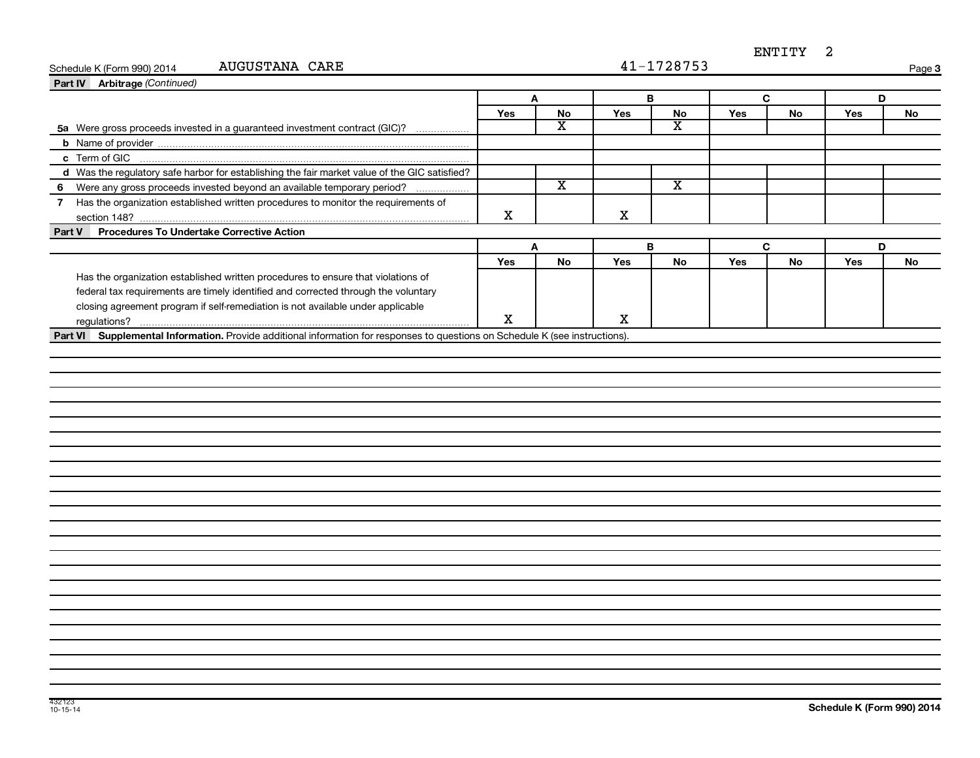| $990$ $2014$<br>Schedule .<br>K (Form | <b>AUGUSTANA</b><br>CARE | ------ | Page |
|---------------------------------------|--------------------------|--------|------|
| .                                     |                          |        |      |

ARE 41-1728753

**3**

| <b>Part IV</b> Arbitrage (Continued)                                                                                          |             |                         |             |                             |     |           |            |    |
|-------------------------------------------------------------------------------------------------------------------------------|-------------|-------------------------|-------------|-----------------------------|-----|-----------|------------|----|
|                                                                                                                               | A           |                         | B           |                             | C   |           | D          |    |
|                                                                                                                               | Yes         | <b>No</b>               | Yes         | No                          | Yes | <b>No</b> | <b>Yes</b> | No |
| 5a Were gross proceeds invested in a guaranteed investment contract (GIC)?                                                    |             | X                       |             | $\overline{\textnormal{x}}$ |     |           |            |    |
|                                                                                                                               |             |                         |             |                             |     |           |            |    |
|                                                                                                                               |             |                         |             |                             |     |           |            |    |
| d Was the regulatory safe harbor for establishing the fair market value of the GIC satisfied?                                 |             |                         |             |                             |     |           |            |    |
| Were any gross proceeds invested beyond an available temporary period?<br>6<br>.                                              |             | $\overline{\texttt{x}}$ |             | $\overline{\mathbf{x}}$     |     |           |            |    |
| 7 Has the organization established written procedures to monitor the requirements of                                          |             |                         |             |                             |     |           |            |    |
|                                                                                                                               | X           |                         | $\mathbf X$ |                             |     |           |            |    |
| Procedures To Undertake Corrective Action<br>Part V                                                                           |             |                         |             |                             |     |           |            |    |
|                                                                                                                               | A           |                         | B           |                             | C   |           | D          |    |
|                                                                                                                               | Yes         | No                      | Yes         | No                          | Yes | No        | Yes        | No |
| Has the organization established written procedures to ensure that violations of                                              |             |                         |             |                             |     |           |            |    |
| federal tax requirements are timely identified and corrected through the voluntary                                            |             |                         |             |                             |     |           |            |    |
| closing agreement program if self-remediation is not available under applicable                                               |             |                         |             |                             |     |           |            |    |
|                                                                                                                               | $\mathbf X$ |                         | $\mathbf X$ |                             |     |           |            |    |
| Part VI Supplemental Information. Provide additional information for responses to questions on Schedule K (see instructions). |             |                         |             |                             |     |           |            |    |
|                                                                                                                               |             |                         |             |                             |     |           |            |    |
|                                                                                                                               |             |                         |             |                             |     |           |            |    |
|                                                                                                                               |             |                         |             |                             |     |           |            |    |
|                                                                                                                               |             |                         |             |                             |     |           |            |    |
|                                                                                                                               |             |                         |             |                             |     |           |            |    |
|                                                                                                                               |             |                         |             |                             |     |           |            |    |
|                                                                                                                               |             |                         |             |                             |     |           |            |    |
|                                                                                                                               |             |                         |             |                             |     |           |            |    |
|                                                                                                                               |             |                         |             |                             |     |           |            |    |
|                                                                                                                               |             |                         |             |                             |     |           |            |    |
|                                                                                                                               |             |                         |             |                             |     |           |            |    |
|                                                                                                                               |             |                         |             |                             |     |           |            |    |
|                                                                                                                               |             |                         |             |                             |     |           |            |    |
|                                                                                                                               |             |                         |             |                             |     |           |            |    |
|                                                                                                                               |             |                         |             |                             |     |           |            |    |
|                                                                                                                               |             |                         |             |                             |     |           |            |    |
|                                                                                                                               |             |                         |             |                             |     |           |            |    |
|                                                                                                                               |             |                         |             |                             |     |           |            |    |
|                                                                                                                               |             |                         |             |                             |     |           |            |    |
|                                                                                                                               |             |                         |             |                             |     |           |            |    |
|                                                                                                                               |             |                         |             |                             |     |           |            |    |
|                                                                                                                               |             |                         |             |                             |     |           |            |    |
|                                                                                                                               |             |                         |             |                             |     |           |            |    |
|                                                                                                                               |             |                         |             |                             |     |           |            |    |
|                                                                                                                               |             |                         |             |                             |     |           |            |    |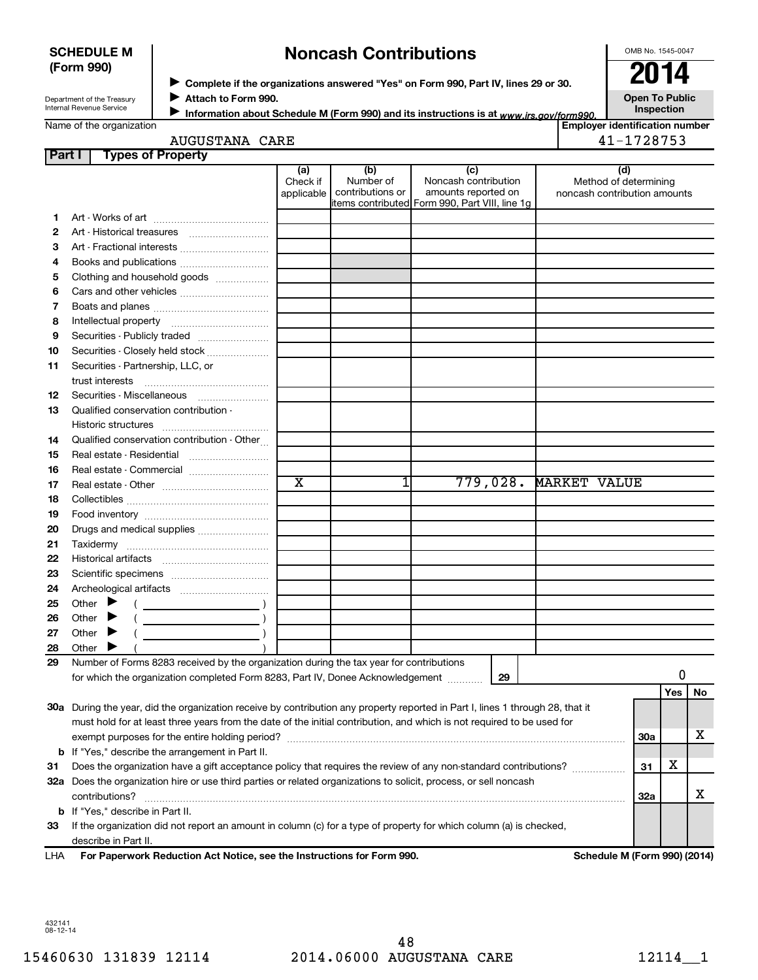### **SCHEDULE M (Form 990)**

# **Noncash Contributions**

OMB No. 1545-0047

Department of the Treasury Internal Revenue Service

◆ Complete if the organizations answered "Yes" on Form 990, Part IV, lines 29 or 30.<br>▶ Complete if the organizations answered "Yes" on Form 990, Part IV, lines 29 or 30. **Attach to Form 990.** J

**Open To Public**

| Name of the organization |  |  |  |
|--------------------------|--|--|--|
|--------------------------|--|--|--|

Information about Schedule M (Form 990) and its instructions is at <sub>www.irs.gov/form990.</sub> Inspection ■ Information about Schedule M (Form 990) and its instructions is at <sub>www.irs.*gov/form990.*<br>Employer identification number |<br>Figure identification number |</sub>

AUGUSTANA CARE  $\vert$  41-1728753

| Part I | <b>Types of Property</b>                                                                                                       |                       |                                            |                                                |                                                       |            |            |    |
|--------|--------------------------------------------------------------------------------------------------------------------------------|-----------------------|--------------------------------------------|------------------------------------------------|-------------------------------------------------------|------------|------------|----|
|        |                                                                                                                                | (a)                   | (b)                                        | (c)                                            | (d)                                                   |            |            |    |
|        |                                                                                                                                | Check if              | Number of<br>applicable   contributions or | Noncash contribution<br>amounts reported on    | Method of determining<br>noncash contribution amounts |            |            |    |
|        |                                                                                                                                |                       |                                            | items contributed Form 990, Part VIII, line 1g |                                                       |            |            |    |
| 1      |                                                                                                                                |                       |                                            |                                                |                                                       |            |            |    |
| 2      |                                                                                                                                |                       |                                            |                                                |                                                       |            |            |    |
| З      |                                                                                                                                |                       |                                            |                                                |                                                       |            |            |    |
| 4      | Books and publications                                                                                                         |                       |                                            |                                                |                                                       |            |            |    |
| 5      | Clothing and household goods                                                                                                   |                       |                                            |                                                |                                                       |            |            |    |
| 6      |                                                                                                                                |                       |                                            |                                                |                                                       |            |            |    |
| 7      |                                                                                                                                |                       |                                            |                                                |                                                       |            |            |    |
| 8      |                                                                                                                                |                       |                                            |                                                |                                                       |            |            |    |
| 9      | Securities - Publicly traded                                                                                                   |                       |                                            |                                                |                                                       |            |            |    |
| 10     | Securities - Closely held stock                                                                                                |                       |                                            |                                                |                                                       |            |            |    |
| 11     | Securities - Partnership, LLC, or                                                                                              |                       |                                            |                                                |                                                       |            |            |    |
|        | trust interests                                                                                                                |                       |                                            |                                                |                                                       |            |            |    |
| 12     | Securities - Miscellaneous                                                                                                     |                       |                                            |                                                |                                                       |            |            |    |
| 13     | Qualified conservation contribution -                                                                                          |                       |                                            |                                                |                                                       |            |            |    |
|        |                                                                                                                                |                       |                                            |                                                |                                                       |            |            |    |
| 14     | Qualified conservation contribution - Other                                                                                    |                       |                                            |                                                |                                                       |            |            |    |
| 15     | Real estate - Residential                                                                                                      |                       |                                            |                                                |                                                       |            |            |    |
| 16     | Real estate - Commercial                                                                                                       |                       |                                            |                                                |                                                       |            |            |    |
| 17     |                                                                                                                                | $\overline{\text{x}}$ | 1                                          |                                                | 779,028. MARKET VALUE                                 |            |            |    |
| 18     |                                                                                                                                |                       |                                            |                                                |                                                       |            |            |    |
| 19     |                                                                                                                                |                       |                                            |                                                |                                                       |            |            |    |
| 20     | Drugs and medical supplies                                                                                                     |                       |                                            |                                                |                                                       |            |            |    |
| 21     |                                                                                                                                |                       |                                            |                                                |                                                       |            |            |    |
| 22     |                                                                                                                                |                       |                                            |                                                |                                                       |            |            |    |
| 23     |                                                                                                                                |                       |                                            |                                                |                                                       |            |            |    |
| 24     |                                                                                                                                |                       |                                            |                                                |                                                       |            |            |    |
| 25     | Other $\blacktriangleright$                                                                                                    |                       |                                            |                                                |                                                       |            |            |    |
| 26     | $\overline{\phantom{a}}$ )<br>Other                                                                                            |                       |                                            |                                                |                                                       |            |            |    |
| 27     | Other                                                                                                                          |                       |                                            |                                                |                                                       |            |            |    |
| 28     | Other                                                                                                                          |                       |                                            |                                                |                                                       |            |            |    |
| 29     | Number of Forms 8283 received by the organization during the tax year for contributions                                        |                       |                                            |                                                |                                                       |            |            |    |
|        | for which the organization completed Form 8283, Part IV, Donee Acknowledgement                                                 |                       |                                            | 29                                             |                                                       |            | 0          |    |
|        |                                                                                                                                |                       |                                            |                                                |                                                       |            | <b>Yes</b> | No |
|        | 30a During the year, did the organization receive by contribution any property reported in Part I, lines 1 through 28, that it |                       |                                            |                                                |                                                       |            |            |    |
|        | must hold for at least three years from the date of the initial contribution, and which is not required to be used for         |                       |                                            |                                                |                                                       |            |            |    |
|        |                                                                                                                                |                       |                                            |                                                |                                                       | <b>30a</b> |            | х  |
|        | <b>b</b> If "Yes," describe the arrangement in Part II.                                                                        |                       |                                            |                                                |                                                       |            |            |    |
| 31     | Does the organization have a gift acceptance policy that requires the review of any non-standard contributions?                |                       |                                            |                                                |                                                       | 31         | х          |    |
|        | 32a Does the organization hire or use third parties or related organizations to solicit, process, or sell noncash              |                       |                                            |                                                |                                                       |            |            |    |
|        | contributions?                                                                                                                 |                       |                                            |                                                |                                                       | 32a        |            | х  |
|        | <b>b</b> If "Yes," describe in Part II.                                                                                        |                       |                                            |                                                |                                                       |            |            |    |
| 33     | If the organization did not report an amount in column (c) for a type of property for which column (a) is checked,             |                       |                                            |                                                |                                                       |            |            |    |
|        | describe in Part II.                                                                                                           |                       |                                            |                                                |                                                       |            |            |    |
| LHA    | For Paperwork Reduction Act Notice, see the Instructions for Form 990.                                                         |                       |                                            |                                                | <b>Schedule M (Form 990) (2014)</b>                   |            |            |    |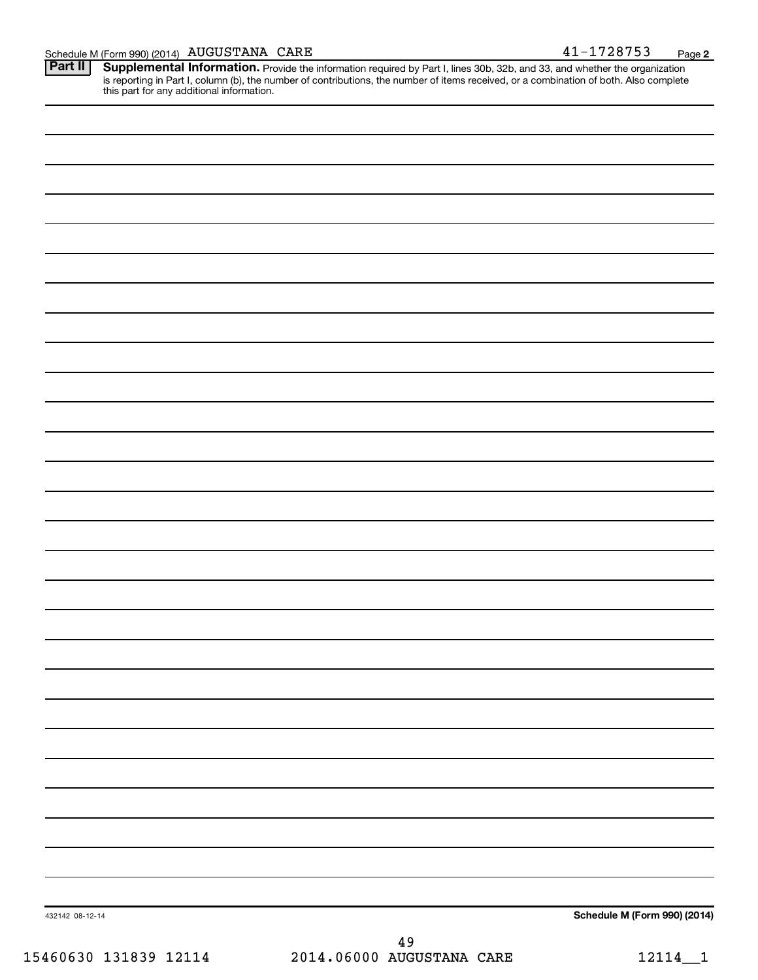**2**

Provide the information required by Part I, lines 30b, 32b, and 33, and whether the organization is reporting in Part I, column (b), the number of contributions, the number of items received, or a combination of both. Also complete this part for any additional information. **Part II Supplemental Information.** 

| 432142 08-12-14 | Schedule M (Form 990) (2014) |
|-----------------|------------------------------|
|                 |                              |
|                 |                              |
|                 |                              |
|                 |                              |
|                 |                              |
|                 |                              |
|                 |                              |
|                 |                              |
|                 |                              |
|                 |                              |
|                 |                              |
|                 |                              |
|                 |                              |
|                 |                              |
|                 |                              |
|                 |                              |
|                 |                              |
|                 |                              |
|                 |                              |
|                 |                              |
|                 |                              |
|                 |                              |
|                 |                              |
|                 |                              |
|                 |                              |
|                 |                              |
|                 |                              |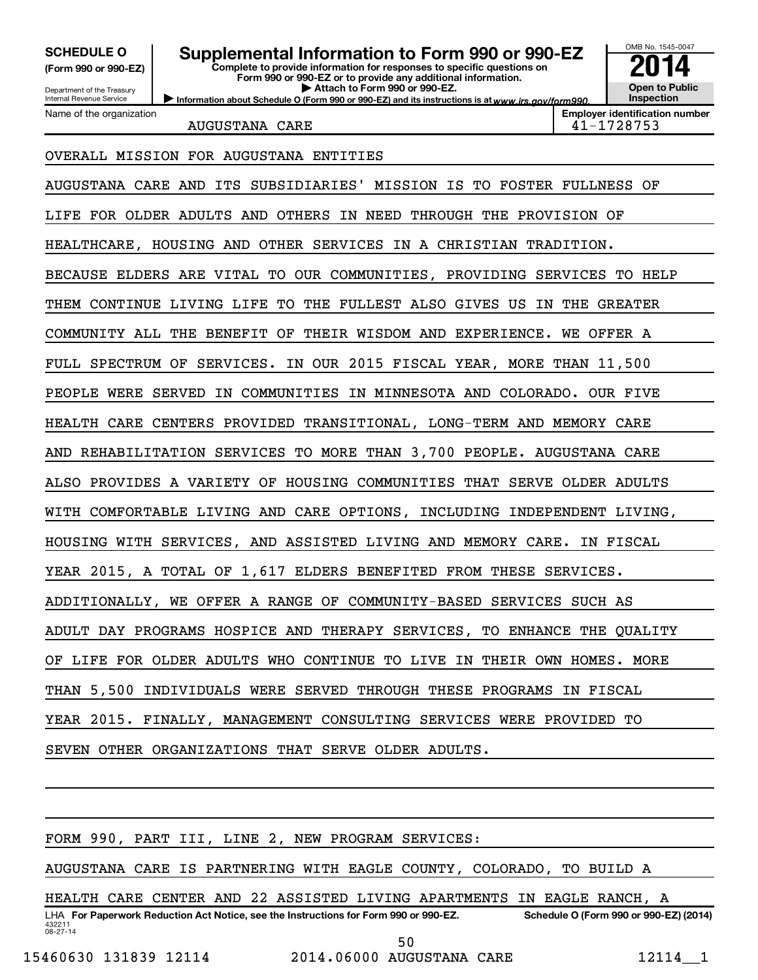**(Form 990 or 990-EZ)**

Department of the Treasury Internal Revenue Service Name of the organization

# **SCHEDULE O Supplemental Information to Form 990 or 990-EZ 2014**<br>(Form 990 or 990-EZ) Complete to provide information for responses to specific questions on

Information about Schedule O (Form 990 or 990-EZ) and its instructions is at www.irs.gov/form990. **Complete to provide information for responses to specific questions on Form 990 or 990-EZ or to provide any additional information. | Attach to Form 990 or 990-EZ.**



AUGUSTANA CARE 1999 1999 1999 1999 1022 103 104 1 1 1 2 2 3 7 5 3

## OVERALL MISSION FOR AUGUSTANA ENTITIES

AUGUSTANA CARE AND ITS SUBSIDIARIES' MISSION IS TO FOSTER FULLNESS OF LIFE FOR OLDER ADULTS AND OTHERS IN NEED THROUGH THE PROVISION OF HEALTHCARE, HOUSING AND OTHER SERVICES IN A CHRISTIAN TRADITION. BECAUSE ELDERS ARE VITAL TO OUR COMMUNITIES, PROVIDING SERVICES TO HELP THEM CONTINUE LIVING LIFE TO THE FULLEST ALSO GIVES US IN THE GREATER COMMUNITY ALL THE BENEFIT OF THEIR WISDOM AND EXPERIENCE. WE OFFER A FULL SPECTRUM OF SERVICES. IN OUR 2015 FISCAL YEAR, MORE THAN 11,500 PEOPLE WERE SERVED IN COMMUNITIES IN MINNESOTA AND COLORADO. OUR FIVE HEALTH CARE CENTERS PROVIDED TRANSITIONAL, LONG-TERM AND MEMORY CARE AND REHABILITATION SERVICES TO MORE THAN 3,700 PEOPLE. AUGUSTANA CARE ALSO PROVIDES A VARIETY OF HOUSING COMMUNITIES THAT SERVE OLDER ADULTS WITH COMFORTABLE LIVING AND CARE OPTIONS, INCLUDING INDEPENDENT LIVING, HOUSING WITH SERVICES, AND ASSISTED LIVING AND MEMORY CARE. IN FISCAL YEAR 2015, A TOTAL OF 1,617 ELDERS BENEFITED FROM THESE SERVICES. ADDITIONALLY, WE OFFER A RANGE OF COMMUNITY-BASED SERVICES SUCH AS ADULT DAY PROGRAMS HOSPICE AND THERAPY SERVICES, TO ENHANCE THE QUALITY OF LIFE FOR OLDER ADULTS WHO CONTINUE TO LIVE IN THEIR OWN HOMES. MORE THAN 5,500 INDIVIDUALS WERE SERVED THROUGH THESE PROGRAMS IN FISCAL YEAR 2015. FINALLY, MANAGEMENT CONSULTING SERVICES WERE PROVIDED TO SEVEN OTHER ORGANIZATIONS THAT SERVE OLDER ADULTS.

| FORM 990, PART III, LINE 2, NEW PROGRAM SERVICES:                                                                                                    |  |  |  |  |  |  |  |
|------------------------------------------------------------------------------------------------------------------------------------------------------|--|--|--|--|--|--|--|
| AUGUSTANA CARE IS PARTNERING WITH EAGLE COUNTY, COLORADO, TO BUILD A                                                                                 |  |  |  |  |  |  |  |
| HEALTH CARE CENTER AND 22 ASSISTED LIVING APARTMENTS IN EAGLE RANCH, A                                                                               |  |  |  |  |  |  |  |
| LHA For Paperwork Reduction Act Notice, see the Instructions for Form 990 or 990-EZ.<br>Schedule O (Form 990 or 990-EZ) (2014)<br>432211<br>08-27-14 |  |  |  |  |  |  |  |

15460630 131839 12114 2014.06000 AUGUSTANA CARE 12114 1 50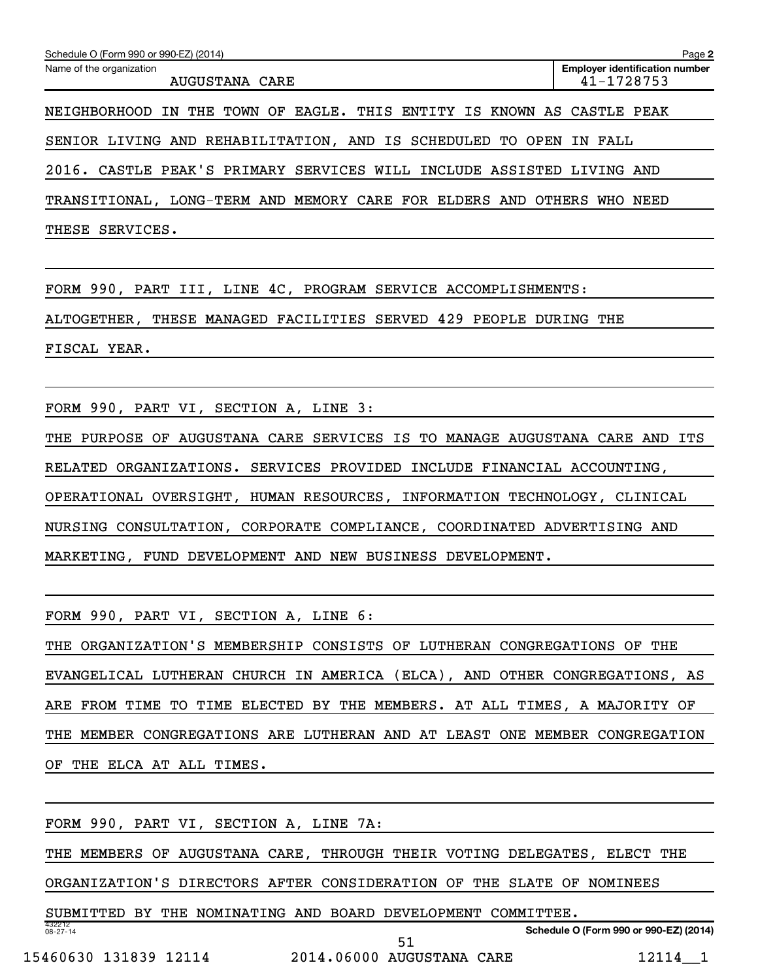| Schedule O (Form 990 or 990-EZ) (2014)                                 | Page 2                                              |
|------------------------------------------------------------------------|-----------------------------------------------------|
| Name of the organization<br>AUGUSTANA CARE                             | <b>Employer identification number</b><br>41-1728753 |
| NEIGHBORHOOD IN THE TOWN OF EAGLE. THIS ENTITY IS KNOWN AS CASTLE PEAK |                                                     |
| SENIOR LIVING AND REHABILITATION, AND IS SCHEDULED TO OPEN IN FALL     |                                                     |
| 2016. CASTLE PEAK'S PRIMARY SERVICES WILL INCLUDE ASSISTED LIVING AND  |                                                     |
| TRANSITIONAL, LONG-TERM AND MEMORY CARE FOR ELDERS AND OTHERS WHO      | NEED                                                |

THESE SERVICES.

FORM 990, PART III, LINE 4C, PROGRAM SERVICE ACCOMPLISHMENTS: ALTOGETHER, THESE MANAGED FACILITIES SERVED 429 PEOPLE DURING THE FISCAL YEAR.

FORM 990, PART VI, SECTION A, LINE 3:

THE PURPOSE OF AUGUSTANA CARE SERVICES IS TO MANAGE AUGUSTANA CARE AND ITS RELATED ORGANIZATIONS. SERVICES PROVIDED INCLUDE FINANCIAL ACCOUNTING, OPERATIONAL OVERSIGHT, HUMAN RESOURCES, INFORMATION TECHNOLOGY, CLINICAL NURSING CONSULTATION, CORPORATE COMPLIANCE, COORDINATED ADVERTISING AND MARKETING, FUND DEVELOPMENT AND NEW BUSINESS DEVELOPMENT.

FORM 990, PART VI, SECTION A, LINE 6:

THE ORGANIZATION'S MEMBERSHIP CONSISTS OF LUTHERAN CONGREGATIONS OF THE EVANGELICAL LUTHERAN CHURCH IN AMERICA (ELCA), AND OTHER CONGREGATIONS, AS ARE FROM TIME TO TIME ELECTED BY THE MEMBERS. AT ALL TIMES, A MAJORITY OF THE MEMBER CONGREGATIONS ARE LUTHERAN AND AT LEAST ONE MEMBER CONGREGATION OF THE ELCA AT ALL TIMES.

432212 08-27-14 **Schedule O (Form 990 or 990-EZ) (2014)** FORM 990, PART VI, SECTION A, LINE 7A: THE MEMBERS OF AUGUSTANA CARE, THROUGH THEIR VOTING DELEGATES, ELECT THE ORGANIZATION'S DIRECTORS AFTER CONSIDERATION OF THE SLATE OF NOMINEES SUBMITTED BY THE NOMINATING AND BOARD DEVELOPMENT COMMITTEE.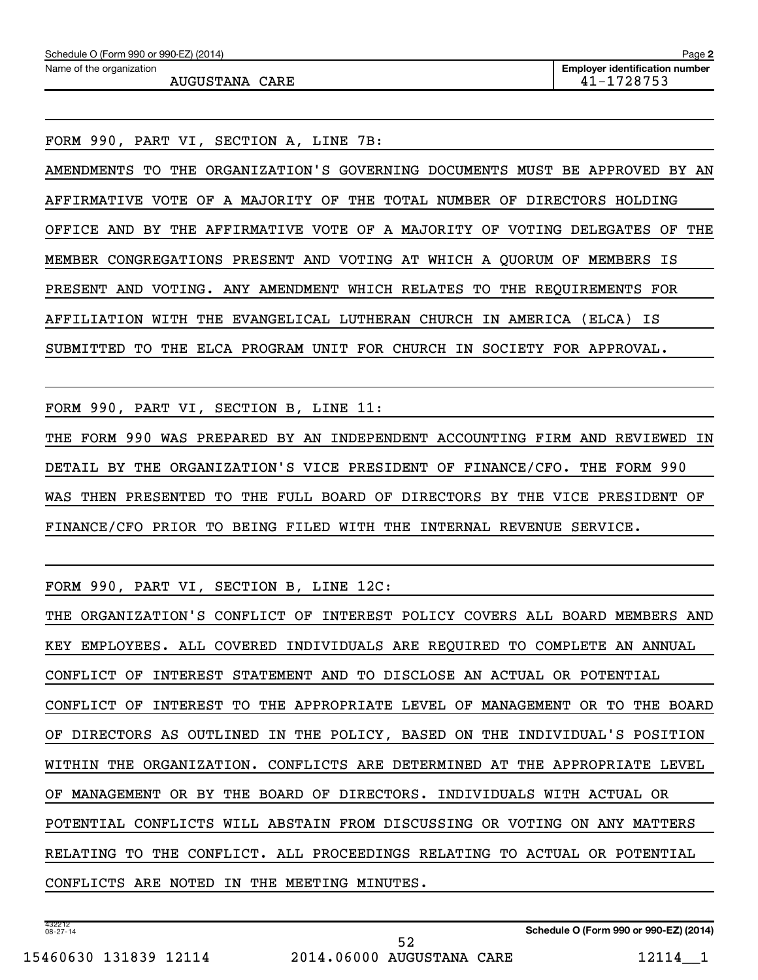FORM 990, PART VI, SECTION A, LINE 7B:

AMENDMENTS TO THE ORGANIZATION'S GOVERNING DOCUMENTS MUST BE APPROVED BY AN AFFIRMATIVE VOTE OF A MAJORITY OF THE TOTAL NUMBER OF DIRECTORS HOLDING OFFICE AND BY THE AFFIRMATIVE VOTE OF A MAJORITY OF VOTING DELEGATES OF THE MEMBER CONGREGATIONS PRESENT AND VOTING AT WHICH A QUORUM OF MEMBERS IS PRESENT AND VOTING. ANY AMENDMENT WHICH RELATES TO THE REQUIREMENTS FOR AFFILIATION WITH THE EVANGELICAL LUTHERAN CHURCH IN AMERICA (ELCA) IS SUBMITTED TO THE ELCA PROGRAM UNIT FOR CHURCH IN SOCIETY FOR APPROVAL.

FORM 990, PART VI, SECTION B, LINE 11:

THE FORM 990 WAS PREPARED BY AN INDEPENDENT ACCOUNTING FIRM AND REVIEWED IN DETAIL BY THE ORGANIZATION'S VICE PRESIDENT OF FINANCE/CFO. THE FORM 990 WAS THEN PRESENTED TO THE FULL BOARD OF DIRECTORS BY THE VICE PRESIDENT OF FINANCE/CFO PRIOR TO BEING FILED WITH THE INTERNAL REVENUE SERVICE.

FORM 990, PART VI, SECTION B, LINE 12C:

THE ORGANIZATION'S CONFLICT OF INTEREST POLICY COVERS ALL BOARD MEMBERS AND KEY EMPLOYEES. ALL COVERED INDIVIDUALS ARE REQUIRED TO COMPLETE AN ANNUAL CONFLICT OF INTEREST STATEMENT AND TO DISCLOSE AN ACTUAL OR POTENTIAL CONFLICT OF INTEREST TO THE APPROPRIATE LEVEL OF MANAGEMENT OR TO THE BOARD OF DIRECTORS AS OUTLINED IN THE POLICY, BASED ON THE INDIVIDUAL'S POSITION WITHIN THE ORGANIZATION. CONFLICTS ARE DETERMINED AT THE APPROPRIATE LEVEL OF MANAGEMENT OR BY THE BOARD OF DIRECTORS. INDIVIDUALS WITH ACTUAL OR POTENTIAL CONFLICTS WILL ABSTAIN FROM DISCUSSING OR VOTING ON ANY MATTERS RELATING TO THE CONFLICT. ALL PROCEEDINGS RELATING TO ACTUAL OR POTENTIAL CONFLICTS ARE NOTED IN THE MEETING MINUTES.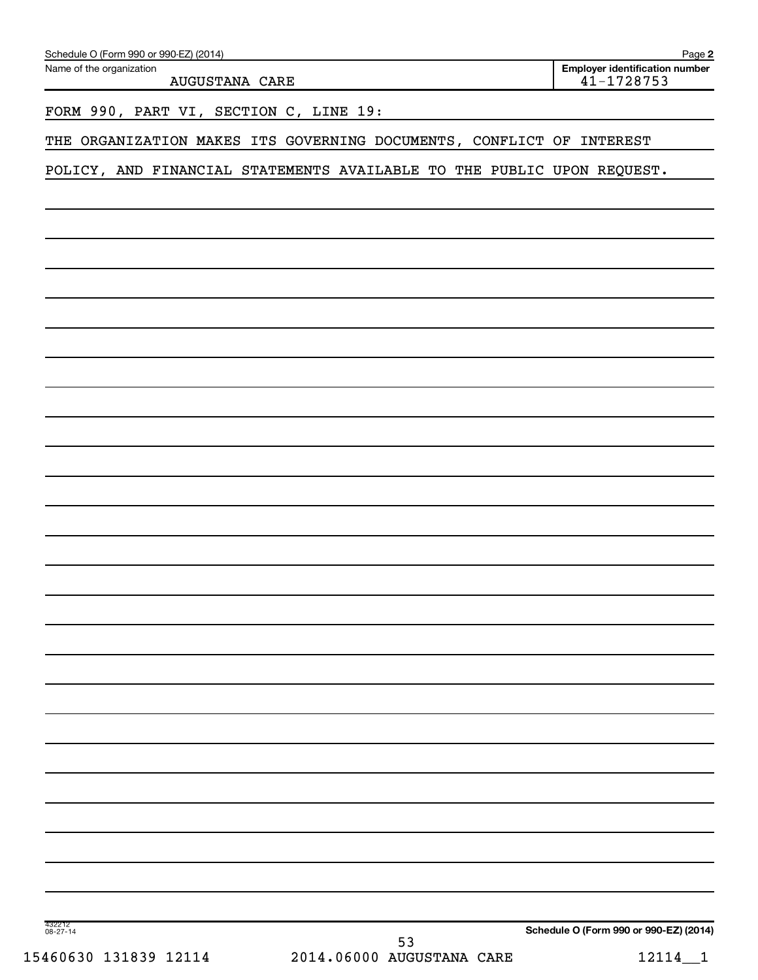| Schedule O (Form 990 or 990-EZ) (2014)<br>Name of the organization<br><b>AUGUSTANA CARE</b> | Page 2<br><b>Employer identification number</b><br>41-1728753 |
|---------------------------------------------------------------------------------------------|---------------------------------------------------------------|
| FORM 990, PART VI, SECTION C, LINE 19:                                                      |                                                               |
| THE ORGANIZATION MAKES ITS GOVERNING DOCUMENTS, CONFLICT OF INTEREST                        |                                                               |
| POLICY, AND FINANCIAL STATEMENTS AVAILABLE TO THE PUBLIC UPON REQUEST.                      |                                                               |
|                                                                                             |                                                               |
|                                                                                             |                                                               |
|                                                                                             |                                                               |
|                                                                                             |                                                               |
|                                                                                             |                                                               |
|                                                                                             |                                                               |
|                                                                                             |                                                               |
|                                                                                             |                                                               |
|                                                                                             |                                                               |
|                                                                                             |                                                               |
|                                                                                             |                                                               |
|                                                                                             |                                                               |
|                                                                                             |                                                               |
|                                                                                             |                                                               |
|                                                                                             |                                                               |
|                                                                                             |                                                               |
|                                                                                             |                                                               |
|                                                                                             |                                                               |
|                                                                                             |                                                               |
|                                                                                             |                                                               |
|                                                                                             |                                                               |
|                                                                                             |                                                               |
|                                                                                             |                                                               |
|                                                                                             |                                                               |
|                                                                                             |                                                               |
| 432212<br>08-27-14<br>53                                                                    | Schedule O (Form 990 or 990-EZ) (2014)                        |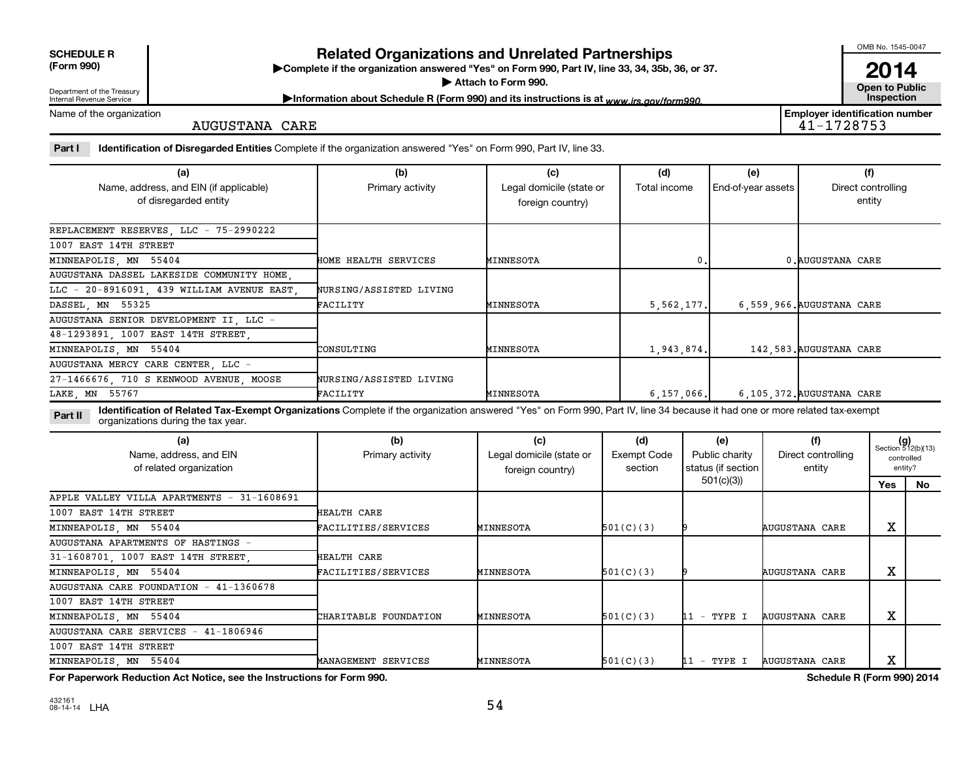| <b>SCHEDULE R</b> |  |
|-------------------|--|
|                   |  |

Department of the Treasury Internal Revenue Service

# **Related Organizations and Unrelated Partnerships**

**(Form 990) Complete if the organization answered "Yes" on Form 990, Part IV, line 33, 34, 35b, 36, or 37.** |

▶ Attach to Form 990. **Open to Public** 

Information about Schedule R (Form 990) and its instructions is at www.irs.gov/form990.

Name of the organization

AUGUSTANA CARE

**Employer identification number**

Part I ldentification of Disregarded Entities Complete if the organization answered "Yes" on Form 990, Part IV, line 33.

| (a)                                                             | (b)                     | (c)                                          | (d)          | (e)                | (f)                          |
|-----------------------------------------------------------------|-------------------------|----------------------------------------------|--------------|--------------------|------------------------------|
| Name, address, and EIN (if applicable)<br>of disregarded entity | Primary activity        | Legal domicile (state or<br>foreign country) | Total income | End-of-year assets | Direct controlling<br>entity |
|                                                                 |                         |                                              |              |                    |                              |
| REPLACEMENT RESERVES, LLC - 75-2990222                          |                         |                                              |              |                    |                              |
| 1007 EAST 14TH STREET                                           |                         |                                              |              |                    |                              |
| MINNEAPOLIS, MN 55404                                           | HOME HEALTH SERVICES    | MINNESOTA                                    |              |                    | 0. AUGUSTANA CARE            |
| AUGUSTANA DASSEL LAKESIDE COMMUNITY HOME                        |                         |                                              |              |                    |                              |
| LLC - 20-8916091, 439 WILLIAM AVENUE EAST,                      | NURSING/ASSISTED LIVING |                                              |              |                    |                              |
| DASSEL, MN 55325                                                | FACILITY                | MINNESOTA                                    | 5,562,177.   |                    | 6.559.966. AUGUSTANA CARE    |
| AUGUSTANA SENIOR DEVELOPMENT II, LLC -                          |                         |                                              |              |                    |                              |
| 48-1293891, 1007 EAST 14TH STREET,                              |                         |                                              |              |                    |                              |
| MINNEAPOLIS, MN 55404                                           | CONSULTING              | MINNESOTA                                    | 1,943,874.   |                    | 142,583. AUGUSTANA CARE      |
| AUGUSTANA MERCY CARE CENTER LLC -                               |                         |                                              |              |                    |                              |
| 27-1466676, 710 S KENWOOD AVENUE, MOOSE                         | NURSING/ASSISTED LIVING |                                              |              |                    |                              |
| LAKE, MN 55767                                                  | FACILITY                | MINNESOTA                                    | 6, 157, 066  |                    | 6.105.372. AUGUSTANA CARE    |

**Part II** Identification of Related Tax-Exempt Organizations Complete if the organization answered "Yes" on Form 990, Part IV, line 34 because it had one or more related tax-exempt<br>Complete it is a seriest of the two wears organizations during the tax year.

| (a)<br>Name, address, and EIN<br>of related organization | (b)<br>Primary activity | (c)<br>Legal domicile (state or<br>foreign country) | (d)<br>Exempt Code<br>section | (e)<br>Public charity<br>status (if section | (f)<br>Direct controlling<br>entity |        | $(g)$<br>Section 512(b)(13)<br>controlled<br>entity? |
|----------------------------------------------------------|-------------------------|-----------------------------------------------------|-------------------------------|---------------------------------------------|-------------------------------------|--------|------------------------------------------------------|
|                                                          |                         |                                                     |                               | 501(c)(3)                                   |                                     | Yes    | No.                                                  |
| APPLE VALLEY VILLA APARTMENTS - 31-1608691               |                         |                                                     |                               |                                             |                                     |        |                                                      |
| 1007 EAST 14TH STREET                                    | HEALTH CARE             |                                                     |                               |                                             |                                     |        |                                                      |
| MINNEAPOLIS, MN 55404                                    | FACILITIES/SERVICES     | MINNESOTA                                           | 501(C)(3)                     |                                             | AUGUSTANA CARE                      | х      |                                                      |
| AUGUSTANA APARTMENTS OF HASTINGS -                       |                         |                                                     |                               |                                             |                                     |        |                                                      |
| 31-1608701, 1007 EAST 14TH STREET,                       | HEALTH CARE             |                                                     |                               |                                             |                                     |        |                                                      |
| MINNEAPOLIS, MN 55404                                    | FACILITIES/SERVICES     | MINNESOTA                                           | 501(C)(3)                     |                                             | AUGUSTANA CARE                      | х      |                                                      |
| AUGUSTANA CARE FOUNDATION - 41-1360678                   |                         |                                                     |                               |                                             |                                     |        |                                                      |
| 1007 EAST 14TH STREET                                    |                         |                                                     |                               |                                             |                                     |        |                                                      |
| MINNEAPOLIS, MN 55404                                    | CHARITABLE FOUNDATION   | MINNESOTA                                           | 501(C)(3)                     | 11 - TYPE I                                 | <b>AUGUSTANA CARE</b>               | х      |                                                      |
| AUGUSTANA CARE SERVICES - 41-1806946                     |                         |                                                     |                               |                                             |                                     |        |                                                      |
| 1007 EAST 14TH STREET                                    |                         |                                                     |                               |                                             |                                     |        |                                                      |
| MINNEAPOLIS, MN 55404                                    | MANAGEMENT SERVICES     | MINNESOTA                                           | 501(C)(3)                     | $11 - TYPE I$                               | <b>AUGUSTANA CARE</b>               | v<br>A |                                                      |

**For Paperwork Reduction Act Notice, see the Instructions for Form 990. Schedule R (Form 990) 2014**

OMB No. 1545-0047

**2014**<br>Open to Public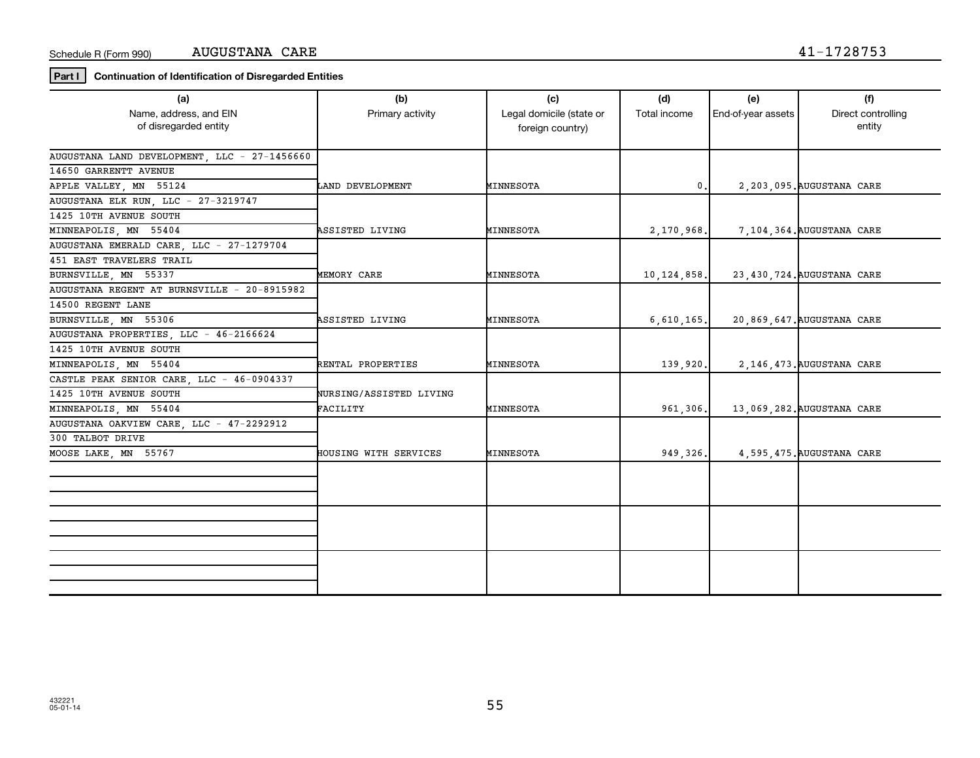**Part I Continuation of Identification of Disregarded Entities**

| (a)                                          | (b)                     | (c)                      | (d)           | (e)                | (f)                          |
|----------------------------------------------|-------------------------|--------------------------|---------------|--------------------|------------------------------|
| Name, address, and EIN                       | Primary activity        | Legal domicile (state or | Total income  | End-of-year assets | Direct controlling           |
| of disregarded entity                        |                         | foreign country)         |               |                    | entity                       |
|                                              |                         |                          |               |                    |                              |
| AUGUSTANA LAND DEVELOPMENT, LLC - 27-1456660 |                         |                          |               |                    |                              |
| 14650 GARRENTT AVENUE                        |                         |                          |               |                    |                              |
| APPLE VALLEY, MN 55124                       | LAND DEVELOPMENT        | MINNESOTA                | 0.            |                    | 2, 203, 095. AUGUSTANA CARE  |
| AUGUSTANA ELK RUN, LLC - 27-3219747          |                         |                          |               |                    |                              |
| 1425 10TH AVENUE SOUTH                       |                         |                          |               |                    |                              |
| MINNEAPOLIS, MN 55404                        | ASSISTED LIVING         | MINNESOTA                | 2,170,968.    |                    | 7,104,364. AUGUSTANA CARE    |
| AUGUSTANA EMERALD CARE, LLC - 27-1279704     |                         |                          |               |                    |                              |
| 451 EAST TRAVELERS TRAIL                     |                         |                          |               |                    |                              |
| BURNSVILLE, MN 55337                         | MEMORY CARE             | MINNESOTA                | 10, 124, 858. |                    | 23, 430, 724. AUGUSTANA CARE |
| AUGUSTANA REGENT AT BURNSVILLE - 20-8915982  |                         |                          |               |                    |                              |
| 14500 REGENT LANE                            |                         |                          |               |                    |                              |
| BURNSVILLE, MN 55306                         | ASSISTED LIVING         | MINNESOTA                | 6,610,165.    |                    | 20,869,647. AUGUSTANA CARE   |
| AUGUSTANA PROPERTIES, LLC - 46-2166624       |                         |                          |               |                    |                              |
| 1425 10TH AVENUE SOUTH                       |                         |                          |               |                    |                              |
| MINNEAPOLIS, MN 55404                        | RENTAL PROPERTIES       | MINNESOTA                | 139,920.      |                    | 2,146,473. AUGUSTANA CARE    |
| CASTLE PEAK SENIOR CARE, LLC - 46-0904337    |                         |                          |               |                    |                              |
| 1425 10TH AVENUE SOUTH                       | NURSING/ASSISTED LIVING |                          |               |                    |                              |
| MINNEAPOLIS, MN 55404                        | FACILITY                | MINNESOTA                | 961,306.      |                    | 13,069,282. AUGUSTANA CARE   |
| AUGUSTANA OAKVIEW CARE, LLC - 47-2292912     |                         |                          |               |                    |                              |
| 300 TALBOT DRIVE                             |                         |                          |               |                    |                              |
| MOOSE LAKE, MN 55767                         | HOUSING WITH SERVICES   | MINNESOTA                | 949, 326.     |                    | 4,595,475. AUGUSTANA CARE    |
|                                              |                         |                          |               |                    |                              |
|                                              |                         |                          |               |                    |                              |
|                                              |                         |                          |               |                    |                              |
|                                              |                         |                          |               |                    |                              |
|                                              |                         |                          |               |                    |                              |
|                                              |                         |                          |               |                    |                              |
|                                              |                         |                          |               |                    |                              |
|                                              |                         |                          |               |                    |                              |
|                                              |                         |                          |               |                    |                              |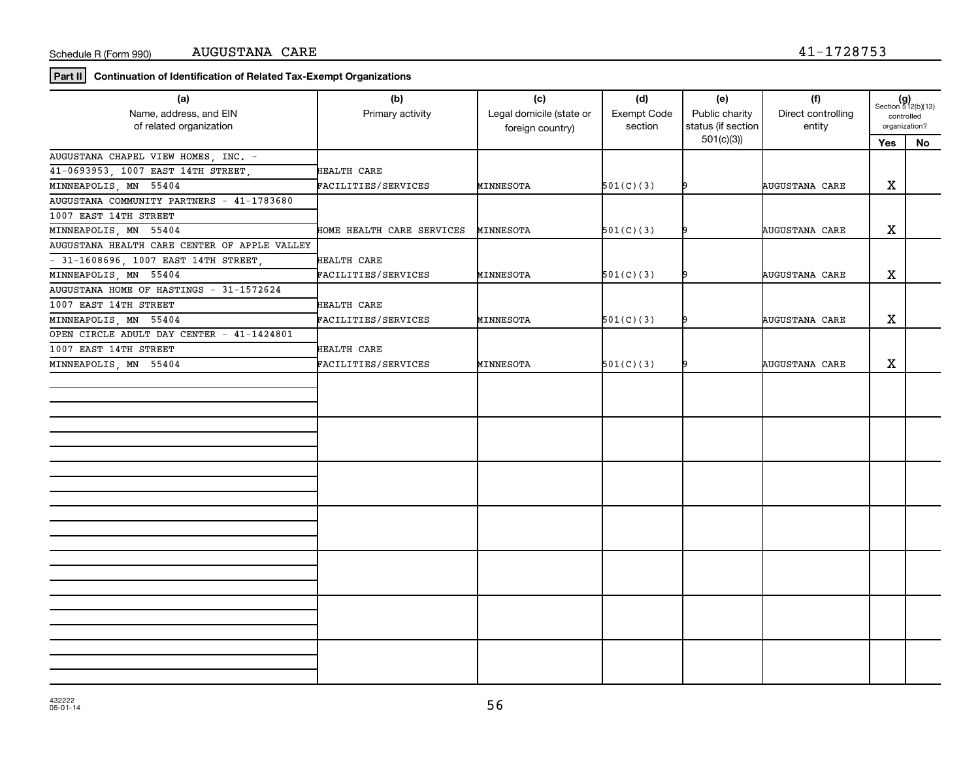**Part II Continuation of Identification of Related Tax-Exempt Organizations**

| (a)<br>Name, address, and EIN<br>of related organization | (b)<br>Primary activity   | (c)<br>Legal domicile (state or<br>foreign country) | (d)<br>Exempt Code<br>section | (e)<br>Public charity<br>status (if section | (f)<br>Direct controlling<br>entity | $(g)$<br>Section 512(b)(13)<br>controlled<br>organization? |    |
|----------------------------------------------------------|---------------------------|-----------------------------------------------------|-------------------------------|---------------------------------------------|-------------------------------------|------------------------------------------------------------|----|
|                                                          |                           |                                                     |                               | 501(c)(3)                                   |                                     | Yes                                                        | No |
| AUGUSTANA CHAPEL VIEW HOMES, INC. -                      |                           |                                                     |                               |                                             |                                     |                                                            |    |
| 41-0693953, 1007 EAST 14TH STREET,                       | HEALTH CARE               |                                                     |                               |                                             |                                     |                                                            |    |
| MINNEAPOLIS, MN 55404                                    | FACILITIES/SERVICES       | MINNESOTA                                           | 501(C)(3)                     |                                             | <b>AUGUSTANA CARE</b>               | х                                                          |    |
| AUGUSTANA COMMUNITY PARTNERS - 41-1783680                |                           |                                                     |                               |                                             |                                     |                                                            |    |
| 1007 EAST 14TH STREET                                    |                           |                                                     |                               |                                             |                                     |                                                            |    |
| MINNEAPOLIS, MN 55404                                    | HOME HEALTH CARE SERVICES | MINNESOTA                                           | 501(C)(3)                     |                                             | <b>AUGUSTANA CARE</b>               | х                                                          |    |
| AUGUSTANA HEALTH CARE CENTER OF APPLE VALLEY             |                           |                                                     |                               |                                             |                                     |                                                            |    |
| $-31-1608696$ , 1007 EAST 14TH STREET,                   | HEALTH CARE               |                                                     |                               |                                             |                                     |                                                            |    |
| MINNEAPOLIS, MN 55404                                    | FACILITIES/SERVICES       | MINNESOTA                                           | 501(C)(3)                     |                                             | <b>AUGUSTANA CARE</b>               | X                                                          |    |
| AUGUSTANA HOME OF HASTINGS - 31-1572624                  |                           |                                                     |                               |                                             |                                     |                                                            |    |
| 1007 EAST 14TH STREET                                    | HEALTH CARE               |                                                     |                               |                                             |                                     |                                                            |    |
| MINNEAPOLIS, MN 55404                                    | FACILITIES/SERVICES       | MINNESOTA                                           | 501(C)(3)                     |                                             | AUGUSTANA CARE                      | х                                                          |    |
| OPEN CIRCLE ADULT DAY CENTER - 41-1424801                |                           |                                                     |                               |                                             |                                     |                                                            |    |
| 1007 EAST 14TH STREET                                    | HEALTH CARE               |                                                     |                               |                                             |                                     |                                                            |    |
| MINNEAPOLIS, MN 55404                                    | FACILITIES/SERVICES       | <b>MINNESOTA</b>                                    | 501(C)(3)                     |                                             | AUGUSTANA CARE                      | X                                                          |    |
|                                                          |                           |                                                     |                               |                                             |                                     |                                                            |    |
|                                                          |                           |                                                     |                               |                                             |                                     |                                                            |    |
|                                                          |                           |                                                     |                               |                                             |                                     |                                                            |    |
|                                                          |                           |                                                     |                               |                                             |                                     |                                                            |    |
|                                                          |                           |                                                     |                               |                                             |                                     |                                                            |    |
|                                                          |                           |                                                     |                               |                                             |                                     |                                                            |    |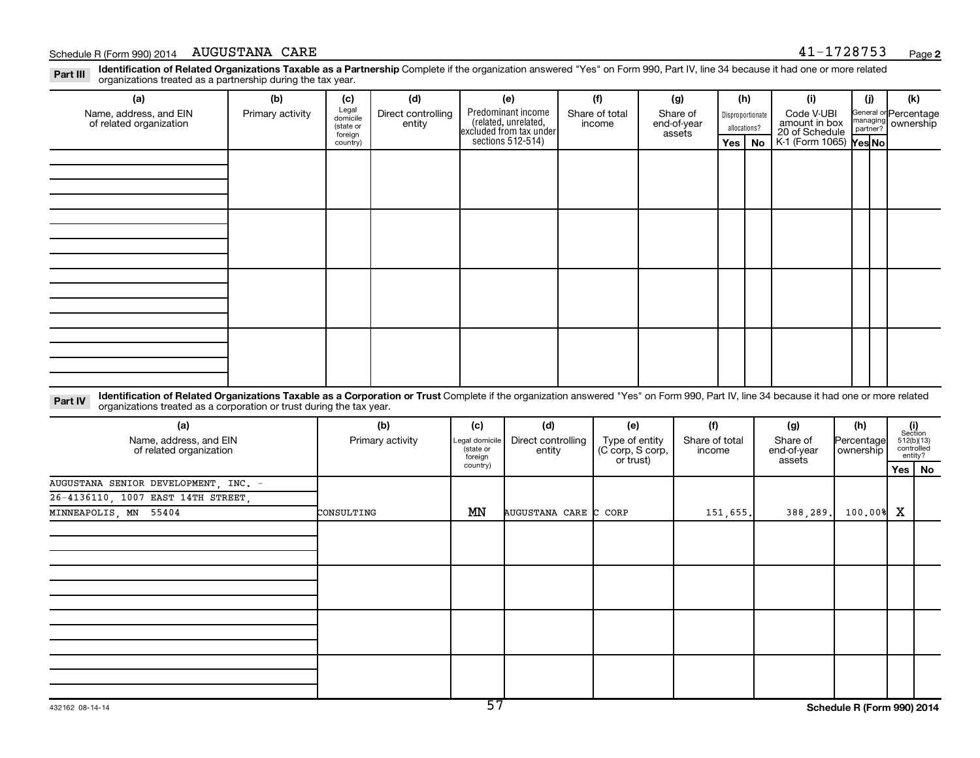#### Schedule R (Form 990) 2014 AUGUSTANA CARE  $41-1728753$  Page

**2**

Part III Identification of Related Organizations Taxable as a Partnership Complete if the organization answered "Yes" on Form 990, Part IV, line 34 because it had one or more related<br>Read to the organizations tracted as a organizations treated as a partnership during the tax year.

|                                                          | (b)              |                                       | (d)                          | (e)                                                                                        | (f)                      |                                |                                  | (h)              | (i)                                           | (j) | (k)                                                     |
|----------------------------------------------------------|------------------|---------------------------------------|------------------------------|--------------------------------------------------------------------------------------------|--------------------------|--------------------------------|----------------------------------|------------------|-----------------------------------------------|-----|---------------------------------------------------------|
| (a)<br>Name, address, and EIN<br>of related organization | Primary activity | (c)<br>Legal<br>domicile<br>(state or | Direct controlling<br>entity | Predominant income<br>(related, unrelated,<br>excluded from tax under<br>sections 512-514) | Share of total<br>income | (g)<br>Share of<br>end-of-year |                                  | Disproportionate | Code V-UBI<br>amount in box<br>20 of Schedule |     | General or Percentage<br>managing ownership<br>partner? |
|                                                          |                  | foreign<br>country)                   |                              |                                                                                            |                          | assets                         | allocations?<br>Yes <sub>1</sub> |                  | $K1$ (Form 1065) $\gamma$ es No               |     |                                                         |
|                                                          |                  |                                       |                              |                                                                                            |                          |                                |                                  | No               |                                               |     |                                                         |
|                                                          |                  |                                       |                              |                                                                                            |                          |                                |                                  |                  |                                               |     |                                                         |
|                                                          |                  |                                       |                              |                                                                                            |                          |                                |                                  |                  |                                               |     |                                                         |
|                                                          |                  |                                       |                              |                                                                                            |                          |                                |                                  |                  |                                               |     |                                                         |
|                                                          |                  |                                       |                              |                                                                                            |                          |                                |                                  |                  |                                               |     |                                                         |
|                                                          |                  |                                       |                              |                                                                                            |                          |                                |                                  |                  |                                               |     |                                                         |
|                                                          |                  |                                       |                              |                                                                                            |                          |                                |                                  |                  |                                               |     |                                                         |
|                                                          |                  |                                       |                              |                                                                                            |                          |                                |                                  |                  |                                               |     |                                                         |
|                                                          |                  |                                       |                              |                                                                                            |                          |                                |                                  |                  |                                               |     |                                                         |
|                                                          |                  |                                       |                              |                                                                                            |                          |                                |                                  |                  |                                               |     |                                                         |
|                                                          |                  |                                       |                              |                                                                                            |                          |                                |                                  |                  |                                               |     |                                                         |
|                                                          |                  |                                       |                              |                                                                                            |                          |                                |                                  |                  |                                               |     |                                                         |
|                                                          |                  |                                       |                              |                                                                                            |                          |                                |                                  |                  |                                               |     |                                                         |
|                                                          |                  |                                       |                              |                                                                                            |                          |                                |                                  |                  |                                               |     |                                                         |

Part IV Identification of Related Organizations Taxable as a Corporation or Trust Complete if the organization answered "Yes" on Form 990, Part IV, line 34 because it had one or more related<br>Comparison tracted as a comprat organizations treated as a corporation or trust during the tax year.

| (a)<br>Name, address, and EIN<br>of related organization | (b)<br>Primary activity | (c)<br>Legal domicile<br>(state or<br>foreign | (d)<br>Direct controlling<br>entity | (e)<br>Type of entity<br>(C corp, S corp,<br>or trust) | (f)<br>Share of total<br>income | (g)<br>Share of<br>end-of-year<br>assets | (h)<br>Percentage<br>ownership |   | $(i)$<br>Section<br>512(b)(13)<br>controlled<br>entity? |
|----------------------------------------------------------|-------------------------|-----------------------------------------------|-------------------------------------|--------------------------------------------------------|---------------------------------|------------------------------------------|--------------------------------|---|---------------------------------------------------------|
|                                                          |                         | country)                                      |                                     |                                                        |                                 |                                          |                                |   | Yes   No                                                |
| AUGUSTANA SENIOR DEVELOPMENT, INC. -                     |                         |                                               |                                     |                                                        |                                 |                                          |                                |   |                                                         |
| 26-4136110, 1007 EAST 14TH STREET,                       |                         |                                               |                                     |                                                        |                                 |                                          |                                |   |                                                         |
| MINNEAPOLIS, MN 55404                                    | CONSULTING              | MN                                            | AUGUSTANA CARE C CORP               |                                                        | 151,655.                        | 388, 289.                                | 100.00%                        | X |                                                         |
|                                                          |                         |                                               |                                     |                                                        |                                 |                                          |                                |   |                                                         |
|                                                          |                         |                                               |                                     |                                                        |                                 |                                          |                                |   |                                                         |
|                                                          |                         |                                               |                                     |                                                        |                                 |                                          |                                |   |                                                         |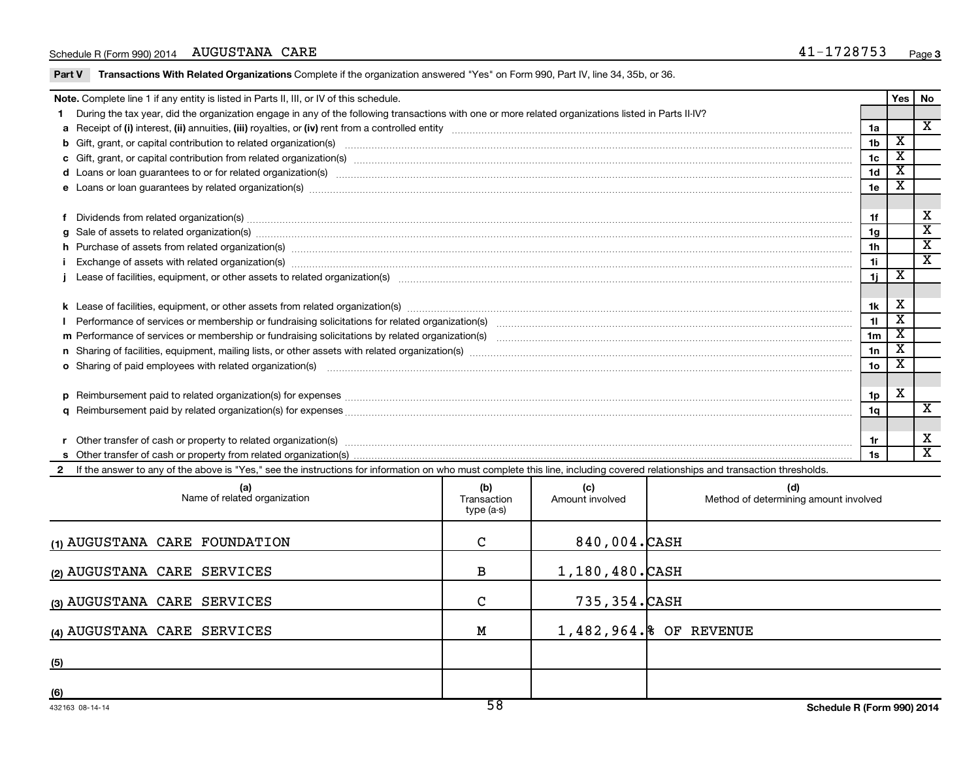### Schedule R (Form 990) 2014 AUGUSTANA CARE  $41-1728753$  Page

 $\overline{\phantom{0}}$ 

Part V Transactions With Related Organizations Complete if the organization answered "Yes" on Form 990, Part IV, line 34, 35b, or 36.

|   | Note. Complete line 1 if any entity is listed in Parts II, III, or IV of this schedule.                                                                                                                                        |                | Yes                     | No                          |
|---|--------------------------------------------------------------------------------------------------------------------------------------------------------------------------------------------------------------------------------|----------------|-------------------------|-----------------------------|
|   | During the tax year, did the organization engage in any of the following transactions with one or more related organizations listed in Parts II-IV?                                                                            |                |                         |                             |
|   |                                                                                                                                                                                                                                | 1a             |                         | $\overline{\mathbf{x}}$     |
|   | b Gift, grant, or capital contribution to related organization(s) manufactured content to content and contribution to related organization(s) manufactured content and content of the content of the content of the content of | 1 <sub>b</sub> | х                       |                             |
|   |                                                                                                                                                                                                                                | 1 <sub>c</sub> | х                       |                             |
|   | d Loans or loan guarantees to or for related organization(s) encourance contains and contains a container and container and container and container and container and container and container and container and container and  | 1d             | $\overline{\texttt{x}}$ |                             |
|   |                                                                                                                                                                                                                                | 1e             |                         |                             |
|   |                                                                                                                                                                                                                                |                |                         |                             |
|   | Dividends from related organization(s) Manual Communication and the contract of the contract of the contract of the contract of the contract of the contract of the contract of the contract of the contract of the contract o | 1f             |                         | х                           |
| a | Sale of assets to related organization(s) www.assettion.com/www.assettion.com/www.assettion.com/www.assettion.com/www.assettion.com/www.assettion.com/www.assettion.com/www.assettion.com/www.assettion.com/www.assettion.com/ | 1g             |                         | $\overline{\textbf{x}}$     |
|   | h Purchase of assets from related organization(s) manufactured content to content the content of assets from related organization(s) manufactured content to content the content of the content of the content of the content  | 1 <sub>h</sub> |                         | $\overline{\textnormal{x}}$ |
|   | Exchange of assets with related organization(s) www.assettion.com/www.assettion.com/www.assettion.com/www.assettion.com/www.assettion.com/www.assettion.com/www.assettion.com/www.assettion.com/www.assettion.com/www.assettio | 1i.            |                         | X                           |
|   |                                                                                                                                                                                                                                | 1j             | X                       |                             |
|   |                                                                                                                                                                                                                                |                |                         |                             |
|   |                                                                                                                                                                                                                                | 1k             | X                       |                             |
|   |                                                                                                                                                                                                                                | 11             | х                       |                             |
|   |                                                                                                                                                                                                                                | 1 <sub>m</sub> | х                       |                             |
|   |                                                                                                                                                                                                                                | 1n             | х                       |                             |
|   | <b>o</b> Sharing of paid employees with related organization(s)                                                                                                                                                                | 1o             |                         |                             |
|   |                                                                                                                                                                                                                                |                |                         |                             |
|   |                                                                                                                                                                                                                                | 1p             | X                       |                             |
|   |                                                                                                                                                                                                                                | 1q             |                         | $\overline{\mathbf{x}}$     |
|   |                                                                                                                                                                                                                                |                |                         |                             |
|   |                                                                                                                                                                                                                                | 1r             |                         | X                           |
|   |                                                                                                                                                                                                                                | 1s             |                         | $\overline{\mathbf{x}}$     |
|   | 2 If the answer to any of the above is "Yes," see the instructions for information on who must complete this line, including covered relationships and transaction thresholds.                                                 |                |                         |                             |

| (a)<br>Name of related organization | (b)<br>Transaction<br>type (a-s) | (c)<br>Amount involved | (d)<br>Method of determining amount involved |
|-------------------------------------|----------------------------------|------------------------|----------------------------------------------|
| (1) AUGUSTANA CARE FOUNDATION       | $\mathbf C$                      | 840,004.CASH           |                                              |
| (2) AUGUSTANA CARE SERVICES         | В                                | $1,180,480.$ CASH      |                                              |
| (3) AUGUSTANA CARE SERVICES         | C                                | 735,354.CASH           |                                              |
| (4) AUGUSTANA CARE SERVICES         | М                                |                        | $1,482,964.$ 8 OF REVENUE                    |
| (5)                                 |                                  |                        |                                              |
| (6)                                 | $-$                              |                        |                                              |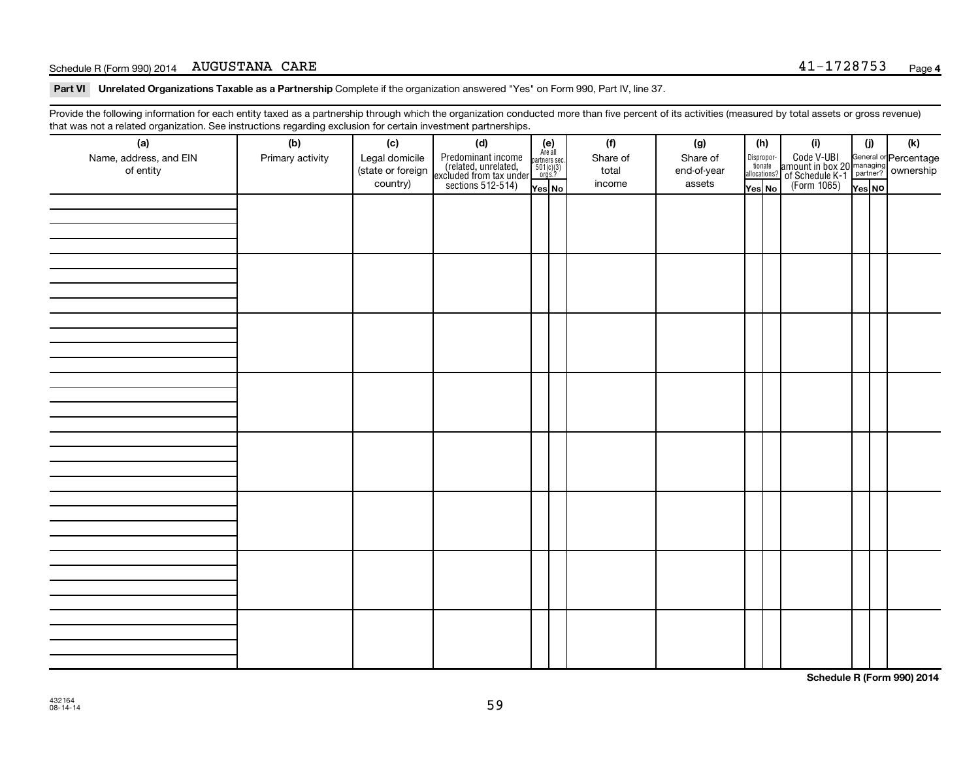#### Schedule R (Form 990) 2014 AUGUSTANA CARE  $41-1728753$  Page

Part VI Unrelated Organizations Taxable as a Partnership Complete if the organization answered "Yes" on Form 990, Part IV, line 37.

Provide the following information for each entity taxed as a partnership through which the organization conducted more than five percent of its activities (measured by total assets or gross revenue) that was not a related organization. See instructions regarding exclusion for certain investment partnerships.

| that was not a related erganization. Occ includitions regarding exclusion for cortain investment partnerships.<br>(a) | (b)              | (c)               |                                                                                                                                                                                                      |  | (f)      | (g)         |        | (h) | (i)                                                                                                                | (i)    | (k) |  |  |  |  |  |  |  |  |  |  |  |  |  |
|-----------------------------------------------------------------------------------------------------------------------|------------------|-------------------|------------------------------------------------------------------------------------------------------------------------------------------------------------------------------------------------------|--|----------|-------------|--------|-----|--------------------------------------------------------------------------------------------------------------------|--------|-----|--|--|--|--|--|--|--|--|--|--|--|--|--|
| Name, address, and EIN                                                                                                | Primary activity | Legal domicile    | (d)<br>Predominant income<br>(related, unrelated, $\begin{bmatrix} \mathbf{e} \\ \frac{\text{Areaall}}{501(8)} \\ \text{excluded from tax under} \\ \text{sections 512-514} \end{bmatrix}$<br>Yes No |  | Share of | Share of    |        |     |                                                                                                                    |        |     |  |  |  |  |  |  |  |  |  |  |  |  |  |
| of entity                                                                                                             |                  | (state or foreign |                                                                                                                                                                                                      |  | total    | end-of-year |        |     |                                                                                                                    |        |     |  |  |  |  |  |  |  |  |  |  |  |  |  |
|                                                                                                                       |                  | country)          |                                                                                                                                                                                                      |  | income   | assets      | Yes No |     | Disproport Code V-UBI<br>amount in box 20 managing<br>allocations? of Schedule K-1<br>Yes No (Form 1065)<br>Yes No | Yes NO |     |  |  |  |  |  |  |  |  |  |  |  |  |  |
|                                                                                                                       |                  |                   |                                                                                                                                                                                                      |  |          |             |        |     |                                                                                                                    |        |     |  |  |  |  |  |  |  |  |  |  |  |  |  |
|                                                                                                                       |                  |                   |                                                                                                                                                                                                      |  |          |             |        |     |                                                                                                                    |        |     |  |  |  |  |  |  |  |  |  |  |  |  |  |
|                                                                                                                       |                  |                   |                                                                                                                                                                                                      |  |          |             |        |     |                                                                                                                    |        |     |  |  |  |  |  |  |  |  |  |  |  |  |  |
|                                                                                                                       |                  |                   |                                                                                                                                                                                                      |  |          |             |        |     |                                                                                                                    |        |     |  |  |  |  |  |  |  |  |  |  |  |  |  |
|                                                                                                                       |                  |                   |                                                                                                                                                                                                      |  |          |             |        |     |                                                                                                                    |        |     |  |  |  |  |  |  |  |  |  |  |  |  |  |
|                                                                                                                       |                  |                   |                                                                                                                                                                                                      |  |          |             |        |     |                                                                                                                    |        |     |  |  |  |  |  |  |  |  |  |  |  |  |  |
|                                                                                                                       |                  |                   |                                                                                                                                                                                                      |  |          |             |        |     |                                                                                                                    |        |     |  |  |  |  |  |  |  |  |  |  |  |  |  |
|                                                                                                                       |                  |                   |                                                                                                                                                                                                      |  |          |             |        |     |                                                                                                                    |        |     |  |  |  |  |  |  |  |  |  |  |  |  |  |
|                                                                                                                       |                  |                   |                                                                                                                                                                                                      |  |          |             |        |     |                                                                                                                    |        |     |  |  |  |  |  |  |  |  |  |  |  |  |  |
|                                                                                                                       |                  |                   |                                                                                                                                                                                                      |  |          |             |        |     |                                                                                                                    |        |     |  |  |  |  |  |  |  |  |  |  |  |  |  |
|                                                                                                                       |                  |                   |                                                                                                                                                                                                      |  |          |             |        |     |                                                                                                                    |        |     |  |  |  |  |  |  |  |  |  |  |  |  |  |
|                                                                                                                       |                  |                   |                                                                                                                                                                                                      |  |          |             |        |     |                                                                                                                    |        |     |  |  |  |  |  |  |  |  |  |  |  |  |  |
|                                                                                                                       |                  |                   |                                                                                                                                                                                                      |  |          |             |        |     |                                                                                                                    |        |     |  |  |  |  |  |  |  |  |  |  |  |  |  |
|                                                                                                                       |                  |                   |                                                                                                                                                                                                      |  |          |             |        |     |                                                                                                                    |        |     |  |  |  |  |  |  |  |  |  |  |  |  |  |
|                                                                                                                       |                  |                   |                                                                                                                                                                                                      |  |          |             |        |     |                                                                                                                    |        |     |  |  |  |  |  |  |  |  |  |  |  |  |  |
|                                                                                                                       |                  |                   |                                                                                                                                                                                                      |  |          |             |        |     |                                                                                                                    |        |     |  |  |  |  |  |  |  |  |  |  |  |  |  |
|                                                                                                                       |                  |                   |                                                                                                                                                                                                      |  |          |             |        |     |                                                                                                                    |        |     |  |  |  |  |  |  |  |  |  |  |  |  |  |
|                                                                                                                       |                  |                   |                                                                                                                                                                                                      |  |          |             |        |     |                                                                                                                    |        |     |  |  |  |  |  |  |  |  |  |  |  |  |  |
|                                                                                                                       |                  |                   |                                                                                                                                                                                                      |  |          |             |        |     |                                                                                                                    |        |     |  |  |  |  |  |  |  |  |  |  |  |  |  |
|                                                                                                                       |                  |                   |                                                                                                                                                                                                      |  |          |             |        |     |                                                                                                                    |        |     |  |  |  |  |  |  |  |  |  |  |  |  |  |
|                                                                                                                       |                  |                   |                                                                                                                                                                                                      |  |          |             |        |     |                                                                                                                    |        |     |  |  |  |  |  |  |  |  |  |  |  |  |  |
|                                                                                                                       |                  |                   |                                                                                                                                                                                                      |  |          |             |        |     |                                                                                                                    |        |     |  |  |  |  |  |  |  |  |  |  |  |  |  |
|                                                                                                                       |                  |                   |                                                                                                                                                                                                      |  |          |             |        |     |                                                                                                                    |        |     |  |  |  |  |  |  |  |  |  |  |  |  |  |
|                                                                                                                       |                  |                   |                                                                                                                                                                                                      |  |          |             |        |     |                                                                                                                    |        |     |  |  |  |  |  |  |  |  |  |  |  |  |  |
|                                                                                                                       |                  |                   |                                                                                                                                                                                                      |  |          |             |        |     |                                                                                                                    |        |     |  |  |  |  |  |  |  |  |  |  |  |  |  |
|                                                                                                                       |                  |                   |                                                                                                                                                                                                      |  |          |             |        |     |                                                                                                                    |        |     |  |  |  |  |  |  |  |  |  |  |  |  |  |
|                                                                                                                       |                  |                   |                                                                                                                                                                                                      |  |          |             |        |     |                                                                                                                    |        |     |  |  |  |  |  |  |  |  |  |  |  |  |  |
|                                                                                                                       |                  |                   |                                                                                                                                                                                                      |  |          |             |        |     |                                                                                                                    |        |     |  |  |  |  |  |  |  |  |  |  |  |  |  |
|                                                                                                                       |                  |                   |                                                                                                                                                                                                      |  |          |             |        |     |                                                                                                                    |        |     |  |  |  |  |  |  |  |  |  |  |  |  |  |
|                                                                                                                       |                  |                   |                                                                                                                                                                                                      |  |          |             |        |     |                                                                                                                    |        |     |  |  |  |  |  |  |  |  |  |  |  |  |  |
|                                                                                                                       |                  |                   |                                                                                                                                                                                                      |  |          |             |        |     |                                                                                                                    |        |     |  |  |  |  |  |  |  |  |  |  |  |  |  |
|                                                                                                                       |                  |                   |                                                                                                                                                                                                      |  |          |             |        |     |                                                                                                                    |        |     |  |  |  |  |  |  |  |  |  |  |  |  |  |

**Schedule R (Form 990) 2014**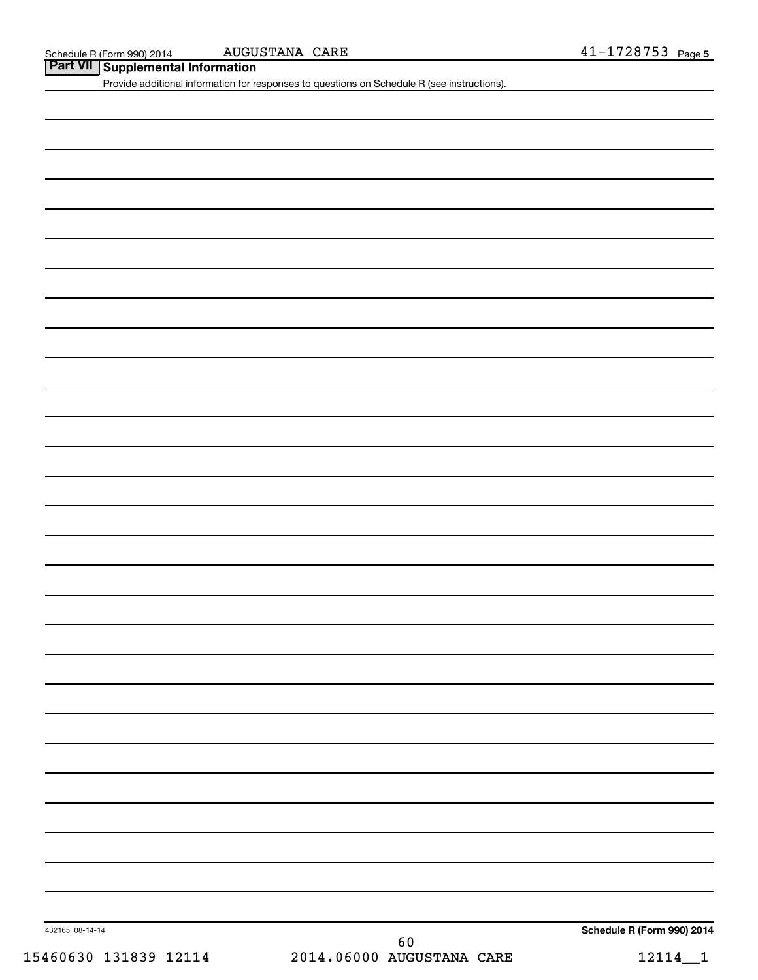### AUGUSTANA CARE

**Part VII Supplemental Information**

Provide additional information for responses to questions on Schedule R (see instructions).

432165 08-14-14

15460630 131839 12114 2014.06000 AUGUSTANA CARE 12114\_1 60

**Schedule R (Form 990) 2014**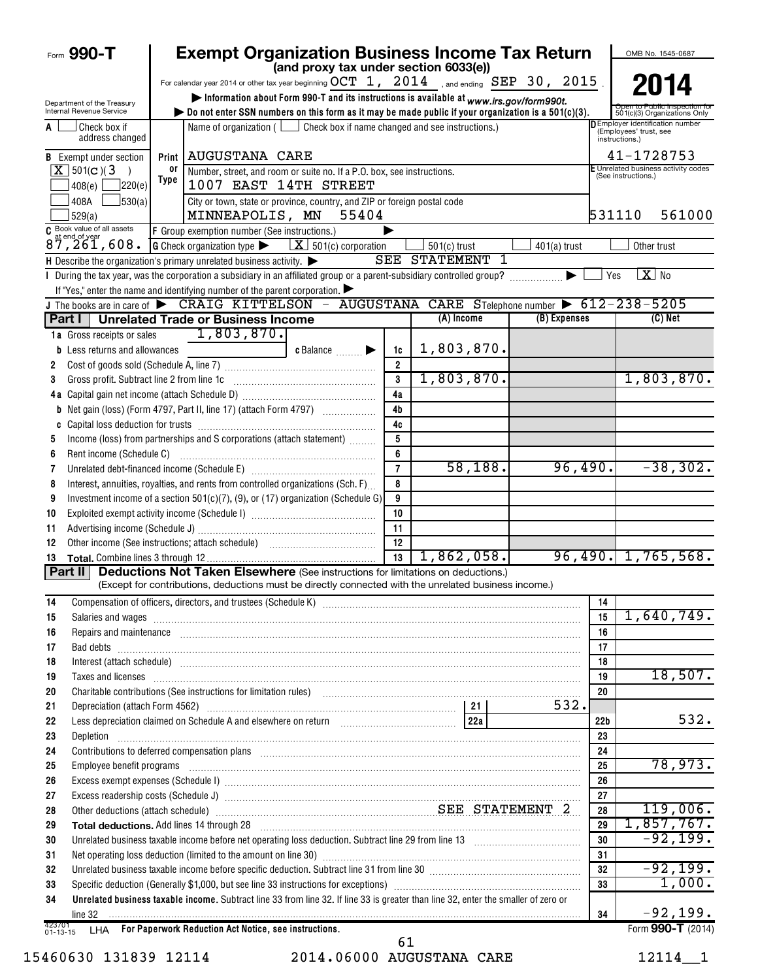| Form 990-T                                             |            | <b>Exempt Organization Business Income Tax Return</b>                                                                                                                                                                                     |                                       |                |                        |                |                 | OMB No. 1545-0687                                          |
|--------------------------------------------------------|------------|-------------------------------------------------------------------------------------------------------------------------------------------------------------------------------------------------------------------------------------------|---------------------------------------|----------------|------------------------|----------------|-----------------|------------------------------------------------------------|
|                                                        |            |                                                                                                                                                                                                                                           | (and proxy tax under section 6033(e)) |                |                        |                |                 |                                                            |
|                                                        |            | For calendar year 2014 or other tax year beginning $OCT\ 1$ , $2014\,$ , and ending $\,SEP\,$ 30, $2015\,$                                                                                                                                |                                       |                |                        |                |                 | 2014                                                       |
| Department of the Treasury<br>Internal Revenue Service |            | Information about Form 990-T and its instructions is available at www.irs.gov/form990t.<br>bo not enter SSN numbers on this form as it may be made public if your organization is a $501(c)(3)$ .                                         |                                       |                |                        |                |                 | Open to Public Inspection<br>501(c)(3) Organizations Only  |
| Check box if<br>A                                      |            | Name of organization ( $\Box$ Check box if name changed and see instructions.)                                                                                                                                                            |                                       |                |                        |                |                 | DEmplover identification number                            |
| address changed                                        |            |                                                                                                                                                                                                                                           |                                       |                |                        |                |                 | (Employees' trust, see<br>instructions.)                   |
| <b>B</b> Exempt under section                          |            | Print   AUGUSTANA CARE                                                                                                                                                                                                                    |                                       |                |                        |                |                 | 41-1728753                                                 |
| $X$ 501(c)(3)<br>$\rightarrow$                         | 0ľ<br>Type | Number, street, and room or suite no. If a P.O. box, see instructions.                                                                                                                                                                    |                                       |                |                        |                |                 | E Unrelated business activity codes<br>(See instructions.) |
| 220(e)<br>408(e)                                       |            | 1007 EAST 14TH STREET                                                                                                                                                                                                                     |                                       |                |                        |                |                 |                                                            |
| 408A<br>530(a)<br>529(a)                               |            | City or town, state or province, country, and ZIP or foreign postal code<br>MINNEAPOLIS, MN                                                                                                                                               | 55404                                 |                |                        |                | 531110          | 561000                                                     |
| C Book value of all assets<br>87,261,608.              |            | F Group exemption number (See instructions.)                                                                                                                                                                                              |                                       |                |                        |                |                 |                                                            |
|                                                        |            | <b>G</b> Check organization type $\blacktriangleright$ $\boxed{\mathbf{X}}$ 501(c) corporation                                                                                                                                            |                                       |                | $501(c)$ trust         | $401(a)$ trust |                 | Other trust                                                |
|                                                        |            | H Describe the organization's primary unrelated business activity. $\blacktriangleright$                                                                                                                                                  |                                       |                | <b>SEE STATEMENT 1</b> |                |                 |                                                            |
|                                                        |            | I During the tax year, was the corporation a subsidiary in an affiliated group or a parent-subsidiary controlled group?                                                                                                                   |                                       |                |                        |                | Yes             | $X$ No                                                     |
|                                                        |            | If "Yes," enter the name and identifying number of the parent corporation.<br>J The books are in care of $\blacktriangleright$ CRAIG KITTELSON - AUGUSTANA CARE STelephone number $\blacktriangleright$ 612-238-5205                      |                                       |                |                        |                |                 |                                                            |
|                                                        |            | <b>Part I</b> Unrelated Trade or Business Income                                                                                                                                                                                          |                                       |                | (A) Income             | (B) Expenses   |                 | $(C)$ Net                                                  |
| 1a Gross receipts or sales                             |            | 1,803,870.                                                                                                                                                                                                                                |                                       |                |                        |                |                 |                                                            |
| Less returns and allowances<br>b                       |            |                                                                                                                                                                                                                                           | c Balance                             | 1c             | 1,803,870.             |                |                 |                                                            |
| 2                                                      |            |                                                                                                                                                                                                                                           |                                       | $\overline{2}$ |                        |                |                 |                                                            |
| Gross profit. Subtract line 2 from line 1c<br>3        |            |                                                                                                                                                                                                                                           |                                       | 3              | 1,803,870.             |                |                 | 1,803,870.                                                 |
|                                                        |            |                                                                                                                                                                                                                                           |                                       | 4a             |                        |                |                 |                                                            |
|                                                        |            | <b>b</b> Net gain (loss) (Form 4797, Part II, line 17) (attach Form 4797)                                                                                                                                                                 |                                       | 4 <sub>b</sub> |                        |                |                 |                                                            |
| c                                                      |            |                                                                                                                                                                                                                                           |                                       | 4c             |                        |                |                 |                                                            |
| 5                                                      |            | Income (loss) from partnerships and S corporations (attach statement)                                                                                                                                                                     |                                       | 5              |                        |                |                 |                                                            |
| Rent income (Schedule C)<br>6                          |            |                                                                                                                                                                                                                                           |                                       | 6              |                        |                |                 |                                                            |
| 7                                                      |            |                                                                                                                                                                                                                                           |                                       | $\overline{7}$ | 58,188.                | 96,490.        |                 | $-38,302.$                                                 |
| 8                                                      |            | Interest, annuities, royalties, and rents from controlled organizations (Sch. F)                                                                                                                                                          |                                       | 8              |                        |                |                 |                                                            |
| 9                                                      |            | Investment income of a section 501(c)(7), (9), or (17) organization (Schedule G)                                                                                                                                                          |                                       | 9              |                        |                |                 |                                                            |
| 10                                                     |            |                                                                                                                                                                                                                                           |                                       | 10             |                        |                |                 |                                                            |
| 11                                                     |            |                                                                                                                                                                                                                                           |                                       | 11             |                        |                |                 |                                                            |
| 12                                                     |            |                                                                                                                                                                                                                                           |                                       | 12             |                        |                |                 |                                                            |
| 13                                                     |            |                                                                                                                                                                                                                                           |                                       | 13             | 1,862,058.             |                |                 | $96,490.$   1,765,568.                                     |
| Part II                                                |            | <b>Deductions Not Taken Elsewhere</b> (See instructions for limitations on deductions.)<br>(Except for contributions, deductions must be directly connected with the unrelated business income.)                                          |                                       |                |                        |                |                 |                                                            |
| 14                                                     |            |                                                                                                                                                                                                                                           |                                       |                |                        |                | 14              |                                                            |
| 15                                                     |            | Salaries and wages <b>manufactures</b> and wages <b>contract to the contract of the contract of the contract of the contract of the contract of the contract of the contract of the contract of the contract of the contract of the c</b> |                                       |                |                        |                | 15              | 1,640,749.                                                 |
| 16                                                     |            | Repairs and maintenance <i>maintenance</i> and contained and anti-                                                                                                                                                                        |                                       |                |                        |                | 16              |                                                            |
| 17                                                     |            |                                                                                                                                                                                                                                           |                                       |                |                        |                | 17              |                                                            |
| 18                                                     |            | Interest (attach schedule) <i>machine and accordinational content and accordinational content and accordinational</i>                                                                                                                     |                                       |                |                        |                | 18              |                                                            |
| 19                                                     |            | Taxes and licenses <b>commissions contract the contract of the contract of the contract of the contract of the contract of the contract of the contract of the contract of the contract of the contract of the contract of the</b>        |                                       |                |                        |                | 19              | 18,507.                                                    |
| 20                                                     |            |                                                                                                                                                                                                                                           |                                       |                |                        |                | 20              |                                                            |
| 21                                                     |            |                                                                                                                                                                                                                                           |                                       |                |                        | 532.           |                 |                                                            |
| 22                                                     |            |                                                                                                                                                                                                                                           |                                       |                |                        |                | 22 <sub>b</sub> | 532.                                                       |
| 23<br>Depletion                                        |            |                                                                                                                                                                                                                                           |                                       |                |                        |                | 23              |                                                            |
| 24                                                     |            |                                                                                                                                                                                                                                           |                                       |                |                        |                | 24              |                                                            |
| 25<br>Employee benefit programs                        |            |                                                                                                                                                                                                                                           |                                       |                |                        |                | 25              | 78,973.                                                    |
| 26                                                     |            | Excess exempt expenses (Schedule I) www.assess.com/www.assess.com/www.assessex.com/www.assessex.com/www.assessex.com/www.assessex.com/www.assessex.com/www.assessex.com/www.assessex.com/www.assessex.com/www.assessex.com/www            |                                       |                |                        |                | 26              |                                                            |
| 27                                                     |            |                                                                                                                                                                                                                                           |                                       |                |                        |                | 27              |                                                            |
| 28                                                     |            | Other deductions (attach schedule) Material Material Material SEE STATEMENT 2                                                                                                                                                             |                                       |                |                        |                | 28<br>29        | 119,006.<br>1,857,767.                                     |
| 29<br>30                                               |            | Total deductions. Add lines 14 through 28 [11] manufacture manufacture manufacture and the manufacture manufacture manufacture manufacture manufacture manufacture manufacture manufacture manufacture manufacture manufacture            |                                       |                |                        |                | 30              | $-92,199.$                                                 |
| 31                                                     |            |                                                                                                                                                                                                                                           |                                       |                |                        |                | 31              |                                                            |
| 32                                                     |            |                                                                                                                                                                                                                                           |                                       |                |                        |                | 32              | $-92,199.$                                                 |
| 33                                                     |            |                                                                                                                                                                                                                                           |                                       |                |                        |                | 33              | 1,000.                                                     |
| 34                                                     |            | Unrelated business taxable income. Subtract line 33 from line 32. If line 33 is greater than line 32, enter the smaller of zero or                                                                                                        |                                       |                |                        |                |                 |                                                            |
| line 32                                                |            |                                                                                                                                                                                                                                           |                                       |                |                        |                | 34              | $-92,199.$                                                 |
| 423701<br>$01 - 13 - 15$                               |            | LHA For Paperwork Reduction Act Notice, see instructions.                                                                                                                                                                                 |                                       |                |                        |                |                 | Form 990-T (2014)                                          |

15460630 131839 12114 2014.06000 AUGUSTANA CARE 12114\_\_1 61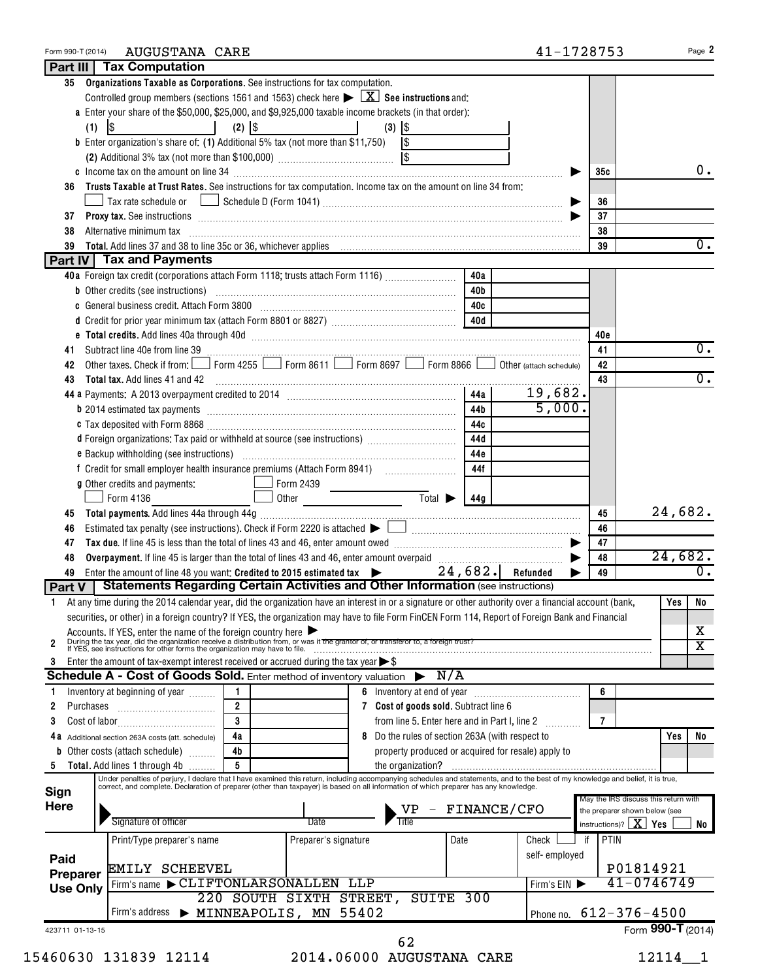| 35                                                                                                           | Form 990-T (2014)<br><b>AUGUSTANA CARE</b>                                                                                                                                                                                                                                                                                |                |                                 |                                       |                                 |       |                                                    | 41-1728753 |                                    | Page 2                                  |
|--------------------------------------------------------------------------------------------------------------|---------------------------------------------------------------------------------------------------------------------------------------------------------------------------------------------------------------------------------------------------------------------------------------------------------------------------|----------------|---------------------------------|---------------------------------------|---------------------------------|-------|----------------------------------------------------|------------|------------------------------------|-----------------------------------------|
|                                                                                                              | Part III   Tax Computation                                                                                                                                                                                                                                                                                                |                |                                 |                                       |                                 |       |                                                    |            |                                    |                                         |
|                                                                                                              | Organizations Taxable as Corporations. See instructions for tax computation.                                                                                                                                                                                                                                              |                |                                 |                                       |                                 |       |                                                    |            |                                    |                                         |
|                                                                                                              | Controlled group members (sections 1561 and 1563) check here $\blacktriangleright \lfloor X \rfloor$ See instructions and:                                                                                                                                                                                                |                |                                 |                                       |                                 |       |                                                    |            |                                    |                                         |
|                                                                                                              | a Enter your share of the \$50,000, \$25,000, and \$9,925,000 taxable income brackets (in that order):                                                                                                                                                                                                                    |                |                                 |                                       |                                 |       |                                                    |            |                                    |                                         |
|                                                                                                              | $(1)$ $ $ \$                                                                                                                                                                                                                                                                                                              | $(2)$ $ $ \$   | the contract of the contract of | $(3)$ $ $ \$                          |                                 |       |                                                    |            |                                    |                                         |
|                                                                                                              | <b>b</b> Enter organization's share of: (1) Additional 5% tax (not more than \$11,750) $\sqrt{\$}$                                                                                                                                                                                                                        |                |                                 |                                       |                                 |       |                                                    |            |                                    |                                         |
|                                                                                                              |                                                                                                                                                                                                                                                                                                                           |                |                                 |                                       |                                 |       |                                                    |            |                                    |                                         |
|                                                                                                              |                                                                                                                                                                                                                                                                                                                           |                |                                 |                                       |                                 |       |                                                    |            | 35с                                |                                         |
| 36                                                                                                           | Trusts Taxable at Trust Rates. See instructions for tax computation. Income tax on the amount on line 34 from:                                                                                                                                                                                                            |                |                                 |                                       |                                 |       |                                                    |            |                                    |                                         |
|                                                                                                              |                                                                                                                                                                                                                                                                                                                           |                |                                 |                                       |                                 |       |                                                    |            | 36                                 |                                         |
| 37                                                                                                           | <b>Proxy tax.</b> See instructions <b>constructions b</b>                                                                                                                                                                                                                                                                 |                |                                 |                                       |                                 |       |                                                    |            | 37                                 |                                         |
| 38                                                                                                           | Alternative minimum tax information and the contract of the contract of the contract of the contract of the contract of the contract of the contract of the contract of the contract of the contract of the contract of the co                                                                                            |                |                                 |                                       |                                 |       |                                                    |            | 38                                 |                                         |
| 39                                                                                                           |                                                                                                                                                                                                                                                                                                                           |                |                                 |                                       |                                 |       |                                                    |            | 39                                 |                                         |
|                                                                                                              | Part IV   Tax and Payments                                                                                                                                                                                                                                                                                                |                |                                 |                                       |                                 |       |                                                    |            |                                    |                                         |
|                                                                                                              | 40a Foreign tax credit (corporations attach Form 1118; trusts attach Form 1116)                                                                                                                                                                                                                                           |                |                                 |                                       |                                 | 40a   |                                                    |            |                                    |                                         |
|                                                                                                              |                                                                                                                                                                                                                                                                                                                           |                |                                 |                                       |                                 | 40b   |                                                    |            |                                    |                                         |
|                                                                                                              | c General business credit. Attach Form 3800 [11] [11] Contract Contract Contract Let Contract Let Contract Let                                                                                                                                                                                                            |                |                                 |                                       |                                 | 40c   |                                                    |            |                                    |                                         |
|                                                                                                              |                                                                                                                                                                                                                                                                                                                           |                |                                 |                                       |                                 |       |                                                    |            |                                    |                                         |
|                                                                                                              |                                                                                                                                                                                                                                                                                                                           |                |                                 |                                       |                                 |       |                                                    |            | 40e                                |                                         |
| 41                                                                                                           |                                                                                                                                                                                                                                                                                                                           |                |                                 |                                       |                                 |       |                                                    |            | 41                                 |                                         |
| 42                                                                                                           | Other taxes. Check if from: Form 4255 Form 8611 Form 8697 Form 8866 O Other (attach schedule)                                                                                                                                                                                                                             |                |                                 |                                       |                                 |       |                                                    |            | 42                                 |                                         |
| 43                                                                                                           | <b>Total tax.</b> Add lines 41 and 42                                                                                                                                                                                                                                                                                     |                |                                 |                                       |                                 |       |                                                    |            | 43                                 |                                         |
|                                                                                                              |                                                                                                                                                                                                                                                                                                                           |                |                                 |                                       |                                 |       | 19,682.                                            |            |                                    |                                         |
|                                                                                                              |                                                                                                                                                                                                                                                                                                                           |                |                                 |                                       |                                 | 44b l | 5,000.                                             |            |                                    |                                         |
|                                                                                                              |                                                                                                                                                                                                                                                                                                                           |                |                                 |                                       |                                 | 44c   |                                                    |            |                                    |                                         |
|                                                                                                              | d Foreign organizations: Tax paid or withheld at source (see instructions)                                                                                                                                                                                                                                                |                |                                 |                                       |                                 | 44d   |                                                    |            |                                    |                                         |
|                                                                                                              |                                                                                                                                                                                                                                                                                                                           |                |                                 |                                       |                                 | 44e   |                                                    |            |                                    |                                         |
|                                                                                                              |                                                                                                                                                                                                                                                                                                                           |                |                                 |                                       |                                 | 44f   |                                                    |            |                                    |                                         |
|                                                                                                              | <b>g</b> Other credits and payments:                                                                                                                                                                                                                                                                                      |                |                                 |                                       |                                 |       |                                                    |            |                                    |                                         |
|                                                                                                              | $\Box$ Form 4136                                                                                                                                                                                                                                                                                                          |                | Other                           |                                       | $\overline{\text{Total}}$   44g |       |                                                    |            |                                    |                                         |
| 45                                                                                                           |                                                                                                                                                                                                                                                                                                                           |                |                                 |                                       |                                 |       |                                                    |            | 45                                 | 24,682.                                 |
| 46                                                                                                           |                                                                                                                                                                                                                                                                                                                           |                |                                 |                                       |                                 |       |                                                    |            | 46                                 |                                         |
| 47                                                                                                           |                                                                                                                                                                                                                                                                                                                           |                |                                 |                                       |                                 |       |                                                    |            | 47                                 |                                         |
|                                                                                                              |                                                                                                                                                                                                                                                                                                                           |                |                                 |                                       |                                 |       |                                                    |            | 48                                 | 24,682.                                 |
| 48                                                                                                           |                                                                                                                                                                                                                                                                                                                           |                |                                 |                                       | 24,682.                         |       | Refunded                                           |            | 49                                 |                                         |
| 49                                                                                                           | Enter the amount of line 48 you want: Credited to 2015 estimated tax $\blacktriangleright$                                                                                                                                                                                                                                |                |                                 |                                       |                                 |       |                                                    |            |                                    |                                         |
|                                                                                                              | <b>Statements Regarding Certain Activities and Other Information (see instructions)</b>                                                                                                                                                                                                                                   |                |                                 |                                       |                                 |       |                                                    |            |                                    |                                         |
|                                                                                                              | At any time during the 2014 calendar year, did the organization have an interest in or a signature or other authority over a financial account (bank,                                                                                                                                                                     |                |                                 |                                       |                                 |       |                                                    |            |                                    | Yes                                     |
|                                                                                                              | securities, or other) in a foreign country? If YES, the organization may have to file Form FinCEN Form 114, Report of Foreign Bank and Financial                                                                                                                                                                          |                |                                 |                                       |                                 |       |                                                    |            |                                    |                                         |
|                                                                                                              |                                                                                                                                                                                                                                                                                                                           |                |                                 |                                       |                                 |       |                                                    |            |                                    |                                         |
|                                                                                                              | Accounts. If YES, enter the name of the foreign country here<br>During the tax year, did the organization receive a distribution from, or was it the grantor of, or transferor to, a foreign trust?<br>If YES, see instructions for                                                                                       |                |                                 |                                       |                                 |       |                                                    |            |                                    |                                         |
|                                                                                                              | Enter the amount of tax-exempt interest received or accrued during the tax year $\triangleright$ \$                                                                                                                                                                                                                       |                |                                 |                                       |                                 |       |                                                    |            |                                    |                                         |
|                                                                                                              | <b>Schedule A - Cost of Goods Sold.</b> Enter method of inventory valuation $\triangleright N/A$                                                                                                                                                                                                                          |                |                                 |                                       |                                 |       |                                                    |            |                                    |                                         |
|                                                                                                              | Inventory at beginning of year                                                                                                                                                                                                                                                                                            | 1.             |                                 |                                       |                                 |       |                                                    |            | 6                                  |                                         |
| Purchases                                                                                                    |                                                                                                                                                                                                                                                                                                                           | $\overline{2}$ |                                 | 7 Cost of goods sold. Subtract line 6 |                                 |       |                                                    |            |                                    |                                         |
|                                                                                                              |                                                                                                                                                                                                                                                                                                                           | 3              |                                 |                                       |                                 |       | from line 5. Enter here and in Part I, line 2      |            | $\overline{7}$                     |                                         |
| 2<br>3<br>4 a                                                                                                | Additional section 263A costs (att. schedule)                                                                                                                                                                                                                                                                             | 4a             |                                 |                                       |                                 |       | 8 Do the rules of section 263A (with respect to    |            |                                    | Yes                                     |
| b                                                                                                            | Other costs (attach schedule)                                                                                                                                                                                                                                                                                             | 4b             |                                 |                                       |                                 |       | property produced or acquired for resale) apply to |            |                                    |                                         |
|                                                                                                              | <b>Total.</b> Add lines 1 through 4b                                                                                                                                                                                                                                                                                      | 5              |                                 | the organization?                     |                                 |       |                                                    |            |                                    |                                         |
|                                                                                                              | Under penalties of perjury, I declare that I have examined this return, including accompanying schedules and statements, and to the best of my knowledge and belief, it is true,<br>correct, and complete. Declaration of preparer (other than taxpayer) is based on all information of which preparer has any knowledge. |                |                                 |                                       |                                 |       |                                                    |            |                                    |                                         |
|                                                                                                              |                                                                                                                                                                                                                                                                                                                           |                |                                 |                                       |                                 |       |                                                    |            |                                    | May the IRS discuss this return with    |
|                                                                                                              |                                                                                                                                                                                                                                                                                                                           |                |                                 |                                       |                                 |       | $VP$ - FINANCE/CFO                                 |            |                                    | the preparer shown below (see           |
|                                                                                                              | Signature of officer                                                                                                                                                                                                                                                                                                      |                | Date                            |                                       |                                 |       |                                                    |            | instructions)? $\mid$ $X \mid$ Yes |                                         |
|                                                                                                              | Print/Type preparer's name                                                                                                                                                                                                                                                                                                |                | Preparer's signature            |                                       | Date                            |       | Check                                              | if         | PTIN                               |                                         |
|                                                                                                              |                                                                                                                                                                                                                                                                                                                           |                |                                 |                                       |                                 |       | self-employed                                      |            |                                    |                                         |
|                                                                                                              | EMILY SCHEEVEL                                                                                                                                                                                                                                                                                                            |                |                                 |                                       |                                 |       |                                                    |            |                                    | P01814921                               |
| Part V<br>$\overline{2}$<br>3<br>1<br>5<br>Sign<br><b>Here</b><br>Paid<br><b>Preparer</b><br><b>Use Only</b> | Firm's name CLIFTONLARSONALLEN LLP                                                                                                                                                                                                                                                                                        |                |                                 |                                       |                                 |       | Firm's EIN                                         |            |                                    | 41-0746749                              |
|                                                                                                              |                                                                                                                                                                                                                                                                                                                           |                | 220 SOUTH SIXTH STREET,         |                                       | SUITE                           | 300   |                                                    |            |                                    |                                         |
|                                                                                                              | Firm's address                                                                                                                                                                                                                                                                                                            |                | > MINNEAPOLIS, MN 55402         |                                       |                                 |       | Phone no.                                          |            |                                    | $612 - 376 - 4500$<br>Form 990-T (2014) |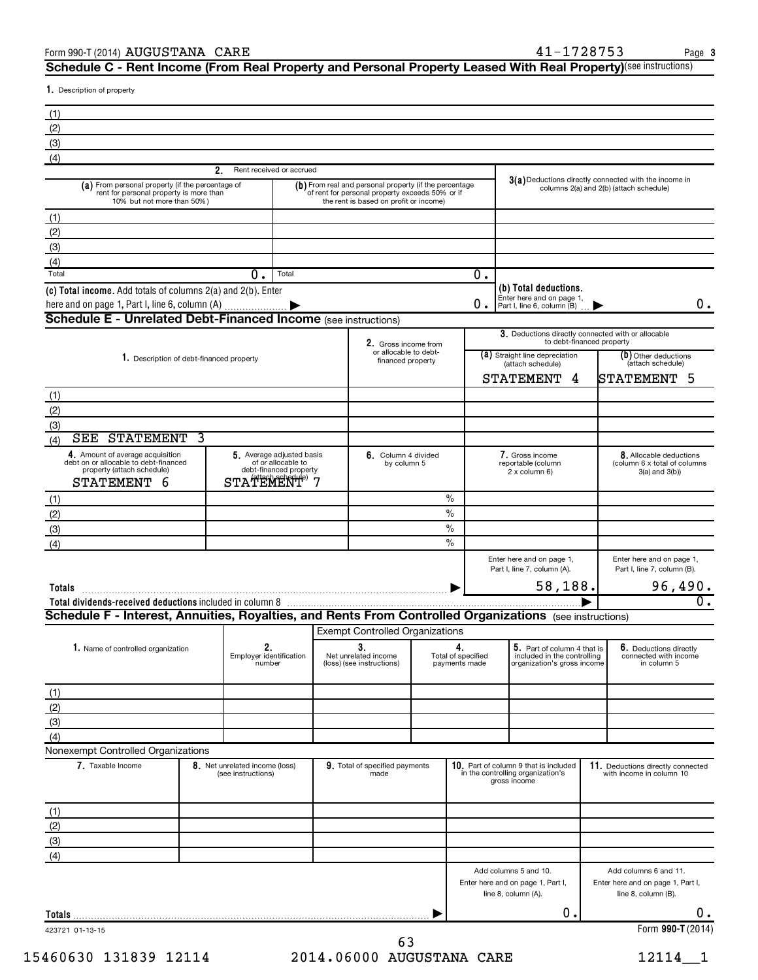Form 990-T (2014) Page AUGUSTANA CARE 41-1728753  ${\bf S}$ chedule C - Rent Income (From Real Property and Personal Property Leased With Real Property)<sup>(see instructions)</sup>

1. Description of property

| (1)<br>(2)                                                                                                                |                                   |                                              |                                                                                                                                                     |                                     |                                                                                  |    |                                                                                                  |
|---------------------------------------------------------------------------------------------------------------------------|-----------------------------------|----------------------------------------------|-----------------------------------------------------------------------------------------------------------------------------------------------------|-------------------------------------|----------------------------------------------------------------------------------|----|--------------------------------------------------------------------------------------------------|
| (3)                                                                                                                       |                                   |                                              |                                                                                                                                                     |                                     |                                                                                  |    |                                                                                                  |
| (4)                                                                                                                       |                                   |                                              |                                                                                                                                                     |                                     |                                                                                  |    |                                                                                                  |
|                                                                                                                           | 2.                                | Rent received or accrued                     |                                                                                                                                                     |                                     |                                                                                  |    |                                                                                                  |
| (a) From personal property (if the percentage of<br>rent for personal property is more than<br>10% but not more than 50%) |                                   |                                              | (b) From real and personal property (if the percentage<br>of rent for personal property exceeds 50% or if<br>the rent is based on profit or income) |                                     |                                                                                  |    | 3(a) Deductions directly connected with the income in<br>columns 2(a) and 2(b) (attach schedule) |
| (1)                                                                                                                       |                                   |                                              |                                                                                                                                                     |                                     |                                                                                  |    |                                                                                                  |
| (2)                                                                                                                       |                                   |                                              |                                                                                                                                                     |                                     |                                                                                  |    |                                                                                                  |
| (3)                                                                                                                       |                                   |                                              |                                                                                                                                                     |                                     |                                                                                  |    |                                                                                                  |
| (4)                                                                                                                       |                                   |                                              |                                                                                                                                                     |                                     |                                                                                  |    |                                                                                                  |
| Total                                                                                                                     | $\overline{0}$ .                  | Total                                        |                                                                                                                                                     | 0.                                  |                                                                                  |    |                                                                                                  |
| (c) Total income. Add totals of columns 2(a) and 2(b). Enter                                                              |                                   |                                              |                                                                                                                                                     | 0.                                  | (b) Total deductions.<br>Enter here and on page 1,<br>Part I, line 6, column (B) |    | 0.                                                                                               |
| <b>Schedule E - Unrelated Debt-Financed Income (see instructions)</b>                                                     |                                   |                                              |                                                                                                                                                     |                                     |                                                                                  |    |                                                                                                  |
|                                                                                                                           |                                   |                                              | 2. Gross income from                                                                                                                                |                                     |                                                                                  |    | 3. Deductions directly connected with or allocable<br>to debt-financed property                  |
| 1. Description of debt-financed property                                                                                  |                                   |                                              | or allocable to debt-<br>financed property                                                                                                          |                                     | (a) Straight line depreciation                                                   |    | (b) Other deductions                                                                             |
|                                                                                                                           |                                   |                                              |                                                                                                                                                     |                                     | (attach schedule)<br><b>STATEMENT</b>                                            | 4  | (attach schedule)<br>STATEMENT<br>5                                                              |
|                                                                                                                           |                                   |                                              |                                                                                                                                                     |                                     |                                                                                  |    |                                                                                                  |
| (1)<br>(2)                                                                                                                |                                   |                                              |                                                                                                                                                     |                                     |                                                                                  |    |                                                                                                  |
| (3)                                                                                                                       |                                   |                                              |                                                                                                                                                     |                                     |                                                                                  |    |                                                                                                  |
| <b>STATEMENT</b><br>SEE<br>3<br>(4)                                                                                       |                                   |                                              |                                                                                                                                                     |                                     |                                                                                  |    |                                                                                                  |
| 4. Amount of average acquisition                                                                                          |                                   | 5. Average adjusted basis                    | 6. Column 4 divided                                                                                                                                 |                                     | 7. Gross income                                                                  |    | 8. Allocable deductions                                                                          |
| debt on or allocable to debt-financed<br>property (attach schedule)                                                       |                                   | of or allocable to<br>debt-financed property | by column 5                                                                                                                                         |                                     | reportable (column<br>2 x column 6)                                              |    | (column 6 x total of columns<br>$3(a)$ and $3(b)$                                                |
| STATEMENT<br>6                                                                                                            | STATEMENT <sup>e)</sup>           |                                              |                                                                                                                                                     |                                     |                                                                                  |    |                                                                                                  |
| (1)                                                                                                                       |                                   |                                              |                                                                                                                                                     | $\%$                                |                                                                                  |    |                                                                                                  |
| (2)                                                                                                                       |                                   |                                              |                                                                                                                                                     | $\frac{0}{0}$                       |                                                                                  |    |                                                                                                  |
| (3)                                                                                                                       |                                   |                                              |                                                                                                                                                     | $\frac{0}{0}$                       |                                                                                  |    |                                                                                                  |
| (4)                                                                                                                       |                                   |                                              |                                                                                                                                                     | $\%$                                |                                                                                  |    |                                                                                                  |
|                                                                                                                           |                                   |                                              |                                                                                                                                                     |                                     | Enter here and on page 1,<br>Part I, line 7, column (A).                         |    | Enter here and on page 1,<br>Part I, line 7, column (B).                                         |
| Totals                                                                                                                    |                                   |                                              |                                                                                                                                                     |                                     | 58, 188.                                                                         |    | 96,490.                                                                                          |
|                                                                                                                           |                                   |                                              |                                                                                                                                                     |                                     |                                                                                  |    | σ.                                                                                               |
| Schedule F - Interest, Annuities, Royalties, and Rents From Controlled Organizations (see instructions)                   |                                   |                                              |                                                                                                                                                     |                                     |                                                                                  |    |                                                                                                  |
|                                                                                                                           |                                   |                                              | <b>Exempt Controlled Organizations</b>                                                                                                              |                                     |                                                                                  |    |                                                                                                  |
| 1. Name of controlled organization                                                                                        | 2.                                |                                              | 3.                                                                                                                                                  | 4.                                  | 5. Part of column 4 that is                                                      |    | 6. Deductions directly                                                                           |
|                                                                                                                           | Employer identification<br>number |                                              | Net unrelated income<br>(loss) (see instructions)                                                                                                   | Total of specified<br>payments made | included in the controlling<br>organization's gross income                       |    | connected with income<br>in column 5                                                             |
|                                                                                                                           |                                   |                                              |                                                                                                                                                     |                                     |                                                                                  |    |                                                                                                  |
| (1)                                                                                                                       |                                   |                                              |                                                                                                                                                     |                                     |                                                                                  |    |                                                                                                  |
| (2)                                                                                                                       |                                   |                                              |                                                                                                                                                     |                                     |                                                                                  |    |                                                                                                  |
| (3)                                                                                                                       |                                   |                                              |                                                                                                                                                     |                                     |                                                                                  |    |                                                                                                  |
| (4)<br>Nonexempt Controlled Organizations                                                                                 |                                   |                                              |                                                                                                                                                     |                                     |                                                                                  |    |                                                                                                  |
| 7. Taxable Income                                                                                                         | 8. Net unrelated income (loss)    |                                              | 9. Total of specified payments                                                                                                                      |                                     | 10. Part of column 9 that is included                                            |    | 11. Deductions directly connected                                                                |
|                                                                                                                           | (see instructions)                |                                              | made                                                                                                                                                |                                     | in the controlling organization's<br>gross income                                |    | with income in column 10                                                                         |
|                                                                                                                           |                                   |                                              |                                                                                                                                                     |                                     |                                                                                  |    |                                                                                                  |
| (1)                                                                                                                       |                                   |                                              |                                                                                                                                                     |                                     |                                                                                  |    |                                                                                                  |
| (2)                                                                                                                       |                                   |                                              |                                                                                                                                                     |                                     |                                                                                  |    |                                                                                                  |
| (3)                                                                                                                       |                                   |                                              |                                                                                                                                                     |                                     |                                                                                  |    |                                                                                                  |
| (4)                                                                                                                       |                                   |                                              |                                                                                                                                                     |                                     |                                                                                  |    |                                                                                                  |
|                                                                                                                           |                                   |                                              |                                                                                                                                                     |                                     | Add columns 5 and 10.<br>Enter here and on page 1, Part I,                       |    | Add columns 6 and 11.<br>Enter here and on page 1, Part I,                                       |
|                                                                                                                           |                                   |                                              |                                                                                                                                                     |                                     | line 8, column (A).                                                              |    | line 8, column (B).                                                                              |
|                                                                                                                           |                                   |                                              |                                                                                                                                                     |                                     |                                                                                  | 0. | 0.                                                                                               |
| 423721 01-13-15                                                                                                           |                                   |                                              |                                                                                                                                                     |                                     |                                                                                  |    | Form 990-T (2014)                                                                                |
|                                                                                                                           |                                   |                                              | 63                                                                                                                                                  |                                     |                                                                                  |    |                                                                                                  |

15460630 131839 12114 2014.06000 AUGUSTANA CARE 12114\_1 **03**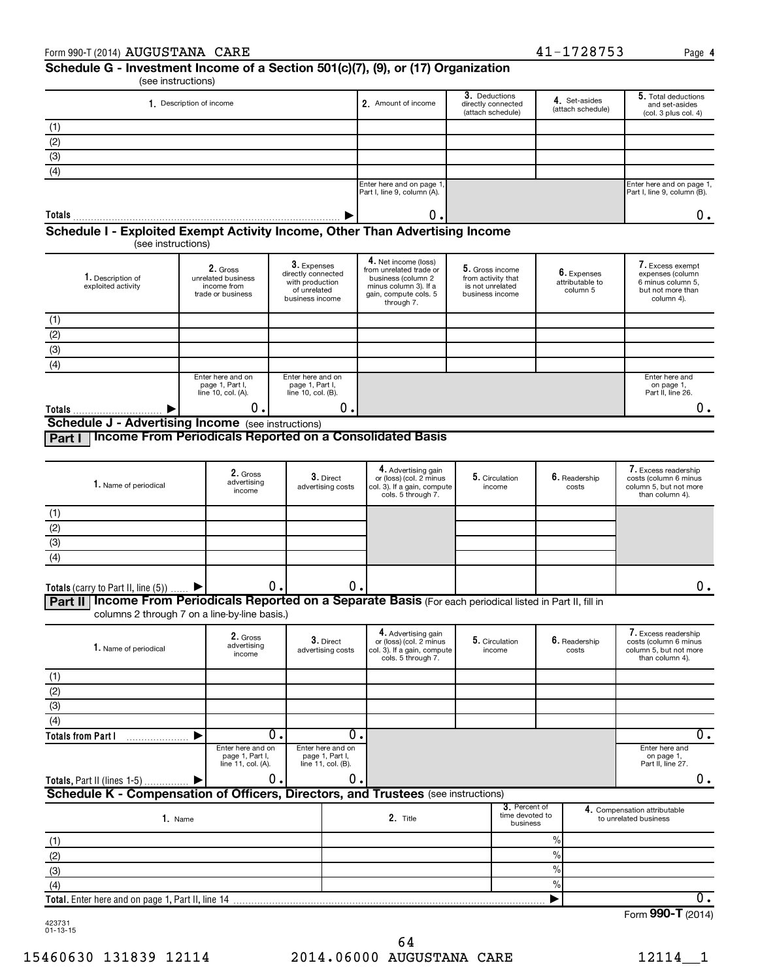#### Form 990-T (2014) Page AUGUSTANA CARE 41-1728753

**4**

# **Schedule G - Investment Income of a Section 501(c)(7), (9), or (17) Organization**

(see instructions)

| 1. Description of income                                                     | 2. Amount of income                                      | 3. Deductions<br>directly connected<br>(attach schedule) | 4. Set-asides<br>(attach schedule) | 5. Total deductions<br>and set-asides<br>(col. 3 plus col. 4) |  |  |  |  |  |  |  |
|------------------------------------------------------------------------------|----------------------------------------------------------|----------------------------------------------------------|------------------------------------|---------------------------------------------------------------|--|--|--|--|--|--|--|
| (1)                                                                          |                                                          |                                                          |                                    |                                                               |  |  |  |  |  |  |  |
| (2)                                                                          |                                                          |                                                          |                                    |                                                               |  |  |  |  |  |  |  |
| (3)                                                                          |                                                          |                                                          |                                    |                                                               |  |  |  |  |  |  |  |
| (4)                                                                          |                                                          |                                                          |                                    |                                                               |  |  |  |  |  |  |  |
|                                                                              | Enter here and on page 1.<br>Part I, line 9, column (A). |                                                          |                                    | Enter here and on page 1,<br>Part I, line 9, column (B).      |  |  |  |  |  |  |  |
| Totals                                                                       | $0 \cdot$                                                |                                                          |                                    |                                                               |  |  |  |  |  |  |  |
| Schedule I - Exploited Exempt Activity Income, Other Than Advertising Income |                                                          |                                                          |                                    |                                                               |  |  |  |  |  |  |  |

(see instructions)

| 1. Description of<br>exploited activity | 2. Gross<br>unrelated business<br>income from<br>trade or business | $3.$ Expenses<br>directly connected<br>with production<br>of unrelated<br>business income | 4. Net income (loss)<br>from unrelated trade or<br>business (column 2<br>minus column 3). If a<br>gain, compute cols. 5<br>through 7. | 5. Gross income<br>from activity that<br>is not unrelated<br>business income | 6. Expenses<br>attributable to<br>column 5 | 7. Excess exempt<br>expenses (column<br>6 minus column 5.<br>but not more than<br>column 4). |
|-----------------------------------------|--------------------------------------------------------------------|-------------------------------------------------------------------------------------------|---------------------------------------------------------------------------------------------------------------------------------------|------------------------------------------------------------------------------|--------------------------------------------|----------------------------------------------------------------------------------------------|
| (1)                                     |                                                                    |                                                                                           |                                                                                                                                       |                                                                              |                                            |                                                                                              |
| (2)                                     |                                                                    |                                                                                           |                                                                                                                                       |                                                                              |                                            |                                                                                              |
| (3)                                     |                                                                    |                                                                                           |                                                                                                                                       |                                                                              |                                            |                                                                                              |
| (4)                                     |                                                                    |                                                                                           |                                                                                                                                       |                                                                              |                                            |                                                                                              |
|                                         | Enter here and on<br>page 1, Part I,<br>line 10, col. (A).         | Enter here and on<br>page 1, Part I,<br>line 10, col. (B).                                |                                                                                                                                       |                                                                              |                                            | Enter here and<br>on page 1,<br>Part II, line 26.                                            |
| Totals                                  | о.                                                                 | U.I                                                                                       |                                                                                                                                       |                                                                              |                                            |                                                                                              |
| Schedule J - Advertising Income         |                                                                    | $(0.000)$ inetructional                                                                   |                                                                                                                                       |                                                                              |                                            |                                                                                              |

(see instructions) **Advertising income** 

**Part I Income From Periodicals Reported on a Consolidated Basis**

| 1. Name of periodical                  | 2. Gross<br>advertising<br>income                                                                    | $3.$ Direct<br>advertising costs | 4. Advertising gain<br>or (loss) (col. 2 minus<br>col. 3). If a gain, compute<br>cols. 5 through 7. | 5. Circulation<br>income | 6. Readership<br>costs | 7. Excess readership<br>costs (column 6 minus<br>column 5, but not more<br>than column 4). |  |  |  |  |  |  |
|----------------------------------------|------------------------------------------------------------------------------------------------------|----------------------------------|-----------------------------------------------------------------------------------------------------|--------------------------|------------------------|--------------------------------------------------------------------------------------------|--|--|--|--|--|--|
| (1)                                    |                                                                                                      |                                  |                                                                                                     |                          |                        |                                                                                            |  |  |  |  |  |  |
| (2)                                    |                                                                                                      |                                  |                                                                                                     |                          |                        |                                                                                            |  |  |  |  |  |  |
| (3)                                    |                                                                                                      |                                  |                                                                                                     |                          |                        |                                                                                            |  |  |  |  |  |  |
| (4)                                    |                                                                                                      |                                  |                                                                                                     |                          |                        |                                                                                            |  |  |  |  |  |  |
| Totals (carry to Part II, line $(5)$ ) | о.                                                                                                   | Ο.                               |                                                                                                     |                          |                        |                                                                                            |  |  |  |  |  |  |
| Part II                                | Income From Periodicals Reported on a Separate Basis (For each periodical listed in Part II, fill in |                                  |                                                                                                     |                          |                        |                                                                                            |  |  |  |  |  |  |

columns 2 through 7 on a line-by-line basis.)

| 1. Name of periodical                                                                                                    | 2. Gross<br>advertising<br>income |  | 3. Direct<br>advertising costs | 4. Advertising gain<br>or (loss) (col. 2 minus<br>col. 3). If a gain, compute<br>cols. 5 through 7. |  | 5. Circulation<br>income                     |               | 6. Readership<br>costs | 7. Excess readership<br>costs (column 6 minus<br>column 5, but not more<br>than column 4). |
|--------------------------------------------------------------------------------------------------------------------------|-----------------------------------|--|--------------------------------|-----------------------------------------------------------------------------------------------------|--|----------------------------------------------|---------------|------------------------|--------------------------------------------------------------------------------------------|
| (1)                                                                                                                      |                                   |  |                                |                                                                                                     |  |                                              |               |                        |                                                                                            |
| (2)                                                                                                                      |                                   |  |                                |                                                                                                     |  |                                              |               |                        |                                                                                            |
| (3)                                                                                                                      |                                   |  |                                |                                                                                                     |  |                                              |               |                        |                                                                                            |
| (4)                                                                                                                      |                                   |  |                                |                                                                                                     |  |                                              |               |                        |                                                                                            |
| <b>Totals from Part I</b>                                                                                                | О.                                |  | 0.                             |                                                                                                     |  |                                              |               |                        | 0.                                                                                         |
| Enter here and on<br>Enter here and on<br>page 1, Part I,<br>page 1, Part I,<br>line 11, col. (A).<br>line 11, col. (B). |                                   |  |                                |                                                                                                     |  |                                              |               |                        | Enter here and<br>on page 1,<br>Part II, line 27.                                          |
| Totals, Part II (lines 1-5)                                                                                              | 0.                                |  | 0.                             |                                                                                                     |  |                                              |               |                        | 0.                                                                                         |
| Schedule K - Compensation of Officers, Directors, and Trustees (see instructions)                                        |                                   |  |                                |                                                                                                     |  |                                              |               |                        |                                                                                            |
| 1. Name                                                                                                                  |                                   |  |                                | 2. Title                                                                                            |  | 3. Percent of<br>time devoted to<br>business |               |                        | 4. Compensation attributable<br>to unrelated business                                      |
| (1)                                                                                                                      |                                   |  |                                |                                                                                                     |  |                                              | $\%$          |                        |                                                                                            |
| (2)                                                                                                                      |                                   |  |                                |                                                                                                     |  |                                              | $\frac{0}{0}$ |                        |                                                                                            |
| (3)                                                                                                                      |                                   |  |                                |                                                                                                     |  |                                              | $\%$          |                        |                                                                                            |
| (4)                                                                                                                      |                                   |  |                                |                                                                                                     |  |                                              | $\frac{0}{0}$ |                        |                                                                                            |
| Total. Enter here and on page 1, Part II, line 14                                                                        |                                   |  |                                |                                                                                                     |  |                                              |               |                        | 0.                                                                                         |
|                                                                                                                          |                                   |  |                                |                                                                                                     |  |                                              |               |                        | Form 990-T (2014)                                                                          |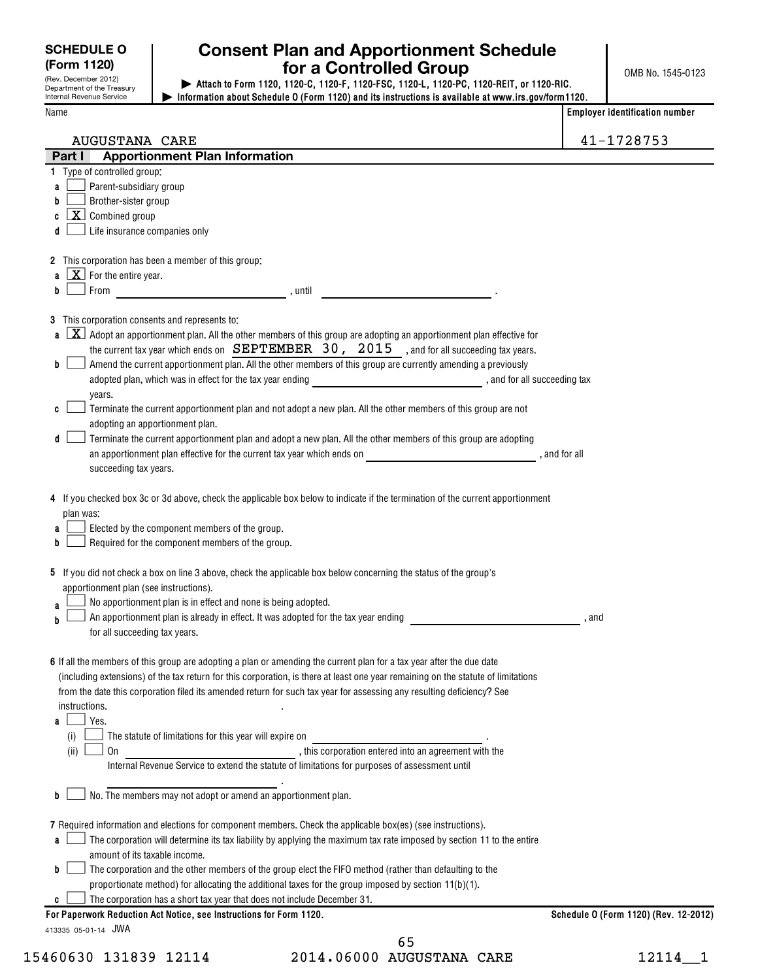| <b>SCHEDULE O</b><br>(Form 1120)<br>(Rev. December 2012)<br>Department of the Treasury<br>Internal Revenue Service                                                        | <b>Consent Plan and Apportionment Schedule</b><br>for a Controlled Group<br>Attach to Form 1120, 1120-C, 1120-F, 1120-FSC, 1120-L, 1120-PC, 1120-REIT, or 1120-RIC.<br>Information about Schedule 0 (Form 1120) and its instructions is available at www.irs.gov/form1120.                                                                                                                                                                                                                                                                                                                                                                                                                                                                                   |       | OMB No. 1545-0123                     |
|---------------------------------------------------------------------------------------------------------------------------------------------------------------------------|--------------------------------------------------------------------------------------------------------------------------------------------------------------------------------------------------------------------------------------------------------------------------------------------------------------------------------------------------------------------------------------------------------------------------------------------------------------------------------------------------------------------------------------------------------------------------------------------------------------------------------------------------------------------------------------------------------------------------------------------------------------|-------|---------------------------------------|
| Name                                                                                                                                                                      |                                                                                                                                                                                                                                                                                                                                                                                                                                                                                                                                                                                                                                                                                                                                                              |       | <b>Employer identification number</b> |
| <b>AUGUSTANA CARE</b>                                                                                                                                                     |                                                                                                                                                                                                                                                                                                                                                                                                                                                                                                                                                                                                                                                                                                                                                              |       | 41-1728753                            |
| Part I                                                                                                                                                                    | <b>Apportionment Plan Information</b>                                                                                                                                                                                                                                                                                                                                                                                                                                                                                                                                                                                                                                                                                                                        |       |                                       |
| 1 Type of controlled group:<br>Parent-subsidiary group<br>a<br>Brother-sister group<br>b<br>$\lfloor x \rfloor$ Combined group<br>c<br>Life insurance companies only<br>d |                                                                                                                                                                                                                                                                                                                                                                                                                                                                                                                                                                                                                                                                                                                                                              |       |                                       |
| <b>a</b> $X$ For the entire year.<br>From<br>b                                                                                                                            | 2 This corporation has been a member of this group:<br><b>Example 20</b> Section 2016 <b>Participants</b> 3 Section 3 Section 3 Section 3 Section 3 Section 3 Section 3 Section 3 Section 3 Section 3 Section 3 Section 3 Section 3 Section 3 Section 3 Section 3 Section 3 Section 3 Section 3                                                                                                                                                                                                                                                                                                                                                                                                                                                              |       |                                       |
| 3 This corporation consents and represents to:<br>b<br>years.<br>adopting an apportionment plan.<br>d<br>succeeding tax years.                                            | <b>a</b> $X$ Adopt an apportionment plan. All the other members of this group are adopting an apportionment plan effective for<br>the current tax year which ends on $SEPTEMBER$ 30, $2015$ , and for all succeeding tax years.<br>Amend the current apportionment plan. All the other members of this group are currently amending a previously<br>adopted plan, which was in effect for the tax year ending<br>, and for all succeeding tax<br>Terminate the current apportionment plan and not adopt a new plan. All the other members of this group are not<br>Terminate the current apportionment plan and adopt a new plan. All the other members of this group are adopting<br>an apportionment plan effective for the current tax year which ends on |       |                                       |
| plan was:<br>a<br>b                                                                                                                                                       | 4 If you checked box 3c or 3d above, check the applicable box below to indicate if the termination of the current apportionment<br>Elected by the component members of the group.<br>Required for the component members of the group.<br>5 If you did not check a box on line 3 above, check the applicable box below concerning the status of the group's                                                                                                                                                                                                                                                                                                                                                                                                   |       |                                       |
| apportionment plan (see instructions).<br>a<br>for all succeeding tax years.                                                                                              | No apportionment plan is in effect and none is being adopted.<br>An apportionment plan is already in effect. It was adopted for the tax year ending                                                                                                                                                                                                                                                                                                                                                                                                                                                                                                                                                                                                          | , and |                                       |
| instructions.<br>Yes.<br>a<br>(i)<br>On<br>(ii)                                                                                                                           | 6 If all the members of this group are adopting a plan or amending the current plan for a tax year after the due date<br>(including extensions) of the tax return for this corporation, is there at least one year remaining on the statute of limitations<br>from the date this corporation filed its amended return for such tax year for assessing any resulting deficiency? See<br>The statute of limitations for this year will expire on<br>, this corporation entered into an agreement with the<br>Internal Revenue Service to extend the statute of limitations for purposes of assessment until                                                                                                                                                    |       |                                       |
| b                                                                                                                                                                         | No. The members may not adopt or amend an apportionment plan.<br>7 Required information and elections for component members. Check the applicable box(es) (see instructions).                                                                                                                                                                                                                                                                                                                                                                                                                                                                                                                                                                                |       |                                       |
| a<br>amount of its taxable income.<br>b<br>C                                                                                                                              | The corporation will determine its tax liability by applying the maximum tax rate imposed by section 11 to the entire<br>The corporation and the other members of the group elect the FIFO method (rather than defaulting to the<br>proportionate method) for allocating the additional taxes for the group imposed by section $11(b)(1)$ .<br>The corporation has a short tax year that does not include December 31.                                                                                                                                                                                                                                                                                                                                       |       |                                       |
|                                                                                                                                                                           | For Paperwork Reduction Act Notice, see Instructions for Form 1120.                                                                                                                                                                                                                                                                                                                                                                                                                                                                                                                                                                                                                                                                                          |       | Schedule 0 (Form 1120) (Rev. 12-2012) |
| 413335 05-01-14 JWA                                                                                                                                                       | C E                                                                                                                                                                                                                                                                                                                                                                                                                                                                                                                                                                                                                                                                                                                                                          |       |                                       |

15460630 131839 12114 2014.06000 AUGUSTANA CARE 12114\_\_1 65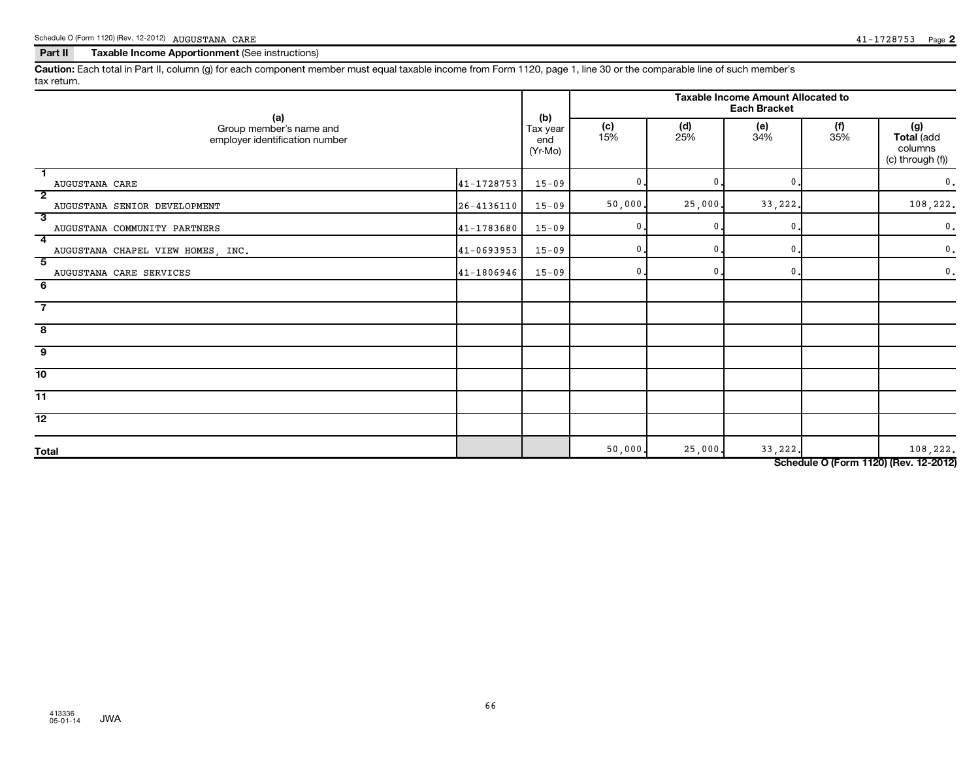#### **Part II Taxable Income Apportionment**  (See instructions)

**Caution:**  Each total in Part II, column (g) for each component member must equal taxable income from Form 1120, page 1, line 30 or the comparable line of such member's tax return.

| (a)                                                       |                | (b)       |               |                                                   | Taxable Income Amount Allocated to<br><b>Each Bracket</b> |                                                                                                                                                                                                                                                                                                                                                                                      |                                                  |
|-----------------------------------------------------------|----------------|-----------|---------------|---------------------------------------------------|-----------------------------------------------------------|--------------------------------------------------------------------------------------------------------------------------------------------------------------------------------------------------------------------------------------------------------------------------------------------------------------------------------------------------------------------------------------|--------------------------------------------------|
| Group member's name and<br>employer identification number |                |           | $(c)$<br>15%  | $\begin{array}{c} \text{(d)} \\ 25\% \end{array}$ | <b>(e)</b><br>34%                                         | $^{(f)}_{35\%}$                                                                                                                                                                                                                                                                                                                                                                      | (g)<br>Total (add<br>columns<br>(c) through (f)) |
| $\mathbf{1}$<br>AUGUSTANA CARE                            | 41-1728753     | $15 - 09$ | 0.            | 0.                                                | 0                                                         |                                                                                                                                                                                                                                                                                                                                                                                      | $0$ .                                            |
| $\overline{2}$<br>AUGUSTANA SENIOR DEVELOPMENT            | $26 - 4136110$ | $15 - 09$ | 50,000.       | 25,000.                                           | 33,222.                                                   |                                                                                                                                                                                                                                                                                                                                                                                      | 108,222.                                         |
| $\overline{\mathbf{3}}$<br>AUGUSTANA COMMUNITY PARTNERS   | 41-1783680     | $15 - 09$ | $\mathbf{0}$  | $\mathbf{0}$                                      | 0                                                         |                                                                                                                                                                                                                                                                                                                                                                                      | $\mathbf 0$ .                                    |
| $\overline{4}$<br>AUGUSTANA CHAPEL VIEW HOMES, INC.       | 41-0693953     | $15 - 09$ | 0.            | $\mathbf 0$ .                                     | 0                                                         |                                                                                                                                                                                                                                                                                                                                                                                      | $\mathbf 0$ .                                    |
| $\overline{5}$<br>AUGUSTANA CARE SERVICES                 | 41-1806946     | $15 - 09$ | $\mathbf 0$ . | $\mathbf{0}$ .                                    | 0                                                         |                                                                                                                                                                                                                                                                                                                                                                                      | $\mathfrak o$ .                                  |
| $\overline{6}$                                            |                |           |               |                                                   |                                                           |                                                                                                                                                                                                                                                                                                                                                                                      |                                                  |
| $\overline{\phantom{a}}$                                  |                |           |               |                                                   |                                                           |                                                                                                                                                                                                                                                                                                                                                                                      |                                                  |
| $\overline{\mathbf{8}}$                                   |                |           |               |                                                   |                                                           |                                                                                                                                                                                                                                                                                                                                                                                      |                                                  |
| $\overline{9}$                                            |                |           |               |                                                   |                                                           |                                                                                                                                                                                                                                                                                                                                                                                      |                                                  |
| 10                                                        |                |           |               |                                                   |                                                           |                                                                                                                                                                                                                                                                                                                                                                                      |                                                  |
| $\overline{11}$                                           |                |           |               |                                                   |                                                           |                                                                                                                                                                                                                                                                                                                                                                                      |                                                  |
| $\overline{12}$                                           |                |           |               |                                                   |                                                           |                                                                                                                                                                                                                                                                                                                                                                                      |                                                  |
| <b>Total</b>                                              |                |           | 50,000.       | 25,000.                                           | 33,222.                                                   | $\overline{1}$ $\overline{1}$ $\overline{2}$ $\overline{1}$ $\overline{2}$ $\overline{3}$ $\overline{1}$ $\overline{2}$ $\overline{3}$ $\overline{1}$ $\overline{2}$ $\overline{3}$ $\overline{1}$ $\overline{2}$ $\overline{3}$ $\overline{1}$ $\overline{2}$ $\overline{3}$ $\overline{1}$ $\overline{2}$ $\overline{3}$ $\overline{3}$ $\overline{1}$ $\overline{2}$ $\overline{$ | 108,222.<br>$\overline{A}$                       |

**Schedule O (Form 1120) (Rev. 12-2012)**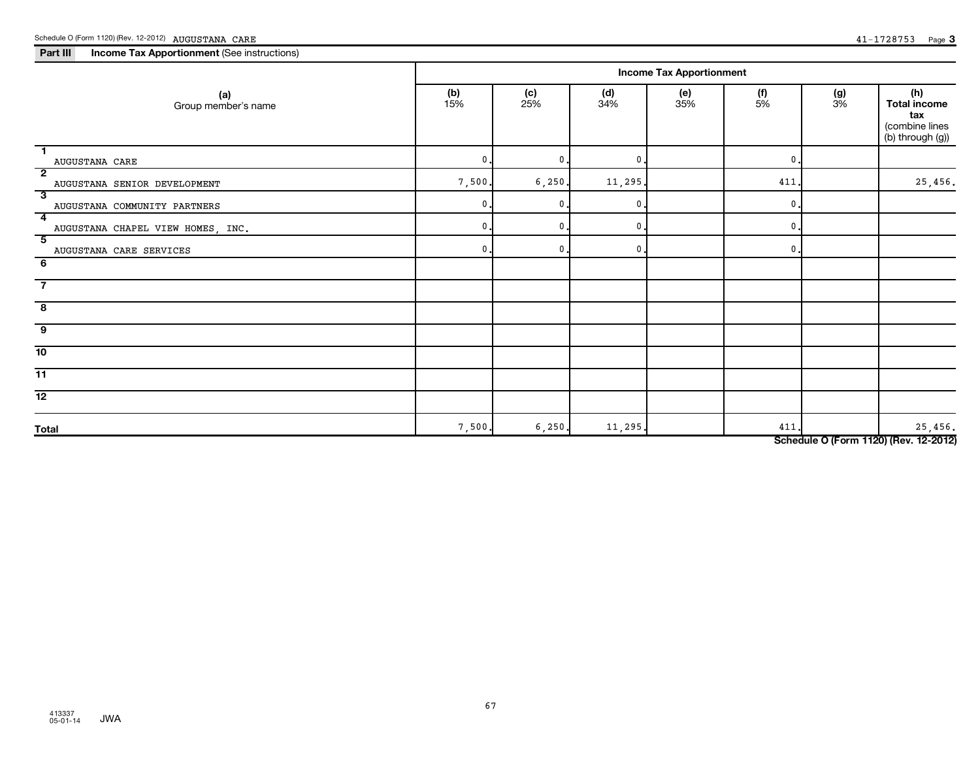**Total**

|                                   |            | <b>Income Tax Apportionment</b> |                |            |           |           |                                                                         |
|-----------------------------------|------------|---------------------------------|----------------|------------|-----------|-----------|-------------------------------------------------------------------------|
| (a)<br>Group member's name        | (b)<br>15% | (c)<br>25%                      | (d)<br>34%     | (e)<br>35% | (f)<br>5% | (g)<br>3% | (h)<br><b>Total income</b><br>tax<br>(combine lines<br>(b) through (g)) |
| <b>AUGUSTANA CARE</b>             |            |                                 | <sup>0</sup>   |            |           |           |                                                                         |
| AUGUSTANA SENIOR DEVELOPMENT      | 7,500.     | 6, 250.                         | 11,295.        |            | 411       |           | 25,456.                                                                 |
| AUGUSTANA COMMUNITY PARTNERS      |            |                                 | 0              |            |           |           |                                                                         |
| AUGUSTANA CHAPEL VIEW HOMES, INC. |            |                                 | $\Omega$       |            |           |           |                                                                         |
| AUGUSTANA CARE SERVICES           | $\Omega$   | 0                               | $\mathbf{0}$ . |            |           |           |                                                                         |
| 6                                 |            |                                 |                |            |           |           |                                                                         |

**Schedule O (Form 1120) (Rev. 12-2012)**

7,500. 6,250. 11,295. 11.295. 11.1. 411. 25,456.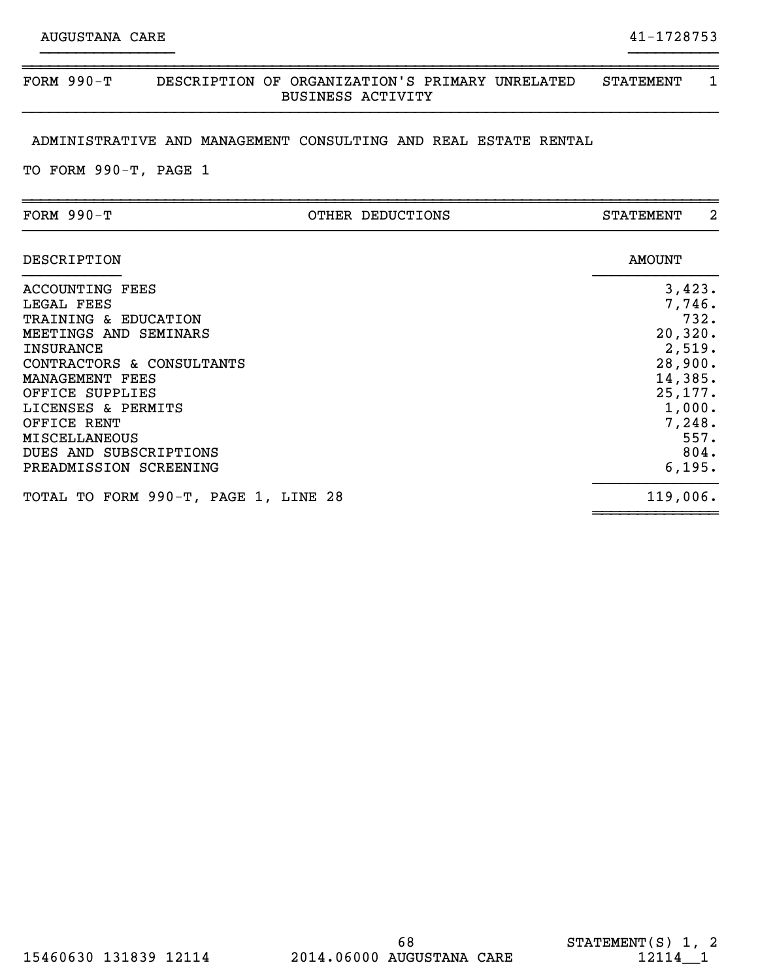### ~~~~~~~~~~~~~~~~~~~~~~~~~~~~~~~~~~~~~~~~~~~~~~~~~~~~~~~~~~~~~~~~~~~~~~~~~~~~~~ FORM 990-T DESCRIPTION OF ORGANIZATION'S PRIMARY UNRELATED STATEMENT 1 BUSINESS ACTIVITY }}}}}}}}}}}}}}}}}}}}}}}}}}}}}}}}}}}}}}}}}}}}}}}}}}}}}}}}}}}}}}}}}}}}}}}}}}}}}}

}}}}}}}}}}}}}}} }}}}}}}}}}

#### ADMINISTRATIVE AND MANAGEMENT CONSULTING AND REAL ESTATE RENTAL

TO FORM 990-T, PAGE 1

| FORM $990-T$                                                                                                                                                                                                                                                                           | OTHER DEDUCTIONS | 2<br><b>STATEMENT</b>                                                                                                           |
|----------------------------------------------------------------------------------------------------------------------------------------------------------------------------------------------------------------------------------------------------------------------------------------|------------------|---------------------------------------------------------------------------------------------------------------------------------|
| DESCRIPTION                                                                                                                                                                                                                                                                            |                  | <b>AMOUNT</b>                                                                                                                   |
| ACCOUNTING FEES<br>LEGAL FEES<br>TRAINING & EDUCATION<br>MEETINGS AND SEMINARS<br><b>INSURANCE</b><br>CONTRACTORS & CONSULTANTS<br>MANAGEMENT FEES<br>OFFICE SUPPLIES<br>LICENSES & PERMITS<br>OFFICE RENT<br><b>MISCELLANEOUS</b><br>DUES AND SUBSCRIPTIONS<br>PREADMISSION SCREENING |                  | 3,423.<br>7,746.<br>732.<br>20, 320.<br>2,519.<br>28,900.<br>14,385.<br>25, 177.<br>1,000.<br>7,248.<br>557.<br>804.<br>6, 195. |
| TOTAL TO FORM 990-T, PAGE 1, LINE 28                                                                                                                                                                                                                                                   |                  | 119,006.                                                                                                                        |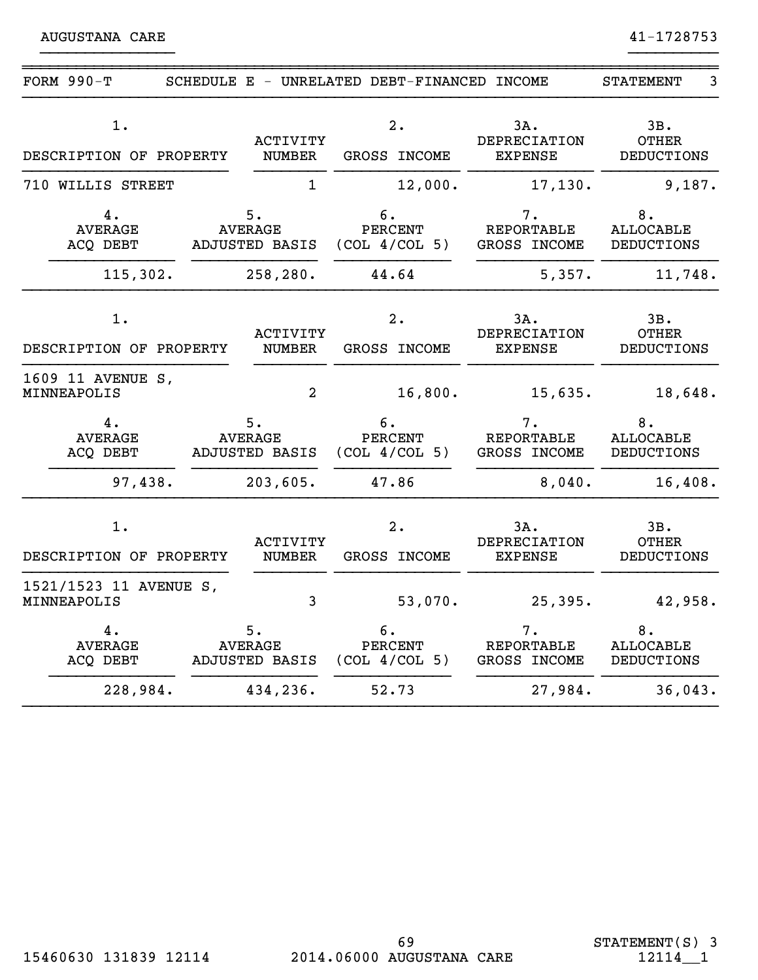| <b>FORM 990-T</b>                     | 3<br>SCHEDULE E - UNRELATED DEBT-FINANCED<br><b>STATEMENT</b><br><b>INCOME</b> |                                       |                                              |                                             |  |  |
|---------------------------------------|--------------------------------------------------------------------------------|---------------------------------------|----------------------------------------------|---------------------------------------------|--|--|
| 1.<br>DESCRIPTION OF                  | <b>ACTIVITY</b><br><b>NUMBER</b><br>PROPERTY                                   | 2.<br>GROSS<br><b>INCOME</b>          | 3A.<br><b>DEPRECIATION</b><br><b>EXPENSE</b> | 3B.<br><b>OTHER</b><br>DEDUCTIONS           |  |  |
| 710<br>WILLIS STREET                  | $\mathbf{1}$                                                                   | 12,000.                               | 17, 130.                                     | 9,187.                                      |  |  |
| 4.<br><b>AVERAGE</b><br>ACQ DEBT      | 5.<br><b>AVERAGE</b><br>ADJUSTED BASIS                                         | 6.<br><b>PERCENT</b><br>(COL 4/COL 5) | 7.<br><b>REPORTABLE</b><br>GROSS INCOME      | 8.<br><b>ALLOCABLE</b><br><b>DEDUCTIONS</b> |  |  |
| 115,302.                              | 258,280.                                                                       | 44.64                                 | 5,357.                                       | 11,748.                                     |  |  |
| 1.<br>DESCRIPTION OF                  | <b>ACTIVITY</b><br>PROPERTY<br><b>NUMBER</b>                                   | 2.<br>GROSS INCOME                    | 3A.<br><b>DEPRECIATION</b><br><b>EXPENSE</b> | 3B.<br><b>OTHER</b><br>DEDUCTIONS           |  |  |
| 1609 11 AVENUE S,<br>MINNEAPOLIS      | $\overline{2}$                                                                 | 16,800.                               | 15,635.                                      | 18,648.                                     |  |  |
| 4.<br><b>AVERAGE</b><br>ACQ DEBT      | 5.<br><b>AVERAGE</b><br>ADJUSTED BASIS                                         | 6.<br><b>PERCENT</b><br>(COL 4/COL 5) | 7.<br><b>REPORTABLE</b><br>GROSS INCOME      | 8.<br><b>ALLOCABLE</b><br><b>DEDUCTIONS</b> |  |  |
| 97,438.                               | 203,605.                                                                       | 47.86                                 | 8,040.                                       | 16,408.                                     |  |  |
| 1.<br>DESCRIPTION OF PROPERTY         | <b>ACTIVITY</b><br><b>NUMBER</b>                                               | 2.<br>GROSS INCOME                    | 3A.<br>DEPRECIATION<br><b>EXPENSE</b>        | 3B.<br><b>OTHER</b><br>DEDUCTIONS           |  |  |
| 1521/1523 11 AVENUE S,<br>MINNEAPOLIS | 3                                                                              | 53,070.                               | 25,395.                                      | 42,958.                                     |  |  |
| 4.<br><b>AVERAGE</b><br>ACQ DEBT      | 5.<br><b>AVERAGE</b><br>ADJUSTED BASIS                                         | б.<br>PERCENT<br>(COL 4/COL 5)        | 7.<br><b>REPORTABLE</b><br>GROSS INCOME      | 8.<br><b>ALLOCABLE</b><br><b>DEDUCTIONS</b> |  |  |
| 228,984.                              | 434,236.                                                                       | 52.73                                 | 27,984.                                      | 36,043.                                     |  |  |

}}}}}}}}}}}}}}} }}}}}}}}}}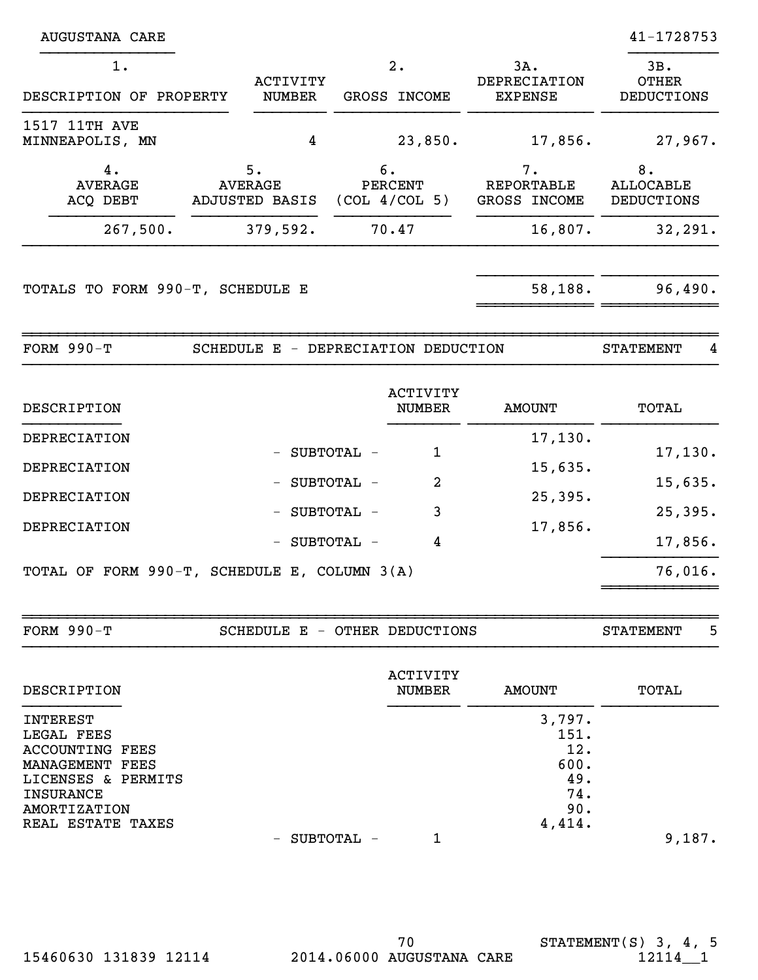| <b>AUGUSTANA CARE</b>                                                                                               |                                                                   |                                                               |                                              | 41-1728753                                             |
|---------------------------------------------------------------------------------------------------------------------|-------------------------------------------------------------------|---------------------------------------------------------------|----------------------------------------------|--------------------------------------------------------|
| 1.<br>DESCRIPTION OF PROPERTY                                                                                       | <b>ACTIVITY</b><br><b>NUMBER</b>                                  | 2.<br>GROSS INCOME                                            | 3A.<br><b>DEPRECIATION</b><br><b>EXPENSE</b> | 3B.<br><b>OTHER</b><br><b>DEDUCTIONS</b>               |
| 1517 11TH AVE<br>MINNEAPOLIS, MN<br>4.<br><b>AVERAGE</b><br>ACQ DEBT                                                | $\overline{\mathbf{4}}$<br>5.<br><b>AVERAGE</b><br>ADJUSTED BASIS | 23,850.<br>6.<br><b>PERCENT</b><br>(COL 4/COL 5) GROSS INCOME | 17,856.<br>7.<br><b>REPORTABLE</b>           | 27,967.<br>8.<br><b>ALLOCABLE</b><br><b>DEDUCTIONS</b> |
| 267,500.                                                                                                            | 379,592.                                                          | 70.47                                                         | 16,807.                                      | 32, 291.                                               |
| TOTALS TO FORM 990-T, SCHEDULE E<br>FORM $990-T$                                                                    | SCHEDULE E - DEPRECIATION DEDUCTION                               |                                                               | 58,188.                                      | 96,490.<br><b>STATEMENT</b><br>4                       |
| DESCRIPTION                                                                                                         |                                                                   | <b>ACTIVITY</b><br><b>NUMBER</b>                              | <b>AMOUNT</b>                                | <b>TOTAL</b>                                           |
| DEPRECIATION<br>DEPRECIATION<br><b>DEPRECIATION</b><br>DEPRECIATION<br>TOTAL OF FORM 990-T, SCHEDULE E, COLUMN 3(A) | - SUBTOTAL -<br>- SUBTOTAL -<br>- SUBTOTAL -                      | $\mathbf{1}$<br>$\overline{a}$<br>3<br>SUBTOTAL -<br>4        | 17,130.<br>15,635.<br>25, 395.<br>17,856.    | 17,130.<br>15,635.<br>25, 395.<br>17,856.<br>76,016.   |
| FORM $990-T$                                                                                                        |                                                                   | SCHEDULE E - OTHER DEDUCTIONS                                 |                                              | <b>STATEMENT</b><br>5                                  |

| DESCRIPTION        |                                                                  | ACTIVITY<br><b>NUMBER</b> | <b>AMOUNT</b> | TOTAL  |
|--------------------|------------------------------------------------------------------|---------------------------|---------------|--------|
| INTEREST           |                                                                  |                           | 3,797.        |        |
| LEGAL FEES         |                                                                  |                           | 151.          |        |
| ACCOUNTING FEES    |                                                                  |                           | 12.           |        |
| MANAGEMENT FEES    |                                                                  |                           | 600.          |        |
| LICENSES & PERMITS |                                                                  |                           | 49.           |        |
| INSURANCE          |                                                                  |                           | 74.           |        |
| AMORTIZATION       |                                                                  |                           | 90.           |        |
| REAL ESTATE TAXES  |                                                                  |                           | 4,414.        |        |
|                    | SUBTOTAL<br>$\overline{\phantom{m}}$<br>$\overline{\phantom{m}}$ |                           |               | 9,187. |

15460630 131839 12114 2014.06000 AUGUSTANA CARE 70

STATEMENT(S) 3, 4, 5<br>12114\_1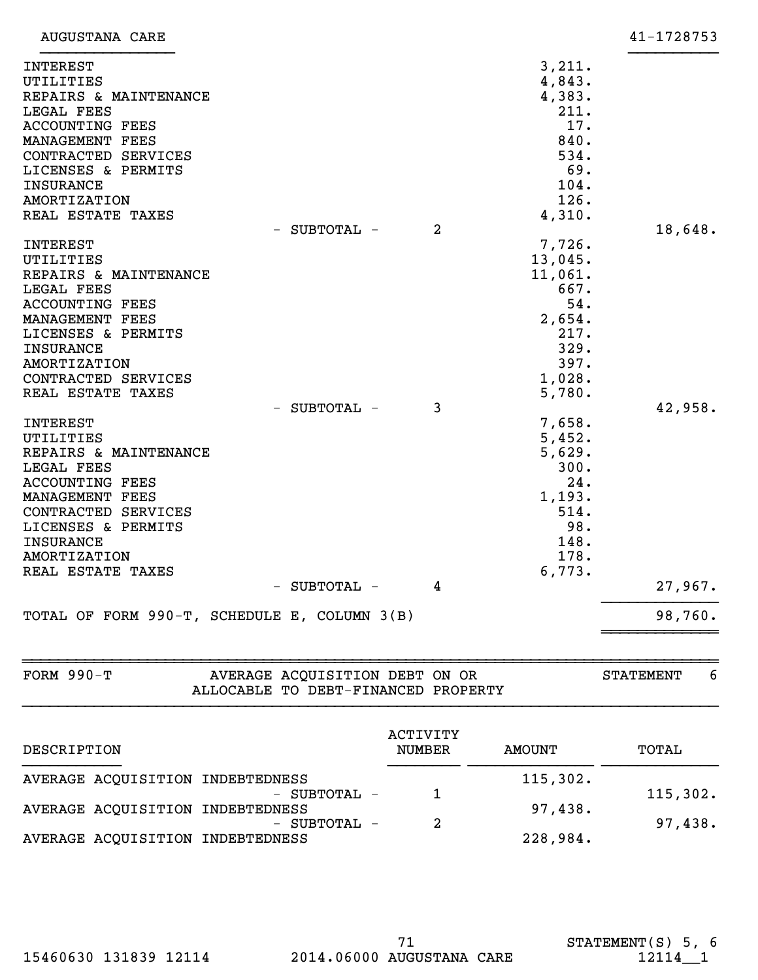| <b>AUGUSTANA CARE</b>                                                                                                                                                                                                         |              |   |                                                                                                   | 41-1728753 |
|-------------------------------------------------------------------------------------------------------------------------------------------------------------------------------------------------------------------------------|--------------|---|---------------------------------------------------------------------------------------------------|------------|
| <b>INTEREST</b><br>UTILITIES<br>REPAIRS & MAINTENANCE<br>LEGAL FEES<br><b>ACCOUNTING FEES</b><br>MANAGEMENT FEES<br>CONTRACTED SERVICES<br>LICENSES & PERMITS<br><b>INSURANCE</b><br><b>AMORTIZATION</b><br>REAL ESTATE TAXES | - SUBTOTAL - | 2 | 3,211.<br>4,843.<br>4,383.<br>211.<br>17.<br>840.<br>534.<br>69.<br>104.<br>126.<br>4,310.        | 18,648.    |
| <b>INTEREST</b><br>UTILITIES<br>REPAIRS & MAINTENANCE<br>LEGAL FEES<br><b>ACCOUNTING FEES</b><br>MANAGEMENT FEES<br>LICENSES & PERMITS<br><b>INSURANCE</b><br><b>AMORTIZATION</b><br>CONTRACTED SERVICES<br>REAL ESTATE TAXES |              |   | 7,726.<br>13,045.<br>11,061.<br>667.<br>54.<br>2,654.<br>217.<br>329.<br>397.<br>1,028.<br>5,780. |            |
| <b>INTEREST</b><br>UTILITIES<br>REPAIRS & MAINTENANCE<br>LEGAL FEES<br><b>ACCOUNTING FEES</b><br>MANAGEMENT FEES<br>CONTRACTED SERVICES<br>LICENSES & PERMITS<br><b>INSURANCE</b><br>AMORTIZATION<br>REAL ESTATE TAXES        | - SUBTOTAL - | 3 | 7,658.<br>5,452.<br>5,629.<br>300.<br>24.<br>1,193.<br>514.<br>98.<br>148.<br>178.<br>6,773.      | 42,958.    |
|                                                                                                                                                                                                                               | - SUBTOTAL - | 4 |                                                                                                   | 27,967.    |
| TOTAL OF FORM 990-T, SCHEDULE E, COLUMN 3(B)                                                                                                                                                                                  |              |   |                                                                                                   | 98,760.    |
|                                                                                                                                                                                                                               |              |   |                                                                                                   |            |

| $FORM 990-T$ | AVERAGE ACQUISITION DEBT ON OR<br>ALLOCABLE TO DEBT-FINANCED PROPERTY | STATEMENT | 6 |
|--------------|-----------------------------------------------------------------------|-----------|---|
|              | ACTIVITY                                                              |           |   |

| DESCRIPTION |                                  | NUMBER | AMOUNT   | TOTAL    |
|-------------|----------------------------------|--------|----------|----------|
|             | AVERAGE ACQUISITION INDEBTEDNESS |        | 115,302. |          |
|             | $-$ SUBTOTAL $-$                 |        |          | 115,302. |
|             | AVERAGE ACQUISITION INDEBTEDNESS |        | 97,438.  |          |
|             | $-$ SUBTOTAL $-$                 | 2      |          | 97,438.  |
|             | AVERAGE ACQUISITION INDEBTEDNESS |        | 228,984. |          |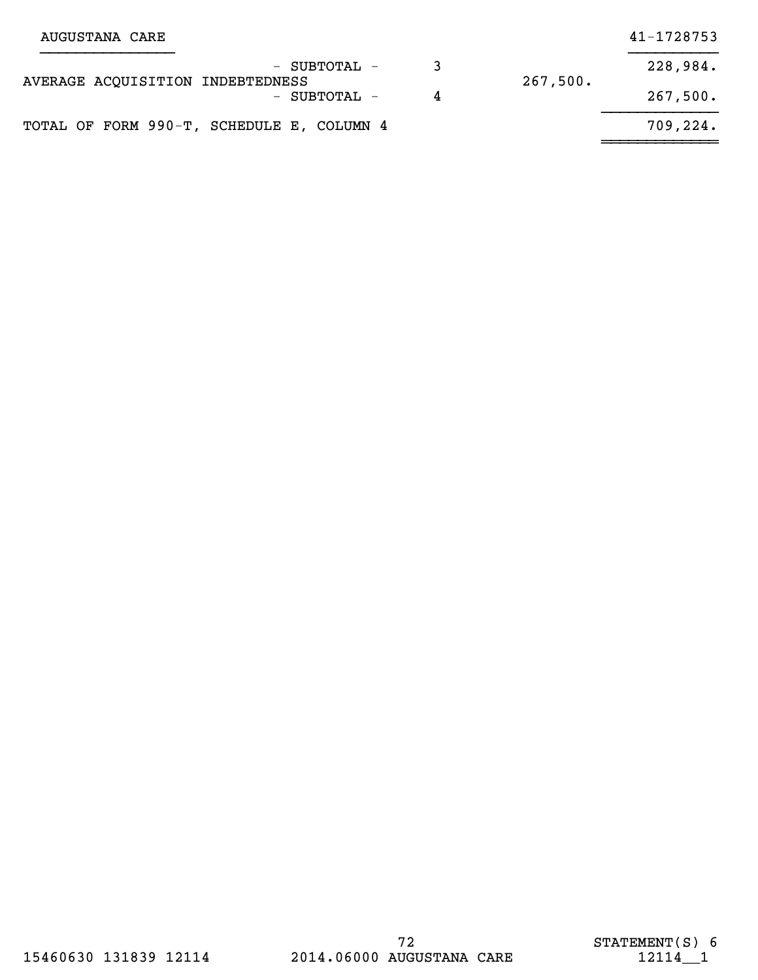| AUGUSTANA CARE                   |                                           |   |          | 41-1728753 |
|----------------------------------|-------------------------------------------|---|----------|------------|
|                                  | - SUBTOTAL -                              |   |          | 228,984.   |
| AVERAGE ACQUISITION INDEBTEDNESS | - SUBTOTAL -                              | 4 | 267,500. | 267,500.   |
|                                  | TOTAL OF FORM 990-T, SCHEDULE E, COLUMN 4 |   |          | 709,224.   |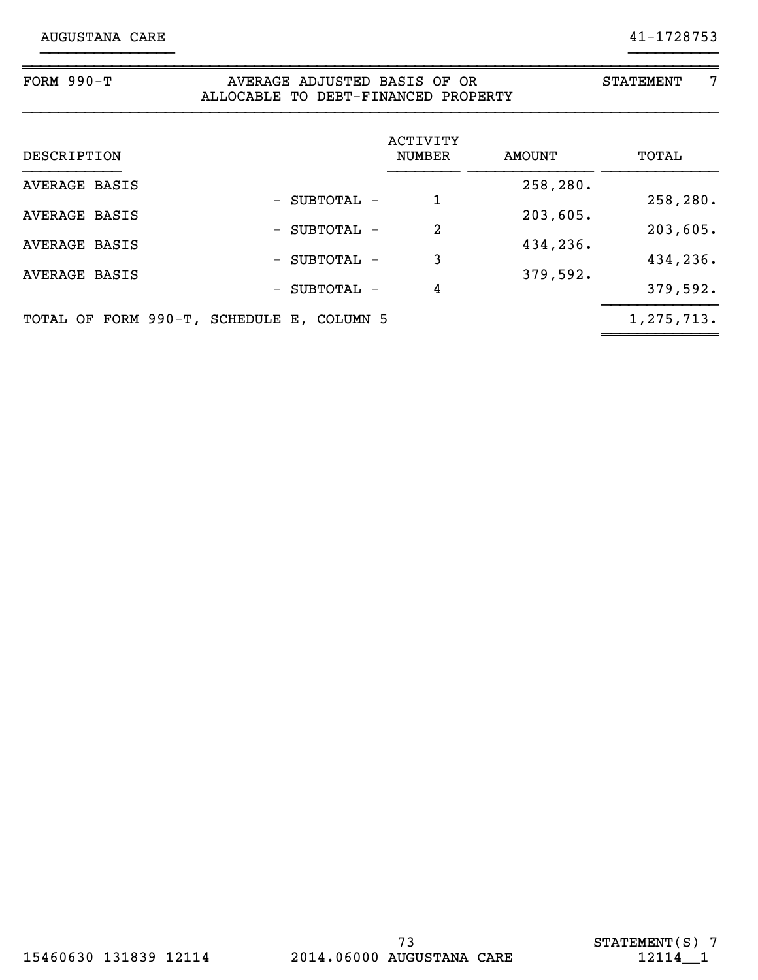| <b>FORM 990-T</b>                         |                   |              | AVERAGE ADJUSTED BASIS OF OR<br>ALLOCABLE TO DEBT-FINANCED PROPERTY |               | 7<br><b>STATEMENT</b> |
|-------------------------------------------|-------------------|--------------|---------------------------------------------------------------------|---------------|-----------------------|
| DESCRIPTION                               |                   |              | <b>ACTIVITY</b><br><b>NUMBER</b>                                    | <b>AMOUNT</b> | TOTAL                 |
| AVERAGE BASIS                             |                   |              |                                                                     | 258,280.      |                       |
| AVERAGE BASIS                             |                   | - SUBTOTAL - | 1                                                                   | 203,605.      | 258,280.              |
|                                           |                   | - SUBTOTAL - | $\overline{2}$                                                      |               | 203,605.              |
| <b>AVERAGE BASIS</b>                      |                   | - SUBTOTAL - | 3                                                                   | 434,236.      | 434,236.              |
| AVERAGE BASIS                             | $\qquad \qquad -$ | SUBTOTAL -   | 4                                                                   | 379,592.      | 379,592.              |
| TOTAL OF FORM 990-T, SCHEDULE E, COLUMN 5 |                   |              |                                                                     |               | 1,275,713.            |

}}}}}}}}}}}}}}} }}}}}}}}}}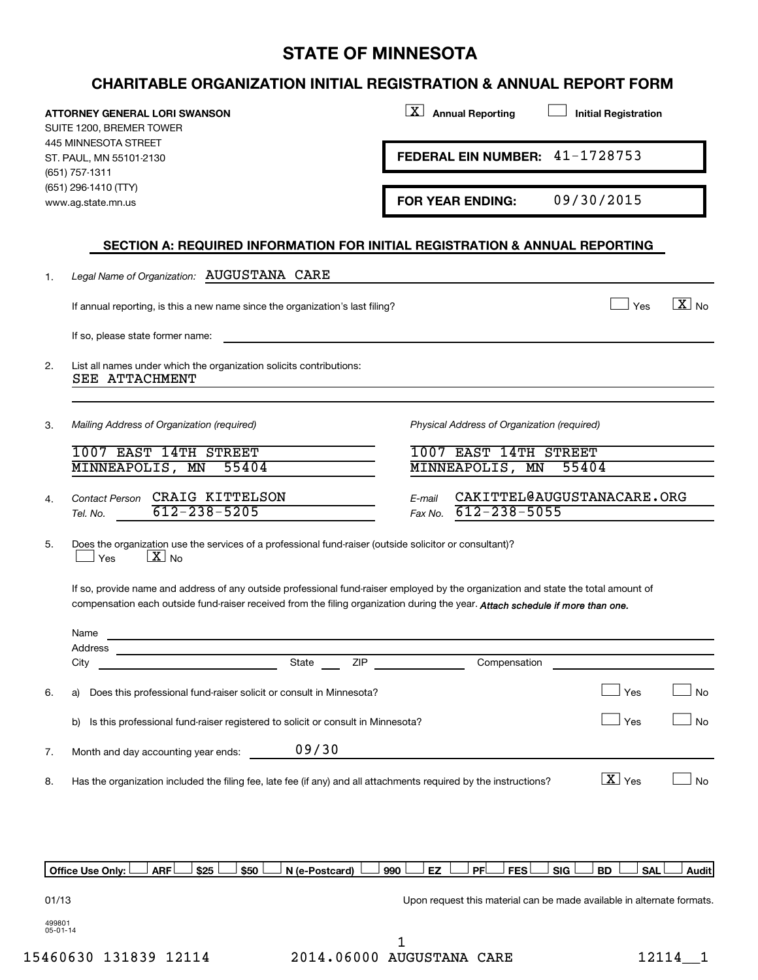# **STATE OF MINNESOTA**

## **CHARITABLE ORGANIZATION INITIAL REGISTRATION & ANNUAL REPORT FORM**

|                          | ATTORNEY GENERAL LORI SWANSON<br>SUITE 1200, BREMER TOWER                                                                                                                                                                                                            | $\vert X \vert$<br><b>Annual Reporting</b><br><b>Initial Registration</b>              |
|--------------------------|----------------------------------------------------------------------------------------------------------------------------------------------------------------------------------------------------------------------------------------------------------------------|----------------------------------------------------------------------------------------|
|                          | 445 MINNESOTA STREET<br>ST. PAUL, MN 55101-2130                                                                                                                                                                                                                      | FEDERAL EIN NUMBER: 41-1728753                                                         |
|                          | (651) 757-1311<br>(651) 296-1410 (TTY)<br>www.ag.state.mn.us                                                                                                                                                                                                         | 09/30/2015<br><b>FOR YEAR ENDING:</b>                                                  |
|                          | SECTION A: REQUIRED INFORMATION FOR INITIAL REGISTRATION & ANNUAL REPORTING                                                                                                                                                                                          |                                                                                        |
| 1.                       | Legal Name of Organization: AUGUSTANA CARE                                                                                                                                                                                                                           |                                                                                        |
|                          | If annual reporting, is this a new name since the organization's last filing?                                                                                                                                                                                        | $\boxed{\text{X}}$ No<br>Yes                                                           |
|                          | If so, please state former name:                                                                                                                                                                                                                                     |                                                                                        |
| 2.                       | List all names under which the organization solicits contributions:<br>SEE ATTACHMENT                                                                                                                                                                                |                                                                                        |
| 3.                       | Mailing Address of Organization (required)                                                                                                                                                                                                                           | Physical Address of Organization (required)                                            |
|                          | 1007 EAST 14TH STREET<br>MINNEAPOLIS, MN<br>55404                                                                                                                                                                                                                    | 1007 EAST 14TH STREET<br>MINNEAPOLIS, MN<br>55404                                      |
| 4.                       | CRAIG KITTELSON<br>Contact Person<br>$612 - 238 - 5205$<br>Tel. No.                                                                                                                                                                                                  | CAKITTEL@AUGUSTANACARE.ORG<br>E-mail<br>$612 - 238 - 5055$<br>Fax No.                  |
| 5.                       | Does the organization use the services of a professional fund-raiser (outside solicitor or consultant)?<br>$\lfloor x \rfloor$ No<br>Yes                                                                                                                             |                                                                                        |
|                          | If so, provide name and address of any outside professional fund-raiser employed by the organization and state the total amount of<br>compensation each outside fund-raiser received from the filing organization during the year. Attach schedule if more than one. |                                                                                        |
|                          | Name                                                                                                                                                                                                                                                                 |                                                                                        |
|                          | Address<br>State<br>ZIP<br>City                                                                                                                                                                                                                                      | Compensation                                                                           |
| 6.                       | Does this professional fund-raiser solicit or consult in Minnesota?<br>a)                                                                                                                                                                                            | No<br>Yes                                                                              |
|                          | Is this professional fund-raiser registered to solicit or consult in Minnesota?<br>b)                                                                                                                                                                                | Yes<br>No                                                                              |
| 7.                       | 09/30<br>Month and day accounting year ends:                                                                                                                                                                                                                         |                                                                                        |
| 8.                       | Has the organization included the filing fee, late fee (if any) and all attachments required by the instructions?                                                                                                                                                    | $\boxed{\mathbf{X}}$ Yes<br>No                                                         |
|                          |                                                                                                                                                                                                                                                                      |                                                                                        |
|                          | Office Use Only:<br><b>ARF</b><br>\$25<br>\$50<br>N (e-Postcard)                                                                                                                                                                                                     | EZ<br><b>PF</b><br><b>FES</b><br>990<br><b>SIG</b><br><b>BD</b><br><b>SAL</b><br>Audit |
| 01/13                    |                                                                                                                                                                                                                                                                      | Upon request this material can be made available in alternate formats.                 |
| 499801<br>$05 - 01 - 14$ |                                                                                                                                                                                                                                                                      |                                                                                        |

15460630 131839 12114 2014.06000 AUGUSTANA CARE 12114\_\_1 1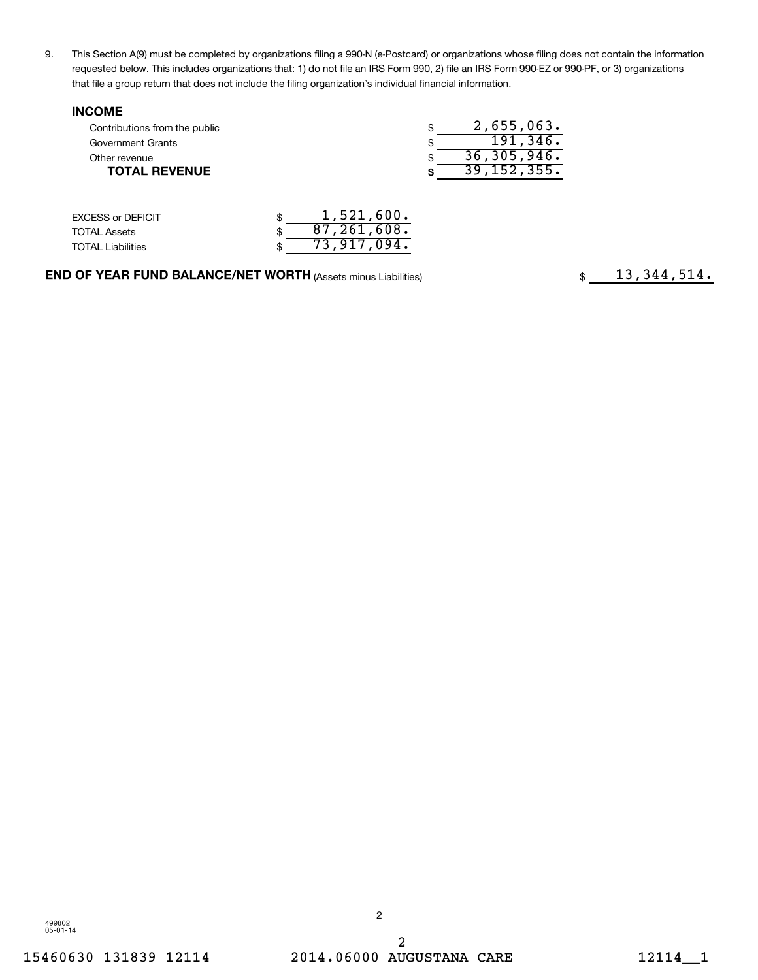9. This Section A(9) must be completed by organizations filing a 990-N (e-Postcard) or organizations whose filing does not contain the information requested below. This includes organizations that: 1) do not file an IRS Form 990, 2) file an IRS Form 990-EZ or 990-PF, or 3) organizations that file a group return that does not include the filing organization's individual financial information.

> 87,261,608. 73,917,094.

| <b>INCOME</b>                 |            |    |               |
|-------------------------------|------------|----|---------------|
| Contributions from the public |            | \$ | 2,655,063.    |
| Government Grants             |            | \$ | 191, 346.     |
| Other revenue                 |            | S  | 36, 305, 946. |
| <b>TOTAL REVENUE</b>          |            | S  | 39, 152, 355. |
|                               |            |    |               |
| <b>EXCESS or DEFICIT</b>      | 1,521,600. |    |               |

\$ \$

**END OF YEAR FUND BALANCE/NET WORTH** (Assets minus Liabilities) **\$** \$

TOTAL Assets TOTAL Liabilities

 $$13,344,514.$ 

499802 05-01-14

2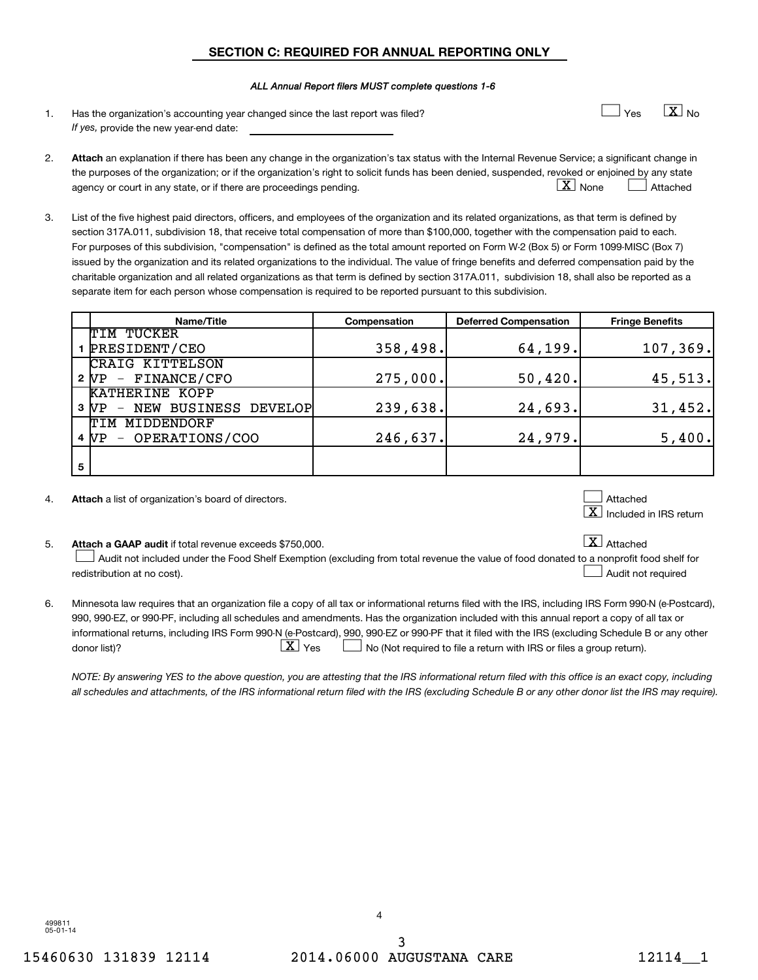## **SECTION C: REQUIRED FOR ANNUAL REPORTING ONLY**

#### *ALL Annual Report filers MUST complete questions 1-6*

| Has the organization's accounting year changed since the last report was filed? |
|---------------------------------------------------------------------------------|
| If yes, provide the new year-end date:                                          |

- **Attach** an explanation if there has been any change in the organization's tax status with the Internal Revenue Service; a significant change in 2. the purposes of the organization; or if the organization's right to solicit funds has been denied, suspended, revoked or enjoined by any state agency or court in any state, or if there are proceedings pending.  $X$  and  $X$  is none  $X$  attached  $\boxed{\text{X}}$  None  $\boxed{\phantom{0}}$
- 3. List of the five highest paid directors, officers, and employees of the organization and its related organizations, as that term is defined by section 317A.011, subdivision 18, that receive total compensation of more than \$100,000, together with the compensation paid to each. For purposes of this subdivision, "compensation" is defined as the total amount reported on Form W-2 (Box 5) or Form 1099-MISC (Box 7) issued by the organization and its related organizations to the individual. The value of fringe benefits and deferred compensation paid by the charitable organization and all related organizations as that term is defined by section 317A.011, subdivision 18, shall also be reported as a separate item for each person whose compensation is required to be reported pursuant to this subdivision.

|   | Name/Title                                               | Compensation | <b>Deferred Compensation</b> | <b>Fringe Benefits</b> |
|---|----------------------------------------------------------|--------------|------------------------------|------------------------|
|   | TIM TUCKER                                               |              |                              |                        |
|   | 1 PRESIDENT/CEO                                          | 358,498.     | 64,199.                      | 107, 369.              |
|   | CRAIG KITTELSON                                          |              |                              |                        |
|   | $2 NP - FINANCE/CFO$                                     | 275,000.     | 50,420.                      | 45,513.                |
|   | <b>KATHERINE KOPP</b>                                    |              |                              |                        |
|   | NEW BUSINESS DEVELOP<br>3 NP<br>$\overline{\phantom{m}}$ | 239,638.     | 24,693.                      | 31,452.                |
|   | TIM MIDDENDORF                                           |              |                              |                        |
|   | OPERATIONS/COO<br>4 NP<br>$\overline{\phantom{m}}$       | 246,637.     | 24,979.                      | 5,400.                 |
|   |                                                          |              |                              |                        |
| 5 |                                                          |              |                              |                        |

**Attach**  a list of organization's board of directors. Attached 4.

 $\boxed{\text{X}}$  Included in IRS return  $\vert$  Attached

 $\boxed{\text{X}}$ 

Yes  $\qquad \qquad \boxed{\textbf{X}}$  No

 $\exists$  Yes

**Attach a GAAP audit**  if total revenue exceeds \$750,000. Attached 5.

Audit not included under the Food Shelf Exemption (excluding from total revenue the value of food donated to a nonprofit food shelf for † redistribution at no cost).  $\perp$  Audit not required

6. Minnesota law requires that an organization file a copy of all tax or informational returns filed with the IRS, including IRS Form 990-N (e-Postcard), 990, 990-EZ, or 990-PF, including all schedules and amendments. Has the organization included with this annual report a copy of all tax or informational returns, including IRS Form 990-N (e-Postcard), 990, 990-EZ or 990-PF that it filed with the IRS (excluding Schedule B or any other donor list)?  $\boxed{\mathbf{X}}$  Yes  $\boxed{\phantom{0}}$  Not required to file a return with IRS or files a group return).  $\boxed{\text{X}}$   $\text{Yes}$   $\boxed{\phantom{1}}$ 

*NOTE: By answering YES to the above question, you are attesting that the IRS informational return filed with this office is an exact copy, including all schedules and attachments, of the IRS informational return filed with the IRS (excluding Schedule B or any other donor list the IRS may require).*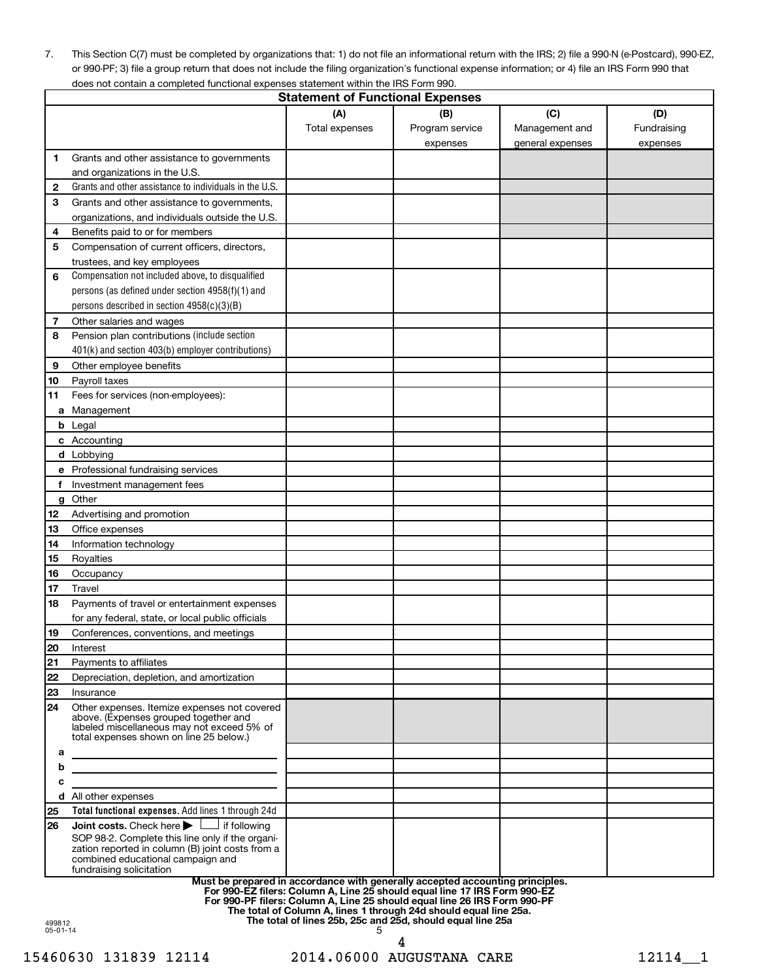7. This Section C(7) must be completed by organizations that: 1) do not file an informational return with the IRS; 2) file a 990-N (e-Postcard), 990-EZ, or 990-PF; 3) file a group return that does not include the filing organization's functional expense information; or 4) file an IRS Form 990 that does not contain a completed functional expenses statement within the IRS Form 990.

|    | aboo not contain a completed famolional experience statement within the mich similate<br><b>Statement of Functional Expenses</b>                                                                                                                  |                |                 |                  |             |  |
|----|---------------------------------------------------------------------------------------------------------------------------------------------------------------------------------------------------------------------------------------------------|----------------|-----------------|------------------|-------------|--|
|    |                                                                                                                                                                                                                                                   | (A)            | (B)             | (C)              | (D)         |  |
|    |                                                                                                                                                                                                                                                   | Total expenses | Program service | Management and   | Fundraising |  |
|    |                                                                                                                                                                                                                                                   |                | expenses        | general expenses | expenses    |  |
| 1  | Grants and other assistance to governments                                                                                                                                                                                                        |                |                 |                  |             |  |
|    | and organizations in the U.S.                                                                                                                                                                                                                     |                |                 |                  |             |  |
| 2  | Grants and other assistance to individuals in the U.S.                                                                                                                                                                                            |                |                 |                  |             |  |
| З  | Grants and other assistance to governments,                                                                                                                                                                                                       |                |                 |                  |             |  |
|    | organizations, and individuals outside the U.S.                                                                                                                                                                                                   |                |                 |                  |             |  |
| 4  | Benefits paid to or for members                                                                                                                                                                                                                   |                |                 |                  |             |  |
| 5  | Compensation of current officers, directors,                                                                                                                                                                                                      |                |                 |                  |             |  |
|    | trustees, and key employees                                                                                                                                                                                                                       |                |                 |                  |             |  |
| 6  | Compensation not included above, to disqualified                                                                                                                                                                                                  |                |                 |                  |             |  |
|    | persons (as defined under section 4958(f)(1) and                                                                                                                                                                                                  |                |                 |                  |             |  |
|    | persons described in section 4958(c)(3)(B)                                                                                                                                                                                                        |                |                 |                  |             |  |
| 7  | Other salaries and wages                                                                                                                                                                                                                          |                |                 |                  |             |  |
| 8  | Pension plan contributions (include section                                                                                                                                                                                                       |                |                 |                  |             |  |
|    | 401(k) and section 403(b) employer contributions)                                                                                                                                                                                                 |                |                 |                  |             |  |
| 9  | Other employee benefits                                                                                                                                                                                                                           |                |                 |                  |             |  |
| 10 | Payroll taxes                                                                                                                                                                                                                                     |                |                 |                  |             |  |
| 11 | Fees for services (non-employees):                                                                                                                                                                                                                |                |                 |                  |             |  |
| а  | Management                                                                                                                                                                                                                                        |                |                 |                  |             |  |
|    | <b>b</b> Legal                                                                                                                                                                                                                                    |                |                 |                  |             |  |
|    | c Accounting                                                                                                                                                                                                                                      |                |                 |                  |             |  |
|    | d Lobbying                                                                                                                                                                                                                                        |                |                 |                  |             |  |
|    | e Professional fundraising services                                                                                                                                                                                                               |                |                 |                  |             |  |
| f  | Investment management fees                                                                                                                                                                                                                        |                |                 |                  |             |  |
|    | g Other                                                                                                                                                                                                                                           |                |                 |                  |             |  |
| 12 | Advertising and promotion                                                                                                                                                                                                                         |                |                 |                  |             |  |
| 13 | Office expenses                                                                                                                                                                                                                                   |                |                 |                  |             |  |
| 14 | Information technology                                                                                                                                                                                                                            |                |                 |                  |             |  |
| 15 | Royalties                                                                                                                                                                                                                                         |                |                 |                  |             |  |
| 16 | Occupancy                                                                                                                                                                                                                                         |                |                 |                  |             |  |
| 17 | Travel                                                                                                                                                                                                                                            |                |                 |                  |             |  |
| 18 | Payments of travel or entertainment expenses                                                                                                                                                                                                      |                |                 |                  |             |  |
|    | for any federal, state, or local public officials                                                                                                                                                                                                 |                |                 |                  |             |  |
| 19 | Conferences, conventions, and meetings                                                                                                                                                                                                            |                |                 |                  |             |  |
| 20 | Interest                                                                                                                                                                                                                                          |                |                 |                  |             |  |
| 21 | Payments to affiliates                                                                                                                                                                                                                            |                |                 |                  |             |  |
| 22 | Depreciation, depletion, and amortization                                                                                                                                                                                                         |                |                 |                  |             |  |
| 23 | Insurance                                                                                                                                                                                                                                         |                |                 |                  |             |  |
| 24 | Other expenses. Itemize expenses not covered<br>above. (Expenses grouped together and<br>labeled miscellaneous may not exceed 5% of<br>total expenses shown on line 25 below.)                                                                    |                |                 |                  |             |  |
| а  |                                                                                                                                                                                                                                                   |                |                 |                  |             |  |
| b  | the control of the control of the control of the control of                                                                                                                                                                                       |                |                 |                  |             |  |
| c  |                                                                                                                                                                                                                                                   |                |                 |                  |             |  |
|    | d All other expenses                                                                                                                                                                                                                              |                |                 |                  |             |  |
| 25 | Total functional expenses. Add lines 1 through 24d                                                                                                                                                                                                |                |                 |                  |             |  |
| 26 | <b>Joint costs.</b> Check here $\blacktriangleright$ $\Box$ if following<br>SOP 98-2. Complete this line only if the organi-<br>zation reported in column (B) joint costs from a<br>combined educational campaign and<br>fundraising solicitation |                |                 |                  |             |  |

Must be prepared in accordance with generally accepted accounting principles.<br>For 990-EZ filers: Column A, Line 25 should equal line 17 IRS Form 990-EZ<br>For 990-PF filers: Column A, Line 25 should equal line 26 IRS Form 990

5

499812 05-01-14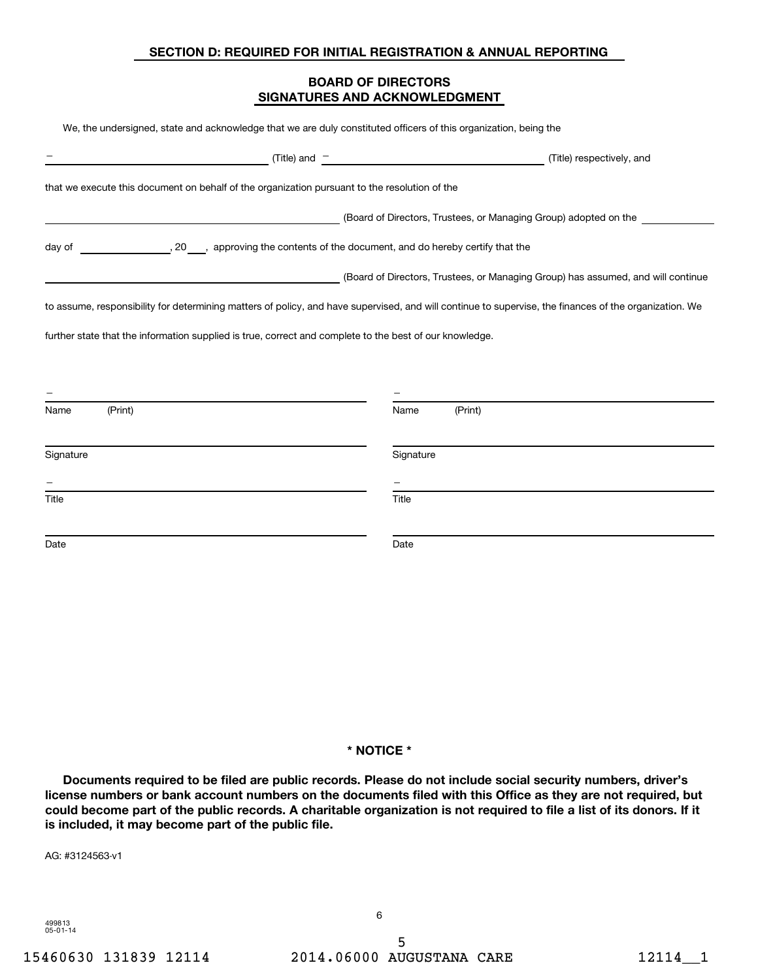## **SECTION D: REQUIRED FOR INITIAL REGISTRATION & ANNUAL REPORTING**

## **BOARD OF DIRECTORS SIGNATURES AND ACKNOWLEDGMENT**

| We, the undersigned, state and acknowledge that we are duly constituted officers of this organization, being the |                                                                                                                                                        |
|------------------------------------------------------------------------------------------------------------------|--------------------------------------------------------------------------------------------------------------------------------------------------------|
| (Title) and $-$                                                                                                  | (Title) respectively, and                                                                                                                              |
| that we execute this document on behalf of the organization pursuant to the resolution of the                    |                                                                                                                                                        |
|                                                                                                                  | (Board of Directors, Trustees, or Managing Group) adopted on the                                                                                       |
| day of day of the document, and do hereby certify that the                                                       |                                                                                                                                                        |
|                                                                                                                  | (Board of Directors, Trustees, or Managing Group) has assumed, and will continue                                                                       |
|                                                                                                                  | to assume, responsibility for determining matters of policy, and have supervised, and will continue to supervise, the finances of the organization. We |
| further state that the information supplied is true, correct and complete to the best of our knowledge.          |                                                                                                                                                        |
|                                                                                                                  |                                                                                                                                                        |
|                                                                                                                  |                                                                                                                                                        |
| (Print)<br>Name                                                                                                  | (Print)<br>Name                                                                                                                                        |
| Signature                                                                                                        | Signature                                                                                                                                              |
|                                                                                                                  |                                                                                                                                                        |
| Title                                                                                                            | Title                                                                                                                                                  |
| Date                                                                                                             | Date                                                                                                                                                   |
|                                                                                                                  |                                                                                                                                                        |
|                                                                                                                  |                                                                                                                                                        |
|                                                                                                                  |                                                                                                                                                        |

### **\* NOTICE \***

**Documents required to be filed are public records. Please do not include social security numbers, driver's license numbers or bank account numbers on the documents filed with this Office as they are not required, but could become part of the public records. A charitable organization is not required to file a list of its donors. If it is included, it may become part of the public file.**

AG: #3124563-v1

499813 05-01-14

15460630 131839 12114 2014.06000 AUGUSTANA CARE 12114\_1 5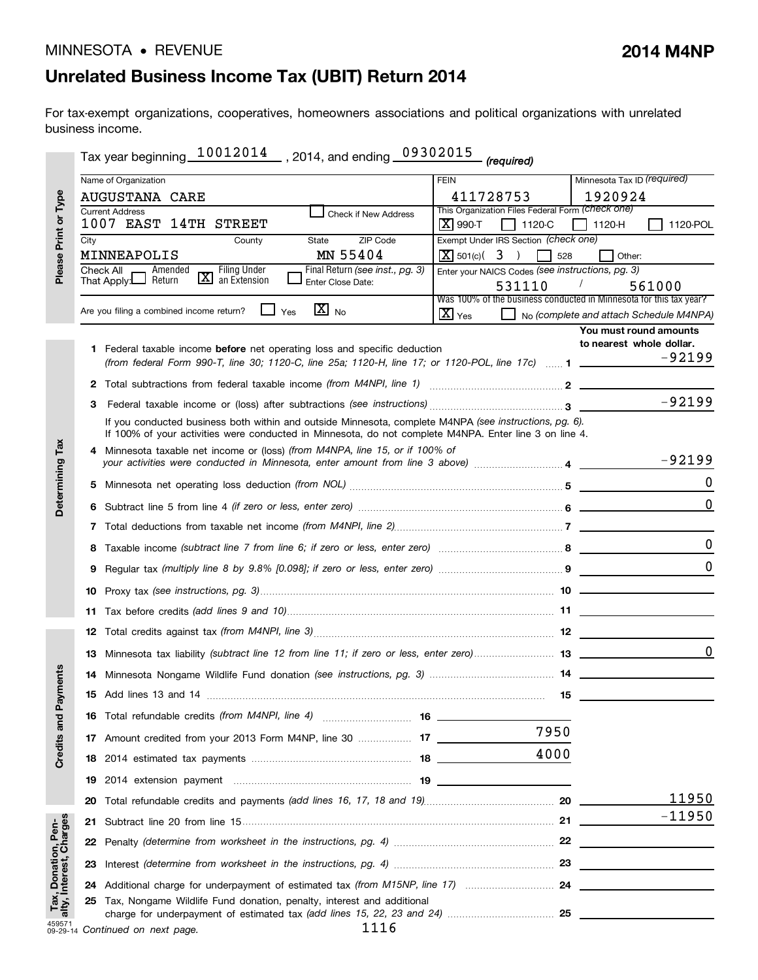# **Unrelated Business Income Tax (UBIT) Return 2014**

For tax-exempt organizations, cooperatives, homeowners associations and political organizations with unrelated business income.

|                                                |      | Tax year beginning 10012014 , 2014, and ending 09302015                                                                                                                                                          | (required)                                                                                |                                                                    |
|------------------------------------------------|------|------------------------------------------------------------------------------------------------------------------------------------------------------------------------------------------------------------------|-------------------------------------------------------------------------------------------|--------------------------------------------------------------------|
|                                                |      | Name of Organization                                                                                                                                                                                             | <b>FEIN</b>                                                                               | Minnesota Tax ID (required)                                        |
|                                                |      | <b>AUGUSTANA CARE</b>                                                                                                                                                                                            | 411728753                                                                                 | 1920924                                                            |
| Please Print or Type                           |      | <b>Current Address</b><br>Check if New Address<br>1007 EAST 14TH STREET                                                                                                                                          | This Organization Files Federal Form (Check one)<br>$ \mathbf{X} $ 990-T<br>$\Box$ 1120-C | 1120-POL<br>1120-H                                                 |
|                                                | City | ZIP Code<br>State<br>County<br>MN 55404<br>MINNEAPOLIS                                                                                                                                                           | Exempt Under IRS Section (check one)<br>$X = 501(c)(3)$                                   | 528<br>Other:                                                      |
|                                                |      | <b>Filing Under</b><br>Final Return (see inst., pg. 3)<br>Check All<br>Amended                                                                                                                                   | Enter your NAICS Codes (see instructions, pg. 3)                                          |                                                                    |
|                                                |      | $\overline{\mathbf{X}}$<br>Return<br>an Extension<br>That Apply:<br>Enter Close Date:                                                                                                                            | 531110                                                                                    | 561000                                                             |
|                                                |      | $\overline{\mathbf{X}}$ No<br>Are you filing a combined income return?                                                                                                                                           |                                                                                           | Was 100% of the business conducted in Minnesota for this tax year? |
|                                                |      | Yes                                                                                                                                                                                                              | $\boxed{\mathbf{X}}$ Yes                                                                  | No (complete and attach Schedule M4NPA)                            |
|                                                |      |                                                                                                                                                                                                                  |                                                                                           | You must round amounts<br>to nearest whole dollar.                 |
|                                                |      | <b>1</b> Federal taxable income <b>before</b> net operating loss and specific deduction<br>(from federal Form 990-T, line 30; 1120-C, line 25a; 1120-H, line 17; or 1120-POL, line 17c)  1                       |                                                                                           | $-92199$                                                           |
|                                                |      |                                                                                                                                                                                                                  |                                                                                           |                                                                    |
|                                                |      |                                                                                                                                                                                                                  |                                                                                           | $-92199$                                                           |
|                                                |      | If you conducted business both within and outside Minnesota, complete M4NPA (see instructions, pg. 6).<br>If 100% of your activities were conducted in Minnesota, do not complete M4NPA. Enter line 3 on line 4. |                                                                                           |                                                                    |
|                                                |      | 4 Minnesota taxable net income or (loss) (from M4NPA, line 15, or if 100% of                                                                                                                                     |                                                                                           |                                                                    |
| Determining Tax                                |      | your activities were conducted in Minnesota, enter amount from line 3 above) <i>manumumum</i> 4                                                                                                                  |                                                                                           | $-92199$                                                           |
|                                                |      |                                                                                                                                                                                                                  |                                                                                           | $\mathbf{0}$                                                       |
|                                                |      |                                                                                                                                                                                                                  |                                                                                           | $\mathbf{0}$                                                       |
|                                                |      |                                                                                                                                                                                                                  |                                                                                           |                                                                    |
|                                                |      |                                                                                                                                                                                                                  |                                                                                           | $\mathbf{0}$                                                       |
|                                                | 9    |                                                                                                                                                                                                                  | $\Omega$                                                                                  |                                                                    |
|                                                | 10   |                                                                                                                                                                                                                  |                                                                                           |                                                                    |
|                                                |      |                                                                                                                                                                                                                  |                                                                                           |                                                                    |
|                                                |      |                                                                                                                                                                                                                  |                                                                                           |                                                                    |
|                                                |      |                                                                                                                                                                                                                  |                                                                                           | $\mathbf 0$                                                        |
| nents                                          |      |                                                                                                                                                                                                                  |                                                                                           |                                                                    |
|                                                |      |                                                                                                                                                                                                                  |                                                                                           | 15                                                                 |
| Credits and Payr                               |      | 16 Total refundable credits (from M4NPI, line 4)  16                                                                                                                                                             |                                                                                           |                                                                    |
|                                                |      |                                                                                                                                                                                                                  | 7950                                                                                      |                                                                    |
|                                                | 18   |                                                                                                                                                                                                                  | 4000                                                                                      |                                                                    |
|                                                | 19   |                                                                                                                                                                                                                  |                                                                                           |                                                                    |
|                                                | 20   |                                                                                                                                                                                                                  |                                                                                           | <u> 11950</u>                                                      |
|                                                |      |                                                                                                                                                                                                                  |                                                                                           | $-11950$                                                           |
|                                                |      |                                                                                                                                                                                                                  |                                                                                           |                                                                    |
| Tax, Donation, Pen-<br>alty, Interest, Charges | 23   |                                                                                                                                                                                                                  |                                                                                           |                                                                    |
|                                                |      |                                                                                                                                                                                                                  |                                                                                           |                                                                    |
|                                                |      | 25 Tax, Nongame Wildlife Fund donation, penalty, interest and additional                                                                                                                                         |                                                                                           |                                                                    |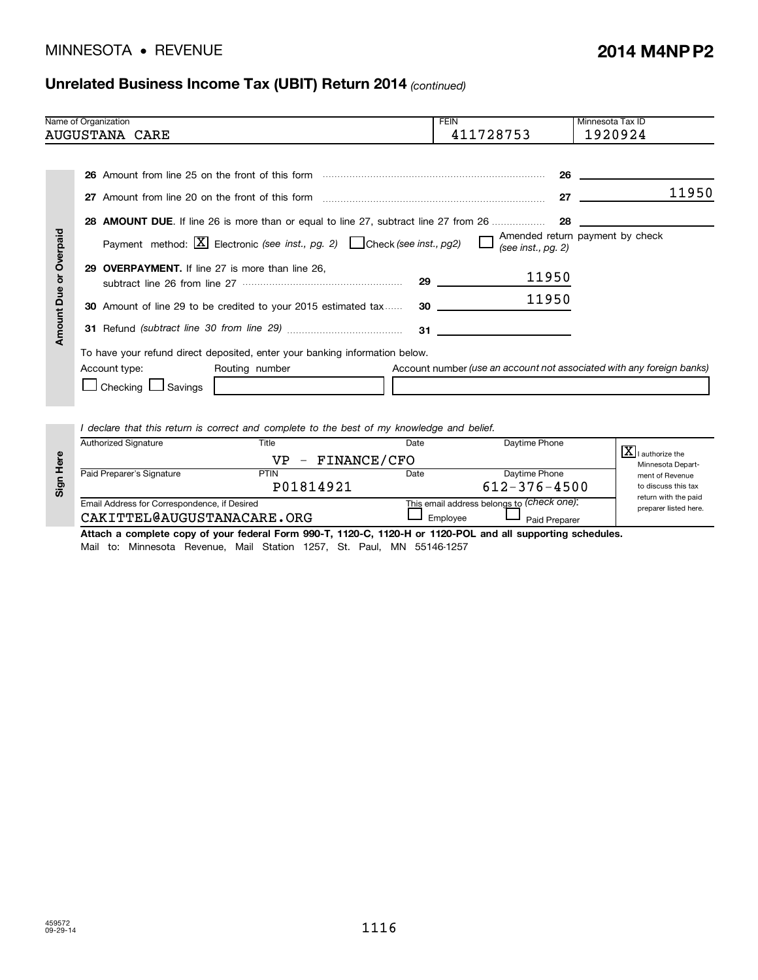## **Unrelated Business Income Tax (UBIT) Return 2014** *(continued)*

|                               | Name of Organization                                                                                                                                                                                                                                                                                     | <b>FEIN</b>                                                           | Minnesota Tax ID                                          |
|-------------------------------|----------------------------------------------------------------------------------------------------------------------------------------------------------------------------------------------------------------------------------------------------------------------------------------------------------|-----------------------------------------------------------------------|-----------------------------------------------------------|
|                               | AUGUSTANA CARE                                                                                                                                                                                                                                                                                           | 411728753                                                             |                                                           |
| <b>Amount Due or Overpaid</b> | 26.<br>27<br>Payment method: $X$ Electronic (see inst., pg. 2) Check (see inst., pg2)<br><b>29 OVERPAYMENT.</b> If line 27 is more than line 26,<br><b>30</b> Amount of line 29 to be credited to your 2015 estimated tax<br>To have your refund direct deposited, enter your banking information below. | 26<br>(see inst., $pg. 2$ )<br>11950<br>11950                         | 1920924<br>11950<br>27<br>Amended return payment by check |
|                               | Routing number<br>Account type:<br>$\Box$ Checking $\Box$ Savings                                                                                                                                                                                                                                        | Account number (use an account not associated with any foreign banks) |                                                           |

*I declare that this return is correct and complete to the best of my knowledge and belief.*

| $\omega$<br>$\overline{\mathbf{D}}$<br>Sig | <b>Authorized Signature</b>                                                | Title<br>$VP$ - FINANCE/CFO | Daytime Phone<br>Date |                                                             | $ \mathbf{\Delta} $ I authorize the<br>Minnesota Depart- |
|--------------------------------------------|----------------------------------------------------------------------------|-----------------------------|-----------------------|-------------------------------------------------------------|----------------------------------------------------------|
|                                            | Paid Preparer's Signature                                                  | PTIN<br>P01814921           | Date                  | Daytime Phone<br>$612 - 376 - 4500$                         | ment of Revenue<br>to discuss this tax                   |
|                                            | Email Address for Correspondence, if Desired<br>CAKITTEL@AUGUSTANACARE.ORG |                             | Employee              | This email address belongs to (Check one):<br>Paid Preparer | return with the paid<br>preparer listed here.            |

**Attach a complete copy of your federal Form 990-T, 1120-C, 1120-H or 1120-POL and all supporting schedules.** Mail to: Minnesota Revenue, Mail Station 1257, St. Paul, MN 55146-1257